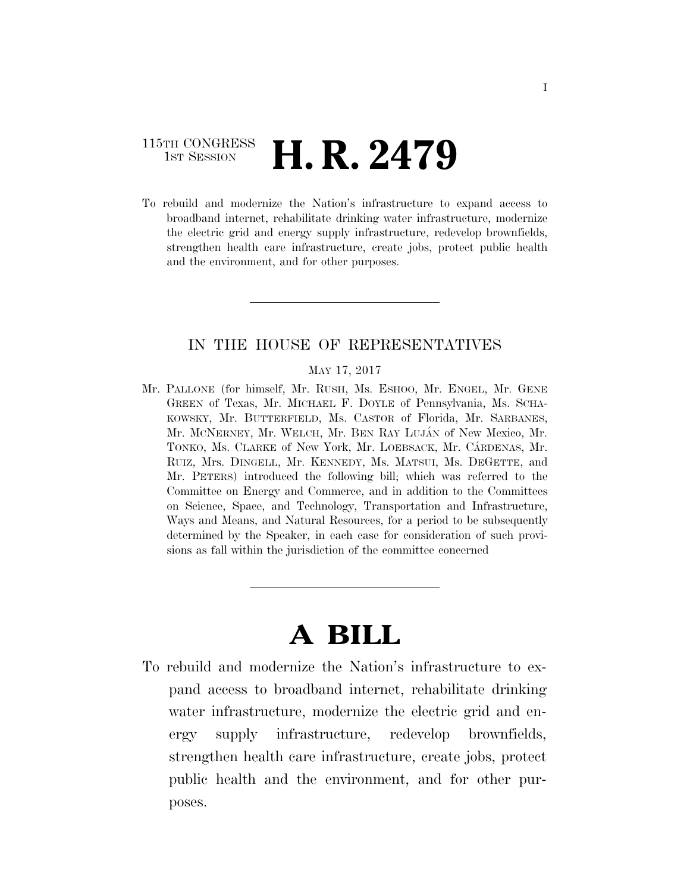# 115TH CONGRESS **1st Session H. R. 2479**

To rebuild and modernize the Nation's infrastructure to expand access to broadband internet, rehabilitate drinking water infrastructure, modernize the electric grid and energy supply infrastructure, redevelop brownfields, strengthen health care infrastructure, create jobs, protect public health and the environment, and for other purposes.

# IN THE HOUSE OF REPRESENTATIVES

#### MAY 17, 2017

Mr. PALLONE (for himself, Mr. RUSH, Ms. ESHOO, Mr. ENGEL, Mr. GENE GREEN of Texas, Mr. MICHAEL F. DOYLE of Pennsylvania, Ms. SCHA-KOWSKY, Mr. BUTTERFIELD, Ms. CASTOR of Florida, Mr. SARBANES, Mr. MCNERNEY, Mr. WELCH, Mr. BEN RAY LUJÁN of New Mexico, Mr. TONKO, Ms. CLARKE of New York, Mr. LOEBSACK, Mr. CÁRDENAS, Mr. RUIZ, Mrs. DINGELL, Mr. KENNEDY, Ms. MATSUI, Ms. DEGETTE, and Mr. PETERS) introduced the following bill; which was referred to the Committee on Energy and Commerce, and in addition to the Committees on Science, Space, and Technology, Transportation and Infrastructure, Ways and Means, and Natural Resources, for a period to be subsequently determined by the Speaker, in each case for consideration of such provisions as fall within the jurisdiction of the committee concerned

# **A BILL**

To rebuild and modernize the Nation's infrastructure to expand access to broadband internet, rehabilitate drinking water infrastructure, modernize the electric grid and energy supply infrastructure, redevelop brownfields, strengthen health care infrastructure, create jobs, protect public health and the environment, and for other purposes.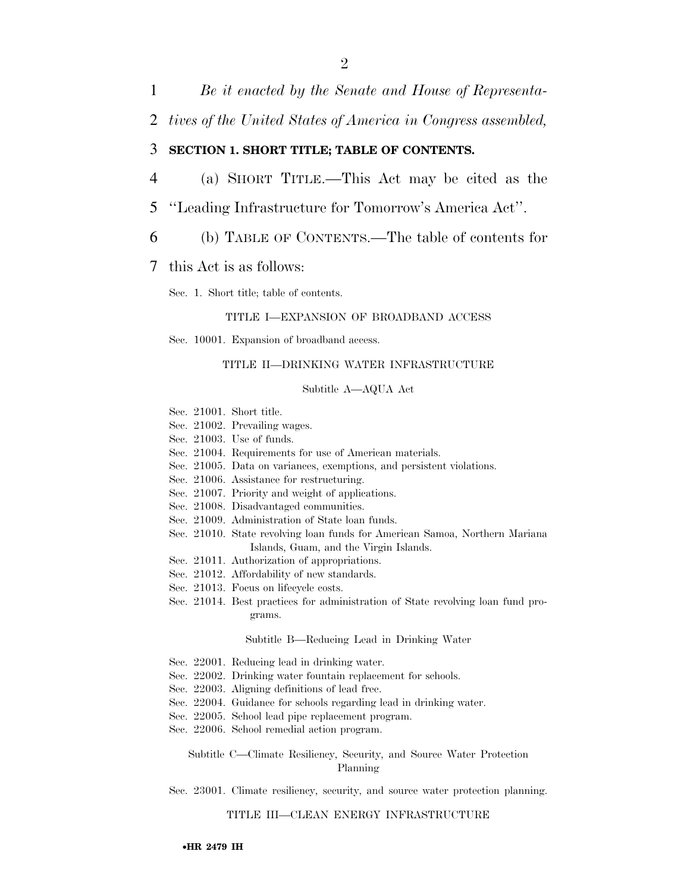1 *Be it enacted by the Senate and House of Representa-*

2 *tives of the United States of America in Congress assembled,* 

### 3 **SECTION 1. SHORT TITLE; TABLE OF CONTENTS.**

- 4 (a) SHORT TITLE.—This Act may be cited as the
- 5 ''Leading Infrastructure for Tomorrow's America Act''.
- 6 (b) TABLE OF CONTENTS.—The table of contents for

#### 7 this Act is as follows:

Sec. 1. Short title; table of contents.

#### TITLE I—EXPANSION OF BROADBAND ACCESS

Sec. 10001. Expansion of broadband access.

#### TITLE II—DRINKING WATER INFRASTRUCTURE

#### Subtitle A—AQUA Act

- Sec. 21001. Short title.
- Sec. 21002. Prevailing wages.
- Sec. 21003. Use of funds.
- Sec. 21004. Requirements for use of American materials.
- Sec. 21005. Data on variances, exemptions, and persistent violations.
- Sec. 21006. Assistance for restructuring.
- Sec. 21007. Priority and weight of applications.
- Sec. 21008. Disadvantaged communities.
- Sec. 21009. Administration of State loan funds.
- Sec. 21010. State revolving loan funds for American Samoa, Northern Mariana Islands, Guam, and the Virgin Islands.
- Sec. 21011. Authorization of appropriations.
- Sec. 21012. Affordability of new standards.
- Sec. 21013. Focus on lifecycle costs.
- Sec. 21014. Best practices for administration of State revolving loan fund programs.

#### Subtitle B—Reducing Lead in Drinking Water

- Sec. 22001. Reducing lead in drinking water.
- Sec. 22002. Drinking water fountain replacement for schools.
- Sec. 22003. Aligning definitions of lead free.
- Sec. 22004. Guidance for schools regarding lead in drinking water.
- Sec. 22005. School lead pipe replacement program.
- Sec. 22006. School remedial action program.

Subtitle C—Climate Resiliency, Security, and Source Water Protection Planning

#### Sec. 23001. Climate resiliency, security, and source water protection planning.

#### TITLE III—CLEAN ENERGY INFRASTRUCTURE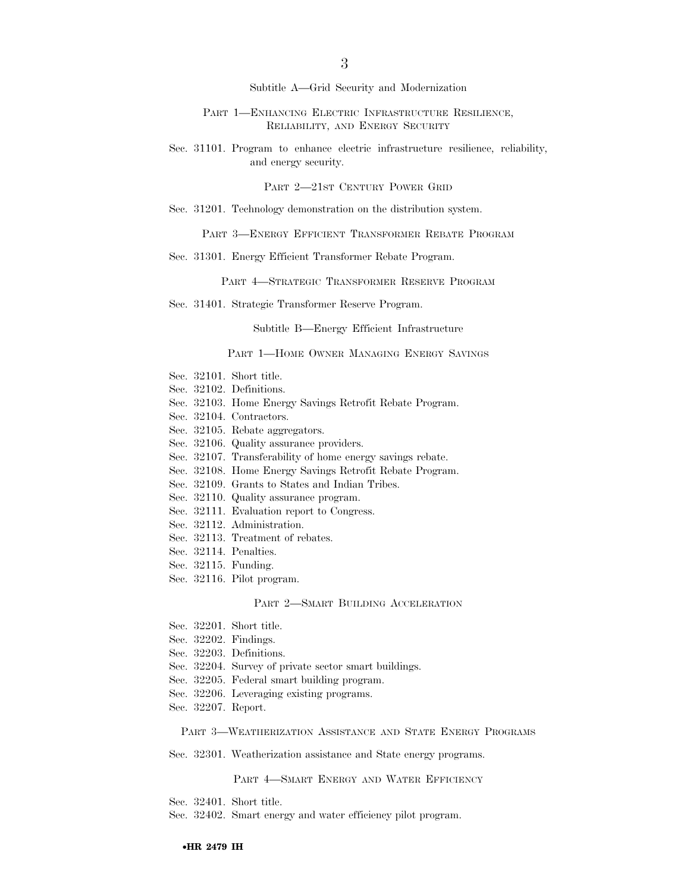Subtitle A—Grid Security and Modernization

PART 1—ENHANCING ELECTRIC INFRASTRUCTURE RESILIENCE, RELIABILITY, AND ENERGY SECURITY

Sec. 31101. Program to enhance electric infrastructure resilience, reliability, and energy security.

PART 2—21ST CENTURY POWER GRID

Sec. 31201. Technology demonstration on the distribution system.

PART 3—ENERGY EFFICIENT TRANSFORMER REBATE PROGRAM

Sec. 31301. Energy Efficient Transformer Rebate Program.

PART 4—STRATEGIC TRANSFORMER RESERVE PROGRAM

Sec. 31401. Strategic Transformer Reserve Program.

Subtitle B—Energy Efficient Infrastructure

PART 1—HOME OWNER MANAGING ENERGY SAVINGS

- Sec. 32101. Short title.
- Sec. 32102. Definitions.
- Sec. 32103. Home Energy Savings Retrofit Rebate Program.
- Sec. 32104. Contractors.
- Sec. 32105. Rebate aggregators.
- Sec. 32106. Quality assurance providers.
- Sec. 32107. Transferability of home energy savings rebate.
- Sec. 32108. Home Energy Savings Retrofit Rebate Program.
- Sec. 32109. Grants to States and Indian Tribes.
- Sec. 32110. Quality assurance program.
- Sec. 32111. Evaluation report to Congress.
- Sec. 32112. Administration.
- Sec. 32113. Treatment of rebates.
- Sec. 32114. Penalties.
- Sec. 32115. Funding.
- Sec. 32116. Pilot program.

#### PART 2—SMART BUILDING ACCELERATION

- Sec. 32201. Short title.
- Sec. 32202. Findings.
- Sec. 32203. Definitions.
- Sec. 32204. Survey of private sector smart buildings.
- Sec. 32205. Federal smart building program.
- Sec. 32206. Leveraging existing programs.
- Sec. 32207. Report.

PART 3—WEATHERIZATION ASSISTANCE AND STATE ENERGY PROGRAMS

Sec. 32301. Weatherization assistance and State energy programs.

PART 4—SMART ENERGY AND WATER EFFICIENCY

- Sec. 32401. Short title.
- Sec. 32402. Smart energy and water efficiency pilot program.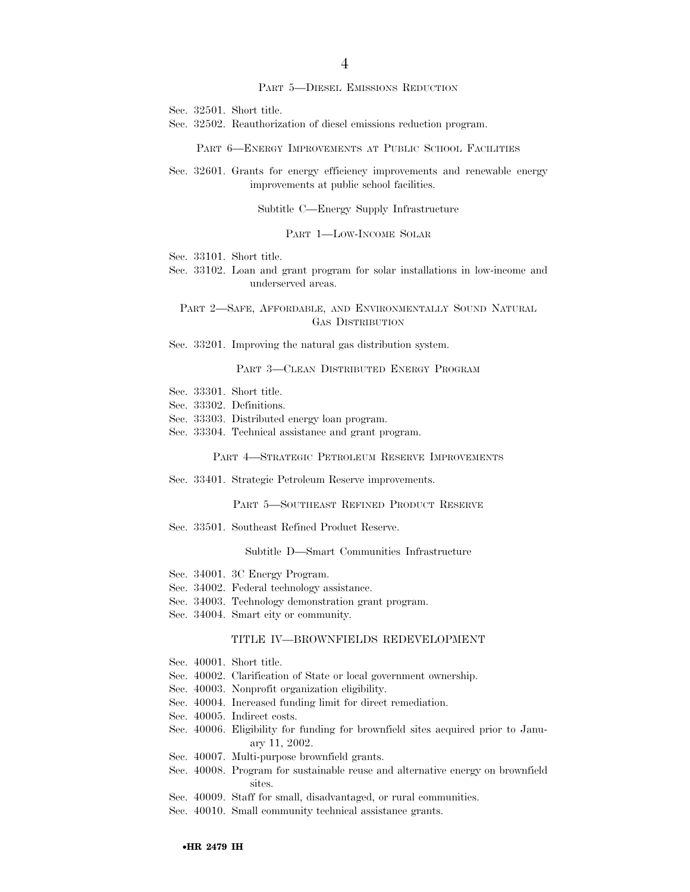#### PART 5—DIESEL EMISSIONS REDUCTION

Sec. 32501. Short title.

Sec. 32502. Reauthorization of diesel emissions reduction program.

PART 6—ENERGY IMPROVEMENTS AT PUBLIC SCHOOL FACILITIES

Sec. 32601. Grants for energy efficiency improvements and renewable energy improvements at public school facilities.

Subtitle C—Energy Supply Infrastructure

PART 1—LOW-INCOME SOLAR

Sec. 33101. Short title.

Sec. 33102. Loan and grant program for solar installations in low-income and underserved areas.

PART 2—SAFE, AFFORDABLE, AND ENVIRONMENTALLY SOUND NATURAL GAS DISTRIBUTION

Sec. 33201. Improving the natural gas distribution system.

PART 3—CLEAN DISTRIBUTED ENERGY PROGRAM

- Sec. 33301. Short title.
- Sec. 33302. Definitions.
- Sec. 33303. Distributed energy loan program.
- Sec. 33304. Technical assistance and grant program.

PART 4—STRATEGIC PETROLEUM RESERVE IMPROVEMENTS

Sec. 33401. Strategic Petroleum Reserve improvements.

PART 5—SOUTHEAST REFINED PRODUCT RESERVE

Sec. 33501. Southeast Refined Product Reserve.

Subtitle D—Smart Communities Infrastructure

- Sec. 34001. 3C Energy Program.
- Sec. 34002. Federal technology assistance.
- Sec. 34003. Technology demonstration grant program.
- Sec. 34004. Smart city or community.

#### TITLE IV—BROWNFIELDS REDEVELOPMENT

- Sec. 40001. Short title.
- Sec. 40002. Clarification of State or local government ownership.
- Sec. 40003. Nonprofit organization eligibility.
- Sec. 40004. Increased funding limit for direct remediation.
- Sec. 40005. Indirect costs.
- Sec. 40006. Eligibility for funding for brownfield sites acquired prior to January 11, 2002.
- Sec. 40007. Multi-purpose brownfield grants.
- Sec. 40008. Program for sustainable reuse and alternative energy on brownfield sites.
- Sec. 40009. Staff for small, disadvantaged, or rural communities.
- Sec. 40010. Small community technical assistance grants.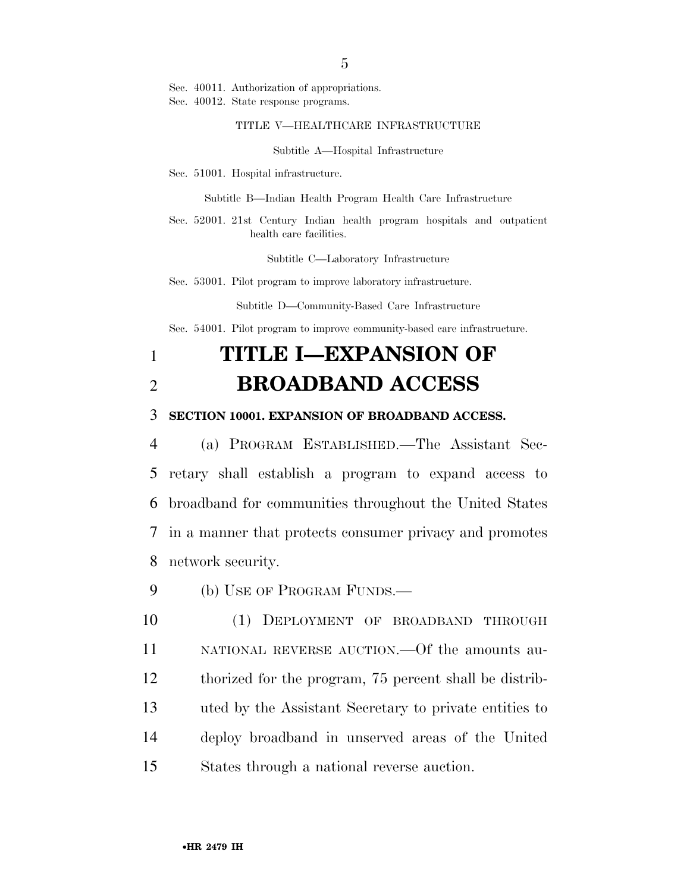Sec. 40011. Authorization of appropriations.

Sec. 40012. State response programs.

#### TITLE V—HEALTHCARE INFRASTRUCTURE

Subtitle A—Hospital Infrastructure

Sec. 51001. Hospital infrastructure.

Subtitle B—Indian Health Program Health Care Infrastructure

Sec. 52001. 21st Century Indian health program hospitals and outpatient health care facilities.

Subtitle C—Laboratory Infrastructure

Sec. 53001. Pilot program to improve laboratory infrastructure.

Subtitle D—Community-Based Care Infrastructure

Sec. 54001. Pilot program to improve community-based care infrastructure.

# 1 **TITLE I—EXPANSION OF**  2 **BROADBAND ACCESS**

## 3 **SECTION 10001. EXPANSION OF BROADBAND ACCESS.**

 (a) PROGRAM ESTABLISHED.—The Assistant Sec- retary shall establish a program to expand access to broadband for communities throughout the United States in a manner that protects consumer privacy and promotes network security.

9 (b) USE OF PROGRAM FUNDS.—

 (1) DEPLOYMENT OF BROADBAND THROUGH NATIONAL REVERSE AUCTION.—Of the amounts au- thorized for the program, 75 percent shall be distrib- uted by the Assistant Secretary to private entities to deploy broadband in unserved areas of the United States through a national reverse auction.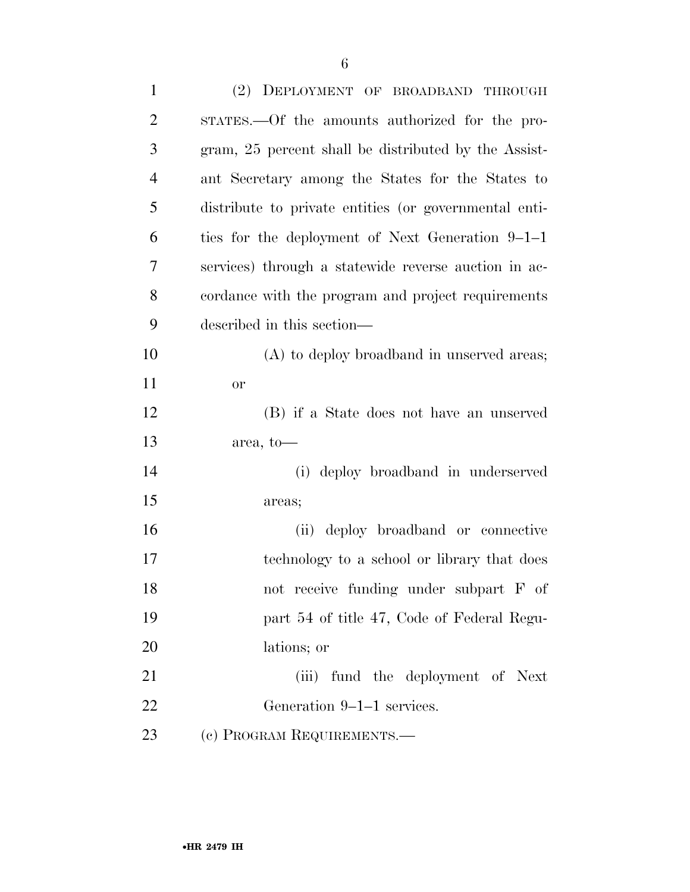| $\mathbf{1}$   | (2) DEPLOYMENT OF BROADBAND THROUGH                   |
|----------------|-------------------------------------------------------|
| $\overline{2}$ | STATES.—Of the amounts authorized for the pro-        |
| 3              | gram, 25 percent shall be distributed by the Assist-  |
| $\overline{4}$ | ant Secretary among the States for the States to      |
| 5              | distribute to private entities (or governmental enti- |
| 6              | ties for the deployment of Next Generation 9–1–1      |
| 7              | services) through a statewide reverse auction in ac-  |
| 8              | cordance with the program and project requirements    |
| 9              | described in this section—                            |
| 10             | (A) to deploy broadband in unserved areas;            |
| 11             | <b>or</b>                                             |
| 12             | (B) if a State does not have an unserved              |
| 13             | area, to—                                             |
| 14             | (i) deploy broadband in underserved                   |
| 15             | areas;                                                |
| 16             | deploy broadband or connective<br>(ii)                |
| 17             | technology to a school or library that does           |
| 18             | not receive funding under subpart F of                |
| 19             | part 54 of title 47, Code of Federal Regu-            |
| 20             | lations; or                                           |
| 21             | (iii) fund the deployment of Next                     |
| 22             | Generation 9–1–1 services.                            |
| 23             | (c) PROGRAM REQUIREMENTS.-                            |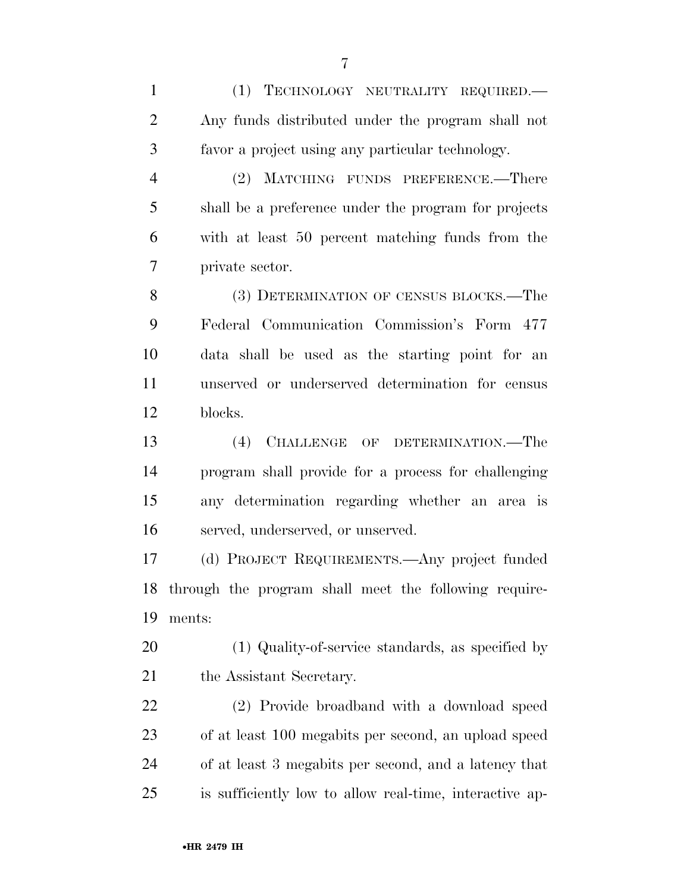(1) TECHNOLOGY NEUTRALITY REQUIRED.— Any funds distributed under the program shall not favor a project using any particular technology. (2) MATCHING FUNDS PREFERENCE.—There

 shall be a preference under the program for projects with at least 50 percent matching funds from the private sector.

8 (3) DETERMINATION OF CENSUS BLOCKS.—The Federal Communication Commission's Form 477 data shall be used as the starting point for an unserved or underserved determination for census blocks.

 (4) CHALLENGE OF DETERMINATION.—The program shall provide for a process for challenging any determination regarding whether an area is served, underserved, or unserved.

 (d) PROJECT REQUIREMENTS.—Any project funded through the program shall meet the following require-ments:

 (1) Quality-of-service standards, as specified by 21 the Assistant Secretary.

 (2) Provide broadband with a download speed of at least 100 megabits per second, an upload speed of at least 3 megabits per second, and a latency that is sufficiently low to allow real-time, interactive ap-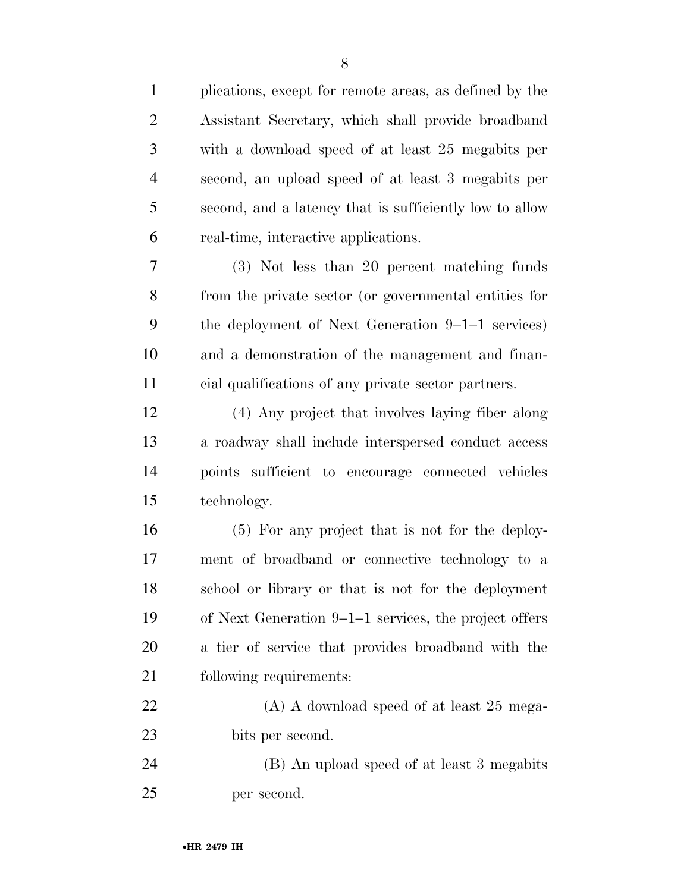| $\mathbf{1}$   | plications, except for remote areas, as defined by the  |
|----------------|---------------------------------------------------------|
| $\overline{2}$ | Assistant Secretary, which shall provide broadband      |
| 3              | with a download speed of at least 25 megabits per       |
| 4              | second, an upload speed of at least 3 megabits per      |
| 5              | second, and a latency that is sufficiently low to allow |
| 6              | real-time, interactive applications.                    |
| 7              | (3) Not less than 20 percent matching funds             |
| 8              | from the private sector (or governmental entities for   |
| 9              | the deployment of Next Generation 9–1–1 services)       |
| 10             | and a demonstration of the management and finan-        |
| 11             | cial qualifications of any private sector partners.     |
| 12             | (4) Any project that involves laying fiber along        |
| 13             | a roadway shall include interspersed conduct access     |
| 14             | points sufficient to encourage connected vehicles       |
| 15             | technology.                                             |
| 16             | (5) For any project that is not for the deploy-         |
| 17             | ment of broadband or connective technology to a         |
| 18             | school or library or that is not for the deployment     |
| 19             | of Next Generation 9–1–1 services, the project offers   |
| 20             | a tier of service that provides broadband with the      |
| 21             | following requirements:                                 |
| 22             | $(A)$ A download speed of at least 25 mega-             |
| 23             | bits per second.                                        |
| 24             | (B) An upload speed of at least 3 megabits              |
| 25             | per second.                                             |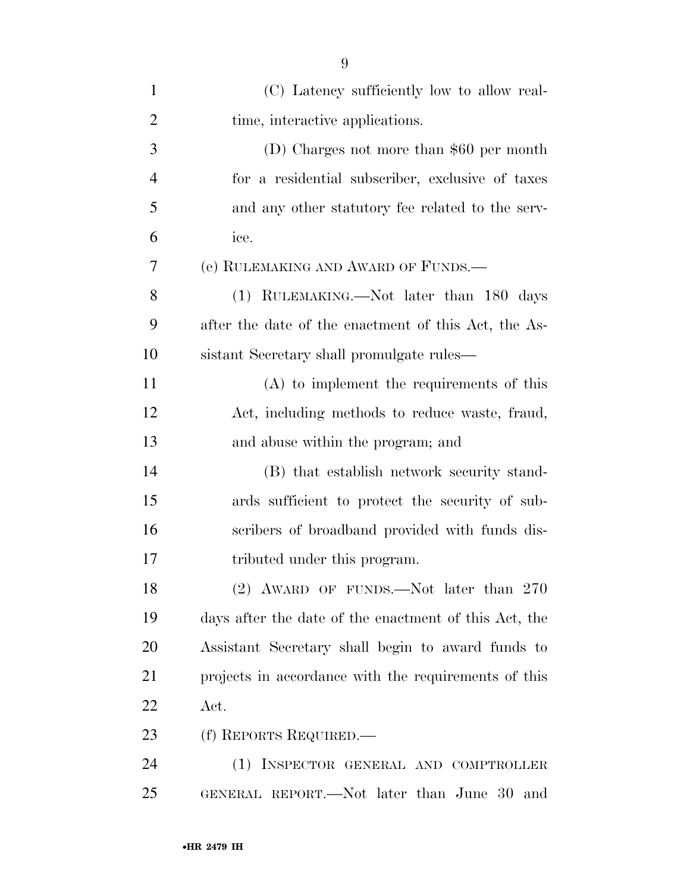| $\mathbf{1}$   | (C) Latency sufficiently low to allow real-           |
|----------------|-------------------------------------------------------|
| $\overline{2}$ | time, interactive applications.                       |
| 3              | (D) Charges not more than $$60$ per month             |
| $\overline{4}$ | for a residential subscriber, exclusive of taxes      |
| 5              | and any other statutory fee related to the serv-      |
| 6              | ice.                                                  |
| 7              | (e) RULEMAKING AND AWARD OF FUNDS.                    |
| 8              | (1) RULEMAKING.—Not later than 180 days               |
| 9              | after the date of the enactment of this Act, the As-  |
| 10             | sistant Secretary shall promulgate rules—             |
| 11             | $(A)$ to implement the requirements of this           |
| 12             | Act, including methods to reduce waste, fraud,        |
| 13             | and abuse within the program; and                     |
| 14             | (B) that establish network security stand-            |
| 15             | ards sufficient to protect the security of sub-       |
| 16             | scribers of broadband provided with funds dis-        |
| 17             | tributed under this program.                          |
| 18             | (2) AWARD OF FUNDS.—Not later than 270                |
| 19             | days after the date of the enactment of this Act, the |
| 20             | Assistant Secretary shall begin to award funds to     |
| 21             | projects in accordance with the requirements of this  |
| 22             | Act.                                                  |
| 23             | (f) REPORTS REQUIRED.—                                |
| 24             | (1) INSPECTOR GENERAL AND COMPTROLLER                 |
| 25             | GENERAL REPORT.—Not later than June 30<br>and         |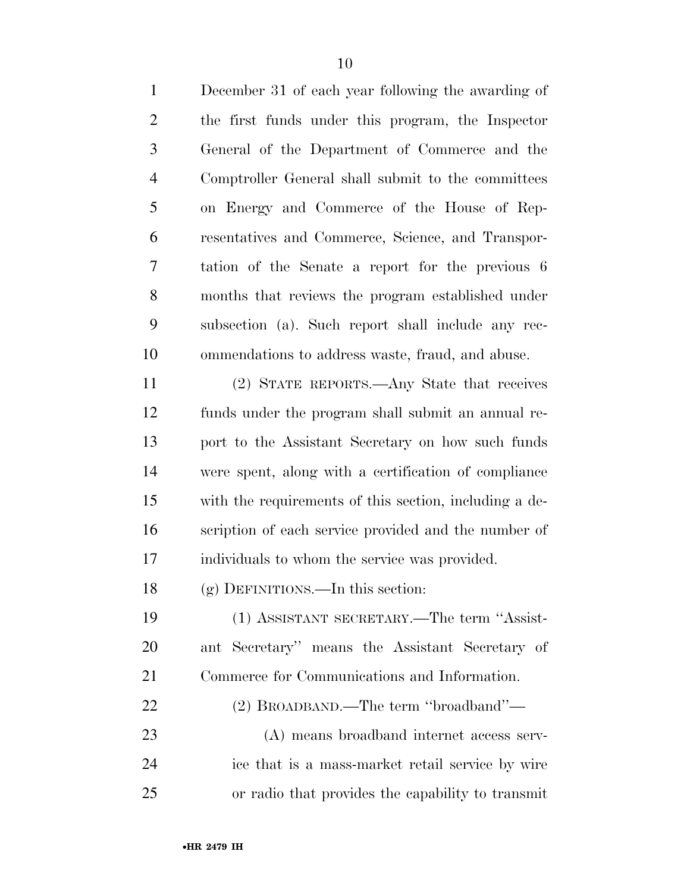| $\mathbf{1}$   | December 31 of each year following the awarding of     |
|----------------|--------------------------------------------------------|
| $\overline{2}$ | the first funds under this program, the Inspector      |
| 3              | General of the Department of Commerce and the          |
| $\overline{4}$ | Comptroller General shall submit to the committees     |
| 5              | on Energy and Commerce of the House of Rep-            |
| 6              | resentatives and Commerce, Science, and Transpor-      |
| 7              | tation of the Senate a report for the previous 6       |
| 8              | months that reviews the program established under      |
| 9              | subsection (a). Such report shall include any rec-     |
| 10             | ommendations to address waste, fraud, and abuse.       |
| 11             | (2) STATE REPORTS.—Any State that receives             |
| 12             | funds under the program shall submit an annual re-     |
| 13             | port to the Assistant Secretary on how such funds      |
| 14             | were spent, along with a certification of compliance   |
| 15             | with the requirements of this section, including a de- |
| 16             | scription of each service provided and the number of   |
| 17             | individuals to whom the service was provided.          |
| 18             | $(g)$ DEFINITIONS.—In this section:                    |
| 19             | (1) ASSISTANT SECRETARY.—The term "Assist-             |
| <b>20</b>      | ant Secretary" means the Assistant Secretary of        |
| 21             | Commerce for Communications and Information.           |
| 22             | (2) BROADBAND.—The term "broadband"—                   |
| 23             | (A) means broadband internet access serv-              |
| 24             | ice that is a mass-market retail service by wire       |
| 25             | or radio that provides the capability to transmit      |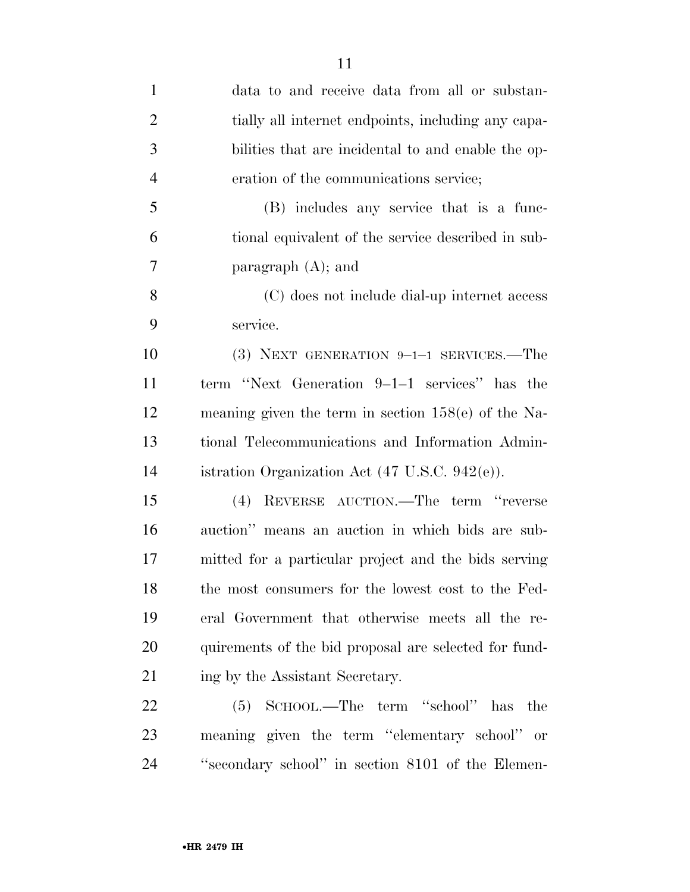| $\mathbf{1}$   | data to and receive data from all or substan-         |
|----------------|-------------------------------------------------------|
| $\overline{2}$ | tially all internet endpoints, including any capa-    |
| 3              | bilities that are incidental to and enable the op-    |
| $\overline{4}$ | eration of the communications service;                |
| 5              | (B) includes any service that is a func-              |
| 6              | tional equivalent of the service described in sub-    |
| 7              | paragraph $(A)$ ; and                                 |
| 8              | (C) does not include dial-up internet access          |
| 9              | service.                                              |
| 10             | $(3)$ NEXT GENERATION 9-1-1 SERVICES.—The             |
| 11             | term "Next Generation 9–1–1 services" has the         |
| 12             | meaning given the term in section $158(e)$ of the Na- |
| 13             | tional Telecommunications and Information Admin-      |
| 14             | istration Organization Act (47 U.S.C. 942(e)).        |
| 15             | REVERSE AUCTION.—The term "reverse<br>(4)             |
| 16             | auction" means an auction in which bids are sub-      |
| 17             | mitted for a particular project and the bids serving  |
| 18             | the most consumers for the lowest cost to the Fed-    |
| 19             | eral Government that otherwise meets all the re-      |
| 20             | quirements of the bid proposal are selected for fund- |
| 21             | ing by the Assistant Secretary.                       |
| 22             | (5) SCHOOL.—The term "school" has the                 |
| 23             | meaning given the term "elementary school" or         |
| 24             | "secondary school" in section 8101 of the Elemen-     |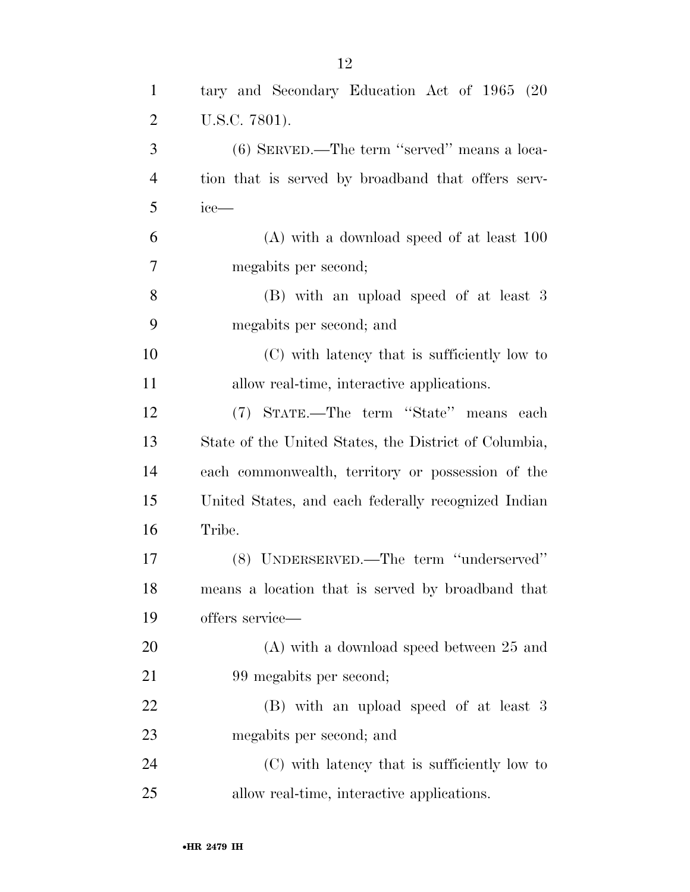| $\mathbf{1}$   | tary and Secondary Education Act of 1965 (20          |
|----------------|-------------------------------------------------------|
| $\overline{2}$ | U.S.C. 7801).                                         |
| 3              | (6) SERVED.—The term "served" means a loca-           |
| $\overline{4}$ | tion that is served by broadband that offers serv-    |
| 5              | $ice-$                                                |
| 6              | $(A)$ with a download speed of at least 100           |
| 7              | megabits per second;                                  |
| 8              | (B) with an upload speed of at least 3                |
| 9              | megabits per second; and                              |
| 10             | (C) with latency that is sufficiently low to          |
| 11             | allow real-time, interactive applications.            |
| 12             | (7) STATE.—The term "State" means each                |
| 13             | State of the United States, the District of Columbia, |
| 14             | each commonwealth, territory or possession of the     |
| 15             | United States, and each federally recognized Indian   |
| 16             | Tribe.                                                |
| 17             | (8) UNDERSERVED.—The term "underserved"               |
| 18             | means a location that is served by broadband that     |
| 19             | offers service—                                       |
| 20             | $(A)$ with a download speed between 25 and            |
| 21             | 99 megabits per second;                               |
| 22             | (B) with an upload speed of at least 3                |
| 23             | megabits per second; and                              |
| 24             | (C) with latency that is sufficiently low to          |
| 25             | allow real-time, interactive applications.            |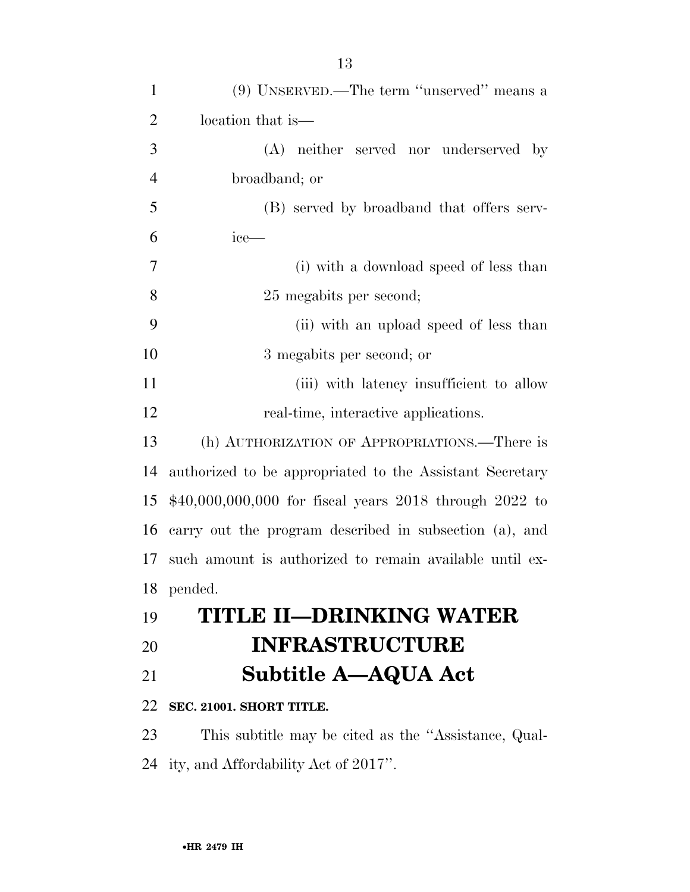| $\mathbf{1}$   | (9) UNSERVED.—The term "unserved" means a                |
|----------------|----------------------------------------------------------|
| $\overline{c}$ | location that is—                                        |
| 3              | (A) neither served nor underserved by                    |
| $\overline{4}$ | broadband; or                                            |
| 5              | (B) served by broadband that offers serv-                |
| 6              | ice—                                                     |
| 7              | (i) with a download speed of less than                   |
| 8              | 25 megabits per second;                                  |
| 9              | (ii) with an upload speed of less than                   |
| 10             | 3 megabits per second; or                                |
| 11             | (iii) with latency insufficient to allow                 |
| 12             | real-time, interactive applications.                     |
| 13             | (h) AUTHORIZATION OF APPROPRIATIONS.—There is            |
| 14             | authorized to be appropriated to the Assistant Secretary |
| 15             | $$40,000,000,000$ for fiscal years 2018 through 2022 to  |
| 16             | carry out the program described in subsection (a), and   |
| 17             | such amount is authorized to remain available until ex-  |
| 18             | pended.                                                  |
| 19             | <b>TITLE II-DRINKING WATER</b>                           |
| 20             | <b>INFRASTRUCTURE</b>                                    |
| 21             | <b>Subtitle A-AQUA Act</b>                               |
| 22             | SEC. 21001. SHORT TITLE.                                 |
| 23             | This subtitle may be cited as the "Assistance, Qual-     |
| 24             | ity, and Affordability Act of 2017".                     |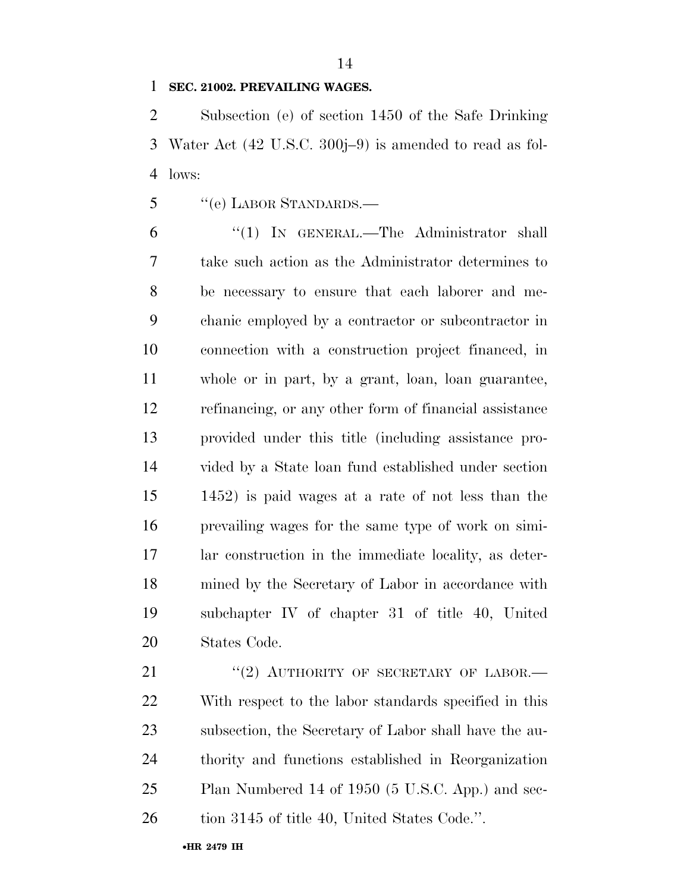# **SEC. 21002. PREVAILING WAGES.**

 Subsection (e) of section 1450 of the Safe Drinking Water Act (42 U.S.C. 300j–9) is amended to read as fol-lows:

5 "(e) LABOR STANDARDS.—

 ''(1) IN GENERAL.—The Administrator shall take such action as the Administrator determines to be necessary to ensure that each laborer and me- chanic employed by a contractor or subcontractor in connection with a construction project financed, in whole or in part, by a grant, loan, loan guarantee, refinancing, or any other form of financial assistance provided under this title (including assistance pro- vided by a State loan fund established under section 1452) is paid wages at a rate of not less than the prevailing wages for the same type of work on simi- lar construction in the immediate locality, as deter- mined by the Secretary of Labor in accordance with subchapter IV of chapter 31 of title 40, United States Code.

21 "(2) AUTHORITY OF SECRETARY OF LABOR.— With respect to the labor standards specified in this subsection, the Secretary of Labor shall have the au- thority and functions established in Reorganization Plan Numbered 14 of 1950 (5 U.S.C. App.) and sec-26 tion 3145 of title 40, United States Code.".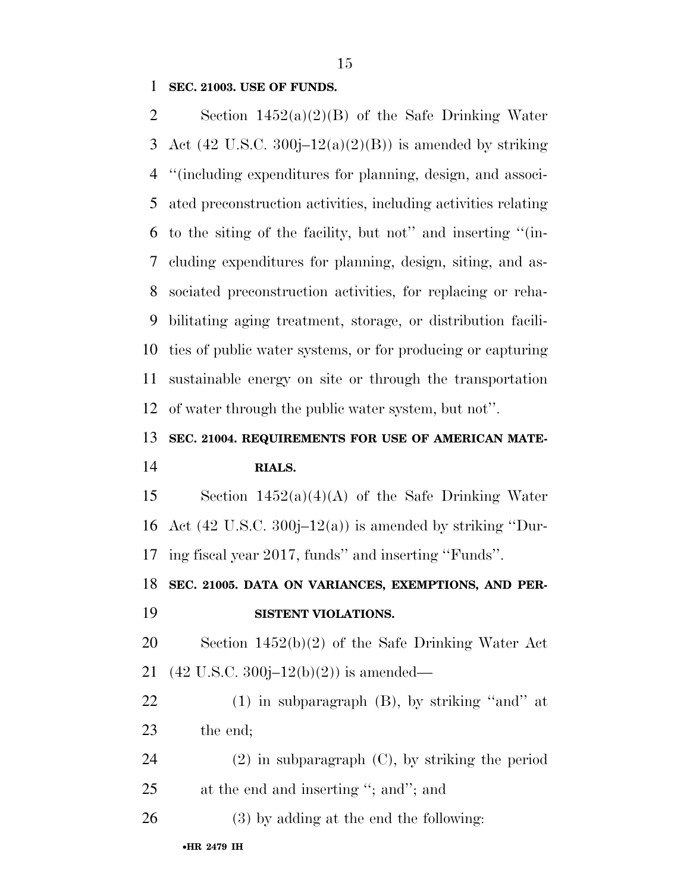### **SEC. 21003. USE OF FUNDS.**

 Section 1452(a)(2)(B) of the Safe Drinking Water 3 Act (42 U.S.C. 300 $j-12(a)(2)(B)$ ) is amended by striking ''(including expenditures for planning, design, and associ- ated preconstruction activities, including activities relating to the siting of the facility, but not'' and inserting ''(in- cluding expenditures for planning, design, siting, and as- sociated preconstruction activities, for replacing or reha- bilitating aging treatment, storage, or distribution facili- ties of public water systems, or for producing or capturing sustainable energy on site or through the transportation of water through the public water system, but not''.

# **SEC. 21004. REQUIREMENTS FOR USE OF AMERICAN MATE-**

### **RIALS.**

15 Section  $1452(a)(4)(A)$  of the Safe Drinking Water 16 Act  $(42 \text{ U.S.C. } 300j-12(a))$  is amended by striking "Dur-ing fiscal year 2017, funds'' and inserting ''Funds''.

**SEC. 21005. DATA ON VARIANCES, EXEMPTIONS, AND PER-**

# **SISTENT VIOLATIONS.**

 Section 1452(b)(2) of the Safe Drinking Water Act 21 (42 U.S.C. 300 $j-12(b)(2)$ ) is amended—

 (1) in subparagraph (B), by striking ''and'' at the end;

 (2) in subparagraph (C), by striking the period 25 at the end and inserting "; and"; and

(3) by adding at the end the following: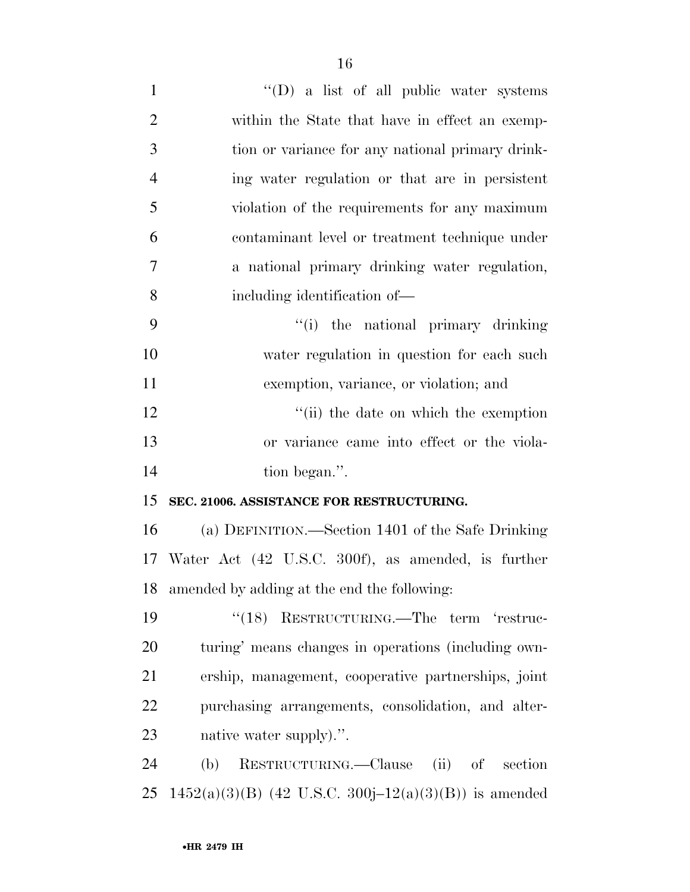| $\mathbf{1}$   | $\lq\lq$ (D) a list of all public water systems         |
|----------------|---------------------------------------------------------|
| $\overline{2}$ | within the State that have in effect an exemp-          |
| 3              | tion or variance for any national primary drink-        |
| $\overline{4}$ | ing water regulation or that are in persistent          |
| 5              | violation of the requirements for any maximum           |
| 6              | contaminant level or treatment technique under          |
| 7              | a national primary drinking water regulation,           |
| 8              | including identification of—                            |
| 9              | "(i) the national primary drinking                      |
| 10             | water regulation in question for each such              |
| 11             | exemption, variance, or violation; and                  |
| 12             | "(ii) the date on which the exemption                   |
| 13             | or variance came into effect or the viola-              |
| 14             | tion began.".                                           |
| 15             | SEC. 21006. ASSISTANCE FOR RESTRUCTURING.               |
| 16             | (a) DEFINITION.—Section 1401 of the Safe Drinking       |
|                | 17 Water Act (42 U.S.C. 300f), as amended, is further   |
| 18             | amended by adding at the end the following:             |
| 19             | "(18) RESTRUCTURING.—The term 'restruc-                 |
| 20             | turing' means changes in operations (including own-     |
| 21             | ership, management, cooperative partnerships, joint     |
| 22             | purchasing arrangements, consolidation, and alter-      |
| 23             | native water supply).".                                 |
| 24             | RESTRUCTURING.—Clause (ii) of<br>section<br>(b)         |
| 25             | $1452(a)(3)(B)$ (42 U.S.C. 300j–12(a)(3)(B)) is amended |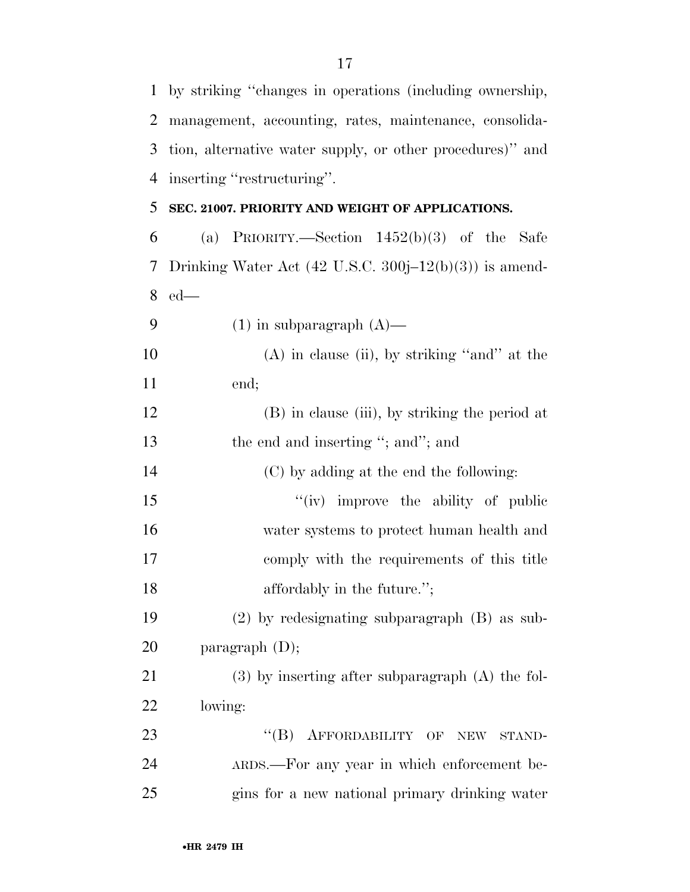by striking ''changes in operations (including ownership, management, accounting, rates, maintenance, consolida- tion, alternative water supply, or other procedures)'' and inserting ''restructuring''. **SEC. 21007. PRIORITY AND WEIGHT OF APPLICATIONS.**  6 (a) PRIORITY.—Section  $1452(b)(3)$  of the Safe Drinking Water Act (42 U.S.C. 300j–12(b)(3)) is amend- ed—  $(1)$  in subparagraph  $(A)$ — 10 (A) in clause (ii), by striking "and" at the end; (B) in clause (iii), by striking the period at 13 the end and inserting "; and"; and (C) by adding at the end the following: 15 ''(iv) improve the ability of public water systems to protect human health and comply with the requirements of this title **affordably** in the future."; (2) by redesignating subparagraph (B) as sub- paragraph (D); (3) by inserting after subparagraph (A) the fol- lowing: 23 "(B) AFFORDABILITY OF NEW STAND- ARDS.—For any year in which enforcement be-gins for a new national primary drinking water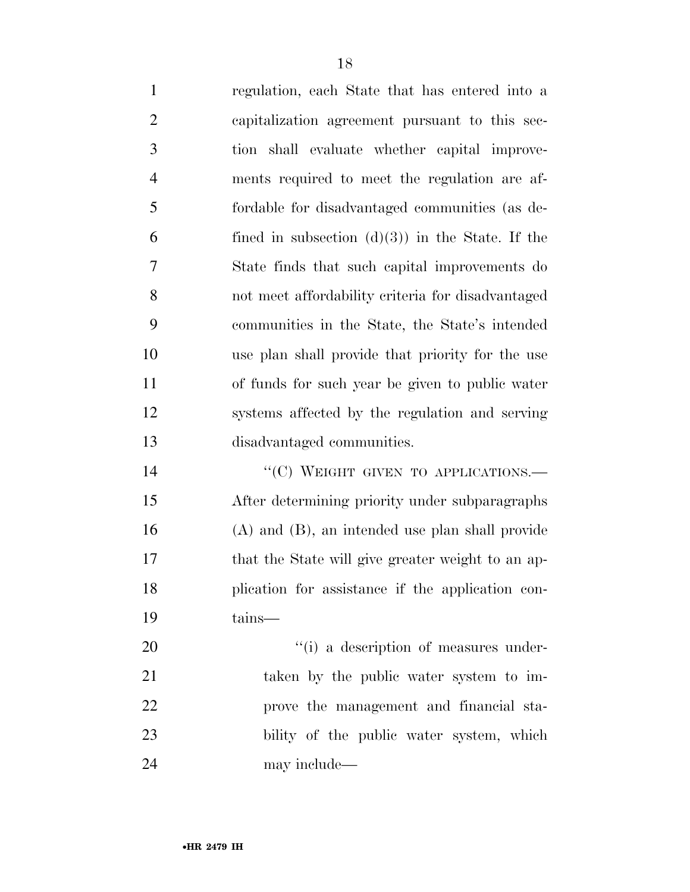regulation, each State that has entered into a capitalization agreement pursuant to this sec- tion shall evaluate whether capital improve- ments required to meet the regulation are af- fordable for disadvantaged communities (as de-6 fined in subsection  $(d)(3)$  in the State. If the State finds that such capital improvements do not meet affordability criteria for disadvantaged communities in the State, the State's intended use plan shall provide that priority for the use of funds for such year be given to public water systems affected by the regulation and serving disadvantaged communities.

14 "(C) WEIGHT GIVEN TO APPLICATIONS.— After determining priority under subparagraphs (A) and (B), an intended use plan shall provide 17 that the State will give greater weight to an ap- plication for assistance if the application con-tains—

 $\frac{1}{1}$  a description of measures under- taken by the public water system to im- prove the management and financial sta- bility of the public water system, which may include—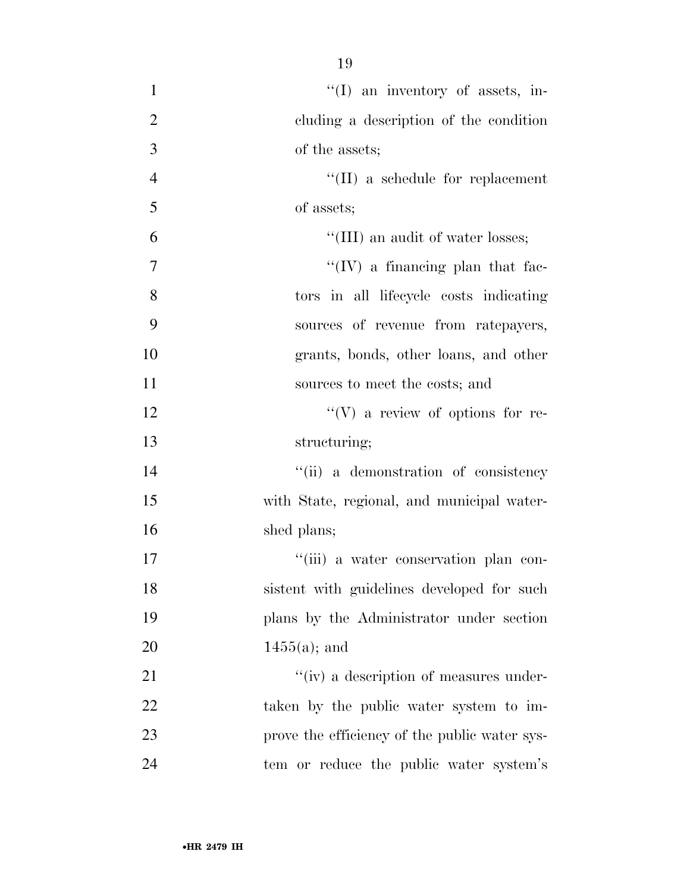| $\mathbf{1}$   | $\lq(1)$ an inventory of assets, in-          |
|----------------|-----------------------------------------------|
| $\overline{2}$ | cluding a description of the condition        |
| 3              | of the assets;                                |
| $\overline{4}$ | $\lq\lq$ (II) a schedule for replacement      |
| 5              | of assets;                                    |
| 6              | "(III) an audit of water losses;              |
| 7              | $\lq\lq$ (IV) a financing plan that fac-      |
| 8              | tors in all lifecycle costs indicating        |
| 9              | sources of revenue from ratepayers,           |
| 10             | grants, bonds, other loans, and other         |
| 11             | sources to meet the costs; and                |
| 12             | $\lq\lq(V)$ a review of options for re-       |
| 13             | structuring;                                  |
| 14             | "(ii) a demonstration of consistency          |
| 15             | with State, regional, and municipal water-    |
| 16             | shed plans;                                   |
| 17             | "(iii) a water conservation plan con-         |
| 18             | sistent with guidelines developed for such    |
| 19             | plans by the Administrator under section      |
| 20             | $1455(a)$ ; and                               |
| 21             | "(iv) a description of measures under-        |
| 22             | taken by the public water system to im-       |
| 23             | prove the efficiency of the public water sys- |
| 24             | tem or reduce the public water system's       |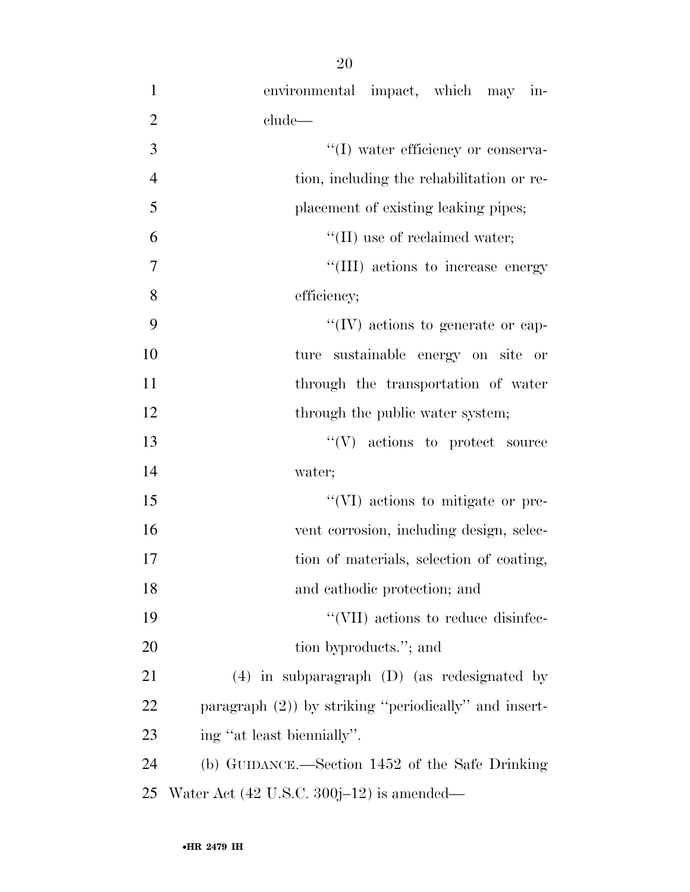| $\mathbf{1}$   | environmental impact, which may in-                      |
|----------------|----------------------------------------------------------|
| $\overline{2}$ | clude                                                    |
| 3              | "(I) water efficiency or conserva-                       |
| $\overline{4}$ | tion, including the rehabilitation or re-                |
| 5              | placement of existing leaking pipes;                     |
| 6              | $\lq\lq$ (II) use of reclaimed water;                    |
| 7              | "(III) actions to increase energy                        |
| 8              | efficiency;                                              |
| 9              | $\lq\lq$ (IV) actions to generate or cap-                |
| 10             | ture sustainable energy on site or                       |
| 11             | through the transportation of water                      |
| 12             | through the public water system;                         |
| 13             | $\lq\lq(V)$ actions to protect source                    |
| 14             | water;                                                   |
| 15             | "(VI) actions to mitigate or pre-                        |
| 16             | vent corrosion, including design, selec-                 |
| 17             | tion of materials, selection of coating,                 |
| 18             | and cathodic protection; and                             |
| 19             | "(VII) actions to reduce disinfec-                       |
| 20             | tion byproducts."; and                                   |
| 21             | $(4)$ in subparagraph $(D)$ (as redesignated by          |
| 22             | paragraph $(2)$ ) by striking "periodically" and insert- |
| 23             | ing "at least biennially".                               |
| 24             | (b) GUIDANCE.—Section 1452 of the Safe Drinking          |
| 25             | Water Act $(42 \text{ U.S.C. } 300j-12)$ is amended—     |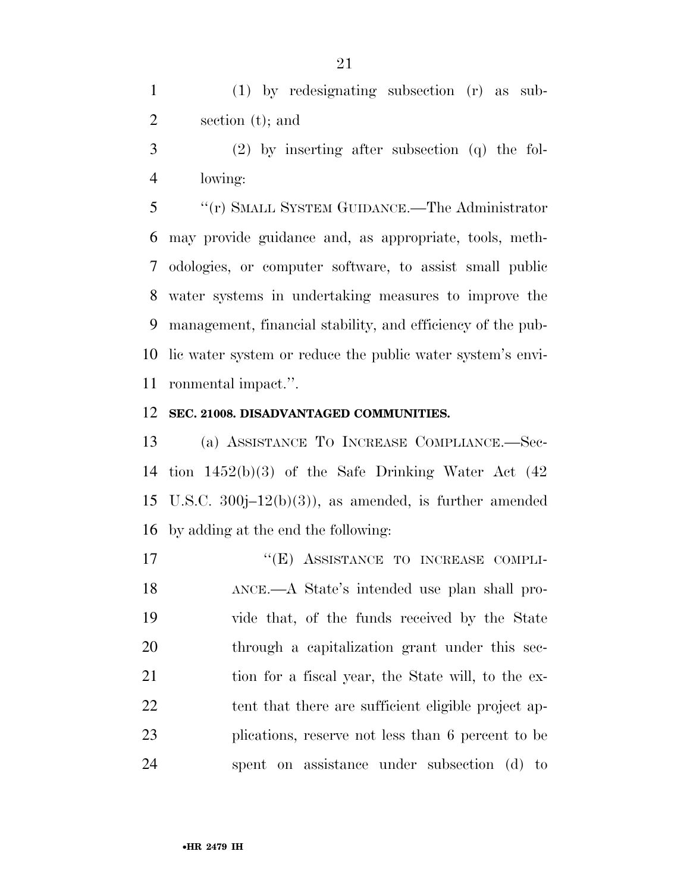(1) by redesignating subsection (r) as sub-section (t); and

 (2) by inserting after subsection (q) the fol-lowing:

 ''(r) SMALL SYSTEM GUIDANCE.—The Administrator may provide guidance and, as appropriate, tools, meth- odologies, or computer software, to assist small public water systems in undertaking measures to improve the management, financial stability, and efficiency of the pub- lic water system or reduce the public water system's envi-ronmental impact.''.

#### **SEC. 21008. DISADVANTAGED COMMUNITIES.**

 (a) ASSISTANCE TO INCREASE COMPLIANCE.—Sec- tion 1452(b)(3) of the Safe Drinking Water Act (42 U.S.C. 300j–12(b)(3)), as amended, is further amended by adding at the end the following:

17 "(E) ASSISTANCE TO INCREASE COMPLI- ANCE.—A State's intended use plan shall pro- vide that, of the funds received by the State through a capitalization grant under this sec-21 tion for a fiscal year, the State will, to the ex-22 tent that there are sufficient eligible project ap- plications, reserve not less than 6 percent to be spent on assistance under subsection (d) to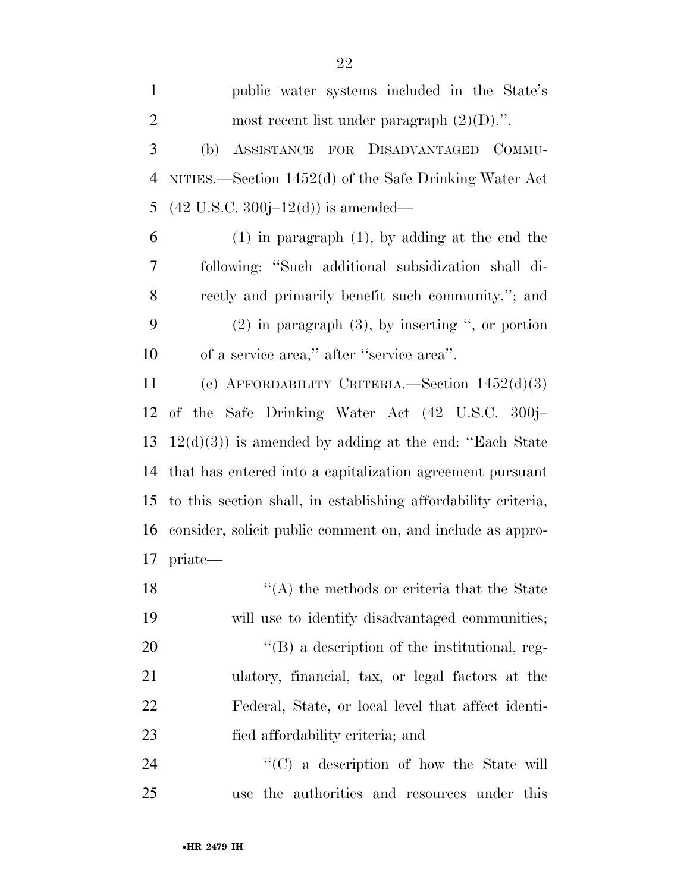| $\mathbf{1}$   | public water systems included in the State's                   |
|----------------|----------------------------------------------------------------|
| $\overline{2}$ | most recent list under paragraph $(2)(D)$ .".                  |
| 3              | ASSISTANCE FOR DISADVANTAGED COMMU-<br>(b)                     |
| 4              | NITIES.—Section $1452(d)$ of the Safe Drinking Water Act       |
| 5              | $(42 \text{ U.S.C. } 300j-12(d))$ is amended—                  |
| 6              | $(1)$ in paragraph $(1)$ , by adding at the end the            |
| 7              | following: "Such additional subsidization shall di-            |
| 8              | rectly and primarily benefit such community."; and             |
| 9              | $(2)$ in paragraph $(3)$ , by inserting ", or portion          |
| 10             | of a service area," after "service area".                      |
| 11             | (c) AFFORDABILITY CRITERIA.—Section $1452(d)(3)$               |
| 12             | of the Safe Drinking Water Act (42 U.S.C. 300j-                |
| 13             | $12(d)(3)$ ) is amended by adding at the end: "Each State      |
| 14             | that has entered into a capitalization agreement pursuant      |
| 15             | to this section shall, in establishing affordability criteria, |
| 16             | consider, solicit public comment on, and include as appro-     |
|                | $17$ priate—                                                   |
| 18             | $\lq\lq$ the methods or criteria that the State                |
| 19             | will use to identify disadvantaged communities;                |
| 20             | $\lq\lq (B)$ a description of the institutional, reg-          |
| 21             | ulatory, financial, tax, or legal factors at the               |
| 22             | Federal, State, or local level that affect identi-             |
| 23             | fied affordability criteria; and                               |
| 24             | "(C) a description of how the State will                       |
| 25             | use the authorities and resources under this                   |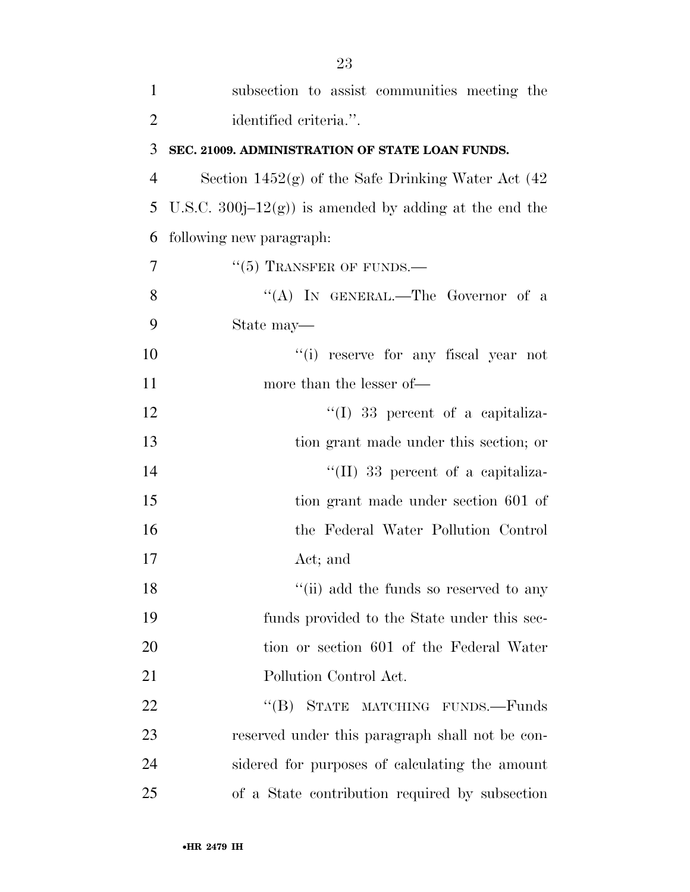| $\mathbf{1}$   | subsection to assist communities meeting the             |
|----------------|----------------------------------------------------------|
| $\overline{2}$ | identified criteria.".                                   |
| 3              | SEC. 21009. ADMINISTRATION OF STATE LOAN FUNDS.          |
| $\overline{4}$ | Section $1452(g)$ of the Safe Drinking Water Act $(42)$  |
| 5              | U.S.C. 300 $j-12(g)$ is amended by adding at the end the |
| 6              | following new paragraph:                                 |
| $\overline{7}$ | $\cdot\cdot$ (5) TRANSFER OF FUNDS.—                     |
| 8              | "(A) IN GENERAL.—The Governor of a                       |
| 9              | State may—                                               |
| 10             | "(i) reserve for any fiscal year not                     |
| 11             | more than the lesser of—                                 |
| 12             | $\lq(1)$ 33 percent of a capitaliza-                     |
| 13             | tion grant made under this section; or                   |
| 14             | $\lq\lq$ (II) 33 percent of a capitaliza-                |
| 15             | tion grant made under section 601 of                     |
| 16             | the Federal Water Pollution Control                      |
| 17             | Act; and                                                 |
| 18             | "(ii) add the funds so reserved to any                   |
| 19             | funds provided to the State under this sec-              |
| 20             | tion or section 601 of the Federal Water                 |
| 21             | Pollution Control Act.                                   |
| 22             | $\lq (B)$<br>STATE MATCHING FUNDS.-Funds                 |
| 23             | reserved under this paragraph shall not be con-          |
| 24             | sidered for purposes of calculating the amount           |
| 25             | of a State contribution required by subsection           |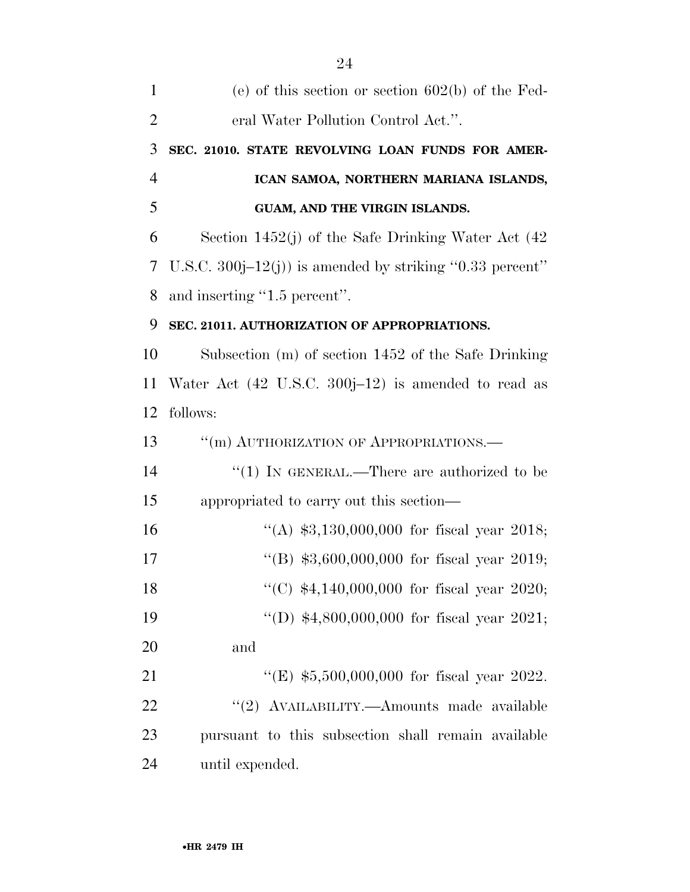| $\mathbf{1}$   | (e) of this section or section $602(b)$ of the Fed-            |
|----------------|----------------------------------------------------------------|
| $\overline{2}$ | eral Water Pollution Control Act.".                            |
| 3              | SEC. 21010. STATE REVOLVING LOAN FUNDS FOR AMER-               |
| $\overline{4}$ | ICAN SAMOA, NORTHERN MARIANA ISLANDS,                          |
| 5              | GUAM, AND THE VIRGIN ISLANDS.                                  |
| 6              | Section 1452(j) of the Safe Drinking Water Act $(42)$          |
| 7              | U.S.C. 300 $j-12(j)$ is amended by striking "0.33 percent"     |
| 8              | and inserting "1.5 percent".                                   |
| 9              | SEC. 21011. AUTHORIZATION OF APPROPRIATIONS.                   |
| 10             | Subsection (m) of section 1452 of the Safe Drinking            |
| 11             | Water Act $(42 \text{ U.S.C. } 300j-12)$ is amended to read as |
| 12             | follows:                                                       |
| 13             | "(m) AUTHORIZATION OF APPROPRIATIONS.-                         |
| 14             | "(1) IN GENERAL.—There are authorized to be                    |
| 15             | appropriated to carry out this section—                        |
| 16             | "(A) $$3,130,000,000$ for fiscal year 2018;                    |
| 17             | "(B) $$3,600,000,000$ for fiscal year 2019;                    |
| 18             | "(C) $$4,140,000,000$ for fiscal year 2020;                    |
| 19             | "(D) $$4,800,000,000$ for fiscal year 2021;                    |
| 20             | and                                                            |
| 21             | "(E) $$5,500,000,000$ for fiscal year 2022.                    |
| 22             | "(2) AVAILABILITY.—Amounts made available                      |
| 23             | pursuant to this subsection shall remain available             |
| 24             | until expended.                                                |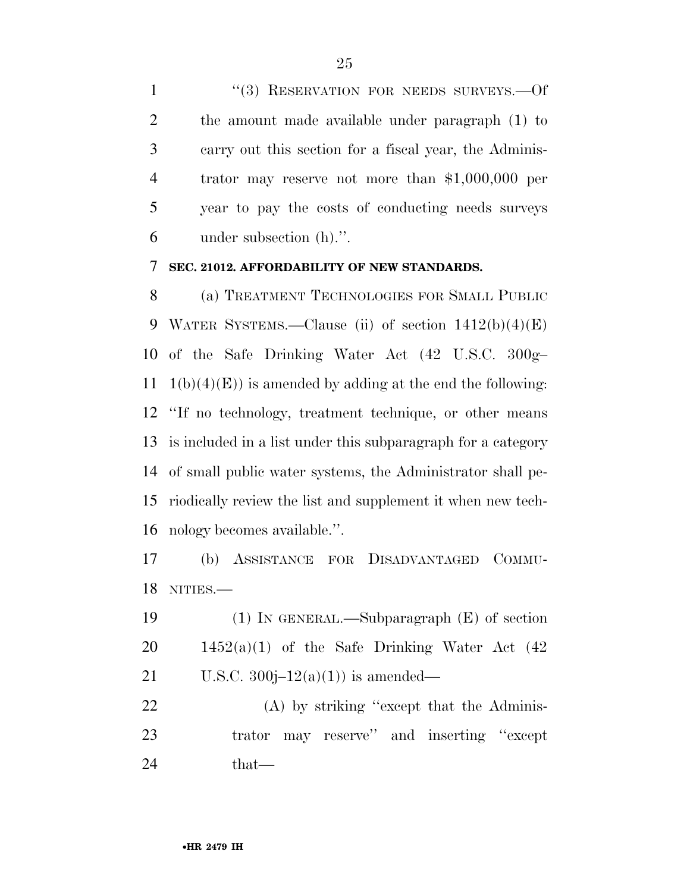1 "(3) RESERVATION FOR NEEDS SURVEYS.—Of the amount made available under paragraph (1) to carry out this section for a fiscal year, the Adminis- trator may reserve not more than \$1,000,000 per year to pay the costs of conducting needs surveys under subsection (h).''.

## **SEC. 21012. AFFORDABILITY OF NEW STANDARDS.**

 (a) TREATMENT TECHNOLOGIES FOR SMALL PUBLIC WATER SYSTEMS.—Clause (ii) of section 1412(b)(4)(E) of the Safe Drinking Water Act (42 U.S.C. 300g– 11 1(b)(4)(E)) is amended by adding at the end the following: ''If no technology, treatment technique, or other means is included in a list under this subparagraph for a category of small public water systems, the Administrator shall pe- riodically review the list and supplement it when new tech-nology becomes available.''.

 (b) ASSISTANCE FOR DISADVANTAGED COMMU-NITIES.—

 (1) IN GENERAL.—Subparagraph (E) of section 20  $1452(a)(1)$  of the Safe Drinking Water Act  $(42)$ 21 U.S.C.  $300j-12(a)(1)$  is amended—

22 (A) by striking "except that the Adminis- trator may reserve'' and inserting ''except that—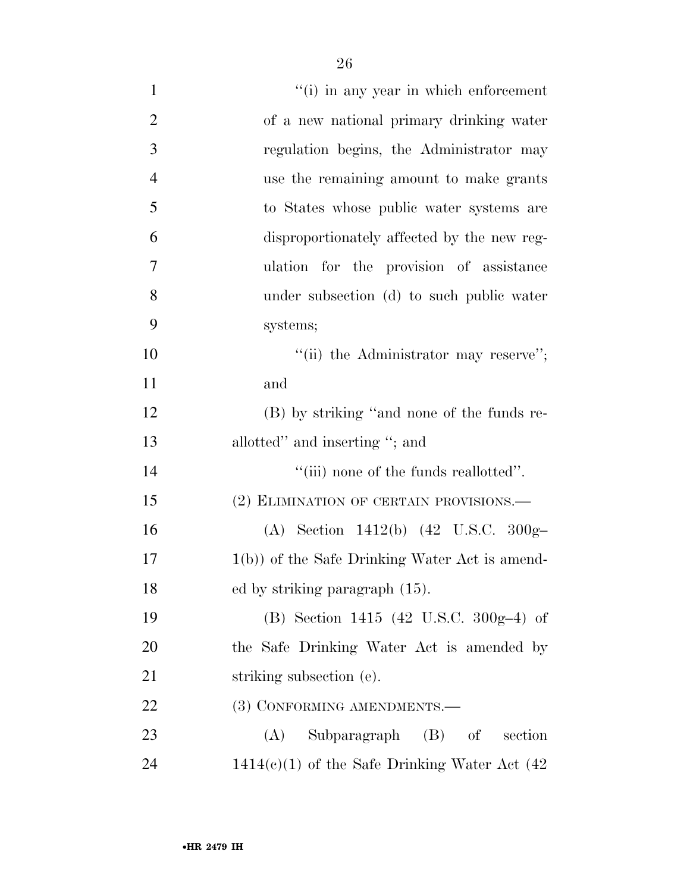| $\mathbf{1}$   | "(i) in any year in which enforcement             |
|----------------|---------------------------------------------------|
| $\overline{2}$ | of a new national primary drinking water          |
| 3              | regulation begins, the Administrator may          |
| $\overline{4}$ | use the remaining amount to make grants           |
| 5              | to States whose public water systems are          |
| 6              | disproportionately affected by the new reg-       |
| 7              | ulation for the provision of assistance           |
| 8              | under subsection (d) to such public water         |
| 9              | systems;                                          |
| 10             | "(ii) the Administrator may reserve";             |
| 11             | and                                               |
| 12             | (B) by striking "and none of the funds re-        |
| 13             | allotted" and inserting "; and                    |
| 14             | "(iii) none of the funds reallotted".             |
| 15             | (2) ELIMINATION OF CERTAIN PROVISIONS.—           |
| 16             | (A) Section 1412(b) $(42 \text{ U.S.C. } 300g-$   |
| 17             | $1(b)$ ) of the Safe Drinking Water Act is amend- |
| 18             | ed by striking paragraph (15).                    |
| 19             | (B) Section 1415 (42 U.S.C. 300g-4) of            |
| 20             | the Safe Drinking Water Act is amended by         |
| 21             | striking subsection (e).                          |
| 22             | (3) CONFORMING AMENDMENTS.-                       |
| 23             | Subparagraph (B) of section<br>(A)                |
| 24             | $1414(e)(1)$ of the Safe Drinking Water Act (42)  |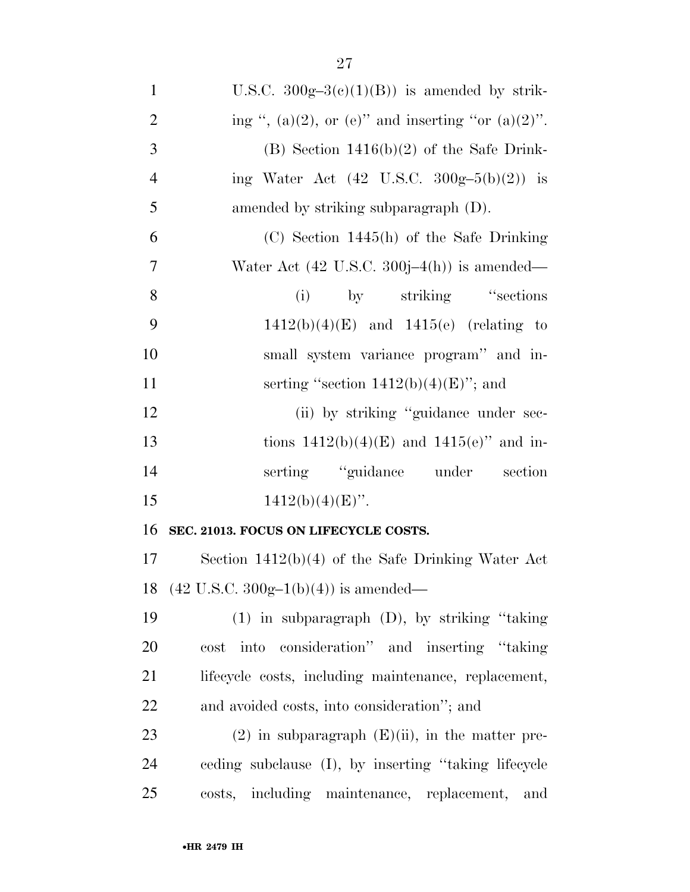| $\mathbf{1}$   | U.S.C. $300g-3(c)(1)(B)$ is amended by strik-          |
|----------------|--------------------------------------------------------|
| $\overline{2}$ | ing ", (a)(2), or (e)" and inserting "or (a)(2)".      |
| 3              | $(B)$ Section 1416(b)(2) of the Safe Drink-            |
| $\overline{4}$ | ing Water Act $(42 \text{ U.S.C. } 300g-5(b)(2))$ is   |
| 5              | amended by striking subparagraph $(D)$ .               |
| 6              | $(C)$ Section 1445(h) of the Safe Drinking             |
| $\overline{7}$ | Water Act $(42 \text{ U.S.C. } 300j-4(h))$ is amended— |
| 8              | by striking "sections"<br>(i)                          |
| 9              | $1412(b)(4)(E)$ and $1415(e)$ (relating to             |
| 10             | small system variance program" and in-                 |
| 11             | serting "section $1412(b)(4)(E)$ "; and                |
| 12             | (ii) by striking "guidance under sec-                  |
| 13             | tions $1412(b)(4)(E)$ and $1415(e)$ " and in-          |
| 14             | serting "guidance under section                        |
| 15             | $1412(b)(4)(E)$ ".                                     |
| 16             | SEC. 21013. FOCUS ON LIFECYCLE COSTS.                  |
| 17             | Section $1412(b)(4)$ of the Safe Drinking Water Act    |
| 18             | $(42 \text{ U.S.C. } 300g-1(b)(4))$ is amended—        |
| 19             | $(1)$ in subparagraph $(D)$ , by striking "taking"     |
| 20             | into consideration" and inserting "taking"<br>cost     |
| 21             | lifecycle costs, including maintenance, replacement,   |
| 22             | and avoided costs, into consideration"; and            |
| 23             | $(2)$ in subparagraph $(E)(ii)$ , in the matter pre-   |
| 24             | ceding subclause (I), by inserting "taking lifecycle"  |
| 25             | costs, including maintenance, replacement,<br>and      |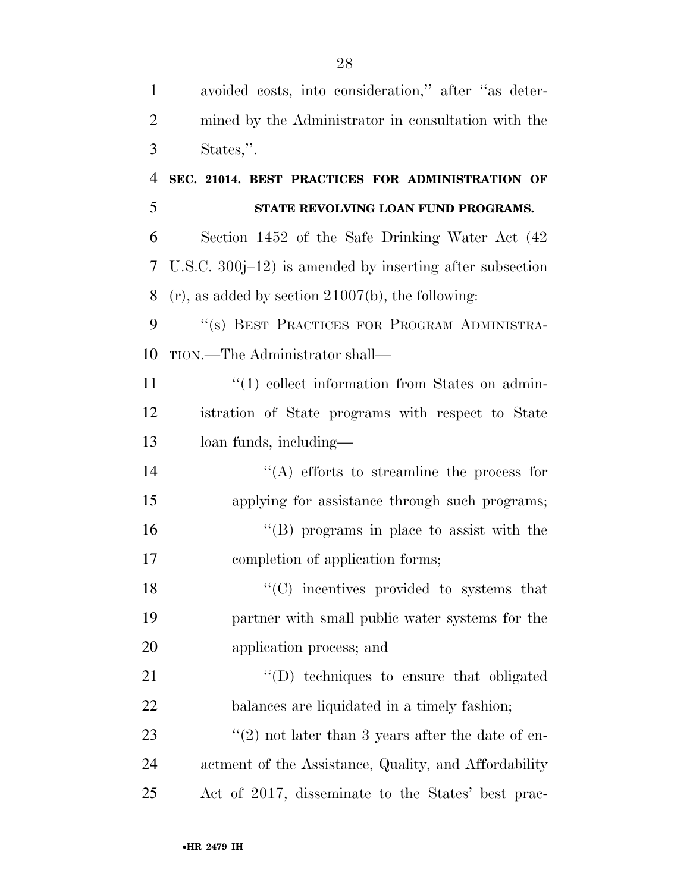| $\mathbf{1}$   | avoided costs, into consideration," after "as deter-      |
|----------------|-----------------------------------------------------------|
| $\overline{2}$ | mined by the Administrator in consultation with the       |
| 3              | States,".                                                 |
| $\overline{4}$ | SEC. 21014. BEST PRACTICES FOR ADMINISTRATION OF          |
| 5              | STATE REVOLVING LOAN FUND PROGRAMS.                       |
| 6              | Section 1452 of the Safe Drinking Water Act (42)          |
| 7              | U.S.C. $300j-12$ is amended by inserting after subsection |
| 8              | $(r)$ , as added by section 21007(b), the following:      |
| 9              | "(s) BEST PRACTICES FOR PROGRAM ADMINISTRA-               |
| 10             | TION.—The Administrator shall—                            |
| 11             | $\lq(1)$ collect information from States on admin-        |
| 12             | istration of State programs with respect to State         |
| 13             | loan funds, including—                                    |
| 14             | $\lq\lq$ efforts to streamline the process for            |
| 15             | applying for assistance through such programs;            |
| 16             | $\lq\lq (B)$ programs in place to assist with the         |
| 17             | completion of application forms;                          |
| 18             | "(C) incentives provided to systems that                  |
| 19             | partner with small public water systems for the           |
| 20             | application process; and                                  |
| 21             | "(D) techniques to ensure that obligated                  |
| 22             | balances are liquidated in a timely fashion;              |
| 23             | $\lq(2)$ not later than 3 years after the date of en-     |
| 24             | actment of the Assistance, Quality, and Affordability     |
| 25             | Act of 2017, disseminate to the States' best prac-        |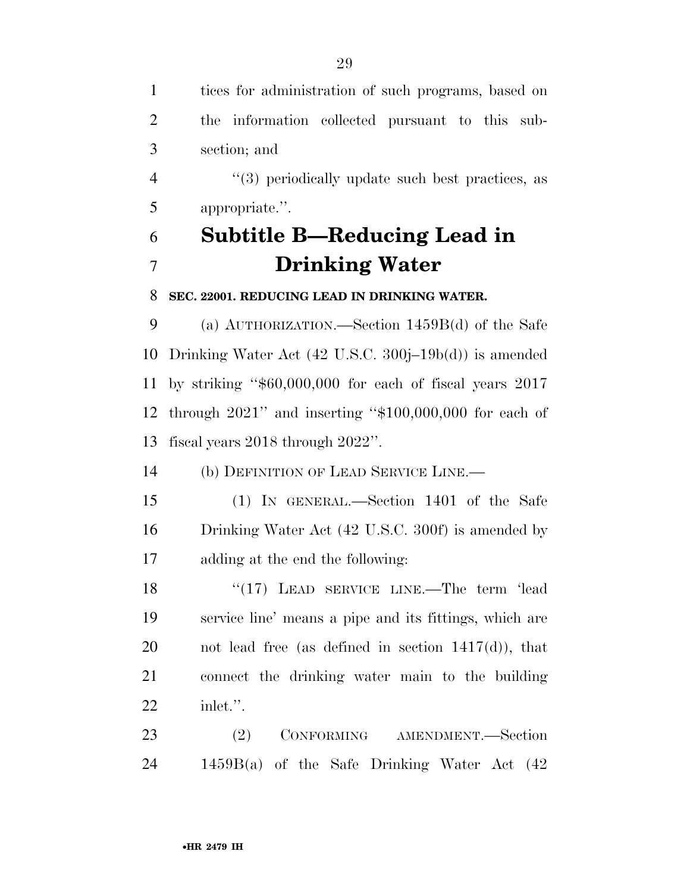| $\mathbf{1}$   | tices for administration of such programs, based on                 |
|----------------|---------------------------------------------------------------------|
| $\overline{2}$ | the information collected pursuant to this sub-                     |
| 3              | section; and                                                        |
| $\overline{4}$ | $\cdot\cdot\cdot(3)$ periodically update such best practices, as    |
| 5              | appropriate.".                                                      |
| 6              | Subtitle B—Reducing Lead in                                         |
| $\overline{7}$ | <b>Drinking Water</b>                                               |
| 8              | SEC. 22001. REDUCING LEAD IN DRINKING WATER.                        |
| 9              | (a) $\text{AUTHORIZATION.}$ —Section 1459 $\text{B}(d)$ of the Safe |
| 10             | Drinking Water Act $(42 \text{ U.S.C. } 300j-19b(d))$ is amended    |
| 11             | by striking " $$60,000,000$ for each of fiscal years $2017$         |
| 12             | through $2021$ " and inserting " $$100,000,000$ for each of         |
| 13             | fiscal years $2018$ through $2022$ ".                               |
| 14             | (b) DEFINITION OF LEAD SERVICE LINE.—                               |
| 15             | (1) IN GENERAL.—Section 1401 of the Safe                            |
| 16             | Drinking Water Act (42 U.S.C. 300f) is amended by                   |
| 17             | adding at the end the following:                                    |
| 18             | "(17) LEAD SERVICE LINE.—The term 'lead                             |
| 19             | service line' means a pipe and its fittings, which are              |
| 20             | not lead free (as defined in section $1417(d)$ ), that              |
| 21             | connect the drinking water main to the building                     |
| <u>22</u>      | inlet.".                                                            |
| 23             | (2)<br>CONFORMING AMENDMENT.-Section                                |
| 24             | $1459B(a)$ of the Safe Drinking Water Act $(42)$                    |
|                |                                                                     |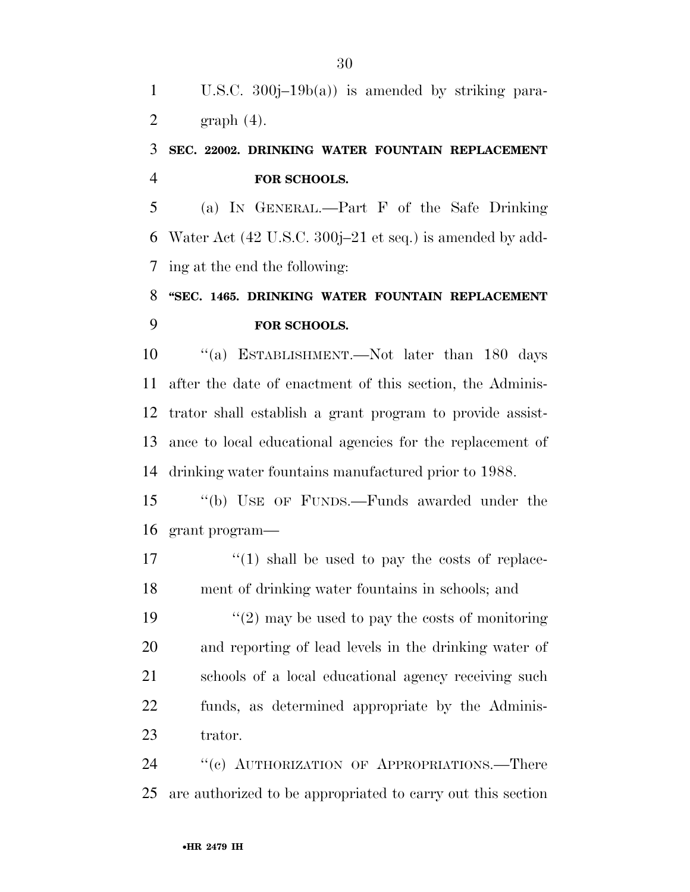U.S.C. 300j–19b(a)) is amended by striking para-2 graph  $(4)$ .

# **SEC. 22002. DRINKING WATER FOUNTAIN REPLACEMENT FOR SCHOOLS.**

 (a) IN GENERAL.—Part F of the Safe Drinking Water Act (42 U.S.C. 300j–21 et seq.) is amended by add-ing at the end the following:

# **''SEC. 1465. DRINKING WATER FOUNTAIN REPLACEMENT FOR SCHOOLS.**

10 "(a) ESTABLISHMENT.—Not later than 180 days after the date of enactment of this section, the Adminis- trator shall establish a grant program to provide assist- ance to local educational agencies for the replacement of drinking water fountains manufactured prior to 1988.

 ''(b) USE OF FUNDS.—Funds awarded under the grant program—

 $\frac{17}{2}$  ''(1) shall be used to pay the costs of replace-ment of drinking water fountains in schools; and

 $\frac{1}{2}$  may be used to pay the costs of monitoring and reporting of lead levels in the drinking water of schools of a local educational agency receiving such funds, as determined appropriate by the Adminis-trator.

24 "(c) AUTHORIZATION OF APPROPRIATIONS.—There are authorized to be appropriated to carry out this section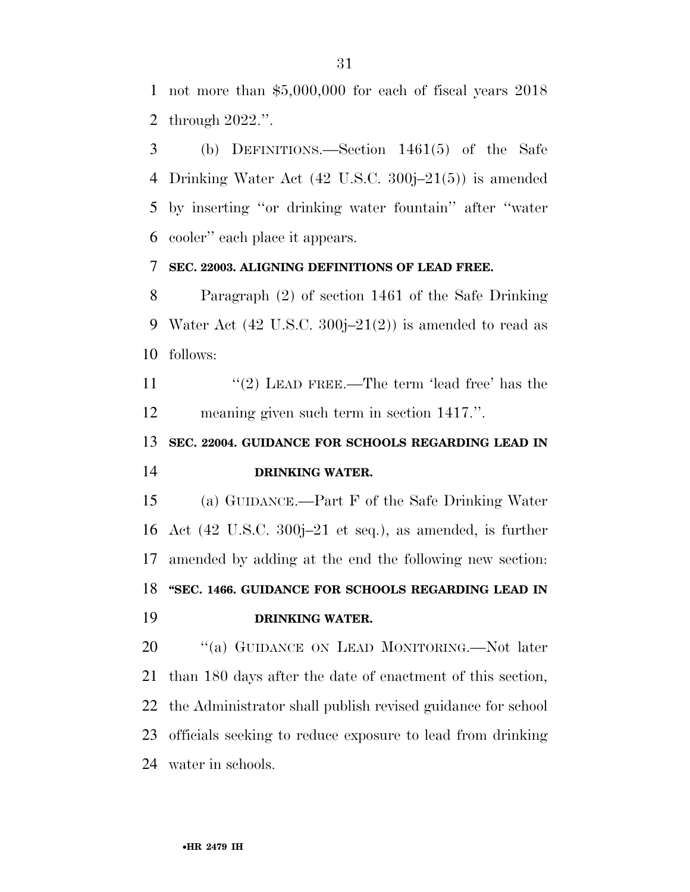not more than \$5,000,000 for each of fiscal years 2018 through 2022.''.

 (b) DEFINITIONS.—Section 1461(5) of the Safe Drinking Water Act (42 U.S.C. 300j–21(5)) is amended by inserting ''or drinking water fountain'' after ''water cooler'' each place it appears.

# **SEC. 22003. ALIGNING DEFINITIONS OF LEAD FREE.**

 Paragraph (2) of section 1461 of the Safe Drinking 9 Water Act  $(42 \text{ U.S.C. } 300j-21(2))$  is amended to read as follows:

11  $(2)$  LEAD FREE.—The term 'lead free' has the meaning given such term in section 1417.''.

# **SEC. 22004. GUIDANCE FOR SCHOOLS REGARDING LEAD IN DRINKING WATER.**

 (a) GUIDANCE.—Part F of the Safe Drinking Water Act (42 U.S.C. 300j–21 et seq.), as amended, is further amended by adding at the end the following new section: **''SEC. 1466. GUIDANCE FOR SCHOOLS REGARDING LEAD IN DRINKING WATER.** 

20 "(a) GUIDANCE ON LEAD MONITORING.—Not later than 180 days after the date of enactment of this section, the Administrator shall publish revised guidance for school officials seeking to reduce exposure to lead from drinking water in schools.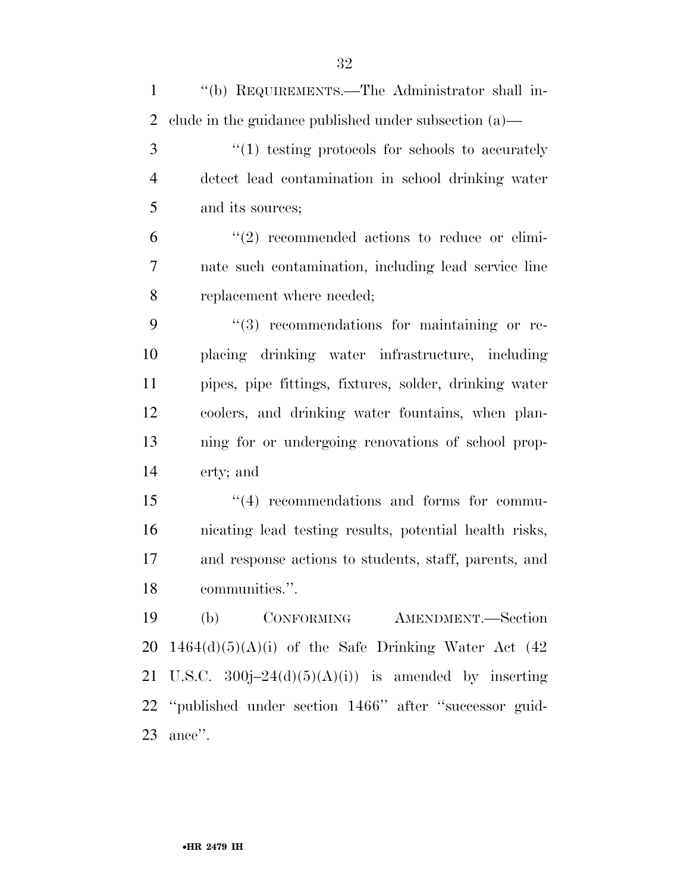| $\mathbf{1}$   | "(b) REQUIREMENTS.—The Administrator shall in-           |
|----------------|----------------------------------------------------------|
| 2              | clude in the guidance published under subsection $(a)$ — |
| 3              | $``(1)$ testing protocols for schools to accurately      |
| $\overline{4}$ | detect lead contamination in school drinking water       |
| 5              | and its sources;                                         |
| 6              | $\lq(2)$ recommended actions to reduce or elimi-         |
| $\tau$         | nate such contamination, including lead service line     |
| 8              | replacement where needed;                                |
| 9              | $\lq(3)$ recommendations for maintaining or re-          |
| 10             | placing drinking water infrastructure, including         |
| 11             | pipes, pipe fittings, fixtures, solder, drinking water   |
| 12             | coolers, and drinking water fountains, when plan-        |
| 13             | ning for or undergoing renovations of school prop-       |
| 14             | erty; and                                                |
| 15             | $\lq(4)$ recommendations and forms for commu-            |
| 16             | nicating lead testing results, potential health risks,   |
| 17             | and response actions to students, staff, parents, and    |
| 18             | communities.".                                           |
| 19             | (b) CONFORMING AMENDMENT.—Section                        |
| 20             | $1464(d)(5)(A)(i)$ of the Safe Drinking Water Act (42)   |
| 21             | U.S.C. $300j-24(d)(5)(A)(i)$ is amended by inserting     |
|                | 22 "published under section 1466" after "successor guid- |
| 23             | ance".                                                   |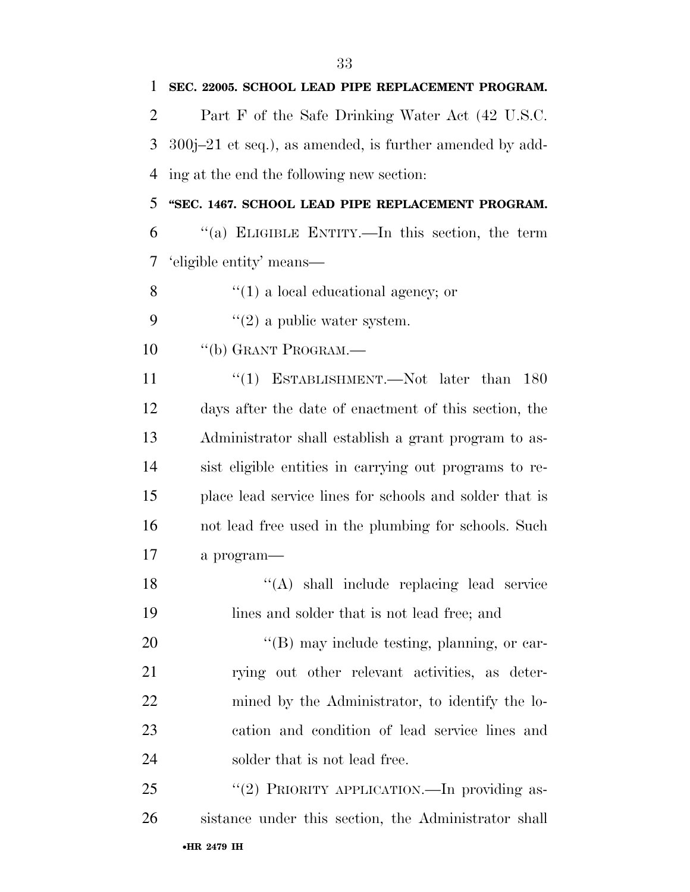| 1              | SEC. 22005. SCHOOL LEAD PIPE REPLACEMENT PROGRAM.          |
|----------------|------------------------------------------------------------|
| $\overline{2}$ | Part F of the Safe Drinking Water Act (42 U.S.C.           |
| 3              | $300j-21$ et seq.), as amended, is further amended by add- |
| 4              | ing at the end the following new section:                  |
| 5              | "SEC. 1467. SCHOOL LEAD PIPE REPLACEMENT PROGRAM.          |
| 6              | "(a) ELIGIBLE ENTITY.—In this section, the term            |
| 7              | 'eligible entity' means—                                   |
| 8              | $\lq(1)$ a local educational agency; or                    |
| 9              | $\lq(2)$ a public water system.                            |
| 10             | "(b) GRANT PROGRAM.—                                       |
| 11             | "(1) ESTABLISHMENT.—Not later than<br>180                  |
| 12             | days after the date of enactment of this section, the      |
| 13             | Administrator shall establish a grant program to as-       |
| 14             | sist eligible entities in carrying out programs to re-     |
| 15             | place lead service lines for schools and solder that is    |
| 16             | not lead free used in the plumbing for schools. Such       |
| 17             | a program-                                                 |
| 18             | "(A) shall include replacing lead service                  |
| 19             | lines and solder that is not lead free; and                |
| 20             | "(B) may include testing, planning, or car-                |
| 21             | rying out other relevant activities, as deter-             |
| 22             | mined by the Administrator, to identify the lo-            |
| 23             | cation and condition of lead service lines and             |
| 24             | solder that is not lead free.                              |
| 25             | "(2) PRIORITY APPLICATION.—In providing as-                |
| 26             | sistance under this section, the Administrator shall       |
|                | •HR 2479 IH                                                |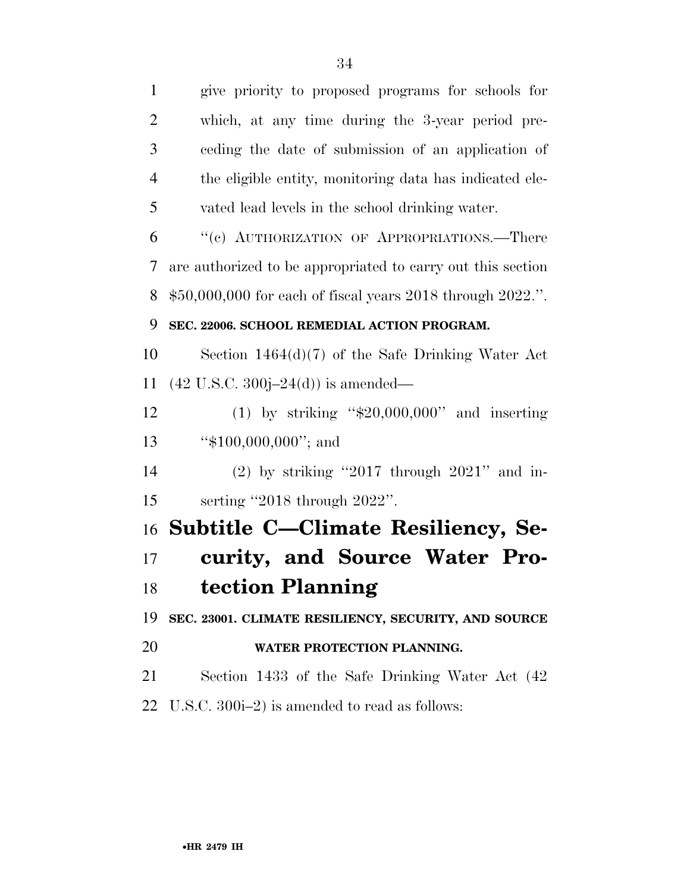give priority to proposed programs for schools for which, at any time during the 3-year period pre- ceding the date of submission of an application of the eligible entity, monitoring data has indicated ele- vated lead levels in the school drinking water. ''(c) AUTHORIZATION OF APPROPRIATIONS.—There are authorized to be appropriated to carry out this section \$50,000,000 for each of fiscal years 2018 through 2022.''. **SEC. 22006. SCHOOL REMEDIAL ACTION PROGRAM.**  Section 1464(d)(7) of the Safe Drinking Water Act (42 U.S.C. 300j–24(d)) is amended— (1) by striking ''\$20,000,000'' and inserting 13 "\$100,000,000"; and (2) by striking ''2017 through 2021'' and in- serting ''2018 through 2022''. **Subtitle C—Climate Resiliency, Se- curity, and Source Water Pro- tection Planning SEC. 23001. CLIMATE RESILIENCY, SECURITY, AND SOURCE WATER PROTECTION PLANNING.**  Section 1433 of the Safe Drinking Water Act (42 U.S.C. 300i–2) is amended to read as follows: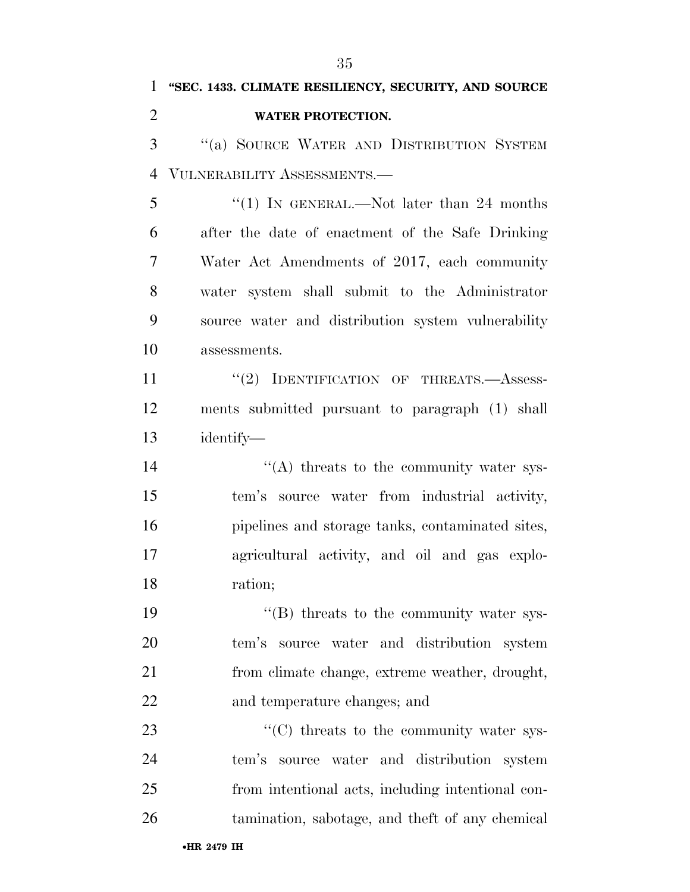•**HR 2479 IH** ''(a) SOURCE WATER AND DISTRIBUTION SYSTEM VULNERABILITY ASSESSMENTS.— 5 "(1) In GENERAL.—Not later than 24 months after the date of enactment of the Safe Drinking Water Act Amendments of 2017, each community water system shall submit to the Administrator source water and distribution system vulnerability assessments. 11 "(2) IDENTIFICATION OF THREATS. Assess- ments submitted pursuant to paragraph (1) shall identify— 14 ''(A) threats to the community water sys- tem's source water from industrial activity, pipelines and storage tanks, contaminated sites, agricultural activity, and oil and gas explo- ration;  $\langle$  (B) threats to the community water sys- tem's source water and distribution system from climate change, extreme weather, drought, and temperature changes; and  $\cdot$  (C) threats to the community water sys- tem's source water and distribution system from intentional acts, including intentional con-tamination, sabotage, and theft of any chemical

 **''SEC. 1433. CLIMATE RESILIENCY, SECURITY, AND SOURCE WATER PROTECTION.**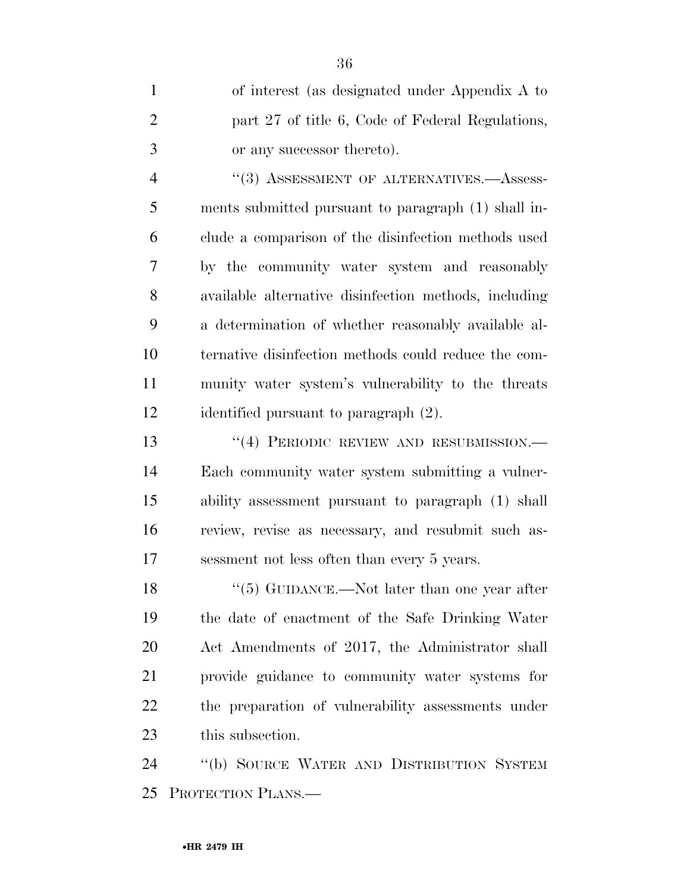| $\mathbf{1}$   | of interest (as designated under Appendix A to        |
|----------------|-------------------------------------------------------|
| $\overline{2}$ | part 27 of title 6, Code of Federal Regulations,      |
| 3              | or any successor thereto).                            |
| $\overline{4}$ | "(3) ASSESSMENT OF ALTERNATIVES.-Assess-              |
| 5              | ments submitted pursuant to paragraph (1) shall in-   |
| 6              | clude a comparison of the disinfection methods used   |
| 7              | by the community water system and reasonably          |
| 8              | available alternative disinfection methods, including |
| 9              | a determination of whether reasonably available al-   |
| 10             | ternative disinfection methods could reduce the com-  |
| 11             | munity water system's vulnerability to the threats    |
| 12             | identified pursuant to paragraph (2).                 |
| 13             | $``(4)$ PERIODIC REVIEW AND RESUBMISSION.—            |
| 14             | Each community water system submitting a vulner-      |
| 15             | ability assessment pursuant to paragraph (1) shall    |
| 16             | review, revise as necessary, and resubmit such as-    |
| 17             | sessment not less often than every 5 years.           |
| 18             | $\cdot$ (5) GUIDANCE.—Not later than one year after   |

 ''(5) GUIDANCE.—Not later than one year after the date of enactment of the Safe Drinking Water Act Amendments of 2017, the Administrator shall provide guidance to community water systems for the preparation of vulnerability assessments under this subsection.

 ''(b) SOURCE WATER AND DISTRIBUTION SYSTEM PROTECTION PLANS.—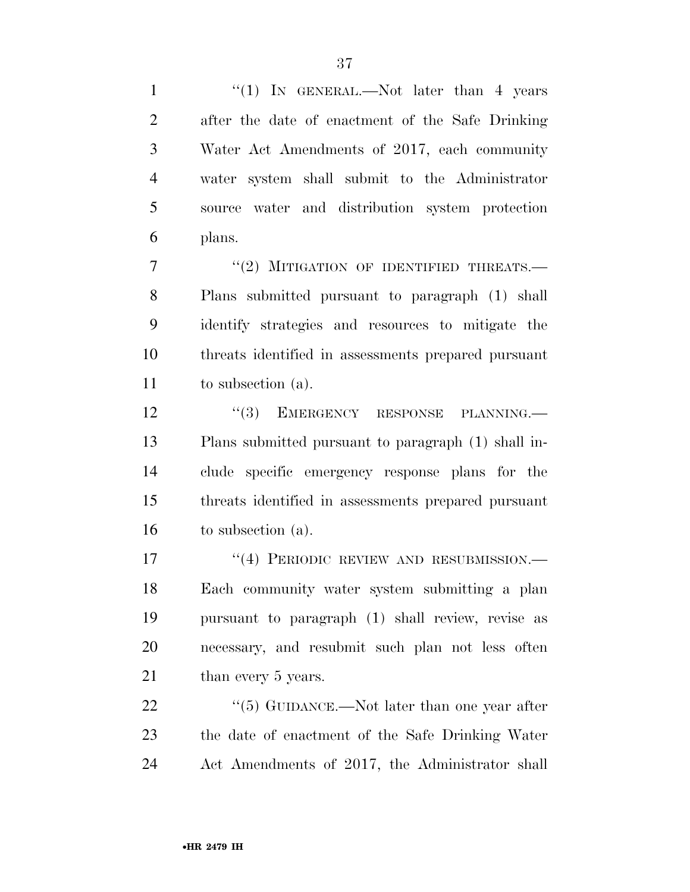1 "(1) IN GENERAL.—Not later than 4 years after the date of enactment of the Safe Drinking Water Act Amendments of 2017, each community water system shall submit to the Administrator source water and distribution system protection plans.

7 "(2) MITIGATION OF IDENTIFIED THREATS.— Plans submitted pursuant to paragraph (1) shall identify strategies and resources to mitigate the threats identified in assessments prepared pursuant to subsection (a).

12 "(3) EMERGENCY RESPONSE PLANNING.— Plans submitted pursuant to paragraph (1) shall in- clude specific emergency response plans for the threats identified in assessments prepared pursuant to subsection (a).

17 <sup>''</sup>(4) PERIODIC REVIEW AND RESUBMISSION.— Each community water system submitting a plan pursuant to paragraph (1) shall review, revise as necessary, and resubmit such plan not less often 21 than every 5 years.

22 ''(5) GUIDANCE.—Not later than one year after the date of enactment of the Safe Drinking Water Act Amendments of 2017, the Administrator shall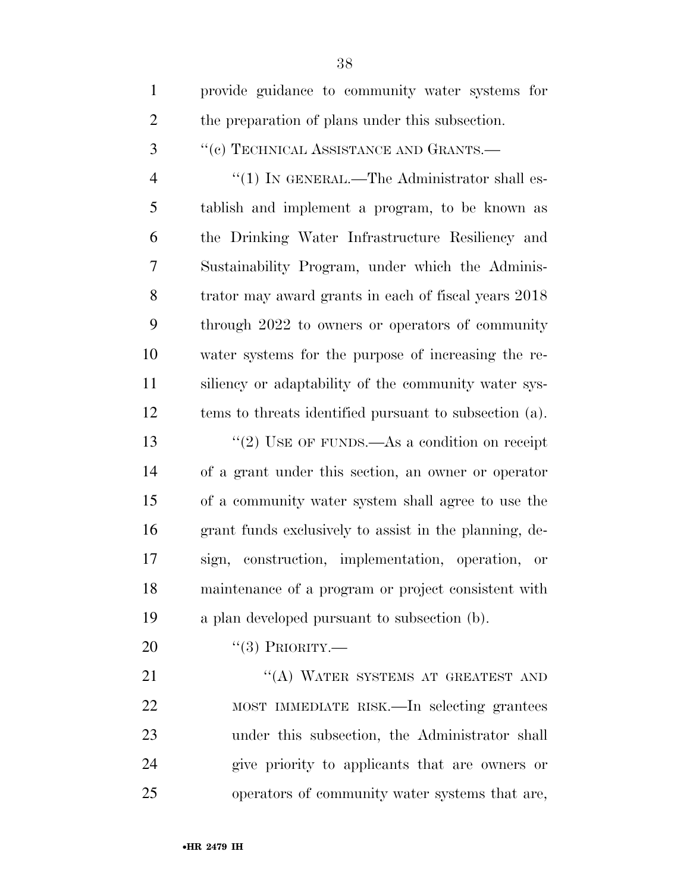| $\mathbf{1}$   | provide guidance to community water systems for        |
|----------------|--------------------------------------------------------|
| $\overline{2}$ | the preparation of plans under this subsection.        |
| 3              | $``(e)$ TECHNICAL ASSISTANCE AND GRANTS.—              |
| $\overline{4}$ | " $(1)$ In GENERAL.—The Administrator shall es-        |
| 5              | tablish and implement a program, to be known as        |
| 6              | the Drinking Water Infrastructure Resiliency and       |
| 7              | Sustainability Program, under which the Adminis-       |
| 8              | trator may award grants in each of fiscal years 2018   |
| 9              | through 2022 to owners or operators of community       |
| 10             | water systems for the purpose of increasing the re-    |
| 11             | siliency or adaptability of the community water sys-   |
| 12             | tems to threats identified pursuant to subsection (a). |
| 13             | "(2) USE OF FUNDS.—As a condition on receipt           |
| 14             | of a grant under this section, an owner or operator    |
| 15             | of a community water system shall agree to use the     |
| 16             | grant funds exclusively to assist in the planning, de- |
| 17             | sign, construction, implementation, operation, or      |
| 18             | maintenance of a program or project consistent with    |
| 19             | a plan developed pursuant to subsection (b).           |
| 20             | $``(3)$ PRIORITY.—                                     |
| 21             | "(A) WATER SYSTEMS AT GREATEST AND                     |
| 22             | MOST IMMEDIATE RISK.—In selecting grantees             |
| 23             | under this subsection, the Administrator shall         |
| 24             | give priority to applicants that are owners or         |
| 25             | operators of community water systems that are,         |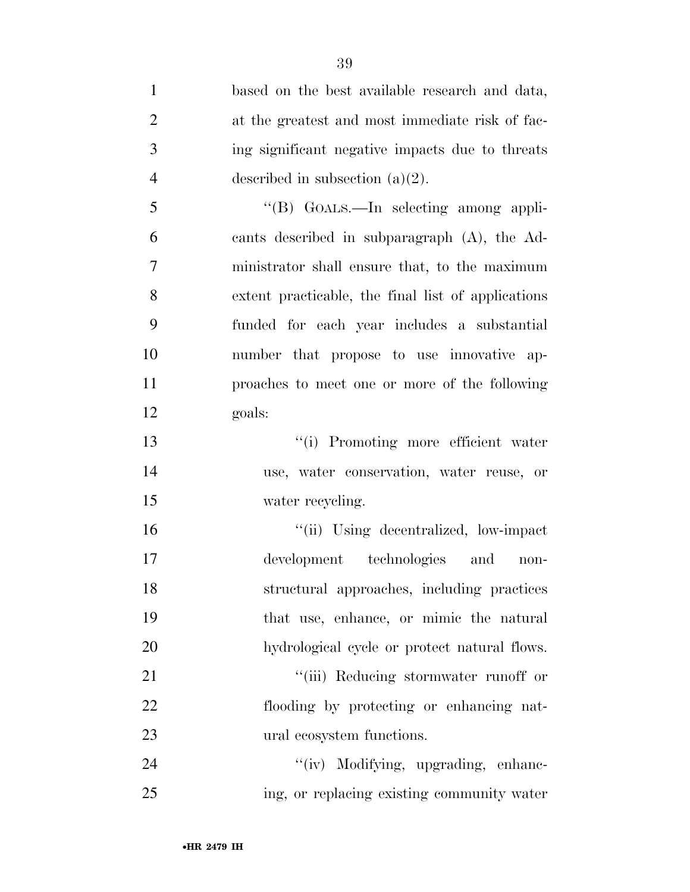| $\mathbf{1}$   | based on the best available research and data,     |
|----------------|----------------------------------------------------|
| $\overline{2}$ | at the greatest and most immediate risk of fac-    |
| 3              | ing significant negative impacts due to threats    |
| $\overline{4}$ | described in subsection $(a)(2)$ .                 |
| 5              | "(B) GOALS.—In selecting among appli-              |
| 6              | cants described in subparagraph (A), the Ad-       |
| $\overline{7}$ | ministrator shall ensure that, to the maximum      |
| 8              | extent practicable, the final list of applications |
| 9              | funded for each year includes a substantial        |
| 10             | number that propose to use innovative ap-          |
| 11             | proaches to meet one or more of the following      |
| 12             | goals:                                             |
| 13             | "(i) Promoting more efficient water                |
| 14             | use, water conservation, water reuse, or           |
| 15             | water recycling.                                   |
| 16             | "(ii) Using decentralized, low-impact              |
| 17             | development technologies and<br>$non-$             |
| 18             | structural approaches, including practices         |
| 19             | that use, enhance, or mimic the natural            |
| 20             | hydrological cycle or protect natural flows.       |
| 21             | "(iii) Reducing stormwater runoff or               |
| 22             | flooding by protecting or enhancing nat-           |
| 23             | ural ecosystem functions.                          |
| 24             | "(iv) Modifying, upgrading, enhanc-                |
| 25             | ing, or replacing existing community water         |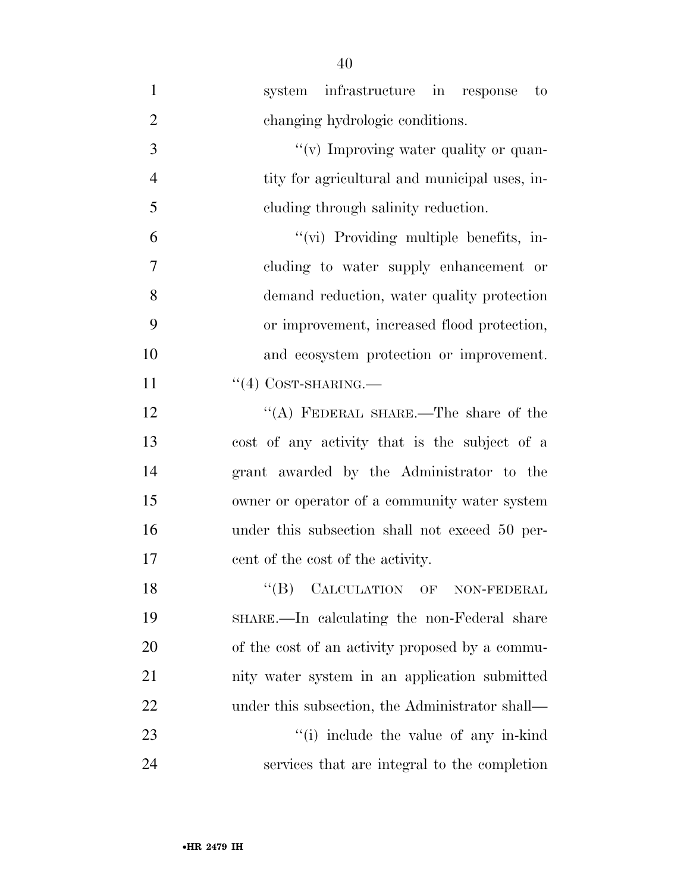| $\mathbf{1}$   | system infrastructure in response to            |
|----------------|-------------------------------------------------|
| $\overline{2}$ | changing hydrologic conditions.                 |
| 3              | "(v) Improving water quality or quan-           |
| $\overline{4}$ | tity for agricultural and municipal uses, in-   |
| 5              | eluding through salinity reduction.             |
| 6              | "(vi) Providing multiple benefits, in-          |
| 7              | cluding to water supply enhancement or          |
| 8              | demand reduction, water quality protection      |
| 9              | or improvement, increased flood protection,     |
| 10             | and ecosystem protection or improvement.        |
| 11             | $``(4)$ COST-SHARING.—                          |
| 12             | "(A) FEDERAL SHARE.—The share of the            |
| 13             | cost of any activity that is the subject of a   |
| 14             | grant awarded by the Administrator to the       |
| 15             | owner or operator of a community water system   |
| 16             | under this subsection shall not exceed 50 per-  |
| 17             | cent of the cost of the activity.               |
| 18             | CALCULATION OF NON-FEDERAL<br>$``$ (B)          |
| 19             | SHARE.—In calculating the non-Federal share     |
| 20             | of the cost of an activity proposed by a commu- |
| 21             | nity water system in an application submitted   |
| 22             | under this subsection, the Administrator shall— |
| 23             | "(i) include the value of any in-kind           |
| 24             | services that are integral to the completion    |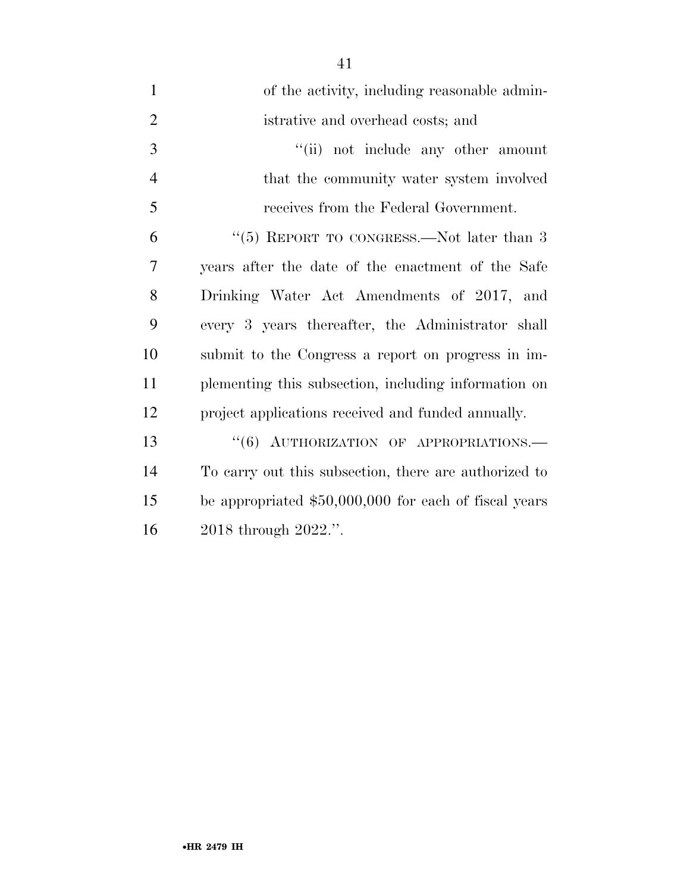| $\mathbf{1}$   | of the activity, including reasonable admin-           |
|----------------|--------------------------------------------------------|
| $\overline{2}$ | istrative and overhead costs; and                      |
| 3              | "(ii) not include any other amount                     |
| $\overline{4}$ | that the community water system involved               |
| 5              | receives from the Federal Government.                  |
| 6              | "(5) REPORT TO CONGRESS.—Not later than $3$            |
| 7              | years after the date of the enactment of the Safe      |
| 8              | Drinking Water Act Amendments of 2017, and             |
| 9              | every 3 years thereafter, the Administrator shall      |
| 10             | submit to the Congress a report on progress in im-     |
| 11             | plementing this subsection, including information on   |
| 12             | project applications received and funded annually.     |
| 13             | "(6) AUTHORIZATION OF APPROPRIATIONS.-                 |
| 14             | To carry out this subsection, there are authorized to  |
| 15             | be appropriated $$50,000,000$ for each of fiscal years |
| 16             | 2018 through 2022.".                                   |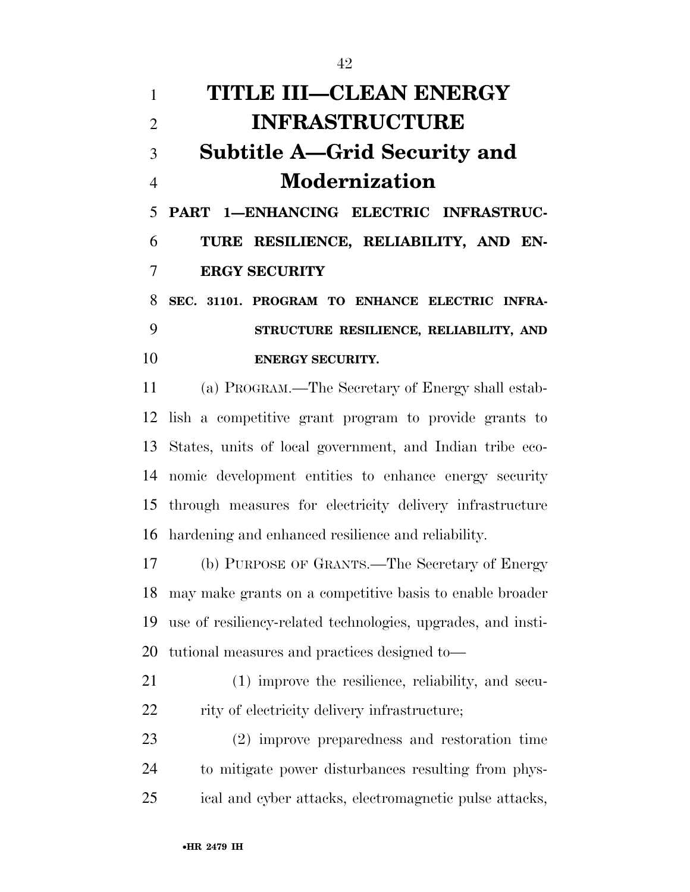| 1              | <b>TITLE III-CLEAN ENERGY</b>                               |
|----------------|-------------------------------------------------------------|
| $\overline{2}$ | <b>INFRASTRUCTURE</b>                                       |
| 3              | <b>Subtitle A—Grid Security and</b>                         |
| $\overline{4}$ | <b>Modernization</b>                                        |
| 5              | PART 1-ENHANCING ELECTRIC INFRASTRUC-                       |
| 6              | TURE RESILIENCE, RELIABILITY, AND EN-                       |
| 7              | <b>ERGY SECURITY</b>                                        |
| 8              | SEC. 31101. PROGRAM TO ENHANCE ELECTRIC INFRA-              |
| 9              | STRUCTURE RESILIENCE, RELIABILITY, AND                      |
| 10             | <b>ENERGY SECURITY.</b>                                     |
| 11             | (a) PROGRAM.—The Secretary of Energy shall estab-           |
|                | 12 lish a competitive grant program to provide grants to    |
|                | 13 States, units of local government, and Indian tribe eco- |
|                | 14 nomic development entities to enhance energy security    |

 through measures for electricity delivery infrastructure hardening and enhanced resilience and reliability.

 (b) PURPOSE OF GRANTS.—The Secretary of Energy may make grants on a competitive basis to enable broader use of resiliency-related technologies, upgrades, and insti-tutional measures and practices designed to—

 (1) improve the resilience, reliability, and secu-22 rity of electricity delivery infrastructure;

 (2) improve preparedness and restoration time to mitigate power disturbances resulting from phys-ical and cyber attacks, electromagnetic pulse attacks,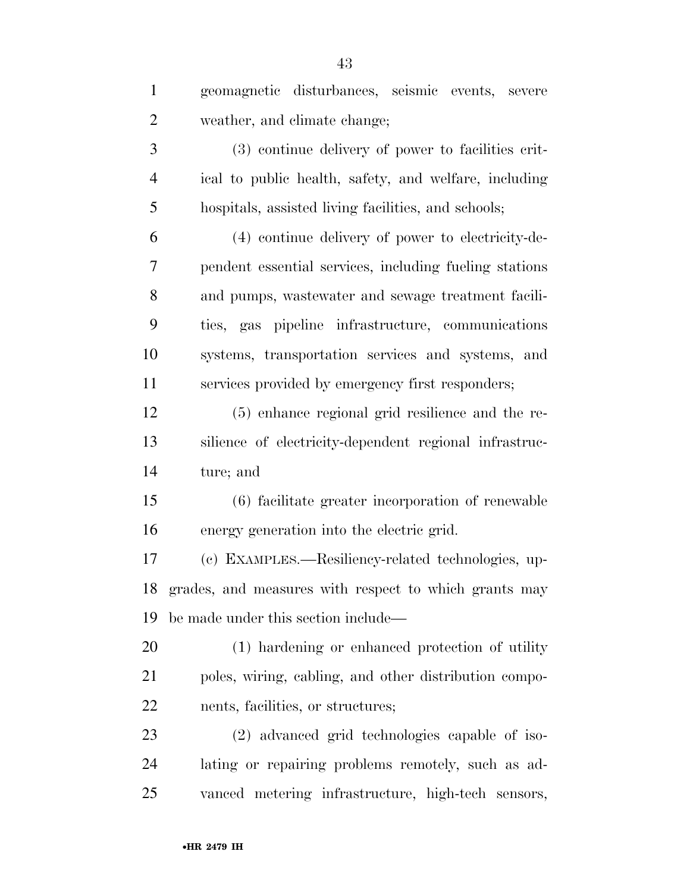| $\mathbf{1}$   | geomagnetic disturbances, seismic events, severe       |
|----------------|--------------------------------------------------------|
| $\overline{2}$ | weather, and climate change;                           |
| 3              | (3) continue delivery of power to facilities crit-     |
| $\overline{4}$ | ical to public health, safety, and welfare, including  |
| 5              | hospitals, assisted living facilities, and schools;    |
| 6              | (4) continue delivery of power to electricity-de-      |
| 7              | pendent essential services, including fueling stations |
| 8              | and pumps, was tewater and sewage treatment facili-    |
| 9              | ties, gas pipeline infrastructure, communications      |
| 10             | systems, transportation services and systems, and      |
| 11             | services provided by emergency first responders;       |
| 12             | (5) enhance regional grid resilience and the re-       |
| 13             | silience of electricity-dependent regional infrastruc- |
| 14             | ture; and                                              |
| 15             | (6) facilitate greater incorporation of renewable      |
| 16             | energy generation into the electric grid.              |
| 17             | (c) EXAMPLES.—Resiliency-related technologies, up-     |
| 18             | grades, and measures with respect to which grants may  |
| 19             | be made under this section include—                    |
| 20             | (1) hardening or enhanced protection of utility        |
| 21             | poles, wiring, cabling, and other distribution compo-  |
| 22             | nents, facilities, or structures;                      |
| 23             | (2) advanced grid technologies capable of iso-         |
| 24             | lating or repairing problems remotely, such as ad-     |
| 25             | vanced metering infrastructure, high-tech sensors,     |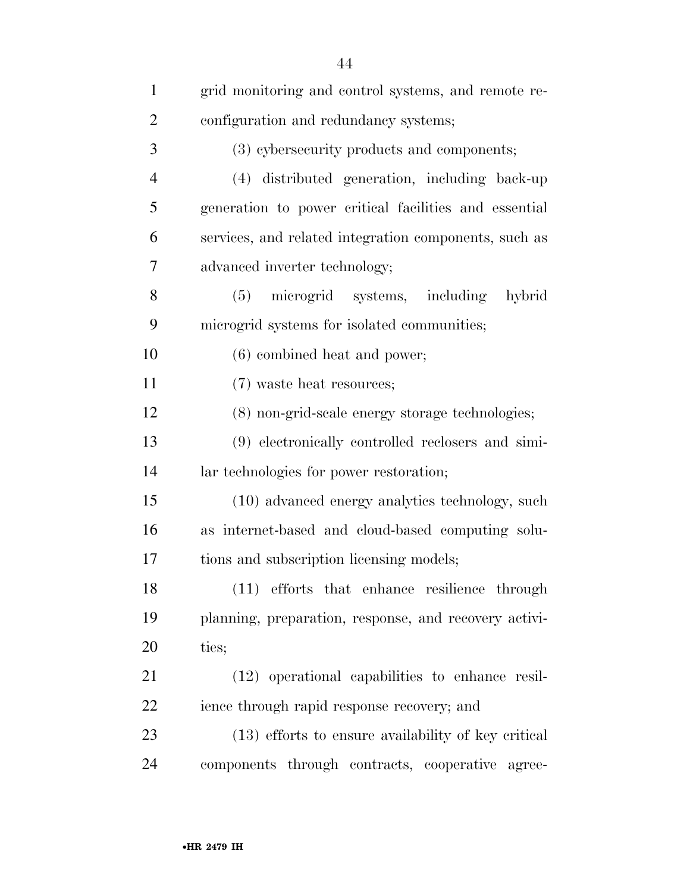| $\mathbf{1}$   | grid monitoring and control systems, and remote re-   |
|----------------|-------------------------------------------------------|
| $\overline{2}$ | configuration and redundancy systems;                 |
| 3              | (3) cybersecurity products and components;            |
| $\overline{4}$ | (4) distributed generation, including back-up         |
| 5              | generation to power critical facilities and essential |
| 6              | services, and related integration components, such as |
| 7              | advanced inverter technology;                         |
| 8              | microgrid systems, including<br>(5)<br>hybrid         |
| 9              | microgrid systems for isolated communities;           |
| 10             | $(6)$ combined heat and power;                        |
| 11             | (7) waste heat resources;                             |
| 12             | (8) non-grid-scale energy storage technologies;       |
| 13             | (9) electronically controlled reclosers and simi-     |
| 14             | lar technologies for power restoration;               |
| 15             | (10) advanced energy analytics technology, such       |
| 16             | as internet-based and cloud-based computing solu-     |
| 17             | tions and subscription licensing models;              |
| 18             | (11) efforts that enhance resilience through          |
| 19             | planning, preparation, response, and recovery activi- |
| 20             | ties;                                                 |
| 21             | (12) operational capabilities to enhance resil-       |
| 22             | ience through rapid response recovery; and            |
| 23             | (13) efforts to ensure availability of key critical   |
| 24             | components through contracts, cooperative agree-      |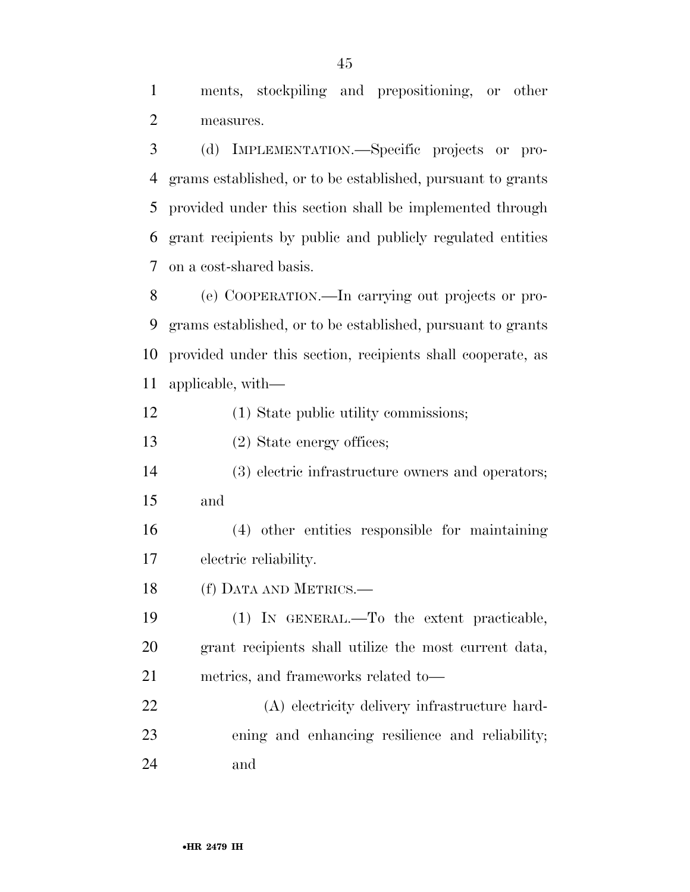ments, stockpiling and prepositioning, or other measures.

 (d) IMPLEMENTATION.—Specific projects or pro- grams established, or to be established, pursuant to grants provided under this section shall be implemented through grant recipients by public and publicly regulated entities on a cost-shared basis.

 (e) COOPERATION.—In carrying out projects or pro- grams established, or to be established, pursuant to grants provided under this section, recipients shall cooperate, as applicable, with—

(1) State public utility commissions;

(2) State energy offices;

 (3) electric infrastructure owners and operators; and

 (4) other entities responsible for maintaining electric reliability.

(f) DATA AND METRICS.—

 (1) IN GENERAL.—To the extent practicable, grant recipients shall utilize the most current data, metrics, and frameworks related to—

 (A) electricity delivery infrastructure hard- ening and enhancing resilience and reliability; and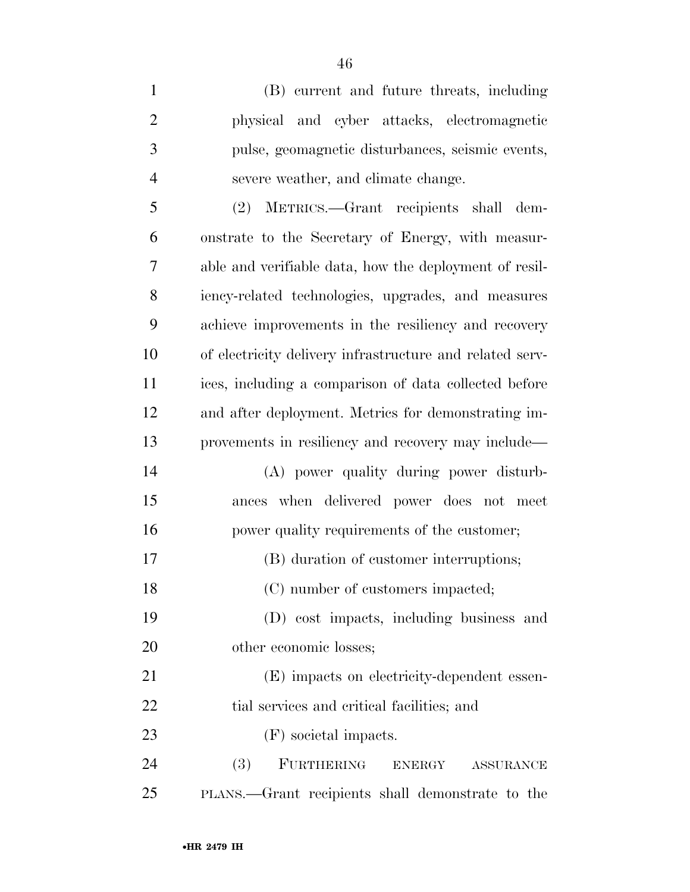(B) current and future threats, including physical and cyber attacks, electromagnetic pulse, geomagnetic disturbances, seismic events, severe weather, and climate change. (2) METRICS.—Grant recipients shall dem- onstrate to the Secretary of Energy, with measur- able and verifiable data, how the deployment of resil- iency-related technologies, upgrades, and measures achieve improvements in the resiliency and recovery of electricity delivery infrastructure and related serv- ices, including a comparison of data collected before and after deployment. Metrics for demonstrating im- provements in resiliency and recovery may include— (A) power quality during power disturb- ances when delivered power does not meet power quality requirements of the customer; (B) duration of customer interruptions; 18 (C) number of customers impacted; (D) cost impacts, including business and other economic losses; (E) impacts on electricity-dependent essen-22 tial services and critical facilities; and (F) societal impacts. (3) FURTHERING ENERGY ASSURANCE PLANS.—Grant recipients shall demonstrate to the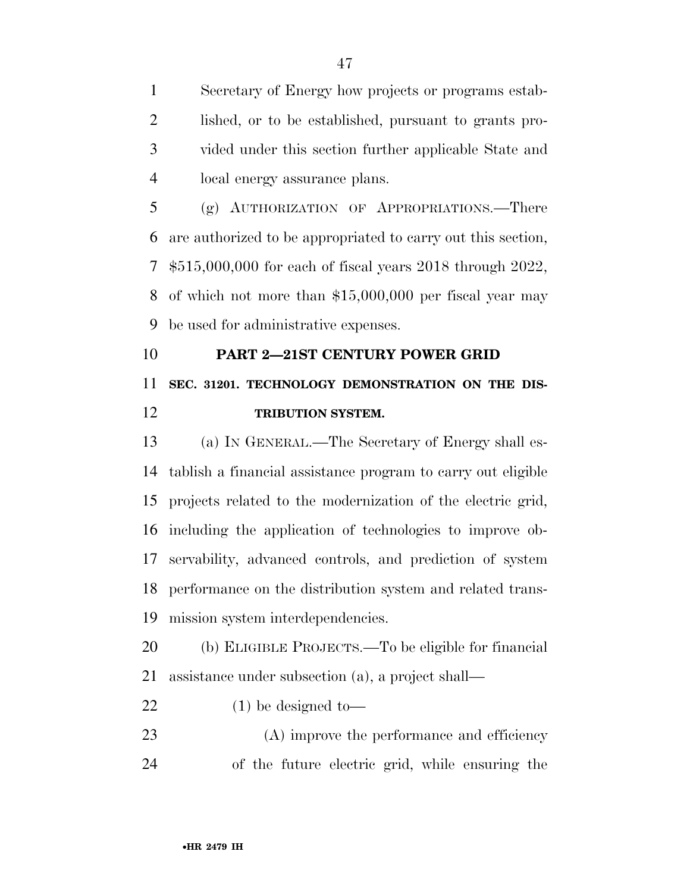Secretary of Energy how projects or programs estab- lished, or to be established, pursuant to grants pro- vided under this section further applicable State and local energy assurance plans.

 (g) AUTHORIZATION OF APPROPRIATIONS.—There are authorized to be appropriated to carry out this section, \$515,000,000 for each of fiscal years 2018 through 2022, of which not more than \$15,000,000 per fiscal year may be used for administrative expenses.

## **PART 2—21ST CENTURY POWER GRID SEC. 31201. TECHNOLOGY DEMONSTRATION ON THE DIS-TRIBUTION SYSTEM.**

 (a) IN GENERAL.—The Secretary of Energy shall es- tablish a financial assistance program to carry out eligible projects related to the modernization of the electric grid, including the application of technologies to improve ob- servability, advanced controls, and prediction of system performance on the distribution system and related trans-mission system interdependencies.

 (b) ELIGIBLE PROJECTS.—To be eligible for financial assistance under subsection (a), a project shall—

(1) be designed to—

23 (A) improve the performance and efficiency of the future electric grid, while ensuring the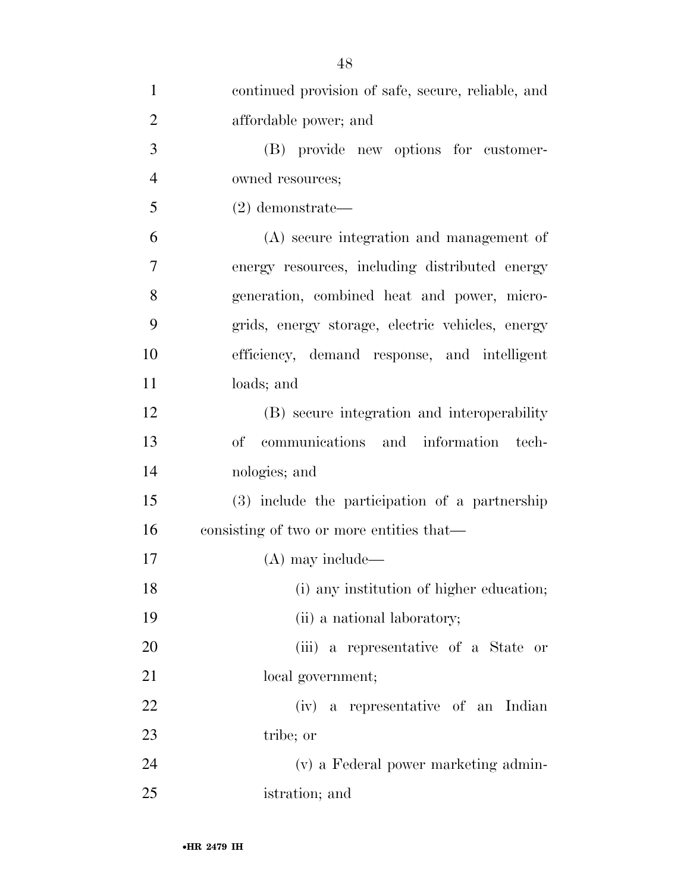| $\mathbf{1}$   | continued provision of safe, secure, reliable, and |
|----------------|----------------------------------------------------|
| $\overline{2}$ | affordable power; and                              |
| 3              | (B) provide new options for customer-              |
| $\overline{4}$ | owned resources;                                   |
| 5              | $(2)$ demonstrate—                                 |
| 6              | (A) secure integration and management of           |
| 7              | energy resources, including distributed energy     |
| 8              | generation, combined heat and power, micro-        |
| 9              | grids, energy storage, electric vehicles, energy   |
| 10             | efficiency, demand response, and intelligent       |
| 11             | loads; and                                         |
| 12             | (B) secure integration and interoperability        |
| 13             | communications and information tech-<br>οf         |
| 14             | nologies; and                                      |
| 15             | (3) include the participation of a partnership     |
| 16             | consisting of two or more entities that—           |
| 17             | $(A)$ may include—                                 |
| 18             | (i) any institution of higher education;           |
| 19             | (ii) a national laboratory;                        |
| 20             | (iii) a representative of a State or               |
| 21             | local government;                                  |
| 22             | (iv) a representative of an Indian                 |
| 23             | tribe; or                                          |
| 24             | (v) a Federal power marketing admin-               |
| 25             | istration; and                                     |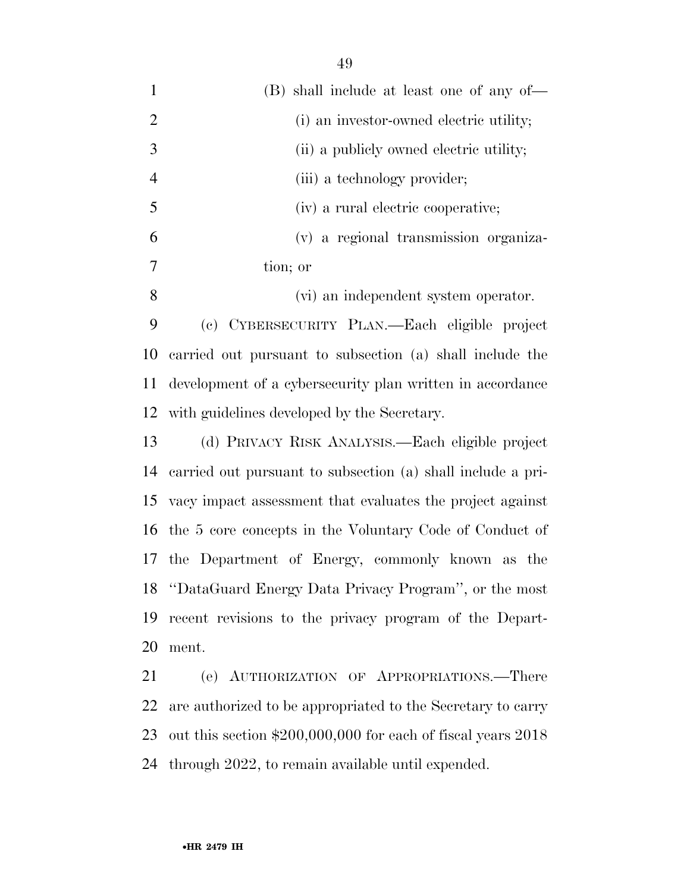| $\mathbf{1}$   | (B) shall include at least one of any of-                   |
|----------------|-------------------------------------------------------------|
| $\overline{2}$ | (i) an investor-owned electric utility;                     |
| 3              | (ii) a publicly owned electric utility;                     |
| $\overline{4}$ | (iii) a technology provider;                                |
| 5              | (iv) a rural electric cooperative;                          |
| 6              | (v) a regional transmission organiza-                       |
| 7              | tion; or                                                    |
| 8              | (vi) an independent system operator.                        |
| 9              | (c) CYBERSECURITY PLAN.—Each eligible project               |
| 10             | carried out pursuant to subsection (a) shall include the    |
| 11             | development of a cybersecurity plan written in accordance   |
| 12             | with guidelines developed by the Secretary.                 |
| 13             | (d) PRIVACY RISK ANALYSIS.—Each eligible project            |
| 14             | carried out pursuant to subsection (a) shall include a pri- |
| 15             | vacy impact assessment that evaluates the project against   |
| 16             | the 5 core concepts in the Voluntary Code of Conduct of     |
| 17             | the Department of Energy, commonly known as the             |
|                | 18 "DataGuard Energy Data Privacy Program", or the most     |

ment.

 (e) AUTHORIZATION OF APPROPRIATIONS.—There are authorized to be appropriated to the Secretary to carry out this section \$200,000,000 for each of fiscal years 2018 through 2022, to remain available until expended.

recent revisions to the privacy program of the Depart-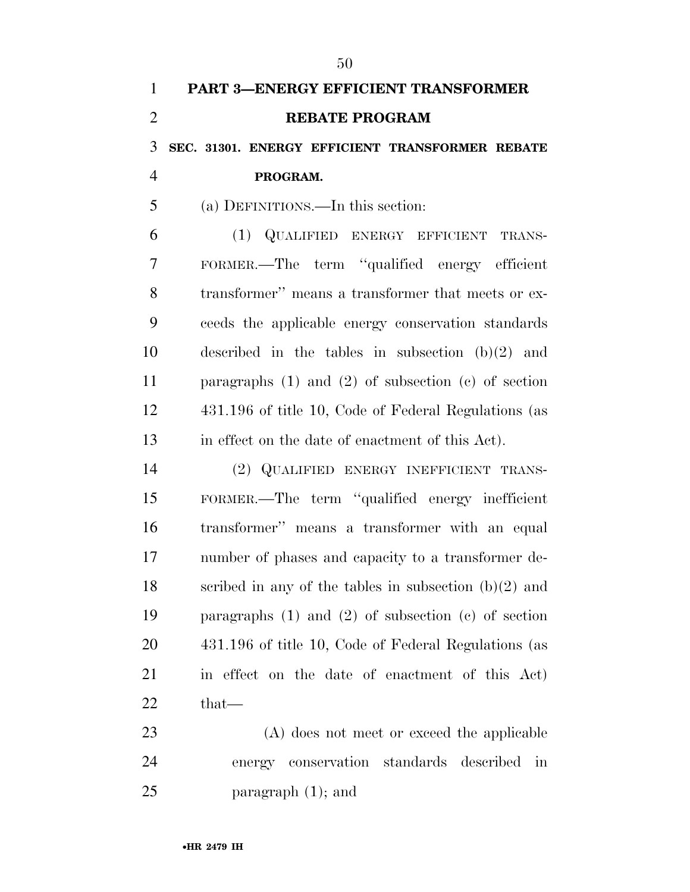# **PART 3—ENERGY EFFICIENT TRANSFORMER REBATE PROGRAM SEC. 31301. ENERGY EFFICIENT TRANSFORMER REBATE PROGRAM.**  (a) DEFINITIONS.—In this section:

 (1) QUALIFIED ENERGY EFFICIENT TRANS- FORMER.—The term ''qualified energy efficient transformer'' means a transformer that meets or ex- ceeds the applicable energy conservation standards described in the tables in subsection (b)(2) and paragraphs (1) and (2) of subsection (c) of section 431.196 of title 10, Code of Federal Regulations (as in effect on the date of enactment of this Act).

 (2) QUALIFIED ENERGY INEFFICIENT TRANS- FORMER.—The term ''qualified energy inefficient transformer'' means a transformer with an equal number of phases and capacity to a transformer de- scribed in any of the tables in subsection (b)(2) and paragraphs (1) and (2) of subsection (c) of section 431.196 of title 10, Code of Federal Regulations (as in effect on the date of enactment of this Act) that—

 (A) does not meet or exceed the applicable energy conservation standards described in paragraph (1); and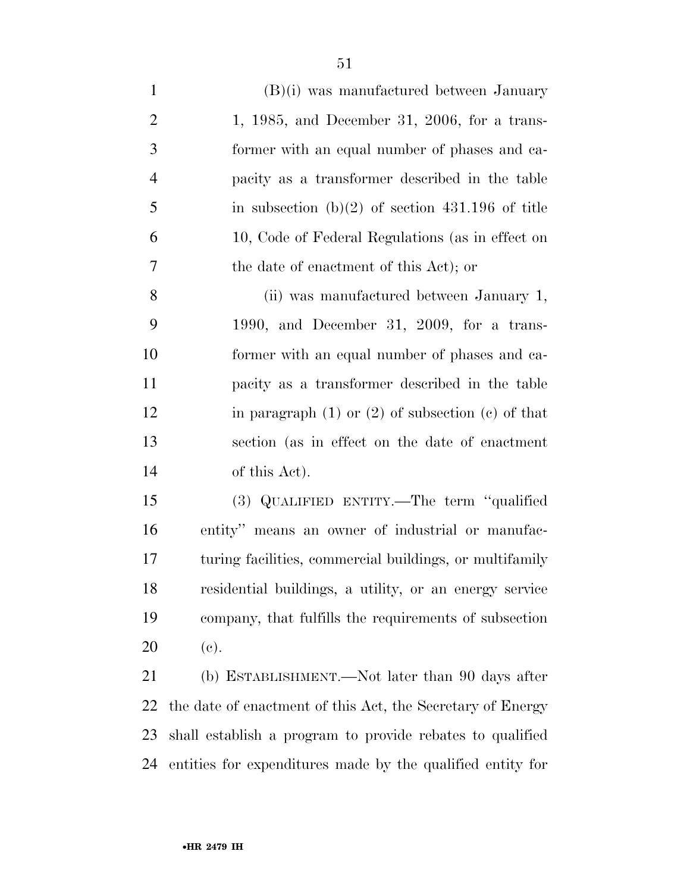| $\mathbf{1}$   | $(B)(i)$ was manufactured between January                  |
|----------------|------------------------------------------------------------|
| $\overline{2}$ | $1, 1985,$ and December 31, 2006, for a trans-             |
| 3              | former with an equal number of phases and ca-              |
| $\overline{4}$ | pacity as a transformer described in the table             |
| 5              | in subsection $(b)(2)$ of section 431.196 of title         |
| 6              | 10, Code of Federal Regulations (as in effect on           |
| 7              | the date of enactment of this Act); or                     |
| 8              | (ii) was manufactured between January 1,                   |
| 9              | 1990, and December 31, 2009, for a trans-                  |
| 10             | former with an equal number of phases and ca-              |
| 11             | pacity as a transformer described in the table             |
| 12             | in paragraph $(1)$ or $(2)$ of subsection $(e)$ of that    |
| 13             | section (as in effect on the date of enactment             |
| 14             | of this Act).                                              |
| 15             | (3) QUALIFIED ENTITY.—The term "qualified                  |
| 16             | entity" means an owner of industrial or manufac-           |
| 17             | turing facilities, commercial buildings, or multifamily    |
| 18             | residential buildings, a utility, or an energy service     |
| 19             | company, that fulfills the requirements of subsection      |
| 20             | (e).                                                       |
| 21             | (b) ESTABLISHMENT.—Not later than 90 days after            |
| 22             | the date of enactment of this Act, the Secretary of Energy |

 shall establish a program to provide rebates to qualified entities for expenditures made by the qualified entity for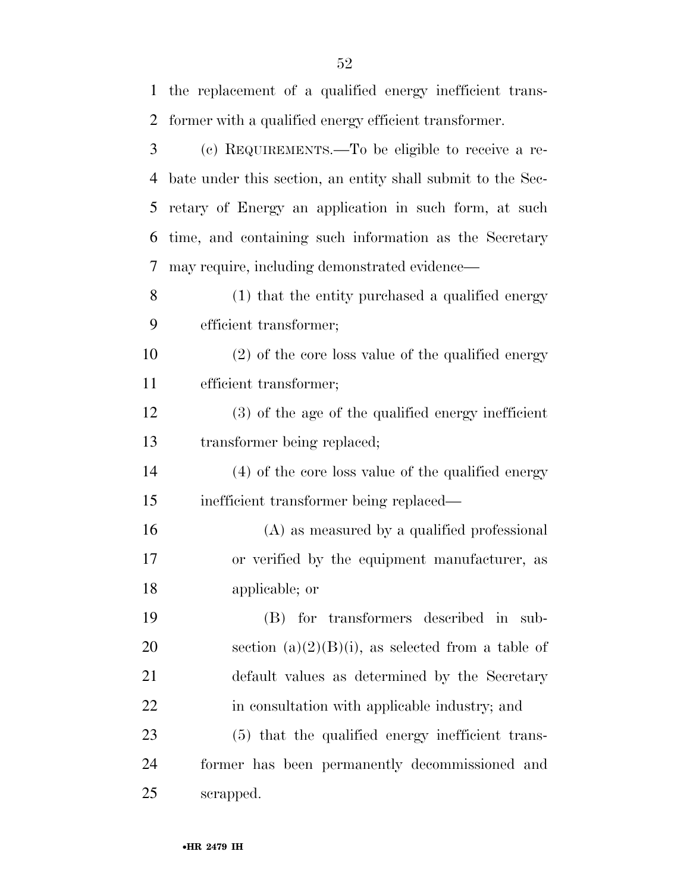| 1  | the replacement of a qualified energy inefficient trans-    |
|----|-------------------------------------------------------------|
| 2  | former with a qualified energy efficient transformer.       |
| 3  | (c) REQUIREMENTS.—To be eligible to receive a re-           |
| 4  | bate under this section, an entity shall submit to the Sec- |
| 5  | retary of Energy an application in such form, at such       |
| 6  | time, and containing such information as the Secretary      |
| 7  | may require, including demonstrated evidence—               |
| 8  | (1) that the entity purchased a qualified energy            |
| 9  | efficient transformer;                                      |
| 10 | (2) of the core loss value of the qualified energy          |
| 11 | efficient transformer;                                      |
| 12 | (3) of the age of the qualified energy inefficient          |
| 13 | transformer being replaced;                                 |
| 14 | (4) of the core loss value of the qualified energy          |
| 15 | inefficient transformer being replaced—                     |
| 16 | (A) as measured by a qualified professional                 |
| 17 | or verified by the equipment manufacturer, as               |
| 18 | applicable; or                                              |
| 19 | (B) for transformers described in sub-                      |
| 20 | section $(a)(2)(B)(i)$ , as selected from a table of        |
| 21 | default values as determined by the Secretary               |
| 22 | in consultation with applicable industry; and               |
| 23 | (5) that the qualified energy inefficient trans-            |
| 24 | former has been permanently decommissioned and              |
| 25 | scrapped.                                                   |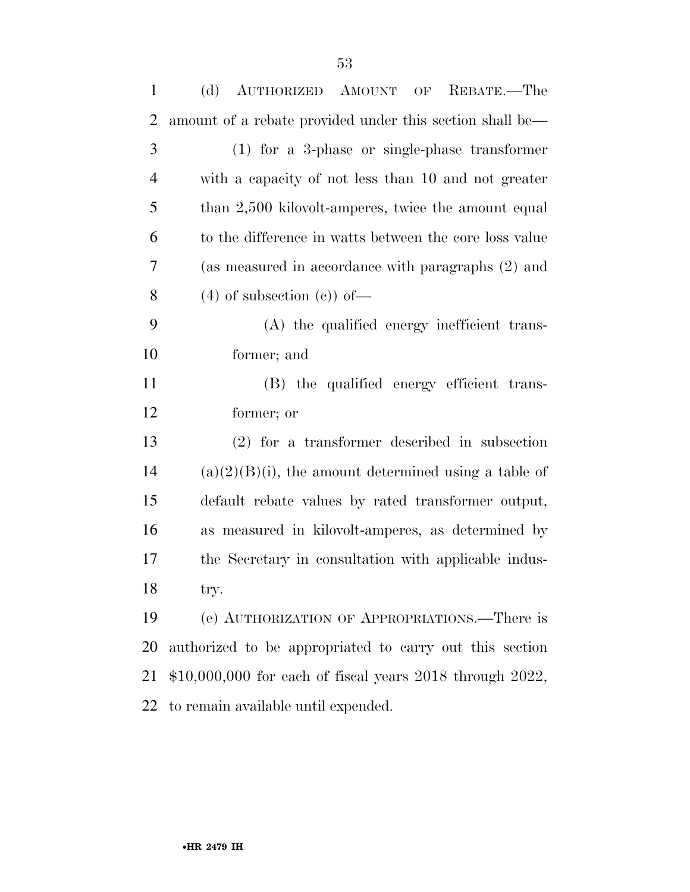| $\mathbf{1}$   | (d)<br>AUTHORIZED AMOUNT OF<br>REBATE.—The                     |
|----------------|----------------------------------------------------------------|
| $\overline{2}$ | amount of a rebate provided under this section shall be—       |
| 3              | $(1)$ for a 3-phase or single-phase transformer                |
| $\overline{4}$ | with a capacity of not less than 10 and not greater            |
| 5              | than 2,500 kilovolt-amperes, twice the amount equal            |
| 6              | to the difference in watts between the core loss value         |
| 7              | (as measured in accordance with paragraphs (2) and             |
| 8              | $(4)$ of subsection $(e)$ of —                                 |
| 9              | (A) the qualified energy inefficient trans-                    |
| 10             | former; and                                                    |
| 11             | (B) the qualified energy efficient trans-                      |
| 12             | former; or                                                     |
| 13             | $(2)$ for a transformer described in subsection                |
| 14             | $(a)(2)(B)(i)$ , the amount determined using a table of        |
| 15             | default rebate values by rated transformer output,             |
| 16             | as measured in kilovolt-amperes, as determined by              |
| 17             | the Secretary in consultation with applicable indus-           |
| 18             | try.                                                           |
| 19             | (e) AUTHORIZATION OF APPROPRIATIONS.—There is                  |
| 20             | authorized to be appropriated to carry out this section        |
| 21             | $$10,000,000$ for each of fiscal years $2018$ through $2022$ , |
| 22             | to remain available until expended.                            |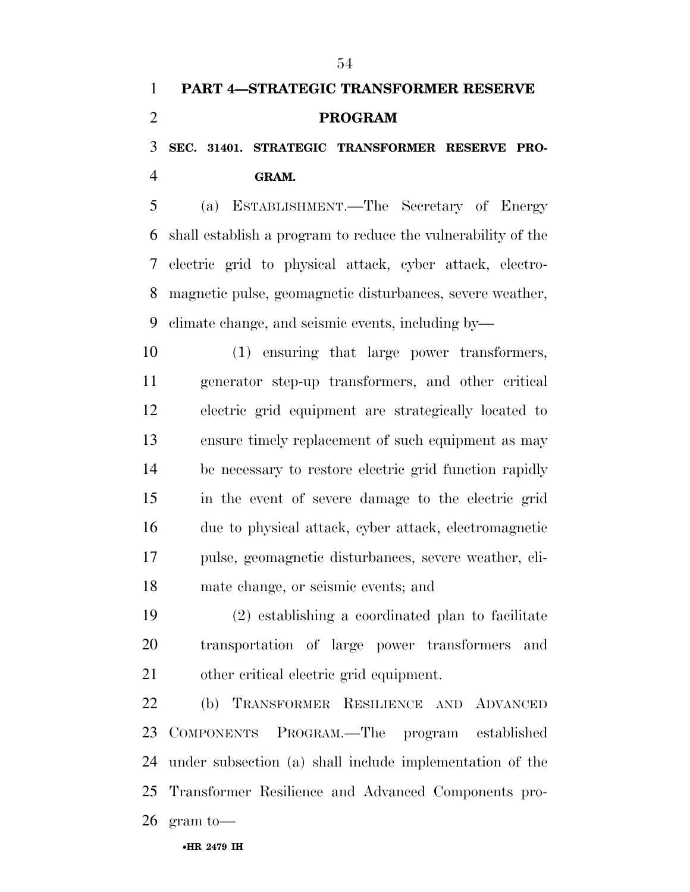### **SEC. 31401. STRATEGIC TRANSFORMER RESERVE PRO-GRAM.**

 (a) ESTABLISHMENT.—The Secretary of Energy shall establish a program to reduce the vulnerability of the electric grid to physical attack, cyber attack, electro- magnetic pulse, geomagnetic disturbances, severe weather, climate change, and seismic events, including by—

 (1) ensuring that large power transformers, generator step-up transformers, and other critical electric grid equipment are strategically located to ensure timely replacement of such equipment as may be necessary to restore electric grid function rapidly in the event of severe damage to the electric grid due to physical attack, cyber attack, electromagnetic pulse, geomagnetic disturbances, severe weather, cli-mate change, or seismic events; and

 (2) establishing a coordinated plan to facilitate transportation of large power transformers and other critical electric grid equipment.

 (b) TRANSFORMER RESILIENCE AND ADVANCED COMPONENTS PROGRAM.—The program established under subsection (a) shall include implementation of the Transformer Resilience and Advanced Components pro-gram to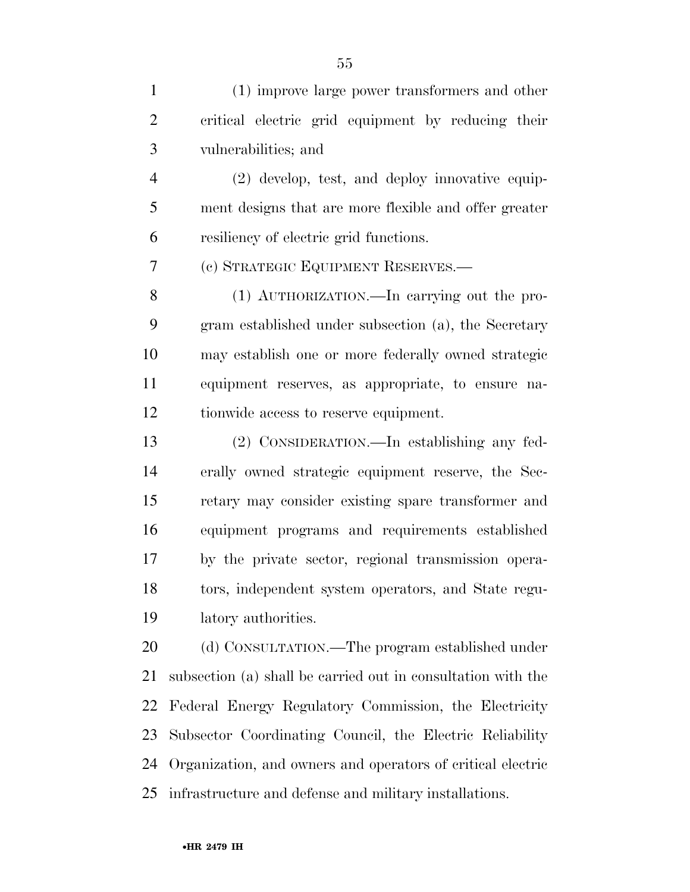(1) improve large power transformers and other critical electric grid equipment by reducing their vulnerabilities; and

 (2) develop, test, and deploy innovative equip- ment designs that are more flexible and offer greater resiliency of electric grid functions.

(c) STRATEGIC EQUIPMENT RESERVES.—

 (1) AUTHORIZATION.—In carrying out the pro- gram established under subsection (a), the Secretary may establish one or more federally owned strategic equipment reserves, as appropriate, to ensure na-tionwide access to reserve equipment.

 (2) CONSIDERATION.—In establishing any fed- erally owned strategic equipment reserve, the Sec- retary may consider existing spare transformer and equipment programs and requirements established by the private sector, regional transmission opera- tors, independent system operators, and State regu-latory authorities.

20 (d) CONSULTATION.—The program established under subsection (a) shall be carried out in consultation with the Federal Energy Regulatory Commission, the Electricity Subsector Coordinating Council, the Electric Reliability Organization, and owners and operators of critical electric infrastructure and defense and military installations.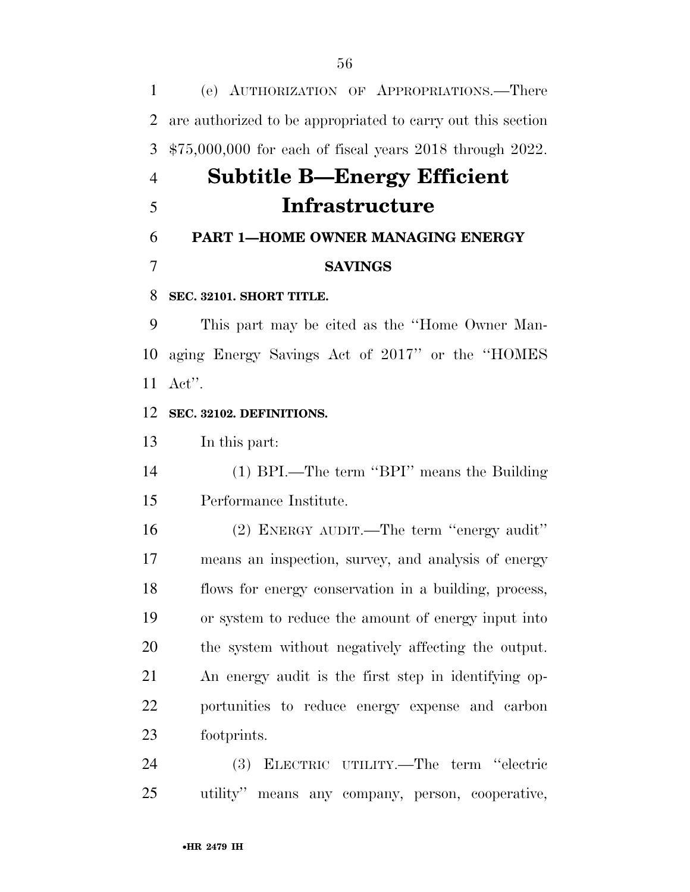(e) AUTHORIZATION OF APPROPRIATIONS.—There are authorized to be appropriated to carry out this section \$75,000,000 for each of fiscal years 2018 through 2022.

# **Subtitle B—Energy Efficient Infrastructure**

## **PART 1—HOME OWNER MANAGING ENERGY SAVINGS**

### **SEC. 32101. SHORT TITLE.**

 This part may be cited as the ''Home Owner Man- aging Energy Savings Act of 2017'' or the ''HOMES Act''.

### **SEC. 32102. DEFINITIONS.**

In this part:

 (1) BPI.—The term ''BPI'' means the Building Performance Institute.

 (2) ENERGY AUDIT.—The term ''energy audit'' means an inspection, survey, and analysis of energy flows for energy conservation in a building, process, or system to reduce the amount of energy input into the system without negatively affecting the output. An energy audit is the first step in identifying op- portunities to reduce energy expense and carbon footprints.

 (3) ELECTRIC UTILITY.—The term ''electric utility'' means any company, person, cooperative,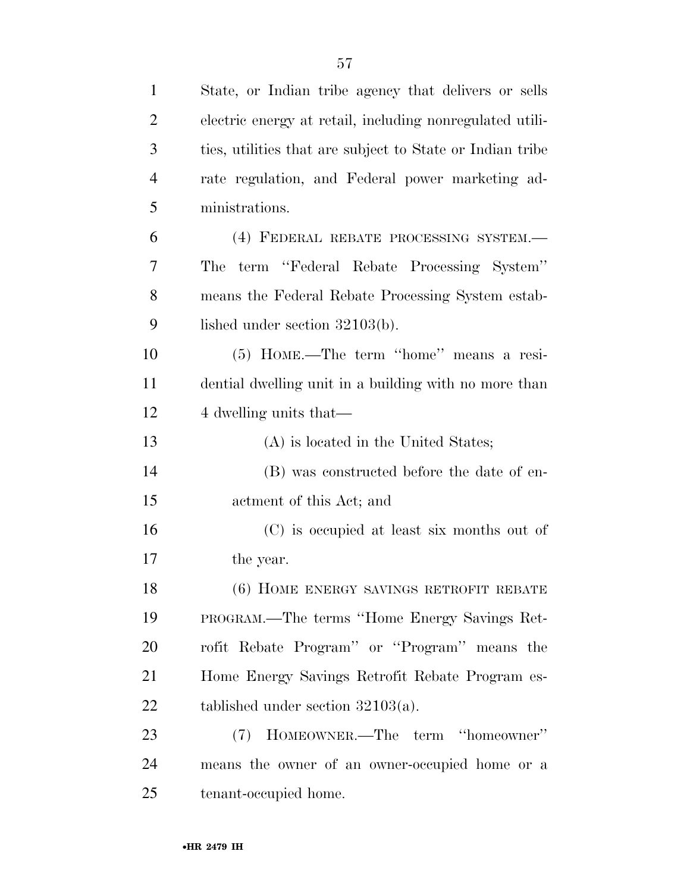| $\mathbf{1}$   | State, or Indian tribe agency that delivers or sells      |
|----------------|-----------------------------------------------------------|
| $\overline{2}$ | electric energy at retail, including nonregulated utili-  |
| 3              | ties, utilities that are subject to State or Indian tribe |
| $\overline{4}$ | rate regulation, and Federal power marketing ad-          |
| 5              | ministrations.                                            |
| 6              | (4) FEDERAL REBATE PROCESSING SYSTEM.—                    |
| 7              | term "Federal Rebate Processing System"<br>The            |
| 8              | means the Federal Rebate Processing System estab-         |
| 9              | lished under section $32103(b)$ .                         |
| 10             | (5) HOME.—The term "home" means a resi-                   |
| 11             | dential dwelling unit in a building with no more than     |
| 12             | 4 dwelling units that—                                    |
| 13             | (A) is located in the United States;                      |
| 14             | (B) was constructed before the date of en-                |
| 15             | actment of this Act; and                                  |
| 16             | (C) is occupied at least six months out of                |
| 17             | the year.                                                 |
| 18             | (6) HOME ENERGY SAVINGS RETROFIT REBATE                   |
| 19             | PROGRAM.—The terms "Home Energy Savings Ret-              |
| 20             | rofit Rebate Program" or "Program" means the              |
| 21             | Home Energy Savings Retrofit Rebate Program es-           |
| 22             | tablished under section $32103(a)$ .                      |
| 23             | (7) HOMEOWNER.—The term "homeowner"                       |
| 24             | means the owner of an owner-occupied home or a            |
| 25             | tenant-occupied home.                                     |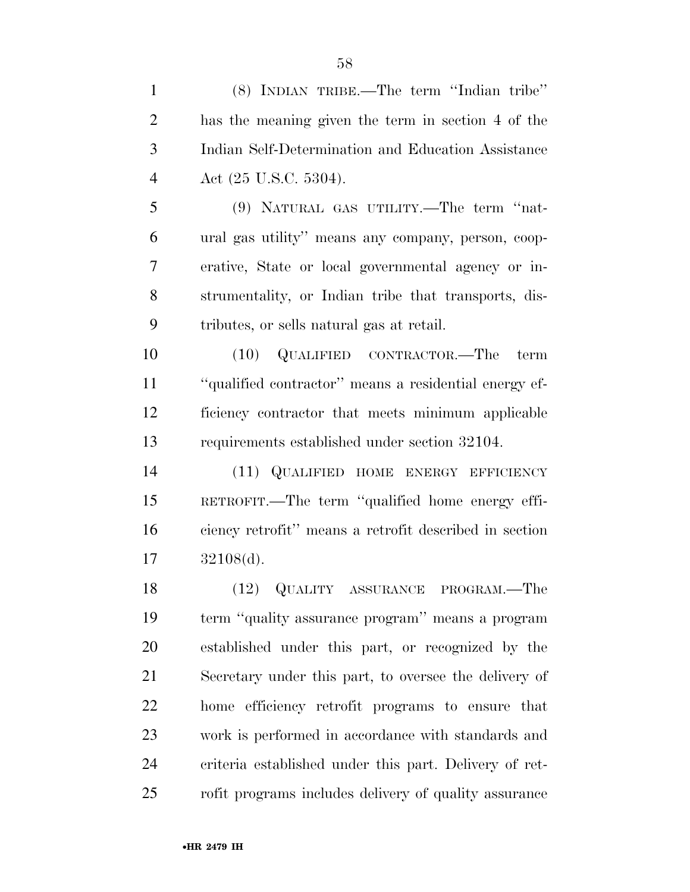(8) INDIAN TRIBE.—The term ''Indian tribe'' has the meaning given the term in section 4 of the Indian Self-Determination and Education Assistance Act (25 U.S.C. 5304).

 (9) NATURAL GAS UTILITY.—The term ''nat- ural gas utility'' means any company, person, coop- erative, State or local governmental agency or in- strumentality, or Indian tribe that transports, dis-tributes, or sells natural gas at retail.

 (10) QUALIFIED CONTRACTOR.—The term ''qualified contractor'' means a residential energy ef- ficiency contractor that meets minimum applicable requirements established under section 32104.

 (11) QUALIFIED HOME ENERGY EFFICIENCY RETROFIT.—The term ''qualified home energy effi- ciency retrofit'' means a retrofit described in section 32108(d).

 (12) QUALITY ASSURANCE PROGRAM.—The term ''quality assurance program'' means a program established under this part, or recognized by the Secretary under this part, to oversee the delivery of home efficiency retrofit programs to ensure that work is performed in accordance with standards and criteria established under this part. Delivery of ret-rofit programs includes delivery of quality assurance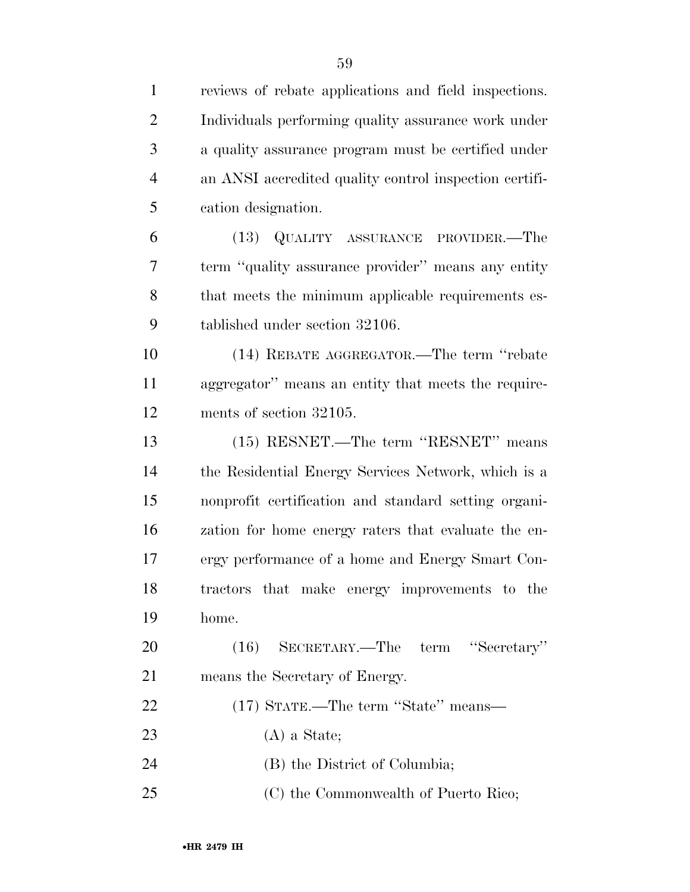| $\mathbf{1}$   | reviews of rebate applications and field inspections.  |
|----------------|--------------------------------------------------------|
| $\overline{2}$ | Individuals performing quality assurance work under    |
| 3              | a quality assurance program must be certified under    |
| $\overline{4}$ | an ANSI accredited quality control inspection certifi- |
| 5              | cation designation.                                    |
| 6              | (13) QUALITY ASSURANCE PROVIDER.—The                   |
| 7              | term "quality assurance provider" means any entity     |
| 8              | that meets the minimum applicable requirements es-     |
| 9              | tablished under section 32106.                         |
| 10             | (14) REBATE AGGREGATOR.—The term "rebate               |
| 11             | aggregator" means an entity that meets the require-    |
| 12             | ments of section 32105.                                |
| 13             | (15) RESNET.—The term "RESNET" means                   |
| 14             | the Residential Energy Services Network, which is a    |
| 15             | nonprofit certification and standard setting organi-   |
| 16             | zation for home energy raters that evaluate the en-    |
| 17             | ergy performance of a home and Energy Smart Con-       |
| 18             | tractors that make energy improvements to the          |
| 19             | home.                                                  |
| 20             | SECRETARY.—The term<br>"Secretary"<br>(16)             |
| 21             | means the Secretary of Energy.                         |
| 22             | (17) STATE.—The term "State" means—                    |
| 23             | $(A)$ a State;                                         |
| 24             | (B) the District of Columbia;                          |
| 25             | (C) the Commonwealth of Puerto Rico;                   |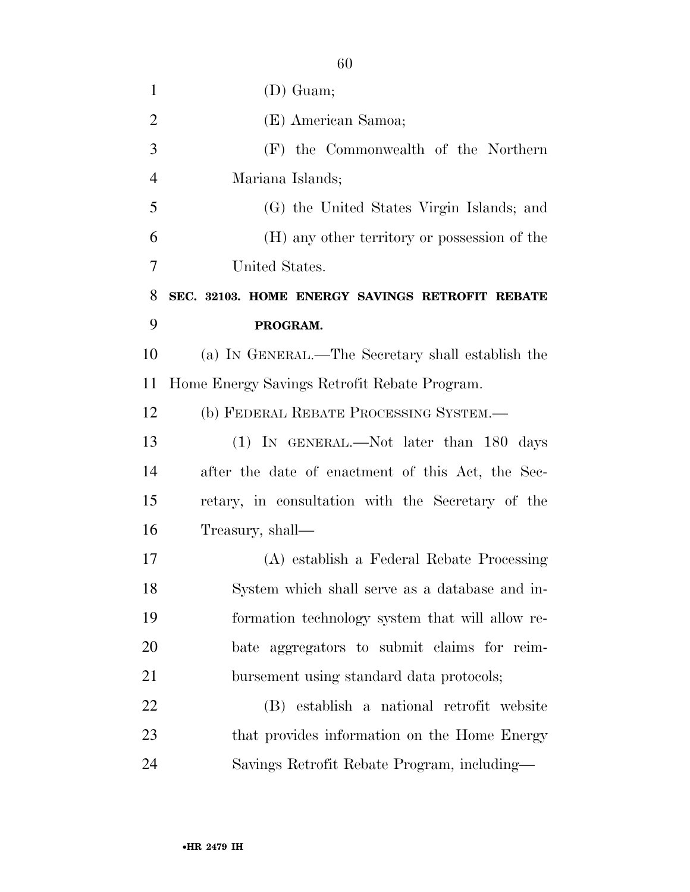| $\mathbf{1}$   | $(D)$ Guam;                                       |
|----------------|---------------------------------------------------|
| $\overline{2}$ | (E) American Samoa;                               |
| 3              | (F) the Commonwealth of the Northern              |
| $\overline{4}$ | Mariana Islands;                                  |
| 5              | (G) the United States Virgin Islands; and         |
| 6              | (H) any other territory or possession of the      |
| 7              | United States.                                    |
| 8              | SEC. 32103. HOME ENERGY SAVINGS RETROFIT REBATE   |
| 9              | PROGRAM.                                          |
| 10             | (a) IN GENERAL.—The Secretary shall establish the |
| 11             | Home Energy Savings Retrofit Rebate Program.      |
| 12             | (b) FEDERAL REBATE PROCESSING SYSTEM.—            |
| 13             | (1) IN GENERAL.—Not later than 180 days           |
| 14             | after the date of enactment of this Act, the Sec- |
| 15             | retary, in consultation with the Secretary of the |
| 16             | Treasury, shall—                                  |
| 17             | (A) establish a Federal Rebate Processing         |
| 18             | System which shall serve as a database and in-    |
| 19             | formation technology system that will allow re-   |
| 20             | bate aggregators to submit claims for reim-       |
| 21             | bursement using standard data protocols;          |
| 22             | (B) establish a national retrofit website         |
| 23             | that provides information on the Home Energy      |
| 24             | Savings Retrofit Rebate Program, including—       |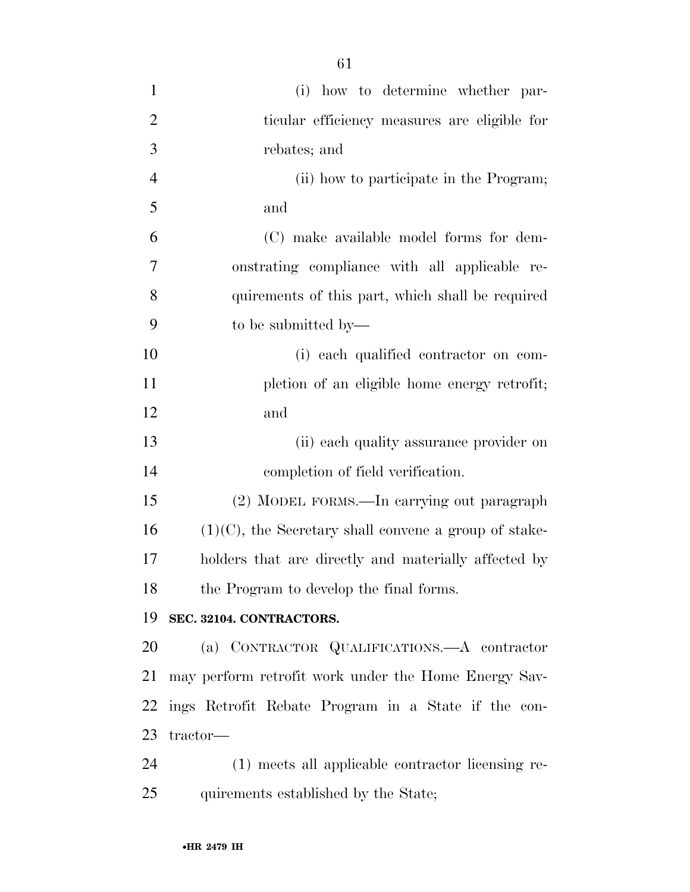| $\mathbf{1}$   | (i) how to determine whether par-                        |
|----------------|----------------------------------------------------------|
| $\overline{2}$ | ticular efficiency measures are eligible for             |
| 3              | rebates; and                                             |
| $\overline{4}$ | (ii) how to participate in the Program;                  |
| 5              | and                                                      |
| 6              | (C) make available model forms for dem-                  |
| 7              | onstrating compliance with all applicable re-            |
| 8              | quirements of this part, which shall be required         |
| 9              | to be submitted by—                                      |
| 10             | (i) each qualified contractor on com-                    |
| 11             | pletion of an eligible home energy retrofit;             |
| 12             | and                                                      |
| 13             | (ii) each quality assurance provider on                  |
| 14             | completion of field verification.                        |
| 15             | (2) MODEL FORMS.—In carrying out paragraph               |
| 16             | $(1)(C)$ , the Secretary shall convene a group of stake- |
| 17             | holders that are directly and materially affected by     |
| 18             | the Program to develop the final forms.                  |
| 19             | SEC. 32104. CONTRACTORS.                                 |
| 20             | (a) CONTRACTOR QUALIFICATIONS.—A contractor              |
| 21             | may perform retrofit work under the Home Energy Sav-     |
| 22             | ings Retrofit Rebate Program in a State if the con-      |
| 23             | tractor-                                                 |
| 24             | (1) meets all applicable contractor licensing re-        |
| 25             | quirements established by the State;                     |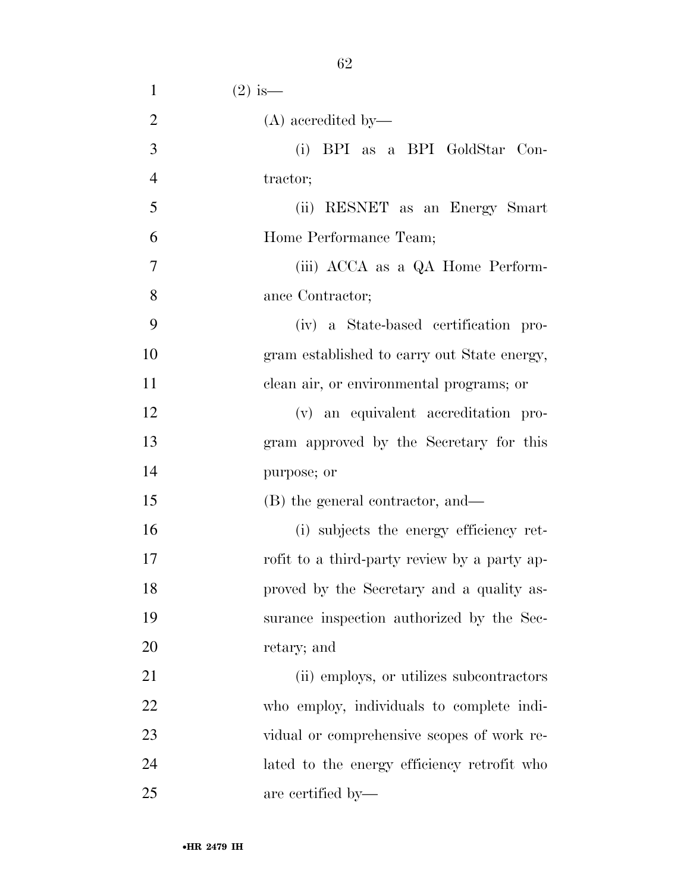| $\mathbf{1}$   | $(2)$ is —                                   |
|----------------|----------------------------------------------|
| $\overline{2}$ | $(A)$ accredited by—                         |
| 3              | (i) BPI as a BPI GoldStar Con-               |
| $\overline{4}$ | tractor;                                     |
| 5              | (ii) RESNET as an Energy Smart               |
| 6              | Home Performance Team;                       |
| 7              | (iii) ACCA as a QA Home Perform-             |
| 8              | ance Contractor;                             |
| 9              | (iv) a State-based certification pro-        |
| 10             | gram established to carry out State energy,  |
| 11             | clean air, or environmental programs; or     |
| 12             | (v) an equivalent accreditation pro-         |
| 13             | gram approved by the Secretary for this      |
| 14             | purpose; or                                  |
| 15             | (B) the general contractor, and—             |
| 16             | (i) subjects the energy efficiency ret-      |
| 17             | rofit to a third-party review by a party ap- |
| 18             | proved by the Secretary and a quality as-    |
| 19             | surance inspection authorized by the Sec-    |
| 20             | retary; and                                  |
| 21             | (ii) employs, or utilizes subcontractors     |
| 22             | who employ, individuals to complete indi-    |
| 23             | vidual or comprehensive scopes of work re-   |
| 24             | lated to the energy efficiency retrofit who  |
| 25             | are certified by—                            |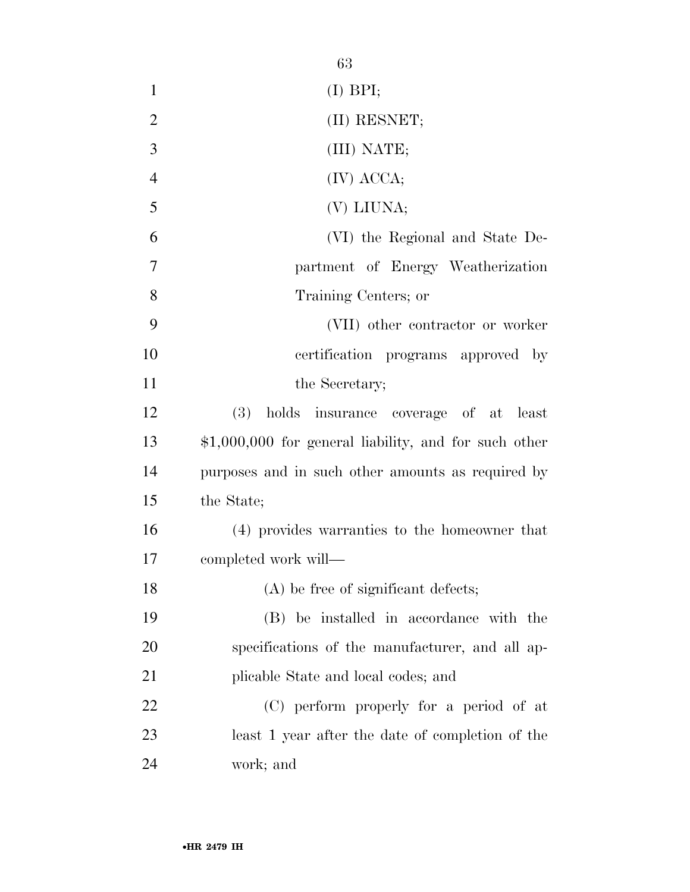|                | 63                                                     |
|----------------|--------------------------------------------------------|
| $\mathbf{1}$   | $(I)$ BPI;                                             |
| $\overline{2}$ | (II) RESNET;                                           |
| 3              | (III) NATE;                                            |
| $\overline{4}$ | (IV) ACCA;                                             |
| 5              | (V) LIUNA;                                             |
| 6              | (VI) the Regional and State De-                        |
| 7              | partment of Energy Weatherization                      |
| 8              | Training Centers; or                                   |
| 9              | (VII) other contractor or worker                       |
| 10             | certification programs approved<br>$-$ by              |
| 11             | the Secretary;                                         |
| 12             | (3) holds insurance coverage of at least               |
| 13             | $$1,000,000$ for general liability, and for such other |
| 14             | purposes and in such other amounts as required by      |
| 15             | the State;                                             |
| 16             | (4) provides warranties to the homeowner that          |
| 17             | completed work will-                                   |
| 18             | $(A)$ be free of significant defects;                  |
| 19             | (B) be installed in accordance with the                |
| 20             | specifications of the manufacturer, and all ap-        |
| 21             | plicable State and local codes; and                    |
| 22             | (C) perform properly for a period of at                |
| 23             | least 1 year after the date of completion of the       |
| 24             | work; and                                              |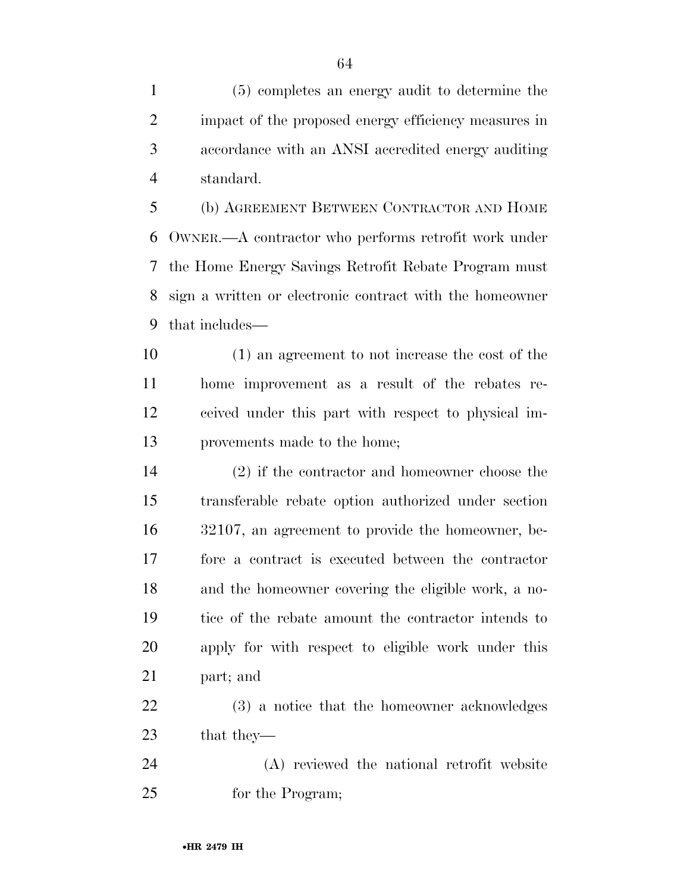(5) completes an energy audit to determine the impact of the proposed energy efficiency measures in accordance with an ANSI accredited energy auditing standard.

 (b) AGREEMENT BETWEEN CONTRACTOR AND HOME OWNER.—A contractor who performs retrofit work under the Home Energy Savings Retrofit Rebate Program must sign a written or electronic contract with the homeowner that includes—

 (1) an agreement to not increase the cost of the home improvement as a result of the rebates re- ceived under this part with respect to physical im-provements made to the home;

 (2) if the contractor and homeowner choose the transferable rebate option authorized under section 32107, an agreement to provide the homeowner, be- fore a contract is executed between the contractor and the homeowner covering the eligible work, a no- tice of the rebate amount the contractor intends to apply for with respect to eligible work under this part; and

 (3) a notice that the homeowner acknowledges that they—

 (A) reviewed the national retrofit website for the Program;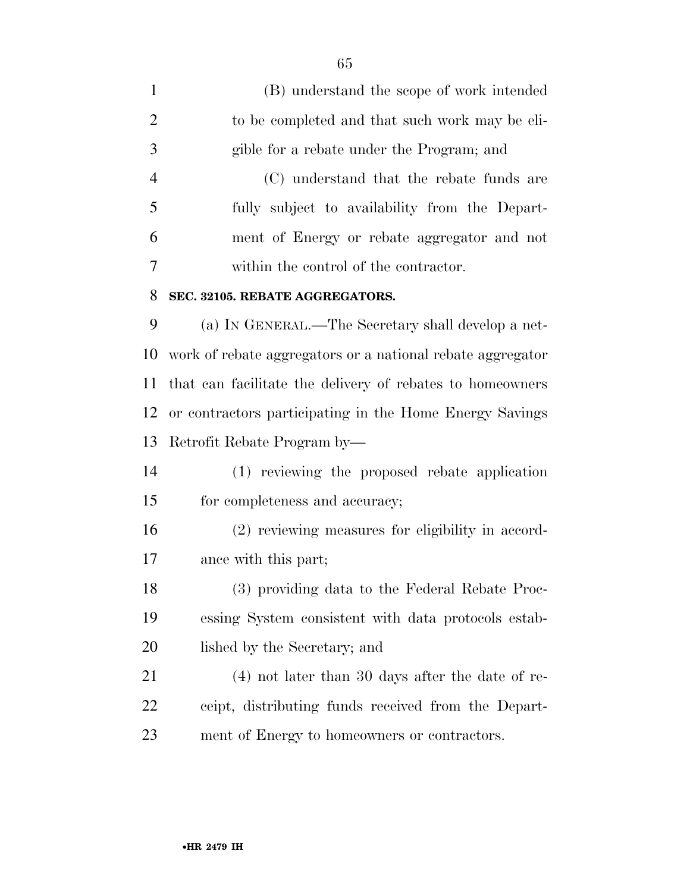| $\mathbf{1}$   | (B) understand the scope of work intended                  |
|----------------|------------------------------------------------------------|
| $\overline{2}$ | to be completed and that such work may be eli-             |
| 3              | gible for a rebate under the Program; and                  |
| $\overline{4}$ | (C) understand that the rebate funds are                   |
| 5              | fully subject to availability from the Depart-             |
| 6              | ment of Energy or rebate aggregator and not                |
| 7              | within the control of the contractor.                      |
| 8              | SEC. 32105. REBATE AGGREGATORS.                            |
| 9              | (a) IN GENERAL.—The Secretary shall develop a net-         |
| 10             | work of rebate aggregators or a national rebate aggregator |
| 11             | that can facilitate the delivery of rebates to homeowners  |
| 12             | or contractors participating in the Home Energy Savings    |
| 13             | Retrofit Rebate Program by-                                |
| 14             | (1) reviewing the proposed rebate application              |
| 15             | for completeness and accuracy;                             |
| 16             | (2) reviewing measures for eligibility in accord-          |
| 17             | ance with this part;                                       |
| 18             | (3) providing data to the Federal Rebate Proc-             |
| 19             | essing System consistent with data protocols estab-        |
| 20             | lished by the Secretary; and                               |
| 21             | $(4)$ not later than 30 days after the date of re-         |
| 22             | ceipt, distributing funds received from the Depart-        |
| 23             | ment of Energy to homeowners or contractors.               |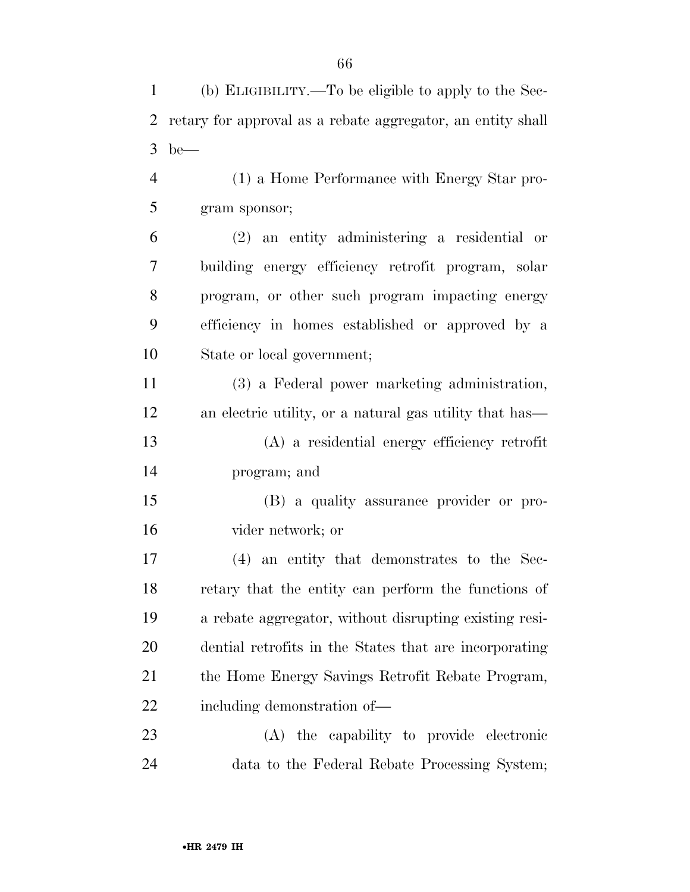(b) ELIGIBILITY.—To be eligible to apply to the Sec-

| $\overline{2}$ | retary for approval as a rebate aggregator, an entity shall |
|----------------|-------------------------------------------------------------|
| 3              | $be$ —                                                      |
| 4              | (1) a Home Performance with Energy Star pro-                |
| 5              | gram sponsor;                                               |
| 6              | $(2)$ an entity administering a residential or              |
| 7              | building energy efficiency retrofit program, solar          |
| 8              | program, or other such program impacting energy             |
| 9              | efficiency in homes established or approved by a            |
| 10             | State or local government;                                  |
| 11             | (3) a Federal power marketing administration,               |
| 12             | an electric utility, or a natural gas utility that has—     |
| 13             | (A) a residential energy efficiency retrofit                |
| 14             | program; and                                                |
| 15             | (B) a quality assurance provider or pro-                    |
| 16             | vider network; or                                           |
| 17             | (4) an entity that demonstrates to the Sec-                 |
| 18             | retary that the entity can perform the functions of         |
| 19             | a rebate aggregator, without disrupting existing resi-      |
| 20             | dential retrofits in the States that are incorporating      |
| 21             | the Home Energy Savings Retrofit Rebate Program,            |
| <u>22</u>      | including demonstration of—                                 |
| 23             | (A) the capability to provide electronic                    |
| 24             | data to the Federal Rebate Processing System;               |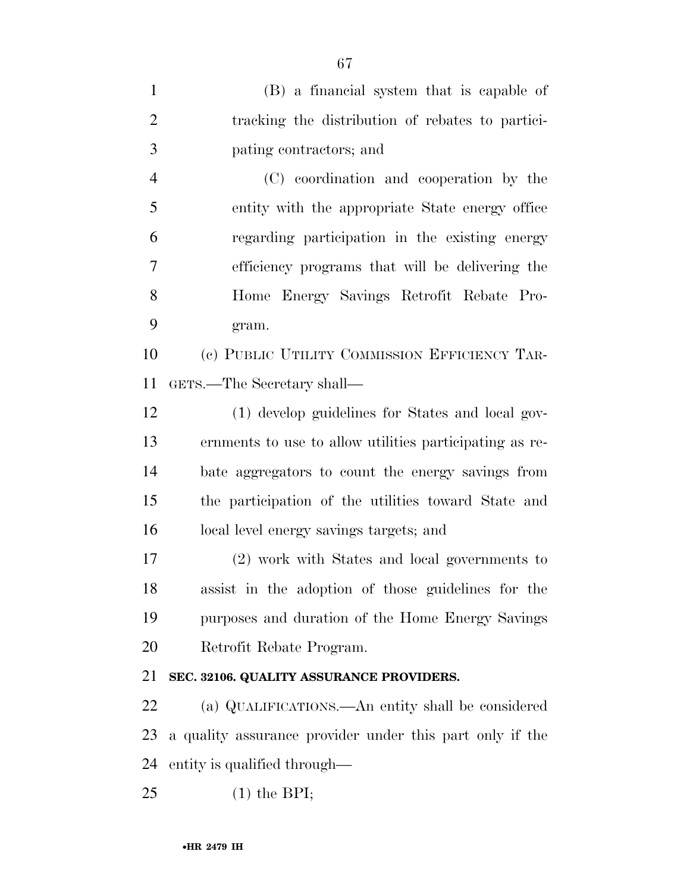| $\mathbf{1}$   | (B) a financial system that is capable of                |
|----------------|----------------------------------------------------------|
| $\overline{2}$ | tracking the distribution of rebates to partici-         |
| 3              | pating contractors; and                                  |
| $\overline{4}$ | (C) coordination and cooperation by the                  |
| 5              | entity with the appropriate State energy office          |
| 6              | regarding participation in the existing energy           |
| 7              | efficiency programs that will be delivering the          |
| 8              | Home Energy Savings Retrofit Rebate Pro-                 |
| 9              | gram.                                                    |
| 10             | (c) PUBLIC UTILITY COMMISSION EFFICIENCY TAR-            |
| 11             | GETS.—The Secretary shall—                               |
| 12             | (1) develop guidelines for States and local gov-         |
| 13             | ernments to use to allow utilities participating as re-  |
| 14             | bate aggregators to count the energy savings from        |
| 15             | the participation of the utilities toward State and      |
| 16             | local level energy savings targets; and                  |
| $17\,$         | (2) work with States and local governments to            |
| 18             | assist in the adoption of those guidelines for the       |
| 19             | purposes and duration of the Home Energy Savings         |
| 20             | Retrofit Rebate Program.                                 |
| 21             | SEC. 32106. QUALITY ASSURANCE PROVIDERS.                 |
| 22             | (a) QUALIFICATIONS.—An entity shall be considered        |
| 23             | a quality assurance provider under this part only if the |
| 24             | entity is qualified through—                             |
| 25             | $(1)$ the BPI;                                           |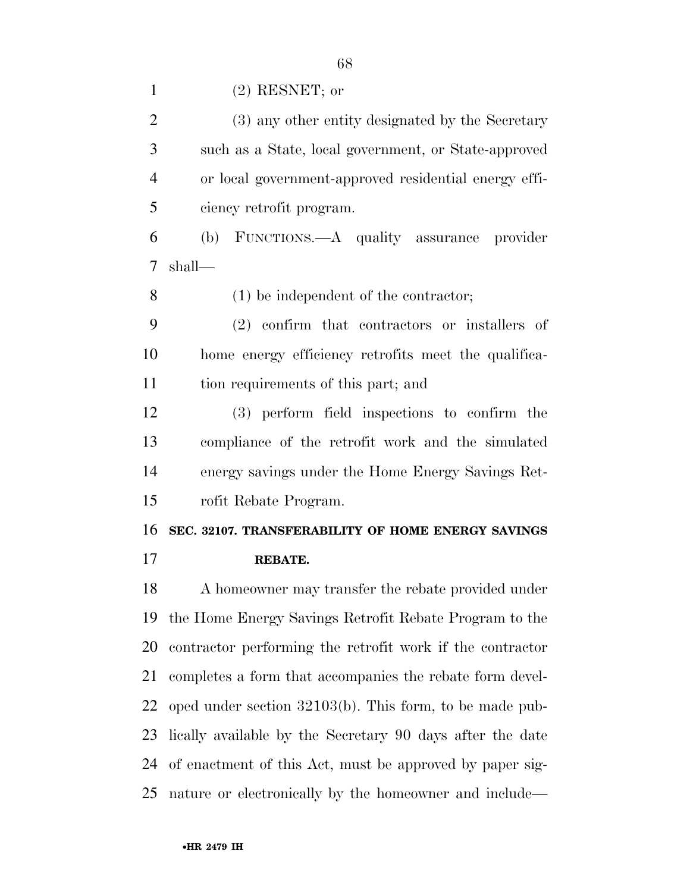| $\mathbf{1}$   | $(2)$ RESNET; or                                          |
|----------------|-----------------------------------------------------------|
| $\overline{2}$ | (3) any other entity designated by the Secretary          |
| 3              | such as a State, local government, or State-approved      |
| $\overline{4}$ | or local government-approved residential energy effi-     |
| 5              | ciency retrofit program.                                  |
| 6              | FUNCTIONS.—A quality assurance provider<br>(b)            |
| 7              | shall—                                                    |
| 8              | $(1)$ be independent of the contractor;                   |
| 9              | $(2)$ confirm that contractors or installers of           |
| 10             | home energy efficiency retrofits meet the qualifica-      |
| 11             | tion requirements of this part; and                       |
| 12             | (3) perform field inspections to confirm the              |
| 13             | compliance of the retrofit work and the simulated         |
| 14             | energy savings under the Home Energy Savings Ret-         |
| 15             | rofit Rebate Program.                                     |
| 16             | SEC. 32107. TRANSFERABILITY OF HOME ENERGY SAVINGS        |
| 17             | REBATE.                                                   |
| 18             | A homeowner may transfer the rebate provided under        |
|                | 19 the Home Energy Savings Retrofit Repart Program to the |

 A homeowner may transfer the rebate provided under the Home Energy Savings Retrofit Rebate Program to the contractor performing the retrofit work if the contractor completes a form that accompanies the rebate form devel- oped under section 32103(b). This form, to be made pub- lically available by the Secretary 90 days after the date of enactment of this Act, must be approved by paper sig-

nature or electronically by the homeowner and include—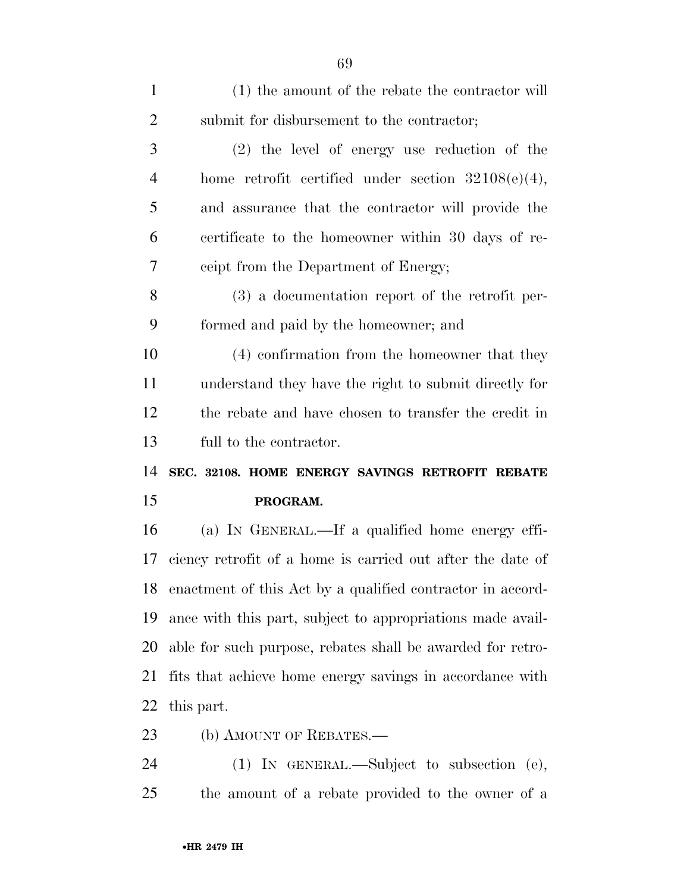| $\mathbf{1}$   | (1) the amount of the rebate the contractor will           |
|----------------|------------------------------------------------------------|
| $\overline{2}$ | submit for disbursement to the contractor;                 |
| 3              | $(2)$ the level of energy use reduction of the             |
| $\overline{4}$ | home retrofit certified under section $32108(e)(4)$ ,      |
| 5              | and assurance that the contractor will provide the         |
| 6              | certificate to the homeowner within 30 days of re-         |
| 7              | ceipt from the Department of Energy;                       |
| 8              | $(3)$ a documentation report of the retrofit per-          |
| 9              | formed and paid by the homeowner; and                      |
| 10             | (4) confirmation from the homeowner that they              |
| 11             | understand they have the right to submit directly for      |
| 12             | the rebate and have chosen to transfer the credit in       |
| 13             | full to the contractor.                                    |
| 14             | SEC. 32108. HOME ENERGY SAVINGS RETROFIT REBATE            |
| 15             | PROGRAM.                                                   |
| 16             | (a) IN GENERAL.—If a qualified home energy effi-           |
| 17             | ciency retrofit of a home is carried out after the date of |
| 18             | enactment of this Act by a qualified contractor in accord- |
| 19             | ance with this part, subject to appropriations made avail- |
| 20             | able for such purpose, rebates shall be awarded for retro- |
|                |                                                            |
| 21             | fits that achieve home energy savings in accordance with   |
| 22             | this part.                                                 |

 (1) IN GENERAL.—Subject to subsection (e), the amount of a rebate provided to the owner of a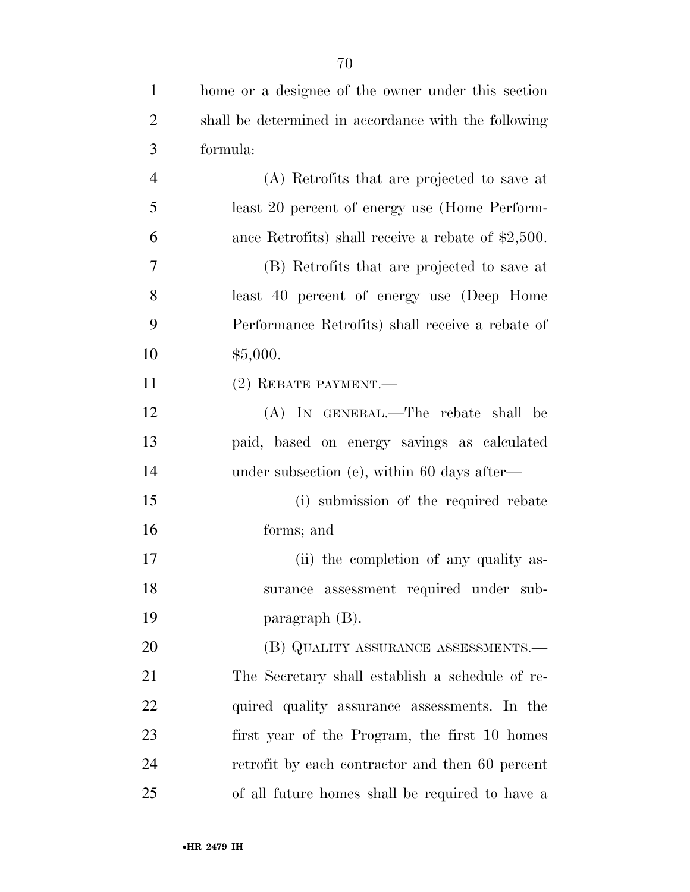| $\mathbf{1}$   | home or a designee of the owner under this section   |
|----------------|------------------------------------------------------|
| $\overline{2}$ | shall be determined in accordance with the following |
| 3              | formula:                                             |
| $\overline{4}$ | (A) Retrofits that are projected to save at          |
| 5              | least 20 percent of energy use (Home Perform-        |
| 6              | ance Retrofits) shall receive a rebate of $$2,500$ . |
| $\overline{7}$ | (B) Retrofits that are projected to save at          |
| 8              | least 40 percent of energy use (Deep Home            |
| 9              | Performance Retrofits) shall receive a rebate of     |
| 10             | \$5,000.                                             |
| 11             | $(2)$ REBATE PAYMENT.—                               |
| 12             | (A) IN GENERAL.—The rebate shall be                  |
| 13             | paid, based on energy savings as calculated          |
| 14             | under subsection (e), within 60 days after—          |
| 15             | (i) submission of the required rebate                |
| 16             | forms; and                                           |
| 17             | (ii) the completion of any quality as-               |
| 18             | surance assessment required under sub-               |
| 19             | paragraph $(B)$ .                                    |
| 20             | (B) QUALITY ASSURANCE ASSESSMENTS.—                  |
| 21             | The Secretary shall establish a schedule of re-      |
| 22             | quired quality assurance assessments. In the         |
| 23             | first year of the Program, the first 10 homes        |
| 24             | retrofit by each contractor and then 60 percent      |
| 25             | of all future homes shall be required to have a      |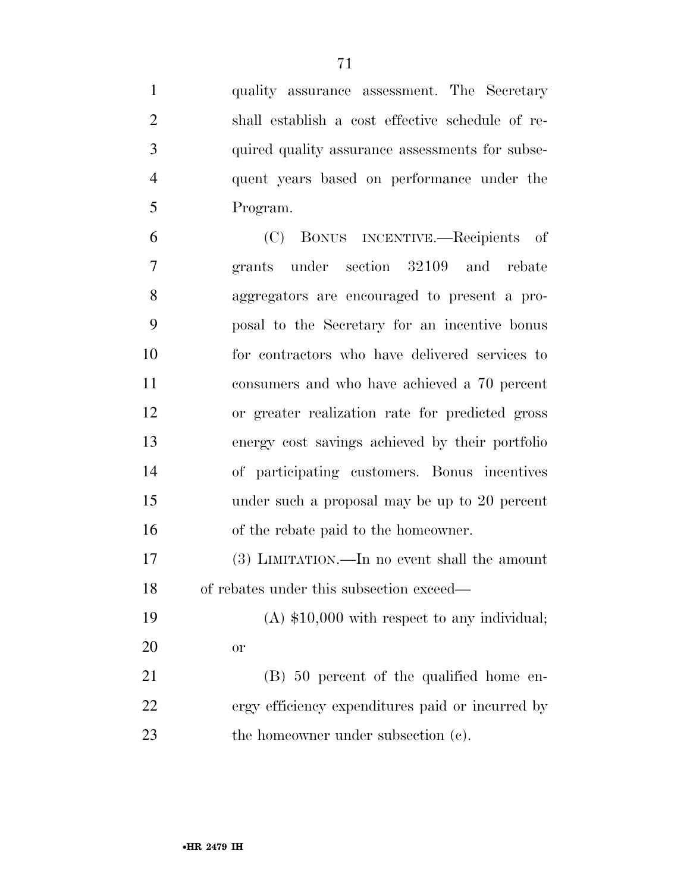quality assurance assessment. The Secretary shall establish a cost effective schedule of re- quired quality assurance assessments for subse- quent years based on performance under the Program.

 (C) BONUS INCENTIVE.—Recipients of grants under section 32109 and rebate aggregators are encouraged to present a pro- posal to the Secretary for an incentive bonus for contractors who have delivered services to consumers and who have achieved a 70 percent or greater realization rate for predicted gross energy cost savings achieved by their portfolio of participating customers. Bonus incentives under such a proposal may be up to 20 percent of the rebate paid to the homeowner. (3) LIMITATION.—In no event shall the amount

of rebates under this subsection exceed—

 (A) \$10,000 with respect to any individual; or

 (B) 50 percent of the qualified home en- ergy efficiency expenditures paid or incurred by 23 the homeowner under subsection (c).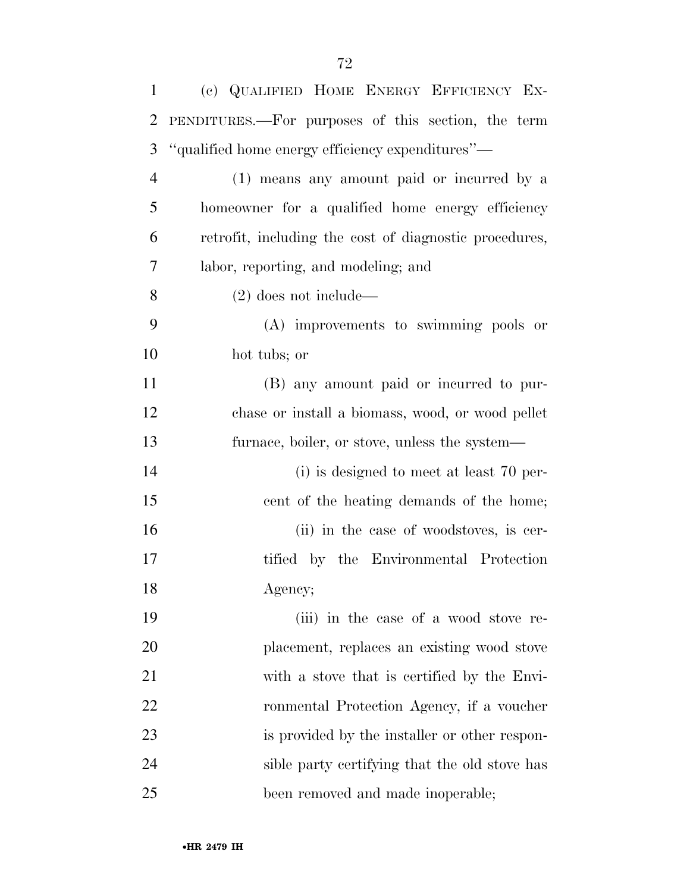| $\mathbf{1}$   | (c) QUALIFIED HOME ENERGY EFFICIENCY EX-               |
|----------------|--------------------------------------------------------|
| $\overline{2}$ | PENDITURES.—For purposes of this section, the term     |
| 3              | "qualified home energy efficiency expenditures"—       |
| $\overline{4}$ | (1) means any amount paid or incurred by a             |
| 5              | homeowner for a qualified home energy efficiency       |
| 6              | retrofit, including the cost of diagnostic procedures, |
| $\overline{7}$ | labor, reporting, and modeling; and                    |
| 8              | $(2)$ does not include—                                |
| 9              | (A) improvements to swimming pools or                  |
| 10             | hot tubs; or                                           |
| 11             | (B) any amount paid or incurred to pur-                |
| 12             | chase or install a biomass, wood, or wood pellet       |
| 13             | furnace, boiler, or stove, unless the system—          |
| 14             | (i) is designed to meet at least 70 per-               |
| 15             | cent of the heating demands of the home;               |
| 16             | (ii) in the case of woodstoves, is cer-                |
| 17             | tified by the Environmental Protection                 |
| 18             | Agency;                                                |
| 19             | (iii) in the case of a wood stove re-                  |
| 20             | placement, replaces an existing wood stove             |
| 21             | with a stove that is certified by the Envi-            |
| 22             | ronmental Protection Agency, if a voucher              |
| 23             | is provided by the installer or other respon-          |
| 24             | sible party certifying that the old stove has          |
| 25             | been removed and made inoperable;                      |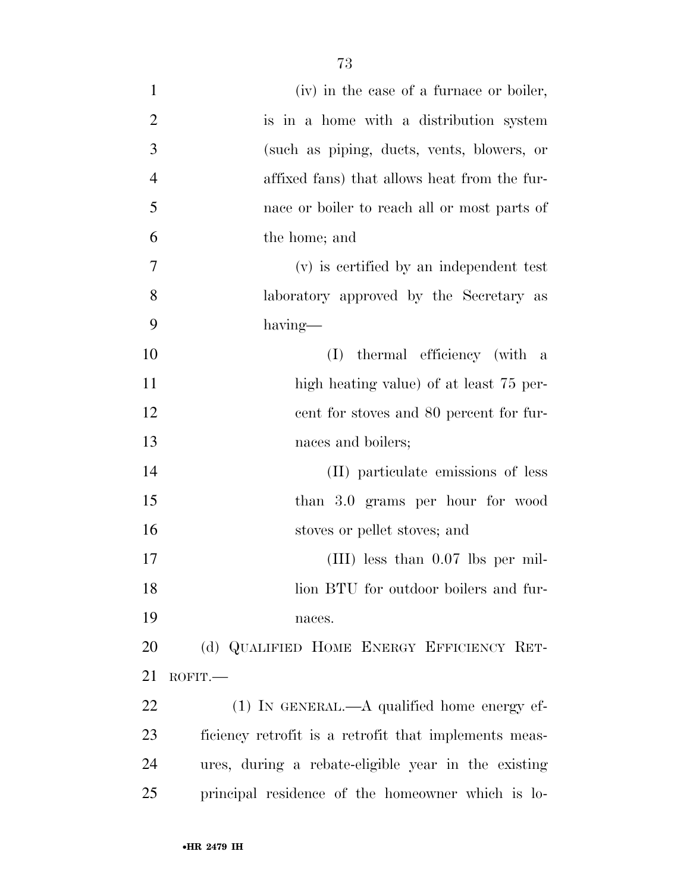| $\mathbf{1}$   | (iv) in the case of a furnace or boiler,              |
|----------------|-------------------------------------------------------|
| $\overline{2}$ | is in a home with a distribution system               |
| 3              | (such as piping, ducts, vents, blowers, or            |
| $\overline{4}$ | affixed fans) that allows heat from the fur-          |
| 5              | nace or boiler to reach all or most parts of          |
| 6              | the home; and                                         |
| 7              | (v) is certified by an independent test               |
| 8              | laboratory approved by the Secretary as               |
| 9              | having—                                               |
| 10             | thermal efficiency (with a<br>(I)                     |
| 11             | high heating value) of at least 75 per-               |
| 12             | eent for stoves and 80 percent for fur-               |
| 13             | naces and boilers;                                    |
| 14             | (II) particulate emissions of less                    |
| 15             | than 3.0 grams per hour for wood                      |
| 16             | stoves or pellet stoves; and                          |
| 17             | $(III)$ less than 0.07 lbs per mil-                   |
| 18             | lion BTU for outdoor boilers and fur-                 |
| 19             | naces.                                                |
| 20             | (d) QUALIFIED HOME ENERGY EFFICIENCY RET-             |
| 21             | ROFIT.                                                |
| 22             | $(1)$ In GENERAL.—A qualified home energy ef-         |
| 23             | ficiency retrofit is a retrofit that implements meas- |
| 24             | ures, during a rebate-eligible year in the existing   |
| 25             | principal residence of the homeowner which is lo-     |
|                |                                                       |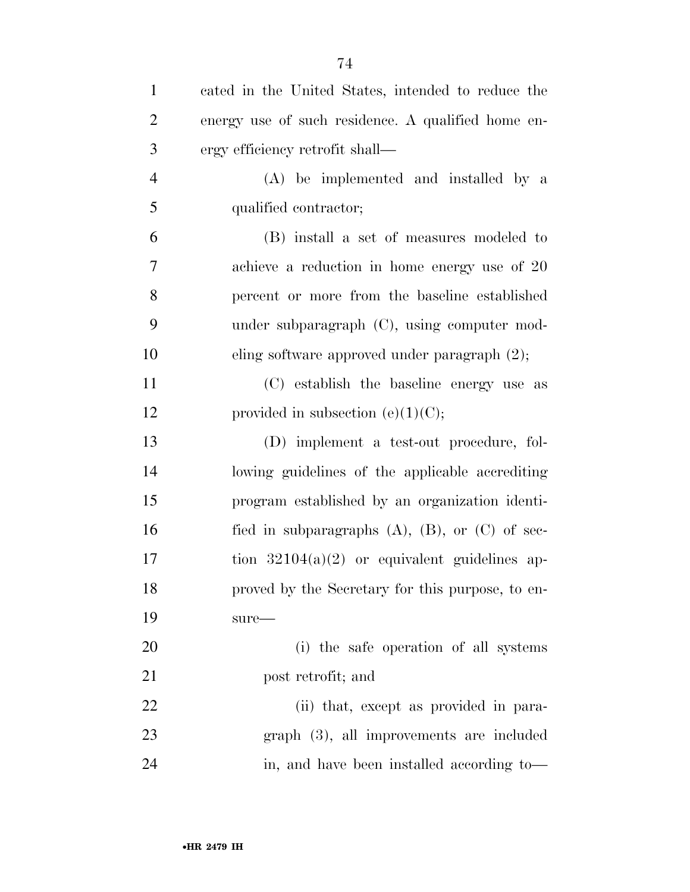| $\mathbf{1}$   | cated in the United States, intended to reduce the     |
|----------------|--------------------------------------------------------|
| $\overline{2}$ | energy use of such residence. A qualified home en-     |
| 3              | ergy efficiency retrofit shall—                        |
| $\overline{4}$ | (A) be implemented and installed by a                  |
| 5              | qualified contractor;                                  |
| 6              | (B) install a set of measures modeled to               |
| 7              | achieve a reduction in home energy use of 20           |
| 8              | percent or more from the baseline established          |
| 9              | under subparagraph $(C)$ , using computer mod-         |
| 10             | eling software approved under paragraph $(2)$ ;        |
| 11             | (C) establish the baseline energy use as               |
| 12             | provided in subsection (e) $(1)(C)$ ;                  |
| 13             | (D) implement a test-out procedure, fol-               |
| 14             | lowing guidelines of the applicable accrediting        |
| 15             | program established by an organization identi-         |
| 16             | fied in subparagraphs $(A)$ , $(B)$ , or $(C)$ of sec- |
| 17             | tion $32104(a)(2)$ or equivalent guidelines ap-        |
| 18             | proved by the Secretary for this purpose, to en-       |
| 19             | $sure-$                                                |
| 20             | (i) the safe operation of all systems                  |
| 21             | post retrofit; and                                     |
| 22             | (ii) that, except as provided in para-                 |
| 23             | $graph$ $(3)$ , all improvements are included          |
| 24             | in, and have been installed according to-              |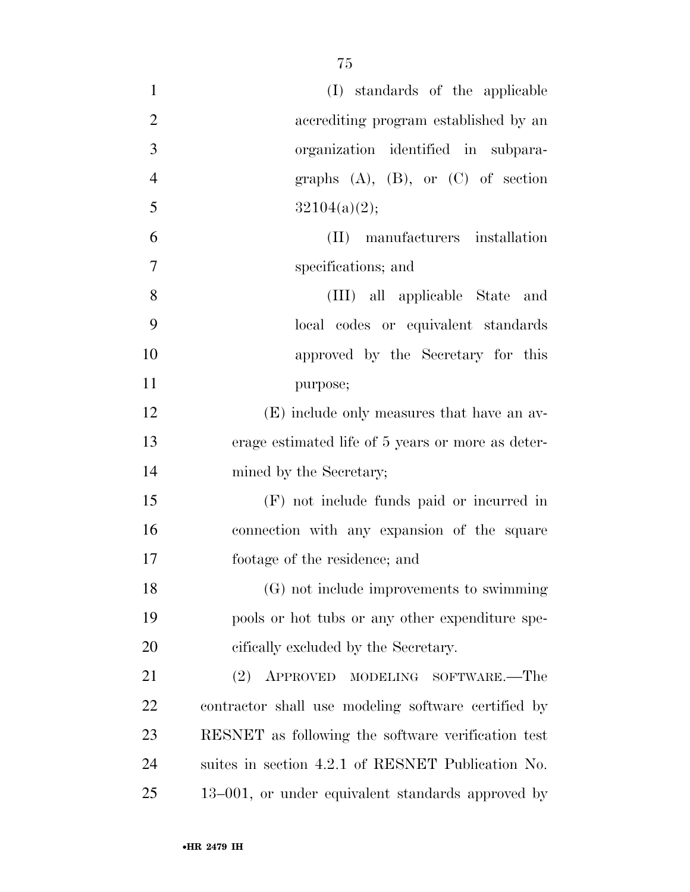| $\mathbf{1}$   | (I) standards of the applicable                     |
|----------------|-----------------------------------------------------|
| $\overline{2}$ | accrediting program established by an               |
| 3              | organization identified in subpara-                 |
| $\overline{4}$ | graphs $(A)$ , $(B)$ , or $(C)$ of section          |
| 5              | 32104(a)(2);                                        |
| 6              | manufacturers installation<br>$(\Pi)$               |
| 7              | specifications; and                                 |
| 8              | (III) all applicable State and                      |
| 9              | local codes or equivalent standards                 |
| 10             | approved by the Secretary for this                  |
| 11             | purpose;                                            |
| 12             | (E) include only measures that have an av-          |
| 13             | erage estimated life of 5 years or more as deter-   |
| 14             | mined by the Secretary;                             |
| 15             | (F) not include funds paid or incurred in           |
| 16             | connection with any expansion of the square         |
| 17             | footage of the residence; and                       |
| 18             | (G) not include improvements to swimming            |
| 19             | pools or hot tubs or any other expenditure spe-     |
| 20             | cifically excluded by the Secretary.                |
| 21             | (2)<br>APPROVED MODELING SOFTWARE.—The              |
| 22             | contractor shall use modeling software certified by |
| 23             | RESNET as following the software verification test  |
| 24             | suites in section 4.2.1 of RESNET Publication No.   |
| 25             | 13–001, or under equivalent standards approved by   |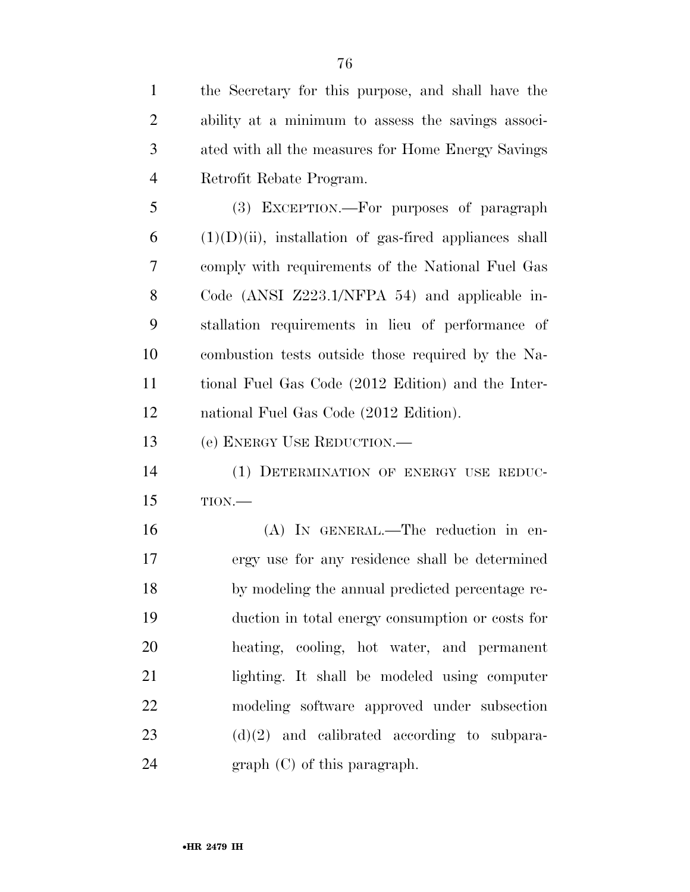the Secretary for this purpose, and shall have the ability at a minimum to assess the savings associ- ated with all the measures for Home Energy Savings Retrofit Rebate Program.

 (3) EXCEPTION.—For purposes of paragraph (1)(D)(ii), installation of gas-fired appliances shall comply with requirements of the National Fuel Gas Code (ANSI Z223.1/NFPA 54) and applicable in- stallation requirements in lieu of performance of combustion tests outside those required by the Na- tional Fuel Gas Code (2012 Edition) and the Inter-national Fuel Gas Code (2012 Edition).

(e) ENERGY USE REDUCTION.—

 (1) DETERMINATION OF ENERGY USE REDUC-TION.—

 (A) IN GENERAL.—The reduction in en- ergy use for any residence shall be determined by modeling the annual predicted percentage re- duction in total energy consumption or costs for heating, cooling, hot water, and permanent lighting. It shall be modeled using computer modeling software approved under subsection (d)(2) and calibrated according to subpara-graph (C) of this paragraph.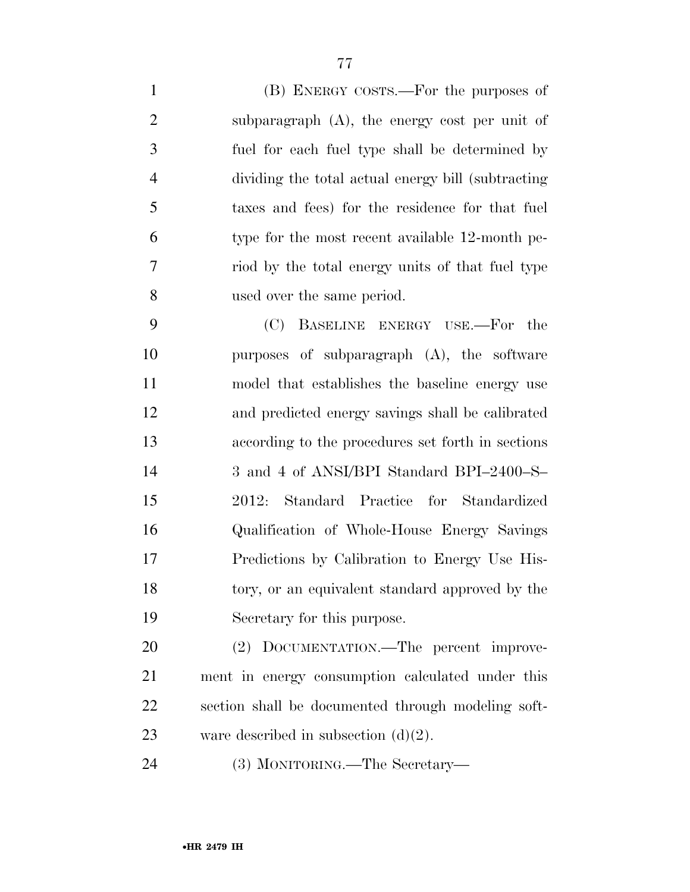(B) ENERGY COSTS.—For the purposes of subparagraph (A), the energy cost per unit of fuel for each fuel type shall be determined by dividing the total actual energy bill (subtracting taxes and fees) for the residence for that fuel type for the most recent available 12-month pe- riod by the total energy units of that fuel type used over the same period. (C) BASELINE ENERGY USE.—For the purposes of subparagraph (A), the software model that establishes the baseline energy use and predicted energy savings shall be calibrated according to the procedures set forth in sections 3 and 4 of ANSI/BPI Standard BPI–2400–S– 2012: Standard Practice for Standardized Qualification of Whole-House Energy Savings Predictions by Calibration to Energy Use His- tory, or an equivalent standard approved by the Secretary for this purpose.

20 (2) DOCUMENTATION.—The percent improve- ment in energy consumption calculated under this section shall be documented through modeling soft-23 ware described in subsection  $(d)(2)$ .

(3) MONITORING.—The Secretary—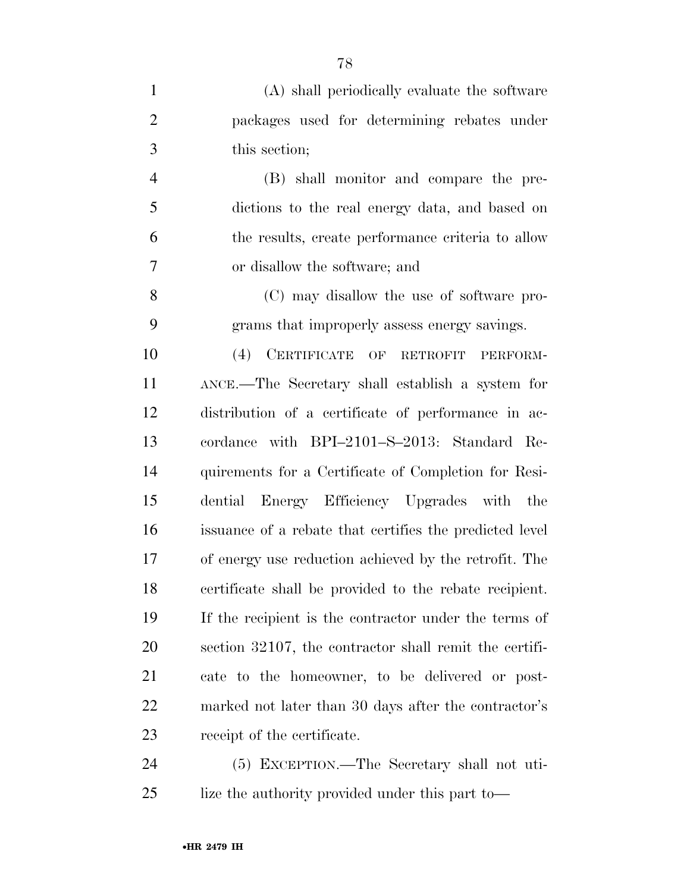| $\mathbf{1}$   | (A) shall periodically evaluate the software            |
|----------------|---------------------------------------------------------|
| $\overline{2}$ | packages used for determining rebates under             |
| 3              | this section;                                           |
| $\overline{4}$ | (B) shall monitor and compare the pre-                  |
| 5              | dictions to the real energy data, and based on          |
| 6              | the results, create performance criteria to allow       |
| 7              | or disallow the software; and                           |
| 8              | (C) may disallow the use of software pro-               |
| 9              | grams that improperly assess energy savings.            |
| 10             | CERTIFICATE<br>(4)<br>OF RETROFIT<br>PERFORM-           |
| 11             | ANCE.—The Secretary shall establish a system for        |
| 12             | distribution of a certificate of performance in ac-     |
| 13             | cordance with BPI-2101-S-2013: Standard Re-             |
| 14             | quirements for a Certificate of Completion for Resi-    |
| 15             | dential Energy Efficiency Upgrades with the             |
| 16             | issuance of a rebate that certifies the predicted level |
| 17             | of energy use reduction achieved by the retrofit. The   |
| 18             | certificate shall be provided to the rebate recipient.  |
| 19             | If the recipient is the contractor under the terms of   |
| <b>20</b>      | section 32107, the contractor shall remit the certifi-  |
| 21             | cate to the homeowner, to be delivered or post-         |
| <u>22</u>      | marked not later than 30 days after the contractor's    |
| 23             | receipt of the certificate.                             |
| 24             | (5) EXCEPTION.—The Secretary shall not uti-             |

lize the authority provided under this part to—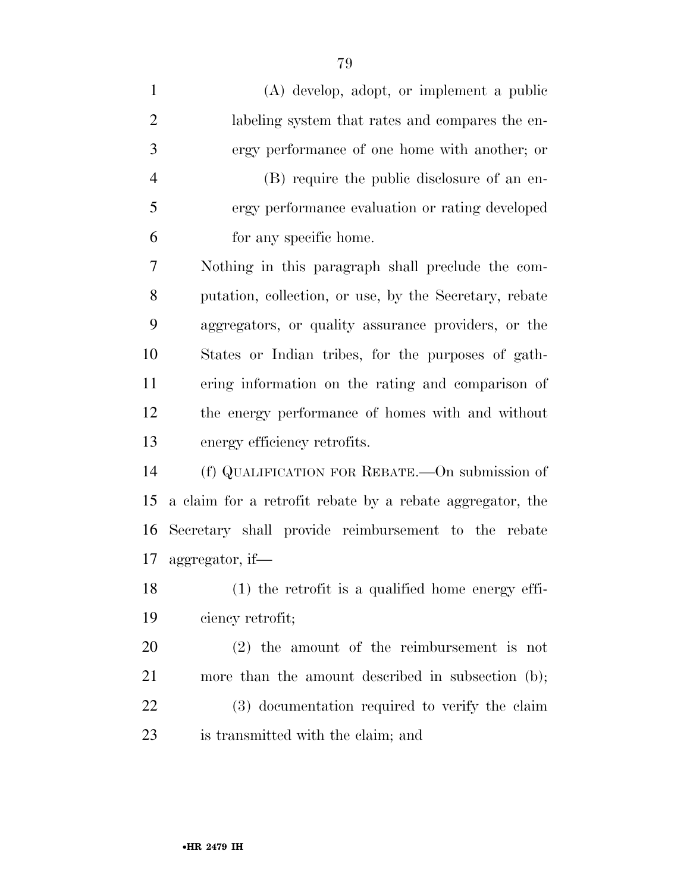| $\mathbf{1}$   | (A) develop, adopt, or implement a public                 |
|----------------|-----------------------------------------------------------|
| $\overline{2}$ | labeling system that rates and compares the en-           |
| 3              | ergy performance of one home with another; or             |
| $\overline{4}$ | (B) require the public disclosure of an en-               |
| 5              | ergy performance evaluation or rating developed           |
| 6              | for any specific home.                                    |
| 7              | Nothing in this paragraph shall preclude the com-         |
| 8              | putation, collection, or use, by the Secretary, rebate    |
| 9              | aggregators, or quality assurance providers, or the       |
| 10             | States or Indian tribes, for the purposes of gath-        |
| 11             | ering information on the rating and comparison of         |
| 12             | the energy performance of homes with and without          |
| 13             | energy efficiency retrofits.                              |
| 14             | (f) QUALIFICATION FOR REBATE.—On submission of            |
| 15             | a claim for a retrofit rebate by a rebate aggregator, the |
| 16             | Secretary shall provide reimbursement to the rebate       |
| 17             | aggregator, if—                                           |
| 18             | (1) the retrofit is a qualified home energy effi-         |
| 19             | ciency retrofit;                                          |
| 20             | $(2)$ the amount of the reimbursement is not              |
| 21             | more than the amount described in subsection (b);         |
| 22             | (3) documentation required to verify the claim            |
| 23             | is transmitted with the claim; and                        |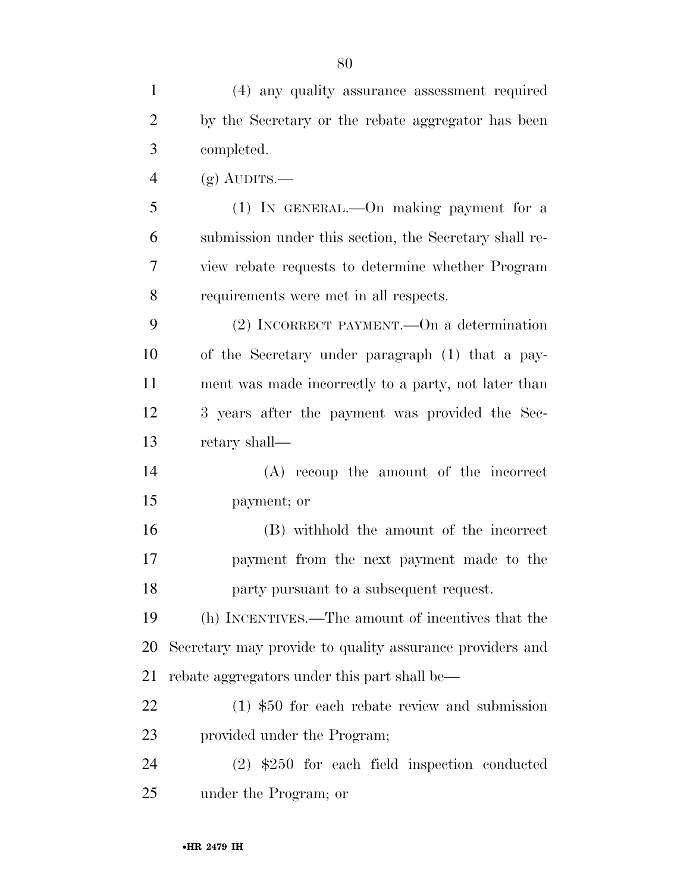(4) any quality assurance assessment required by the Secretary or the rebate aggregator has been completed. 4 (g) AUDITS.— (1) IN GENERAL.—On making payment for a submission under this section, the Secretary shall re- view rebate requests to determine whether Program requirements were met in all respects. (2) INCORRECT PAYMENT.—On a determination of the Secretary under paragraph (1) that a pay- ment was made incorrectly to a party, not later than 3 years after the payment was provided the Sec- retary shall— (A) recoup the amount of the incorrect payment; or (B) withhold the amount of the incorrect payment from the next payment made to the party pursuant to a subsequent request. (h) INCENTIVES.—The amount of incentives that the

 Secretary may provide to quality assurance providers and rebate aggregators under this part shall be—

 (1) \$50 for each rebate review and submission provided under the Program;

 (2) \$250 for each field inspection conducted under the Program; or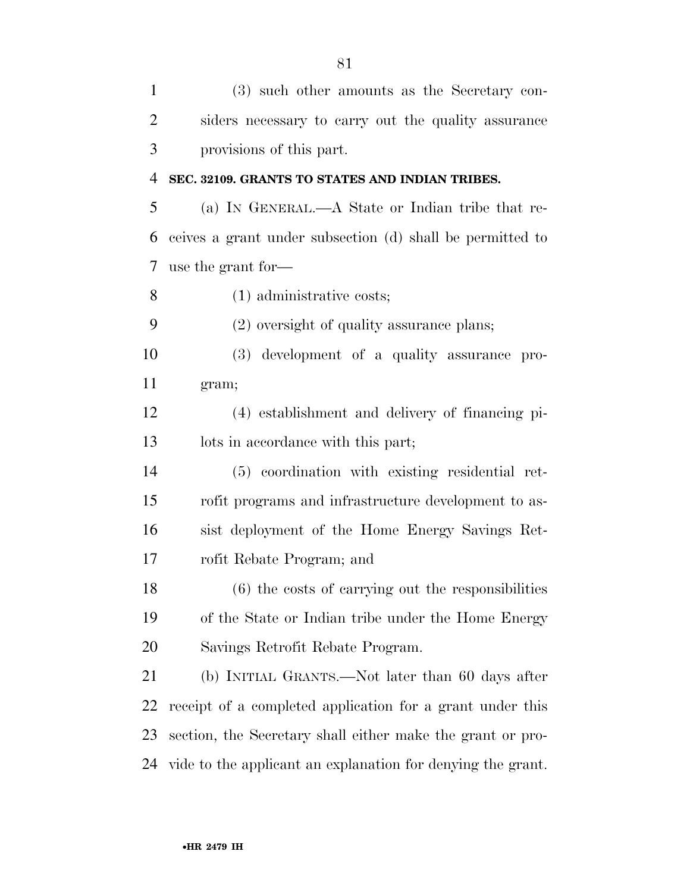| $\mathbf{1}$   | (3) such other amounts as the Secretary con-                |
|----------------|-------------------------------------------------------------|
| $\overline{2}$ | siders necessary to carry out the quality assurance         |
| 3              | provisions of this part.                                    |
| $\overline{4}$ | SEC. 32109. GRANTS TO STATES AND INDIAN TRIBES.             |
| 5              | (a) IN GENERAL.—A State or Indian tribe that re-            |
| 6              | ceives a grant under subsection (d) shall be permitted to   |
| 7              | use the grant for—                                          |
| 8              | $(1)$ administrative costs;                                 |
| 9              | (2) oversight of quality assurance plans;                   |
| 10             | (3) development of a quality assurance pro-                 |
| 11             | gram;                                                       |
| 12             | (4) establishment and delivery of financing pi-             |
| 13             | lots in accordance with this part;                          |
| 14             | (5) coordination with existing residential ret-             |
| 15             | rofit programs and infrastructure development to as-        |
| 16             | sist deployment of the Home Energy Savings Ret-             |
| 17             | rofit Rebate Program; and                                   |
| 18             | $(6)$ the costs of carrying out the responsibilities        |
| 19             | of the State or Indian tribe under the Home Energy          |
| 20             | Savings Retrofit Rebate Program.                            |
| 21             | (b) INITIAL GRANTS.—Not later than 60 days after            |
| 22             | receipt of a completed application for a grant under this   |
| 23             | section, the Secretary shall either make the grant or pro-  |
| 24             | vide to the applicant an explanation for denying the grant. |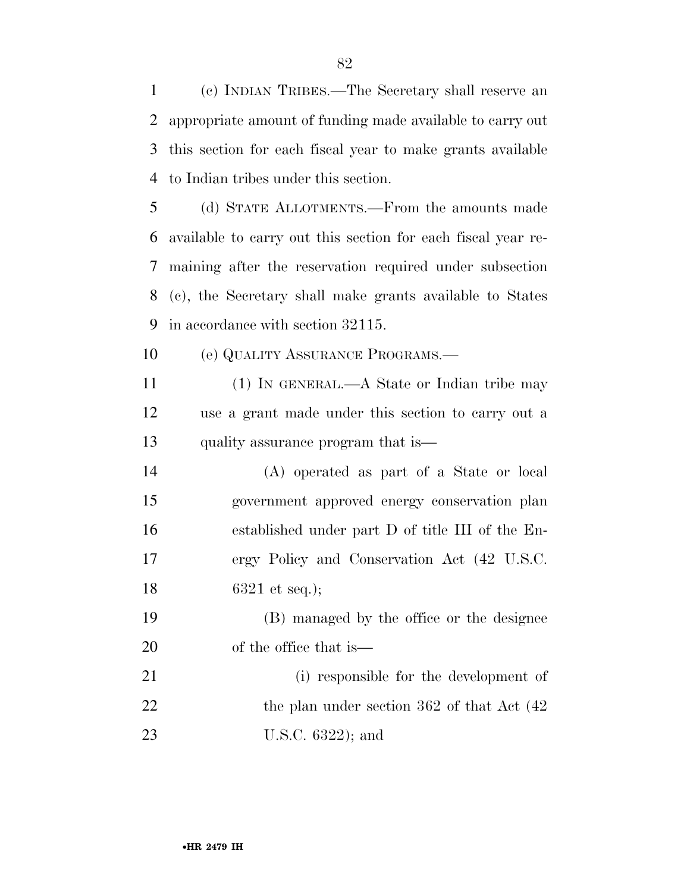(c) INDIAN TRIBES.—The Secretary shall reserve an appropriate amount of funding made available to carry out this section for each fiscal year to make grants available to Indian tribes under this section.

 (d) STATE ALLOTMENTS.—From the amounts made available to carry out this section for each fiscal year re- maining after the reservation required under subsection (c), the Secretary shall make grants available to States in accordance with section 32115.

(e) QUALITY ASSURANCE PROGRAMS.—

 (1) IN GENERAL.—A State or Indian tribe may use a grant made under this section to carry out a quality assurance program that is—

 (A) operated as part of a State or local government approved energy conservation plan established under part D of title III of the En- ergy Policy and Conservation Act (42 U.S.C. 6321 et seq.);

 (B) managed by the office or the designee of the office that is—

 (i) responsible for the development of 22 the plan under section 362 of that Act  $(42)$ U.S.C. 6322); and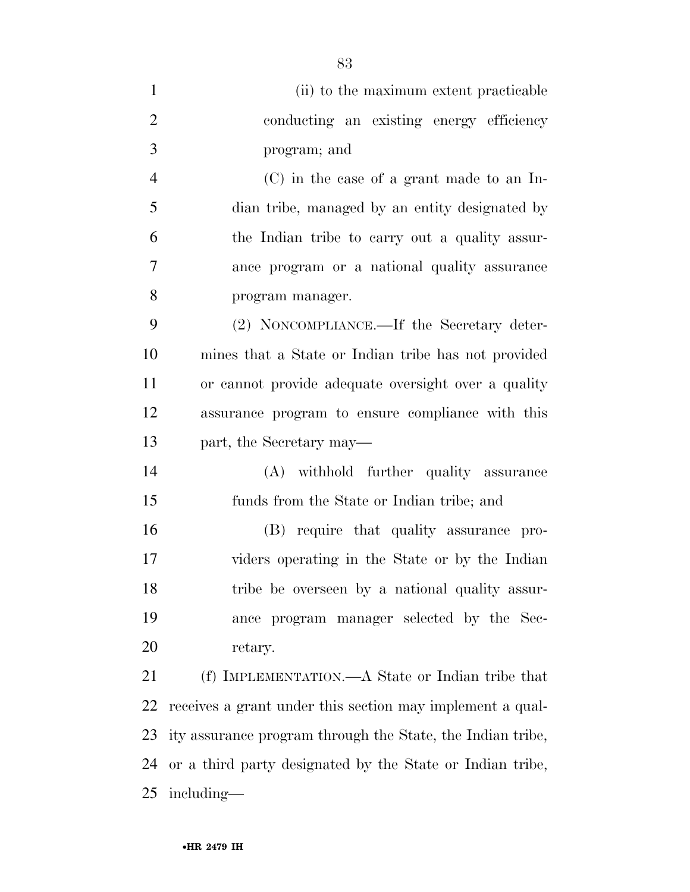| $\mathbf{1}$   | (ii) to the maximum extent practicable                     |
|----------------|------------------------------------------------------------|
| $\overline{2}$ | conducting an existing energy efficiency                   |
| 3              | program; and                                               |
| $\overline{4}$ | $(C)$ in the case of a grant made to an In-                |
| 5              | dian tribe, managed by an entity designated by             |
| 6              | the Indian tribe to carry out a quality assur-             |
| 7              | ance program or a national quality assurance               |
| 8              | program manager.                                           |
| 9              | (2) NONCOMPLIANCE.—If the Secretary deter-                 |
| 10             | mines that a State or Indian tribe has not provided        |
| 11             | or cannot provide adequate oversight over a quality        |
| 12             | assurance program to ensure compliance with this           |
| 13             | part, the Secretary may—                                   |
| 14             | (A) withhold further quality assurance                     |
| 15             | funds from the State or Indian tribe; and                  |
| 16             | (B) require that quality assurance pro-                    |
| 17             | viders operating in the State or by the Indian             |
| 18             | tribe be overseen by a national quality assur-             |
| 19             | ance program manager selected by the Sec-                  |
| 20             | retary.                                                    |
| 21             | (f) IMPLEMENTATION.—A State or Indian tribe that           |
| 22             | receives a grant under this section may implement a qual-  |
| 23             | ity assurance program through the State, the Indian tribe, |
| 24             | or a third party designated by the State or Indian tribe,  |
| 25             | including—                                                 |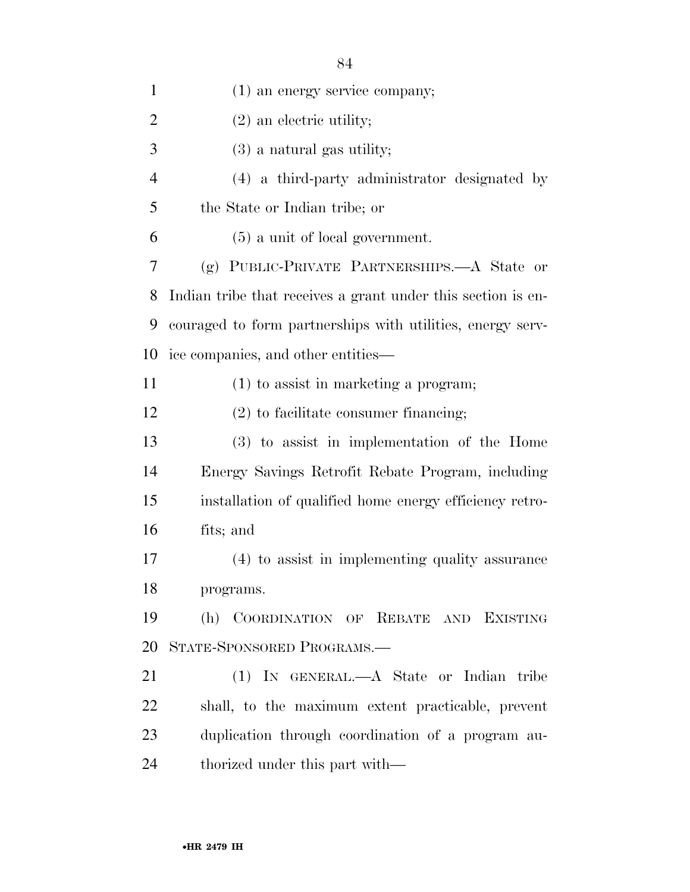| $\mathbf{1}$   | $(1)$ an energy service company;                             |
|----------------|--------------------------------------------------------------|
| $\overline{2}$ | $(2)$ an electric utility;                                   |
| 3              | $(3)$ a natural gas utility;                                 |
| $\overline{4}$ | (4) a third-party administrator designated by                |
| 5              | the State or Indian tribe; or                                |
| 6              | $(5)$ a unit of local government.                            |
| 7              | (g) PUBLIC-PRIVATE PARTNERSHIPS.—A State or                  |
| 8              | Indian tribe that receives a grant under this section is en- |
| 9              | couraged to form partnerships with utilities, energy serv-   |
| 10             | ice companies, and other entities—                           |
| 11             | $(1)$ to assist in marketing a program;                      |
| 12             | $(2)$ to facilitate consumer financing;                      |
| 13             | (3) to assist in implementation of the Home                  |
| 14             | Energy Savings Retrofit Rebate Program, including            |
| 15             | installation of qualified home energy efficiency retro-      |
| 16             | fits; and                                                    |
| 17             | (4) to assist in implementing quality assurance              |
| 18             | programs.                                                    |
| 19             | (h) COORDINATION OF REBATE AND EXISTING                      |
| 20             | STATE-SPONSORED PROGRAMS.-                                   |
| 21             | (1) IN GENERAL.—A State or Indian tribe                      |
| 22             | shall, to the maximum extent practicable, prevent            |
| 23             | duplication through coordination of a program au-            |
| 24             | thorized under this part with—                               |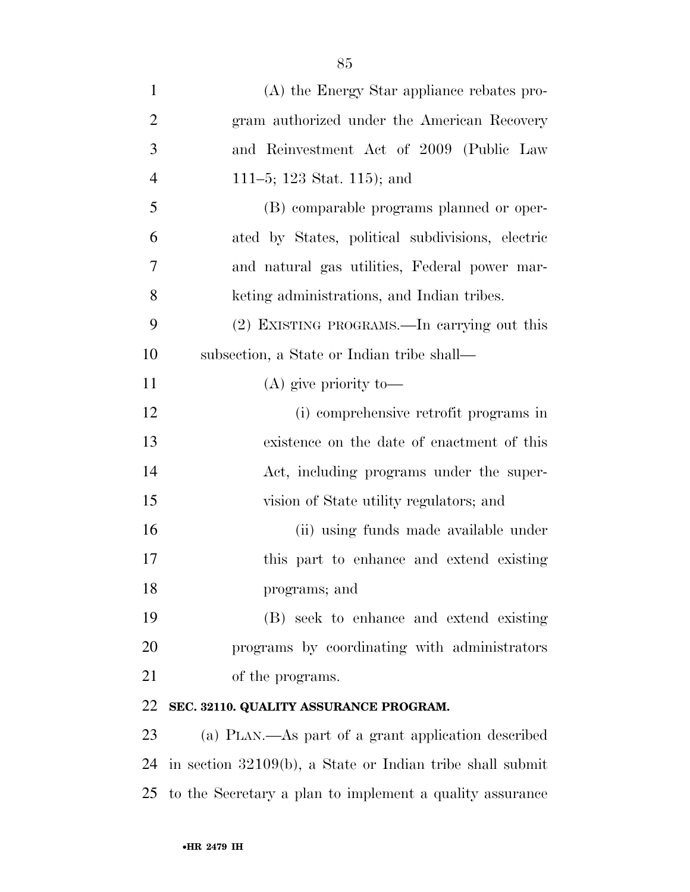| $\mathbf{1}$   | (A) the Energy Star appliance rebates pro-                   |
|----------------|--------------------------------------------------------------|
| $\overline{2}$ | gram authorized under the American Recovery                  |
| 3              | and Reinvestment Act of 2009 (Public Law                     |
| $\overline{4}$ | 111–5; 123 Stat. 115); and                                   |
| 5              | (B) comparable programs planned or oper-                     |
| 6              | ated by States, political subdivisions, electric             |
| 7              | and natural gas utilities, Federal power mar-                |
| 8              | keting administrations, and Indian tribes.                   |
| 9              | (2) EXISTING PROGRAMS.—In carrying out this                  |
| 10             | subsection, a State or Indian tribe shall—                   |
| 11             | $(A)$ give priority to —                                     |
| 12             | (i) comprehensive retrofit programs in                       |
| 13             | existence on the date of enactment of this                   |
| 14             | Act, including programs under the super-                     |
| 15             | vision of State utility regulators; and                      |
| 16             | (ii) using funds made available under                        |
| 17             | this part to enhance and extend existing                     |
| 18             | programs; and                                                |
| 19             | (B) seek to enhance and extend existing                      |
| 20             | programs by coordinating with administrators                 |
| 21             | of the programs.                                             |
| 22             | SEC. 32110. QUALITY ASSURANCE PROGRAM.                       |
| 23             | (a) PLAN.—As part of a grant application described           |
| 24             | in section $32109(b)$ , a State or Indian tribe shall submit |
| 25             | to the Secretary a plan to implement a quality assurance     |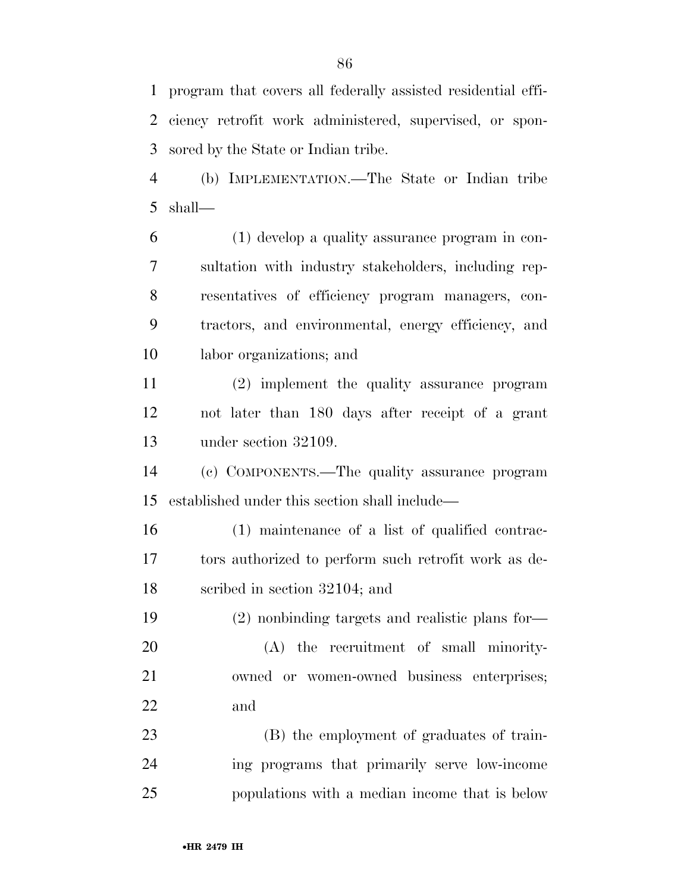program that covers all federally assisted residential effi- ciency retrofit work administered, supervised, or spon-sored by the State or Indian tribe.

 (b) IMPLEMENTATION.—The State or Indian tribe shall—

 (1) develop a quality assurance program in con- sultation with industry stakeholders, including rep- resentatives of efficiency program managers, con- tractors, and environmental, energy efficiency, and labor organizations; and

 (2) implement the quality assurance program not later than 180 days after receipt of a grant under section 32109.

 (c) COMPONENTS.—The quality assurance program established under this section shall include—

 (1) maintenance of a list of qualified contrac- tors authorized to perform such retrofit work as de-scribed in section 32104; and

 (2) nonbinding targets and realistic plans for— (A) the recruitment of small minority- owned or women-owned business enterprises; and

 (B) the employment of graduates of train- ing programs that primarily serve low-income populations with a median income that is below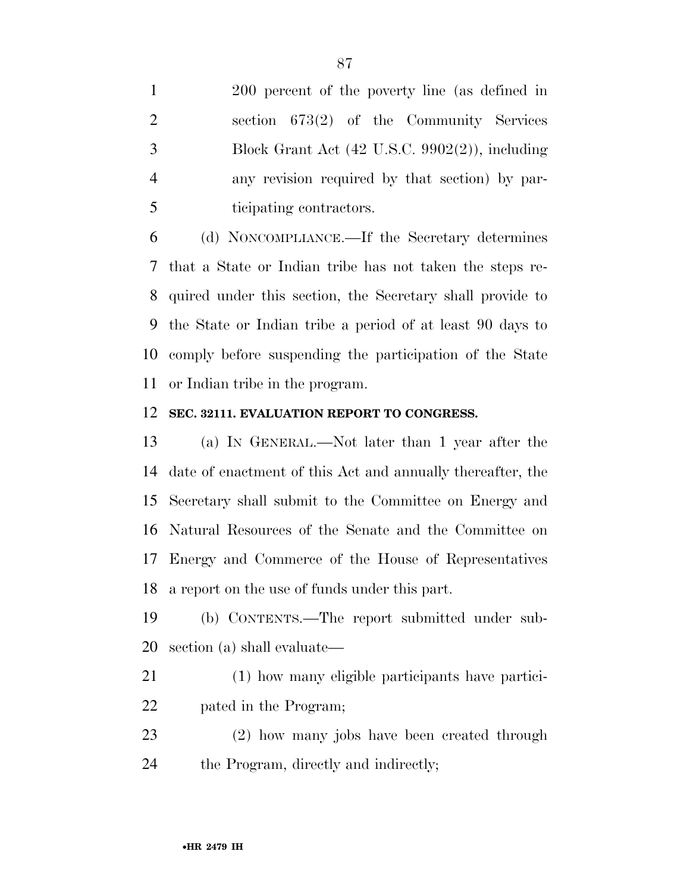200 percent of the poverty line (as defined in section 673(2) of the Community Services Block Grant Act (42 U.S.C. 9902(2)), including any revision required by that section) by par-ticipating contractors.

 (d) NONCOMPLIANCE.—If the Secretary determines that a State or Indian tribe has not taken the steps re- quired under this section, the Secretary shall provide to the State or Indian tribe a period of at least 90 days to comply before suspending the participation of the State or Indian tribe in the program.

#### **SEC. 32111. EVALUATION REPORT TO CONGRESS.**

 (a) IN GENERAL.—Not later than 1 year after the date of enactment of this Act and annually thereafter, the Secretary shall submit to the Committee on Energy and Natural Resources of the Senate and the Committee on Energy and Commerce of the House of Representatives a report on the use of funds under this part.

 (b) CONTENTS.—The report submitted under sub-section (a) shall evaluate—

- (1) how many eligible participants have partici-pated in the Program;
- (2) how many jobs have been created through the Program, directly and indirectly;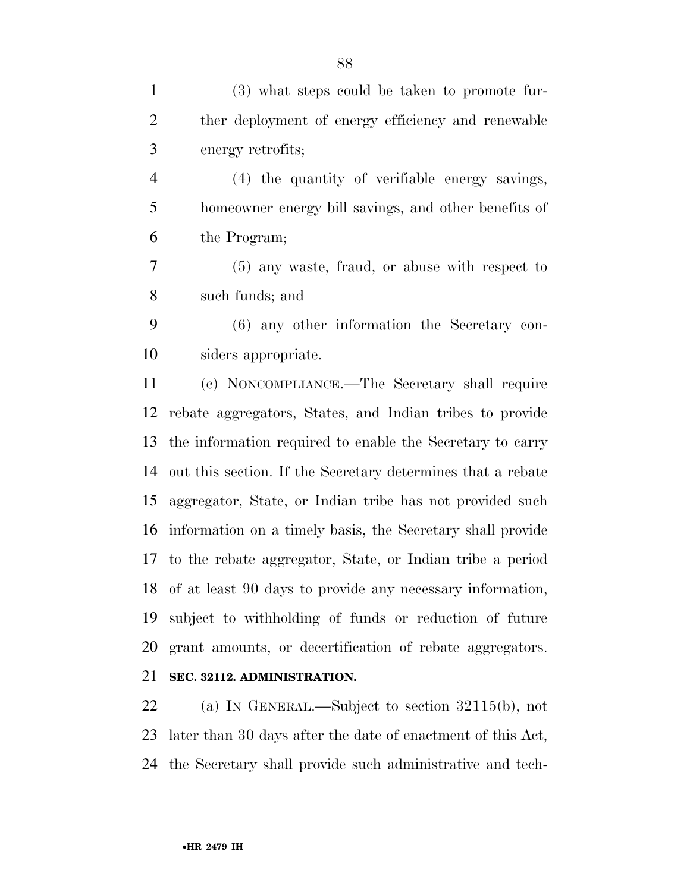(3) what steps could be taken to promote fur- ther deployment of energy efficiency and renewable energy retrofits; (4) the quantity of verifiable energy savings, homeowner energy bill savings, and other benefits of the Program; (5) any waste, fraud, or abuse with respect to such funds; and (6) any other information the Secretary con- siders appropriate. (c) NONCOMPLIANCE.—The Secretary shall require rebate aggregators, States, and Indian tribes to provide the information required to enable the Secretary to carry out this section. If the Secretary determines that a rebate aggregator, State, or Indian tribe has not provided such information on a timely basis, the Secretary shall provide to the rebate aggregator, State, or Indian tribe a period of at least 90 days to provide any necessary information, subject to withholding of funds or reduction of future

**SEC. 32112. ADMINISTRATION.** 

 (a) IN GENERAL.—Subject to section 32115(b), not later than 30 days after the date of enactment of this Act, the Secretary shall provide such administrative and tech-

grant amounts, or decertification of rebate aggregators.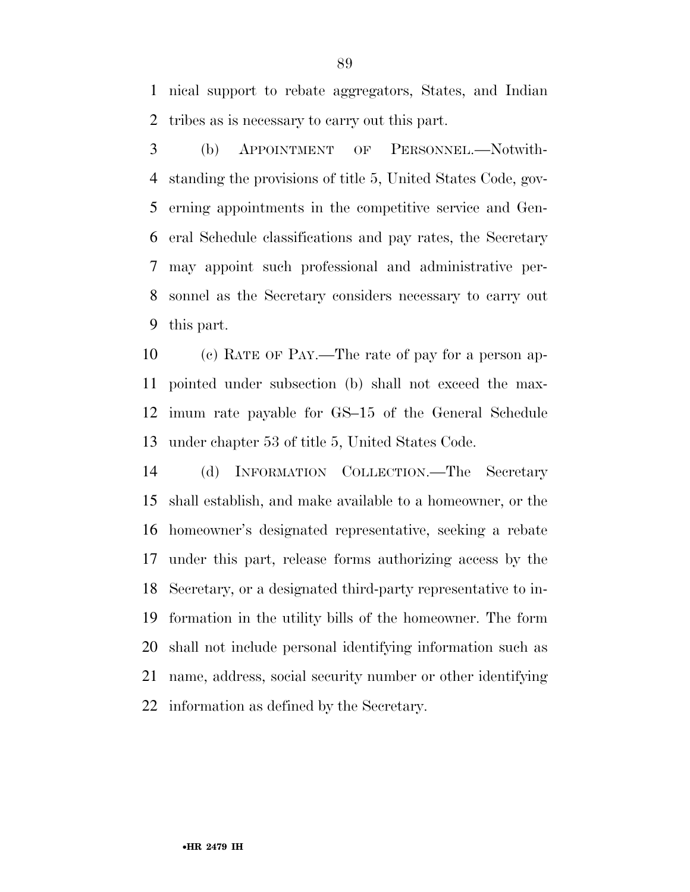nical support to rebate aggregators, States, and Indian tribes as is necessary to carry out this part.

 (b) APPOINTMENT OF PERSONNEL.—Notwith- standing the provisions of title 5, United States Code, gov- erning appointments in the competitive service and Gen- eral Schedule classifications and pay rates, the Secretary may appoint such professional and administrative per- sonnel as the Secretary considers necessary to carry out this part.

 (c) RATE OF PAY.—The rate of pay for a person ap- pointed under subsection (b) shall not exceed the max- imum rate payable for GS–15 of the General Schedule under chapter 53 of title 5, United States Code.

 (d) INFORMATION COLLECTION.—The Secretary shall establish, and make available to a homeowner, or the homeowner's designated representative, seeking a rebate under this part, release forms authorizing access by the Secretary, or a designated third-party representative to in- formation in the utility bills of the homeowner. The form shall not include personal identifying information such as name, address, social security number or other identifying information as defined by the Secretary.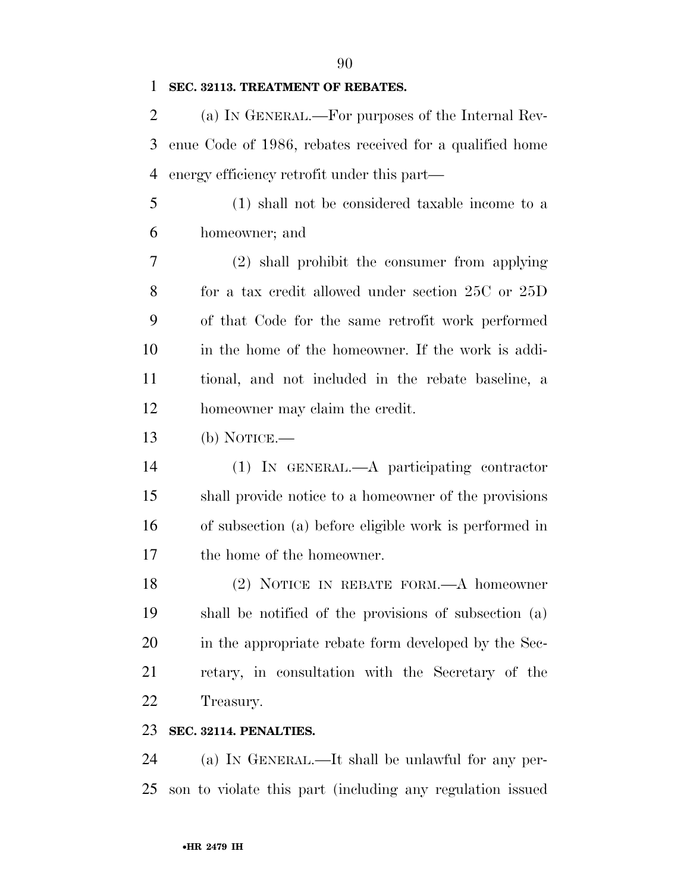### **SEC. 32113. TREATMENT OF REBATES.**

 (a) IN GENERAL.—For purposes of the Internal Rev- enue Code of 1986, rebates received for a qualified home energy efficiency retrofit under this part—

 (1) shall not be considered taxable income to a homeowner; and

 (2) shall prohibit the consumer from applying for a tax credit allowed under section 25C or 25D of that Code for the same retrofit work performed in the home of the homeowner. If the work is addi- tional, and not included in the rebate baseline, a homeowner may claim the credit.

- (b) NOTICE.—
- (1) IN GENERAL.—A participating contractor shall provide notice to a homeowner of the provisions of subsection (a) before eligible work is performed in the home of the homeowner.

 (2) NOTICE IN REBATE FORM.—A homeowner shall be notified of the provisions of subsection (a) in the appropriate rebate form developed by the Sec- retary, in consultation with the Secretary of the Treasury.

## **SEC. 32114. PENALTIES.**

 (a) IN GENERAL.—It shall be unlawful for any per-son to violate this part (including any regulation issued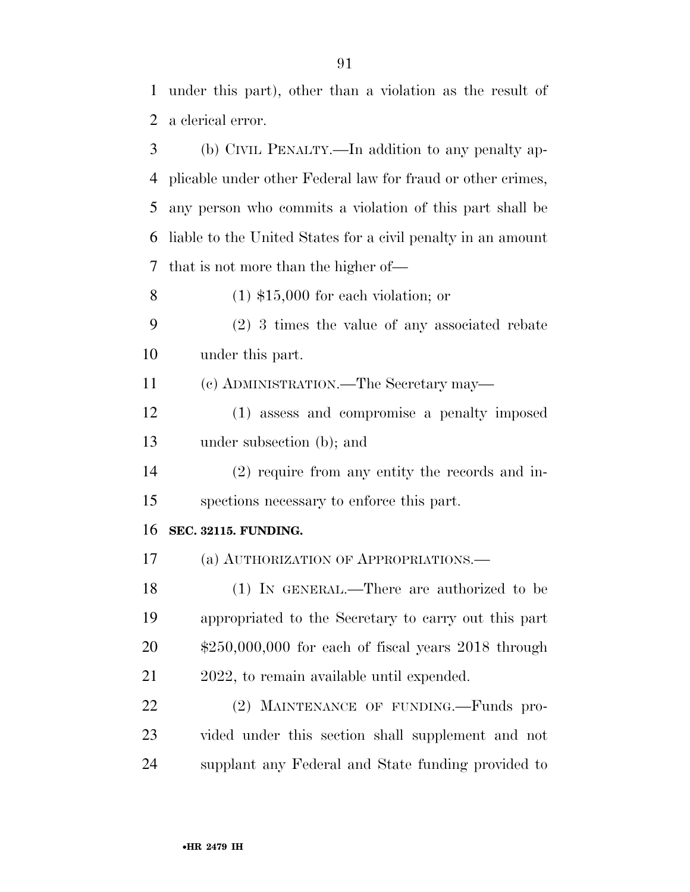under this part), other than a violation as the result of a clerical error.

 (b) CIVIL PENALTY.—In addition to any penalty ap- plicable under other Federal law for fraud or other crimes, any person who commits a violation of this part shall be liable to the United States for a civil penalty in an amount that is not more than the higher of—

(1) \$15,000 for each violation; or

 (2) 3 times the value of any associated rebate under this part.

(c) ADMINISTRATION.—The Secretary may—

 (1) assess and compromise a penalty imposed under subsection (b); and

 (2) require from any entity the records and in-spections necessary to enforce this part.

#### **SEC. 32115. FUNDING.**

(a) AUTHORIZATION OF APPROPRIATIONS.—

 (1) IN GENERAL.—There are authorized to be appropriated to the Secretary to carry out this part \$250,000,000 for each of fiscal years 2018 through 2022, to remain available until expended.

22 (2) MAINTENANCE OF FUNDING.—Funds pro- vided under this section shall supplement and not supplant any Federal and State funding provided to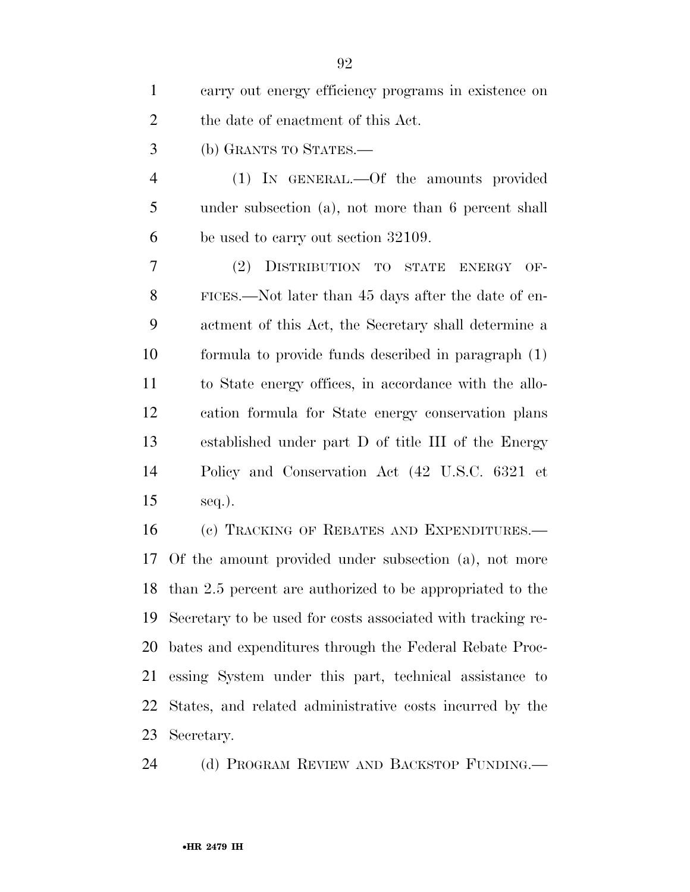| $\mathbf{1}$   | carry out energy efficiency programs in existence on         |
|----------------|--------------------------------------------------------------|
| $\overline{2}$ | the date of enactment of this Act.                           |
| 3              | (b) GRANTS TO STATES.—                                       |
| $\overline{4}$ | (1) IN GENERAL.—Of the amounts provided                      |
| 5              | under subsection (a), not more than 6 percent shall          |
| 6              | be used to carry out section 32109.                          |
| 7              | (2) DISTRIBUTION TO STATE<br>$OF-$<br><b>ENERGY</b>          |
| 8              | FICES.—Not later than 45 days after the date of en-          |
| 9              | actment of this Act, the Secretary shall determine a         |
| 10             | formula to provide funds described in paragraph (1)          |
| 11             | to State energy offices, in accordance with the allo-        |
| 12             | cation formula for State energy conservation plans           |
| 13             | established under part D of title III of the Energy          |
| 14             | Policy and Conservation Act (42 U.S.C. 6321 et               |
| 15             | $seq.$ ).                                                    |
| 16             | (c) TRACKING OF REBATES AND EXPENDITURES.-                   |
| 17             | Of the amount provided under subsection (a), not more        |
|                | 18 than 2.5 percent are authorized to be appropriated to the |
| 19             | Secretary to be used for costs associated with tracking re-  |
| 20             | bates and expenditures through the Federal Rebate Proc-      |
| 21             | essing System under this part, technical assistance to       |
| 22             | States, and related administrative costs incurred by the     |

Secretary.

(d) PROGRAM REVIEW AND BACKSTOP FUNDING.—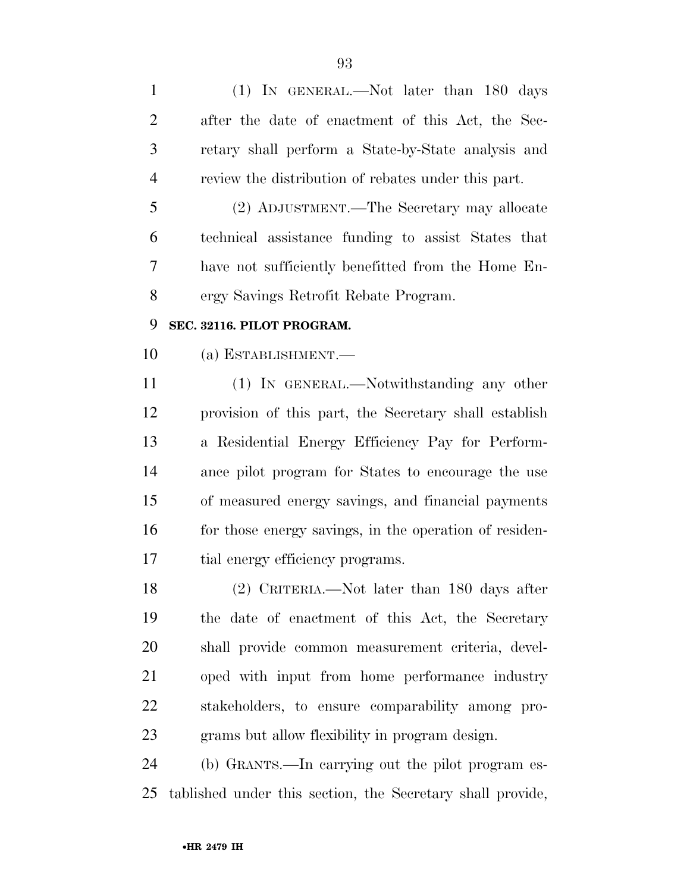| $\mathbf{1}$   | (1) IN GENERAL.—Not later than 180 days                |
|----------------|--------------------------------------------------------|
| $\overline{2}$ | after the date of enactment of this Act, the Sec-      |
| 3              | retary shall perform a State-by-State analysis and     |
| $\overline{4}$ | review the distribution of rebates under this part.    |
| 5              | (2) ADJUSTMENT.—The Secretary may allocate             |
| 6              | technical assistance funding to assist States that     |
| 7              | have not sufficiently benefitted from the Home En-     |
| 8              | ergy Savings Retrofit Rebate Program.                  |
| 9              | SEC. 32116. PILOT PROGRAM.                             |
| 10             | (a) ESTABLISHMENT.—                                    |
| 11             | (1) IN GENERAL.—Notwithstanding any other              |
| 12             | provision of this part, the Secretary shall establish  |
| 13             | a Residential Energy Efficiency Pay for Perform-       |
| 14             | ance pilot program for States to encourage the use     |
| 15             | of measured energy savings, and financial payments     |
| 16             | for those energy savings, in the operation of residen- |
| 17             | tial energy efficiency programs.                       |
| 18             | $(2)$ CRITERIA.—Not later than 180 days after          |
| 19             | the date of enactment of this Act, the Secretary       |
| 20             | shall provide common measurement criteria, devel-      |
| 21             | oped with input from home performance industry         |
| 22             | stakeholders, to ensure comparability among pro-       |
| 23             | grams but allow flexibility in program design.         |
| 24             | (b) GRANTS.—In carrying out the pilot program es-      |
|                |                                                        |

tablished under this section, the Secretary shall provide,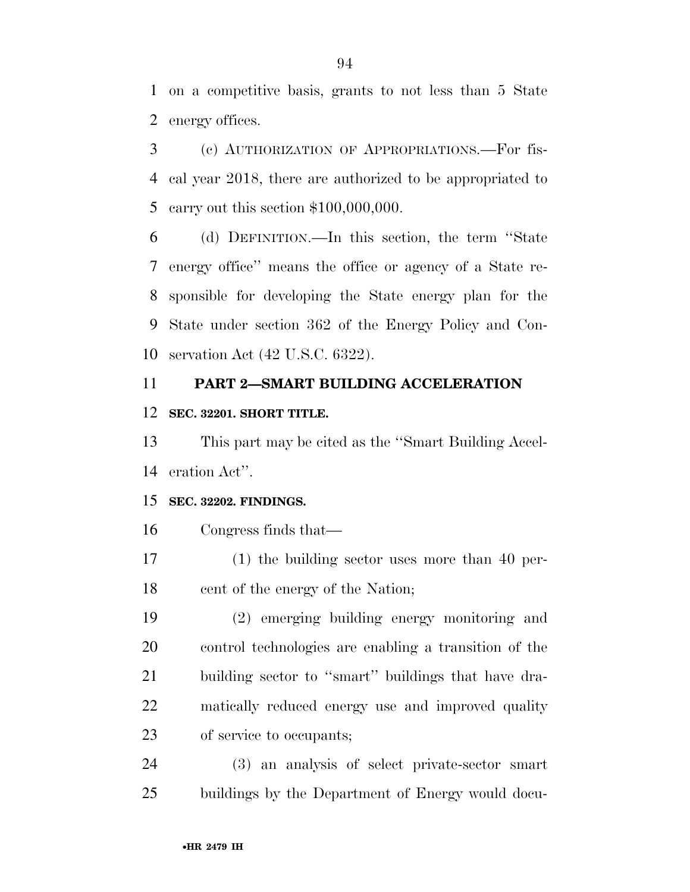on a competitive basis, grants to not less than 5 State energy offices.

 (c) AUTHORIZATION OF APPROPRIATIONS.—For fis- cal year 2018, there are authorized to be appropriated to carry out this section \$100,000,000.

 (d) DEFINITION.—In this section, the term ''State energy office'' means the office or agency of a State re- sponsible for developing the State energy plan for the State under section 362 of the Energy Policy and Con-servation Act (42 U.S.C. 6322).

## **PART 2—SMART BUILDING ACCELERATION**

#### **SEC. 32201. SHORT TITLE.**

 This part may be cited as the ''Smart Building Accel-eration Act''.

## **SEC. 32202. FINDINGS.**

## Congress finds that—

 (1) the building sector uses more than 40 per-cent of the energy of the Nation;

 (2) emerging building energy monitoring and control technologies are enabling a transition of the building sector to ''smart'' buildings that have dra- matically reduced energy use and improved quality of service to occupants;

 (3) an analysis of select private-sector smart buildings by the Department of Energy would docu-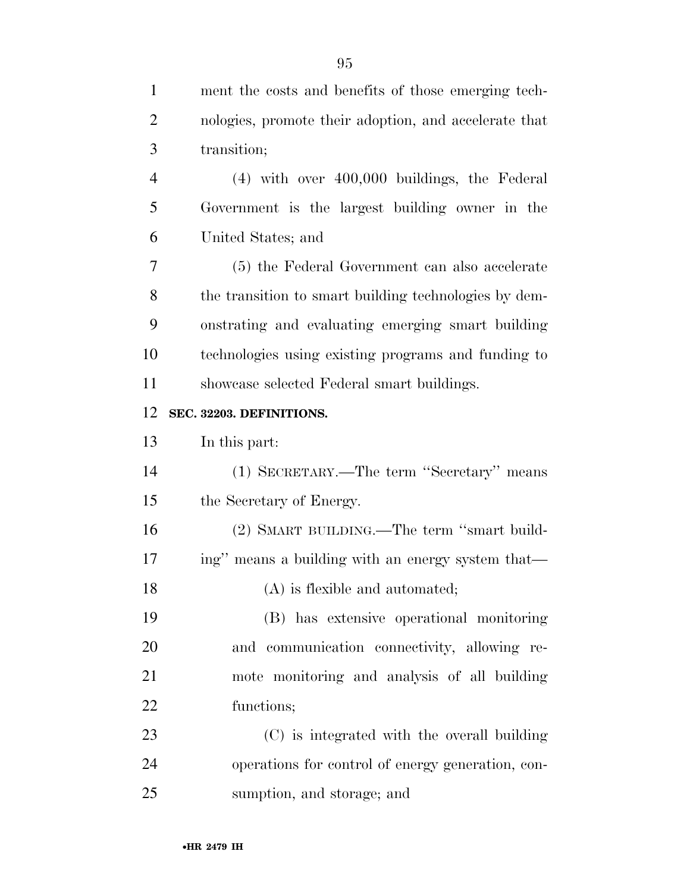| $\mathbf{1}$   | ment the costs and benefits of those emerging tech-   |
|----------------|-------------------------------------------------------|
| $\overline{c}$ | nologies, promote their adoption, and accelerate that |
| 3              | transition;                                           |
| $\overline{4}$ | $(4)$ with over $400,000$ buildings, the Federal      |
| 5              | Government is the largest building owner in the       |
| 6              | United States; and                                    |
| 7              | (5) the Federal Government can also accelerate        |
| 8              | the transition to smart building technologies by dem- |
| 9              | onstrating and evaluating emerging smart building     |
| 10             | technologies using existing programs and funding to   |
| 11             | showcase selected Federal smart buildings.            |
| 12             | SEC. 32203. DEFINITIONS.                              |
| 13             | In this part:                                         |
| 14             | (1) SECRETARY.—The term "Secretary" means             |
| 15             | the Secretary of Energy.                              |
| 16             | (2) SMART BUILDING.—The term "smart build-            |
| 17             | ing" means a building with an energy system that—     |
| 18             | (A) is flexible and automated;                        |
| 19             | (B) has extensive operational monitoring              |
| 20             | and communication connectivity, allowing re-          |
| 21             | mote monitoring and analysis of all building          |
| 22             | functions;                                            |
| 23             | (C) is integrated with the overall building           |
| 24             | operations for control of energy generation, con-     |
| 25             | sumption, and storage; and                            |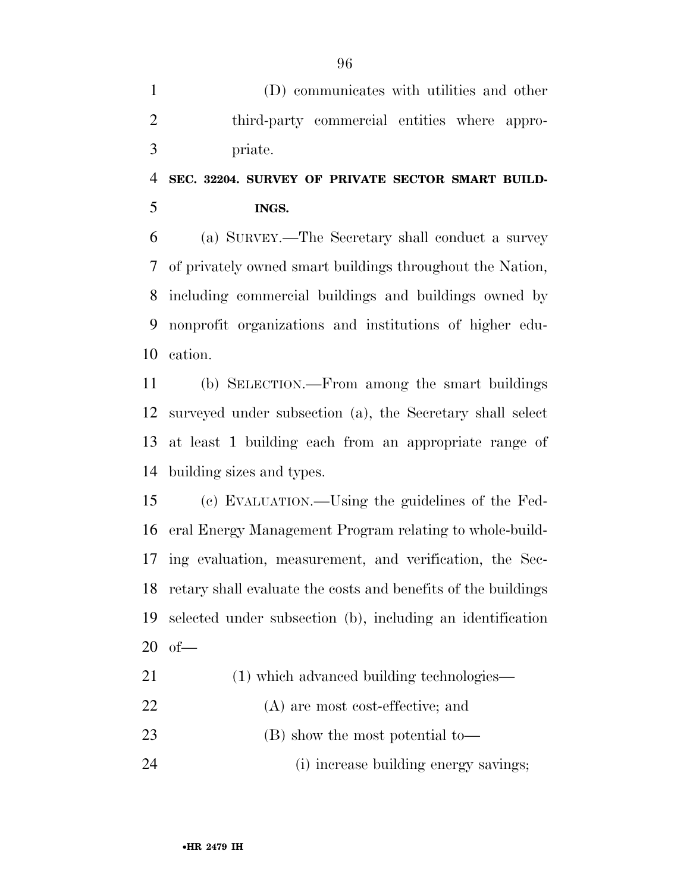(D) communicates with utilities and other third-party commercial entities where appro-priate.

# **SEC. 32204. SURVEY OF PRIVATE SECTOR SMART BUILD-INGS.**

 (a) SURVEY.—The Secretary shall conduct a survey of privately owned smart buildings throughout the Nation, including commercial buildings and buildings owned by nonprofit organizations and institutions of higher edu-cation.

 (b) SELECTION.—From among the smart buildings surveyed under subsection (a), the Secretary shall select at least 1 building each from an appropriate range of building sizes and types.

 (c) EVALUATION.—Using the guidelines of the Fed- eral Energy Management Program relating to whole-build- ing evaluation, measurement, and verification, the Sec- retary shall evaluate the costs and benefits of the buildings selected under subsection (b), including an identification of—

| 21 |  |  | (1) which advanced building technologies— |  |
|----|--|--|-------------------------------------------|--|
|    |  |  |                                           |  |

- (A) are most cost-effective; and
- (B) show the most potential to—

(i) increase building energy savings;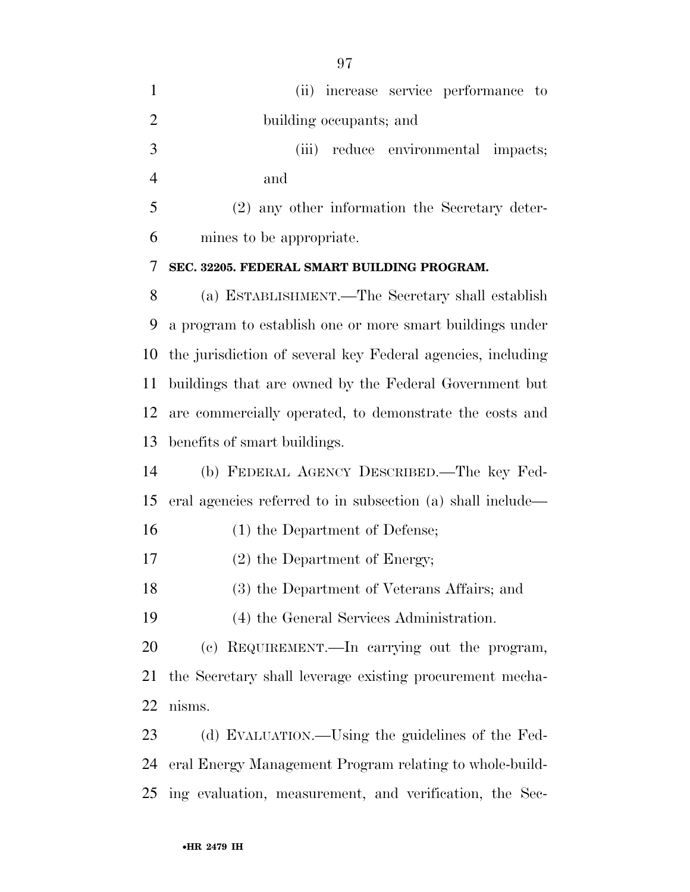| $\mathbf{1}$   | (ii) increase service performance to                        |
|----------------|-------------------------------------------------------------|
| $\overline{2}$ | building occupants; and                                     |
| 3              | reduce environmental impacts;<br>(iii)                      |
| $\overline{4}$ | and                                                         |
| 5              | (2) any other information the Secretary deter-              |
| 6              | mines to be appropriate.                                    |
| 7              | SEC. 32205. FEDERAL SMART BUILDING PROGRAM.                 |
| 8              | (a) ESTABLISHMENT.—The Secretary shall establish            |
| 9              | a program to establish one or more smart buildings under    |
| 10             | the jurisdiction of several key Federal agencies, including |
| 11             | buildings that are owned by the Federal Government but      |
| 12             | are commercially operated, to demonstrate the costs and     |
| 13             | benefits of smart buildings.                                |
| 14             | (b) FEDERAL AGENCY DESCRIBED.—The key Fed-                  |
| 15             | eral agencies referred to in subsection (a) shall include—  |
| 16             | (1) the Department of Defense;                              |
| 17             | $(2)$ the Department of Energy;                             |
| 18             | (3) the Department of Veterans Affairs; and                 |
| 19             | (4) the General Services Administration.                    |
| 20             | (c) REQUIREMENT.—In carrying out the program,               |
| 21             | the Secretary shall leverage existing procurement mecha-    |
| 22             | nisms.                                                      |
| 23             | (d) EVALUATION.—Using the guidelines of the Fed-            |
| 24             | eral Energy Management Program relating to whole-build-     |
| 25             | ing evaluation, measurement, and verification, the Sec-     |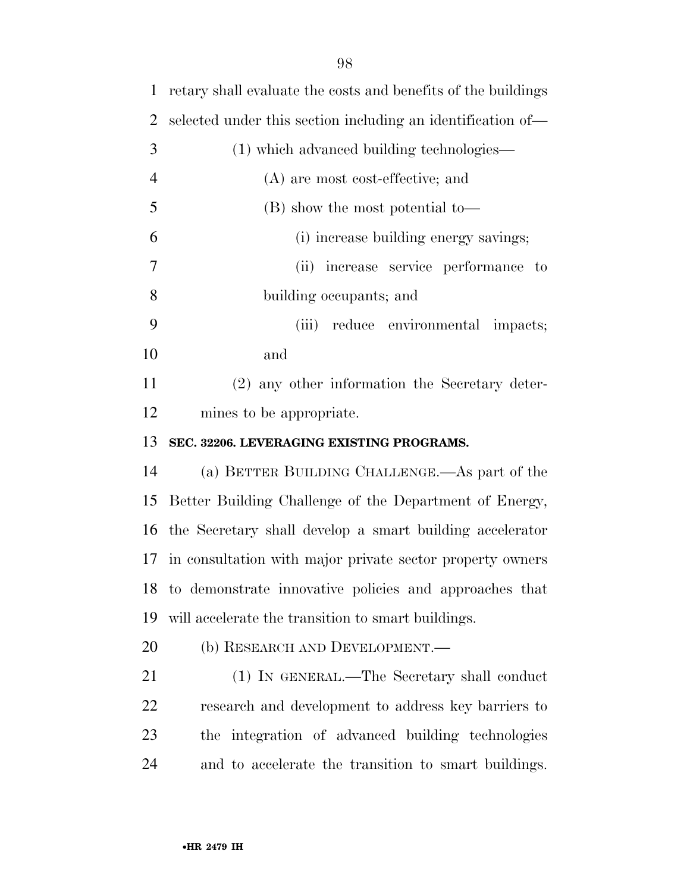| 1              | retary shall evaluate the costs and benefits of the buildings |
|----------------|---------------------------------------------------------------|
| $\overline{2}$ | selected under this section including an identification of—   |
| 3              | (1) which advanced building technologies—                     |
| $\overline{4}$ | (A) are most cost-effective; and                              |
| 5              | (B) show the most potential to-                               |
| 6              | (i) increase building energy savings;                         |
| 7              | (ii) increase service performance to                          |
| 8              | building occupants; and                                       |
| 9              | (iii)<br>reduce environmental impacts;                        |
| 10             | and                                                           |
| 11             | (2) any other information the Secretary deter-                |
| 12             | mines to be appropriate.                                      |
|                |                                                               |
| 13             | SEC. 32206. LEVERAGING EXISTING PROGRAMS.                     |
| 14             | (a) BETTER BUILDING CHALLENGE.—As part of the                 |
| 15             | Better Building Challenge of the Department of Energy,        |
| 16             | the Secretary shall develop a smart building accelerator      |
|                | 17 in consultation with major private sector property owners  |
|                | 18 to demonstrate innovative policies and approaches that     |
| 19             | will accelerate the transition to smart buildings.            |
| 20             | (b) RESEARCH AND DEVELOPMENT.—                                |
| 21             | (1) IN GENERAL.—The Secretary shall conduct                   |
| 22             | research and development to address key barriers to           |
| 23             | the integration of advanced building technologies             |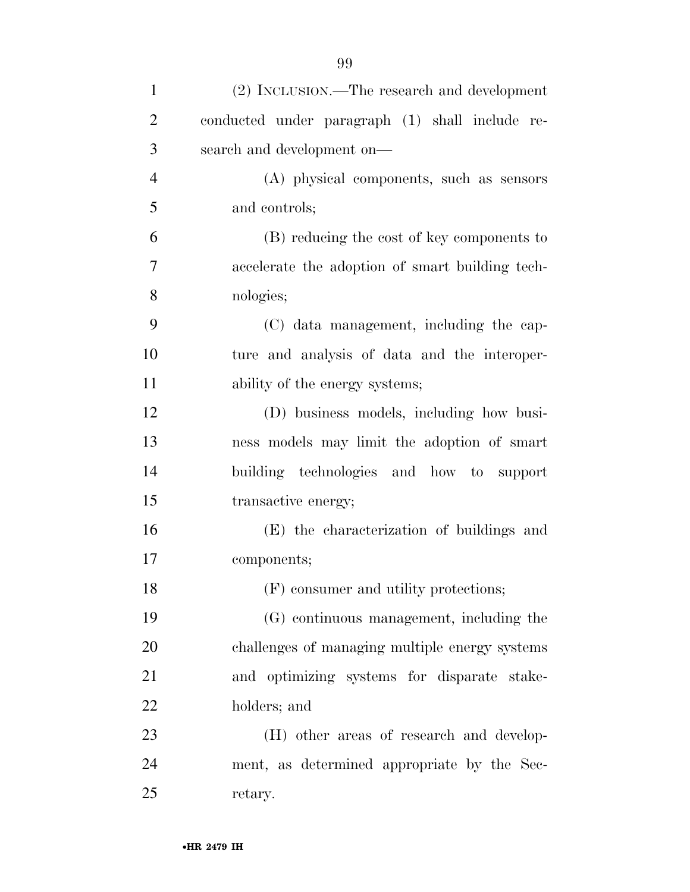| $\mathbf{1}$   | (2) INCLUSION.—The research and development     |
|----------------|-------------------------------------------------|
| $\overline{2}$ | conducted under paragraph (1) shall include re- |
| 3              | search and development on—                      |
| $\overline{4}$ | (A) physical components, such as sensors        |
| 5              | and controls;                                   |
| 6              | (B) reducing the cost of key components to      |
| 7              | accelerate the adoption of smart building tech- |
| 8              | nologies;                                       |
| 9              | (C) data management, including the cap-         |
| 10             | ture and analysis of data and the interoper-    |
| 11             | ability of the energy systems;                  |
| 12             | (D) business models, including how busi-        |
| 13             | ness models may limit the adoption of smart     |
| 14             | building technologies and how to support        |
| 15             | transactive energy;                             |
| 16             | (E) the characterization of buildings and       |
| 17             | components;                                     |
| 18             | (F) consumer and utility protections;           |
| 19             | (G) continuous management, including the        |
| 20             | challenges of managing multiple energy systems  |
| 21             | and optimizing systems for disparate stake-     |
| 22             | holders; and                                    |
| 23             | (H) other areas of research and develop-        |
| 24             | ment, as determined appropriate by the Sec-     |
| 25             | retary.                                         |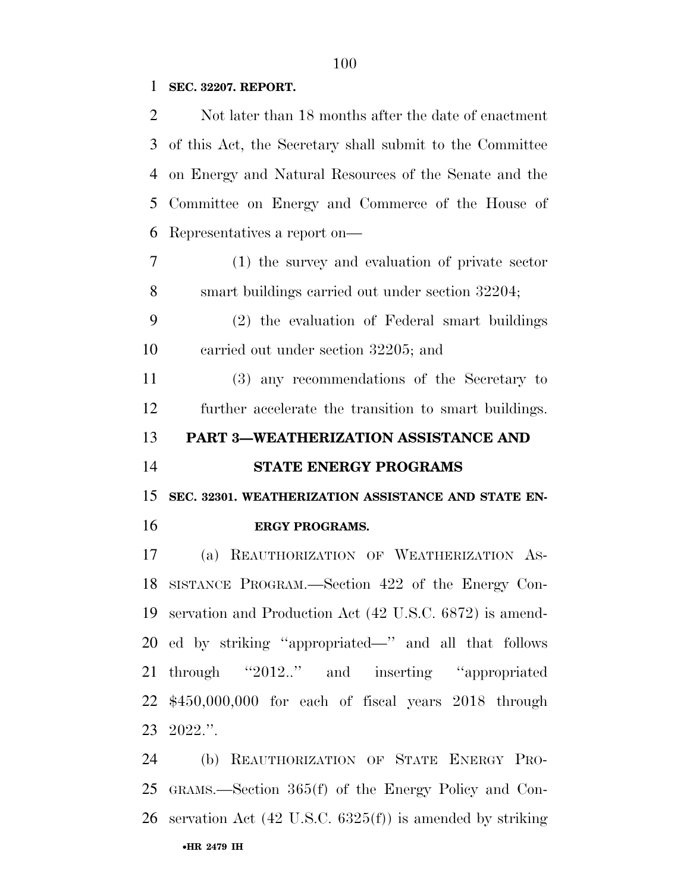## **SEC. 32207. REPORT.**

| $\overline{2}$ | Not later than 18 months after the date of enactment                |
|----------------|---------------------------------------------------------------------|
| 3              | of this Act, the Secretary shall submit to the Committee            |
| 4              | on Energy and Natural Resources of the Senate and the               |
| 5              | Committee on Energy and Commerce of the House of                    |
| 6              | Representatives a report on—                                        |
| $\overline{7}$ | (1) the survey and evaluation of private sector                     |
| 8              | smart buildings carried out under section 32204;                    |
| 9              | (2) the evaluation of Federal smart buildings                       |
| 10             | carried out under section 32205; and                                |
| 11             | (3) any recommendations of the Secretary to                         |
| 12             | further accelerate the transition to smart buildings.               |
| 13             | PART 3-WEATHERIZATION ASSISTANCE AND                                |
| 14             | STATE ENERGY PROGRAMS                                               |
|                |                                                                     |
|                | SEC. 32301. WEATHERIZATION ASSISTANCE AND STATE EN-                 |
| 15<br>16       | <b>ERGY PROGRAMS.</b>                                               |
| 17             | REAUTHORIZATION OF WEATHERIZATION AS-<br>(a)                        |
| 18             | SISTANCE PROGRAM.—Section 422 of the Energy Con-                    |
|                | 19 servation and Production Act (42 U.S.C. 6872) is amend-          |
|                | 20 ed by striking "appropriated—" and all that follows              |
|                | 21 through "2012" and inserting "appropriated                       |
|                | $22$ \$450,000,000 for each of fiscal years $2018$ through          |
|                | 23 2022.".                                                          |
| 24             | (b) REAUTHORIZATION OF STATE ENERGY PRO-                            |
| 25             | GRAMS.—Section $365(f)$ of the Energy Policy and Con-               |
| 26             | servation Act $(42 \text{ U.S.C. } 6325(f))$ is amended by striking |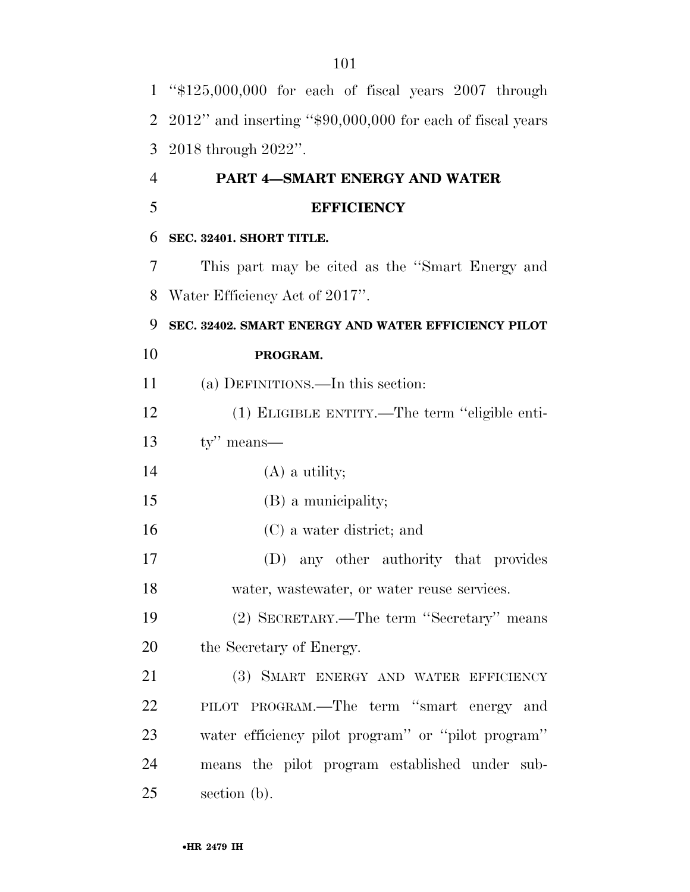| $\mathbf{1}$   | " $$125,000,000$ for each of fiscal years $2007$ through      |
|----------------|---------------------------------------------------------------|
| $\overline{2}$ | $2012$ " and inserting "\$90,000,000 for each of fiscal years |
| 3              | $2018$ through $2022$ ".                                      |
| 4              | PART 4-SMART ENERGY AND WATER                                 |
| 5              | <b>EFFICIENCY</b>                                             |
| 6              | SEC. 32401. SHORT TITLE.                                      |
| 7              | This part may be cited as the "Smart Energy and               |
| 8              | Water Efficiency Act of 2017".                                |
| 9              | SEC. 32402. SMART ENERGY AND WATER EFFICIENCY PILOT           |
| 10             | PROGRAM.                                                      |
| 11             | (a) DEFINITIONS.—In this section:                             |
| 12             | (1) ELIGIBLE ENTITY.—The term "eligible enti-                 |
| 13             | $ty''$ means—                                                 |
| 14             | $(A)$ a utility;                                              |
| 15             | (B) a municipality;                                           |
| 16             | (C) a water district; and                                     |
| 17             | (D) any other authority that provides                         |
| 18             | water, wastewater, or water reuse services.                   |
| 19             | (2) SECRETARY.—The term "Secretary" means                     |
| 20             | the Secretary of Energy.                                      |
| 21             | (3) SMART ENERGY AND WATER EFFICIENCY                         |
| 22             | PILOT PROGRAM.—The term "smart energy and                     |
| 23             | water efficiency pilot program" or "pilot program"            |
| 24             | means the pilot program established under sub-                |
| 25             | section (b).                                                  |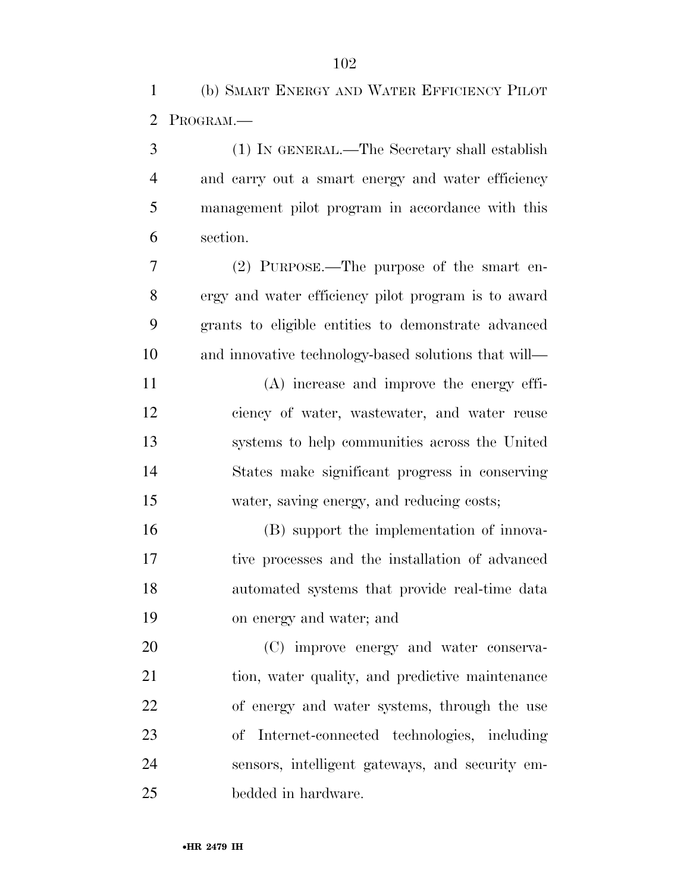(b) SMART ENERGY AND WATER EFFICIENCY PILOT PROGRAM.—

 (1) IN GENERAL.—The Secretary shall establish and carry out a smart energy and water efficiency management pilot program in accordance with this section. (2) PURPOSE.—The purpose of the smart en-

 ergy and water efficiency pilot program is to award grants to eligible entities to demonstrate advanced and innovative technology-based solutions that will—

 (A) increase and improve the energy effi- ciency of water, wastewater, and water reuse systems to help communities across the United States make significant progress in conserving water, saving energy, and reducing costs;

 (B) support the implementation of innova- tive processes and the installation of advanced automated systems that provide real-time data on energy and water; and

 (C) improve energy and water conserva-21 tion, water quality, and predictive maintenance of energy and water systems, through the use of Internet-connected technologies, including sensors, intelligent gateways, and security em-bedded in hardware.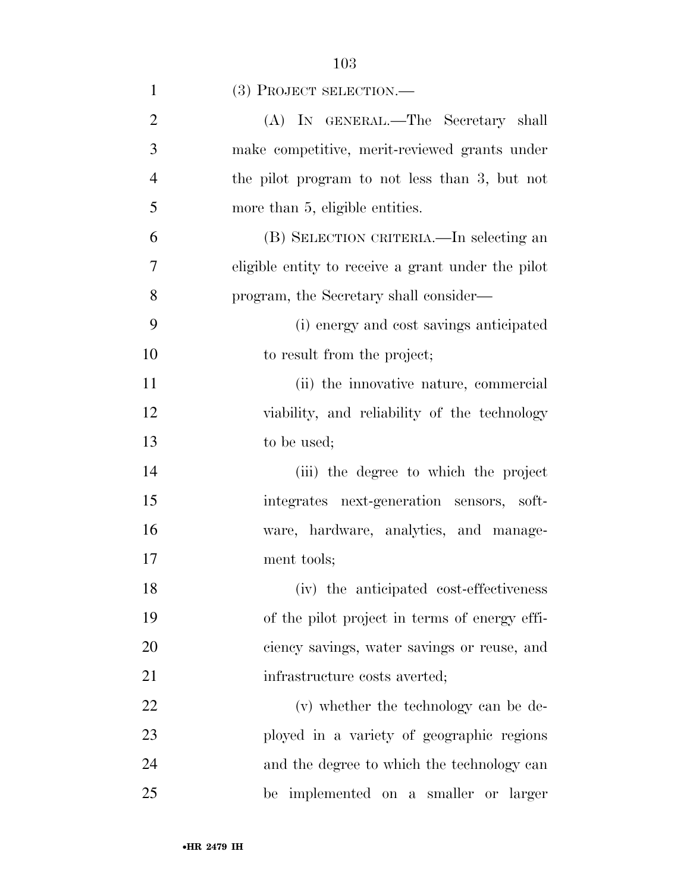| $\mathbf{1}$   | (3) PROJECT SELECTION.—                            |
|----------------|----------------------------------------------------|
| $\overline{2}$ | (A) IN GENERAL.—The Secretary shall                |
| 3              | make competitive, merit-reviewed grants under      |
| $\overline{4}$ | the pilot program to not less than 3, but not      |
| 5              | more than 5, eligible entities.                    |
| 6              | (B) SELECTION CRITERIA.—In selecting an            |
| 7              | eligible entity to receive a grant under the pilot |
| 8              | program, the Secretary shall consider—             |
| 9              | (i) energy and cost savings anticipated            |
| 10             | to result from the project;                        |
| 11             | (ii) the innovative nature, commercial             |
| 12             | viability, and reliability of the technology       |
| 13             | to be used;                                        |
| 14             | (iii) the degree to which the project              |
| 15             | integrates next-generation sensors, soft-          |
| 16             | ware, hardware, analytics, and manage-             |
| 17             | ment tools;                                        |
| 18             | (iv) the anticipated cost-effectiveness            |
| 19             | of the pilot project in terms of energy effi-      |
| 20             | ciency savings, water savings or reuse, and        |
| 21             | infrastructure costs averted;                      |
| 22             | (v) whether the technology can be de-              |
| 23             | ployed in a variety of geographic regions          |
| 24             | and the degree to which the technology can         |
| 25             | be implemented on a smaller or larger              |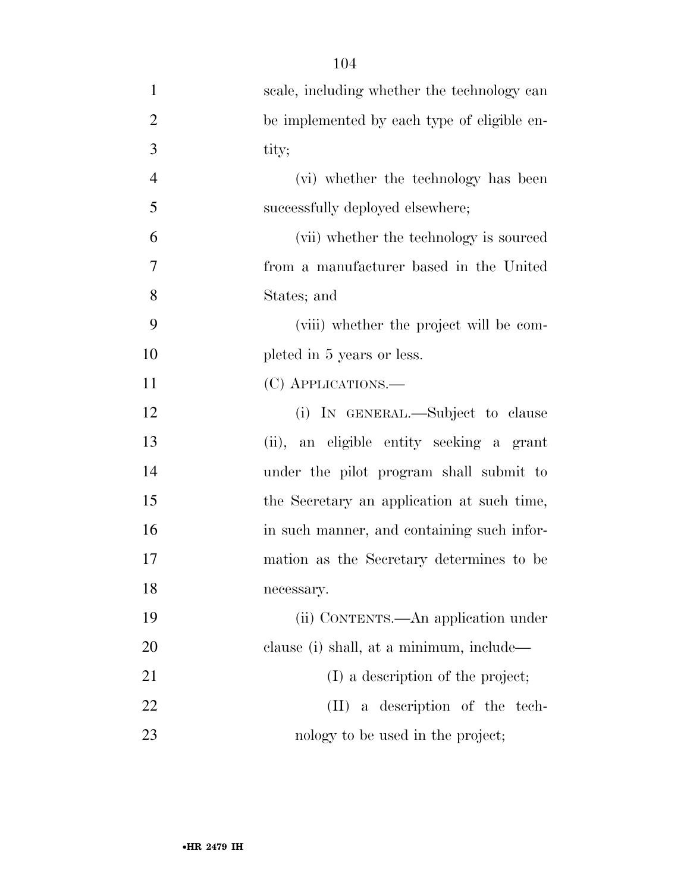| $\mathbf{1}$   | scale, including whether the technology can |
|----------------|---------------------------------------------|
| $\overline{2}$ | be implemented by each type of eligible en- |
| 3              | tity;                                       |
| $\overline{4}$ | (vi) whether the technology has been        |
| 5              | successfully deployed elsewhere;            |
| 6              | (vii) whether the technology is sourced     |
| 7              | from a manufacturer based in the United     |
| 8              | States; and                                 |
| 9              | (viii) whether the project will be com-     |
| 10             | pleted in 5 years or less.                  |
| 11             | (C) APPLICATIONS.—                          |
| 12             | (i) IN GENERAL.—Subject to clause           |
| 13             | (ii), an eligible entity seeking a grant    |
| 14             | under the pilot program shall submit to     |
| 15             | the Secretary an application at such time,  |
| 16             | in such manner, and containing such infor-  |
| 17             | mation as the Secretary determines to be    |
| 18             | necessary.                                  |
| 19             | (ii) CONTENTS.—An application under         |
| 20             | clause (i) shall, at a minimum, include—    |
| 21             | (I) a description of the project;           |
| 22             | $(II)$ a description of the tech-           |
| 23             | nology to be used in the project;           |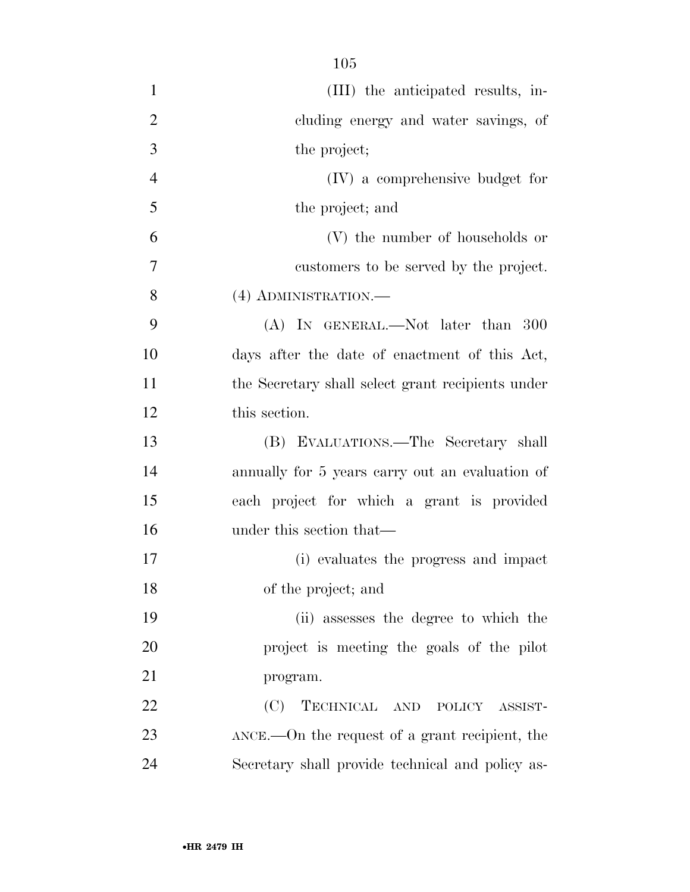| $\mathbf{1}$   | (III) the anticipated results, in-                      |
|----------------|---------------------------------------------------------|
| $\overline{2}$ | cluding energy and water savings, of                    |
| 3              | the project;                                            |
| $\overline{4}$ | (IV) a comprehensive budget for                         |
| 5              | the project; and                                        |
| 6              | (V) the number of households or                         |
| 7              | customers to be served by the project.                  |
| 8              | (4) ADMINISTRATION.—                                    |
| 9              | $(A)$ In GENERAL.—Not later than 300                    |
| 10             | days after the date of enactment of this Act,           |
| 11             | the Secretary shall select grant recipients under       |
| 12             | this section.                                           |
| 13             | (B) EVALUATIONS.—The Secretary shall                    |
| 14             | annually for 5 years carry out an evaluation of         |
| 15             | each project for which a grant is provided              |
| 16             | under this section that—                                |
| 17             | (i) evaluates the progress and impact                   |
| 18             | of the project; and                                     |
| 19             | (ii) assesses the degree to which the                   |
| 20             | project is meeting the goals of the pilot               |
| 21             | program.                                                |
| 22             | TECHNICAL AND POLICY ASSIST-<br>(C)                     |
| 23             | $\Delta NCE$ . On the request of a grant recipient, the |
| 24             | Secretary shall provide technical and policy as-        |
|                |                                                         |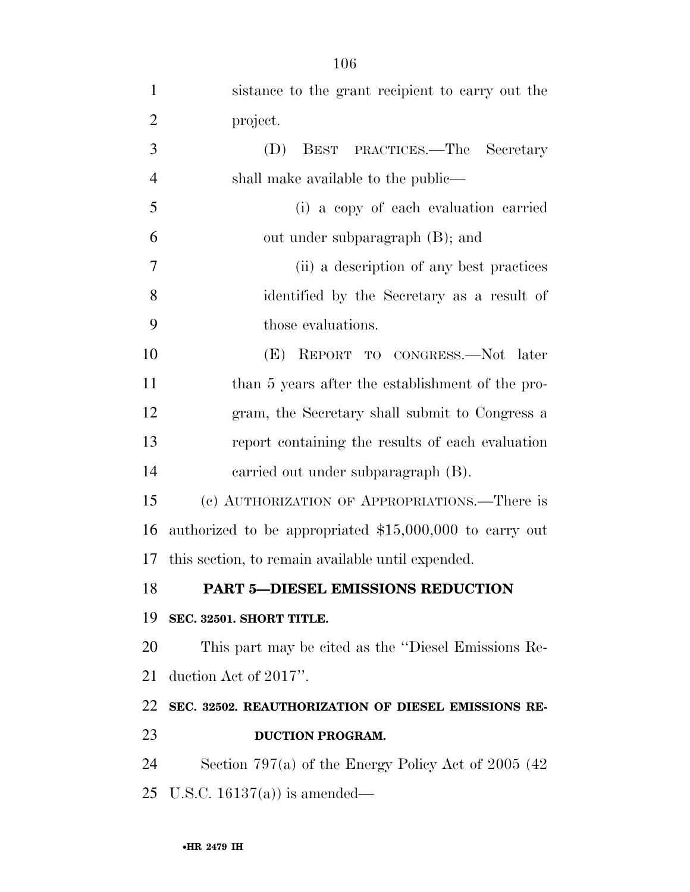| $\mathbf{1}$   | sistance to the grant recipient to carry out the         |
|----------------|----------------------------------------------------------|
| $\overline{2}$ | project.                                                 |
| 3              | (D)<br>BEST PRACTICES.—The Secretary                     |
| $\overline{4}$ | shall make available to the public—                      |
| 5              | (i) a copy of each evaluation carried                    |
| 6              | out under subparagraph (B); and                          |
| 7              | (ii) a description of any best practices                 |
| 8              | identified by the Secretary as a result of               |
| 9              | those evaluations.                                       |
| 10             | (E) REPORT TO CONGRESS.—Not later                        |
| 11             | than 5 years after the establishment of the pro-         |
| 12             | gram, the Secretary shall submit to Congress a           |
| 13             | report containing the results of each evaluation         |
| 14             | carried out under subparagraph (B).                      |
| 15             | (c) AUTHORIZATION OF APPROPRIATIONS.—There is            |
| 16             | authorized to be appropriated $$15,000,000$ to carry out |
| 17             | this section, to remain available until expended.        |
| 18             | PART 5-DIESEL EMISSIONS REDUCTION                        |
| 19             | SEC. 32501. SHORT TITLE.                                 |
| 20             | This part may be cited as the "Diesel Emissions Re-      |
| 21             | duction Act of 2017".                                    |
| 22             | SEC. 32502. REAUTHORIZATION OF DIESEL EMISSIONS RE-      |
| 23             | <b>DUCTION PROGRAM.</b>                                  |
| 24             | Section 797(a) of the Energy Policy Act of 2005 (42)     |
| 25             | U.S.C. $16137(a)$ is amended—                            |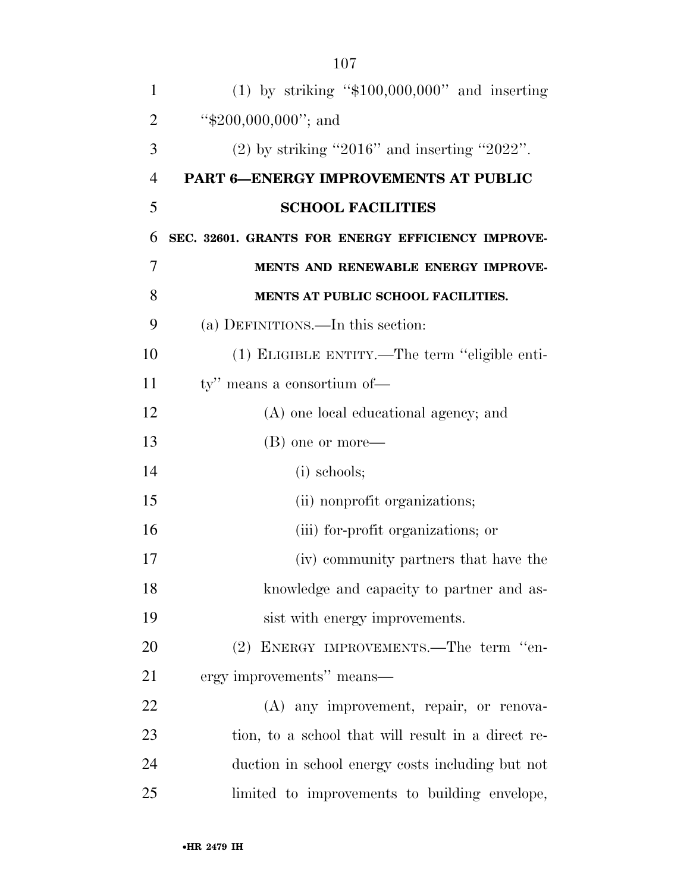| $\mathbf{1}$   | $(1)$ by striking "\$100,000,000" and inserting    |
|----------------|----------------------------------------------------|
| $\overline{2}$ | " $$200,000,000$ "; and                            |
| 3              | $(2)$ by striking "2016" and inserting "2022".     |
| $\overline{4}$ | PART 6-ENERGY IMPROVEMENTS AT PUBLIC               |
| 5              | <b>SCHOOL FACILITIES</b>                           |
| 6              | SEC. 32601. GRANTS FOR ENERGY EFFICIENCY IMPROVE-  |
| 7              | MENTS AND RENEWABLE ENERGY IMPROVE-                |
| 8              | MENTS AT PUBLIC SCHOOL FACILITIES.                 |
| 9              | (a) DEFINITIONS.—In this section:                  |
| 10             | (1) ELIGIBLE ENTITY.—The term "eligible enti-      |
| 11             | ty" means a consortium of—                         |
| 12             | (A) one local educational agency; and              |
| 13             | (B) one or more—                                   |
| 14             | (i) schools;                                       |
| 15             | (ii) nonprofit organizations;                      |
| 16             | (iii) for-profit organizations; or                 |
| 17             | (iv) community partners that have the              |
| 18             | knowledge and capacity to partner and as-          |
| 19             | sist with energy improvements.                     |
| 20             | (2) ENERGY IMPROVEMENTS.—The term "en-             |
| 21             | ergy improvements" means—                          |
| 22             | (A) any improvement, repair, or renova-            |
| 23             | tion, to a school that will result in a direct re- |
| 24             | duction in school energy costs including but not   |
| 25             | limited to improvements to building envelope,      |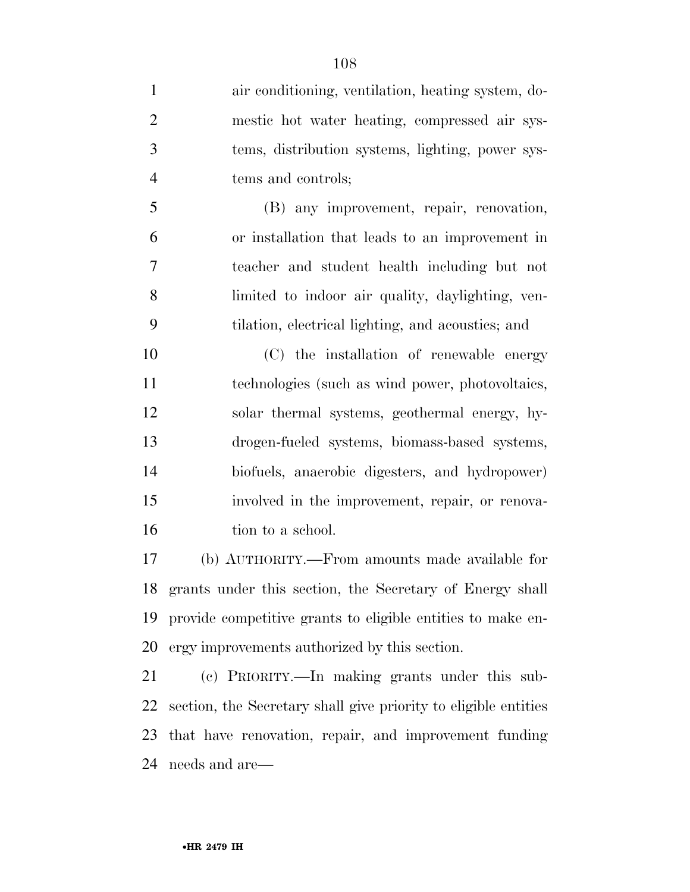air conditioning, ventilation, heating system, do- mestic hot water heating, compressed air sys- tems, distribution systems, lighting, power sys-tems and controls;

 (B) any improvement, repair, renovation, or installation that leads to an improvement in teacher and student health including but not limited to indoor air quality, daylighting, ven-tilation, electrical lighting, and acoustics; and

 (C) the installation of renewable energy technologies (such as wind power, photovoltaics, solar thermal systems, geothermal energy, hy- drogen-fueled systems, biomass-based systems, biofuels, anaerobic digesters, and hydropower) involved in the improvement, repair, or renova-16 tion to a school.

 (b) AUTHORITY.—From amounts made available for grants under this section, the Secretary of Energy shall provide competitive grants to eligible entities to make en-ergy improvements authorized by this section.

 (c) PRIORITY.—In making grants under this sub- section, the Secretary shall give priority to eligible entities that have renovation, repair, and improvement funding needs and are—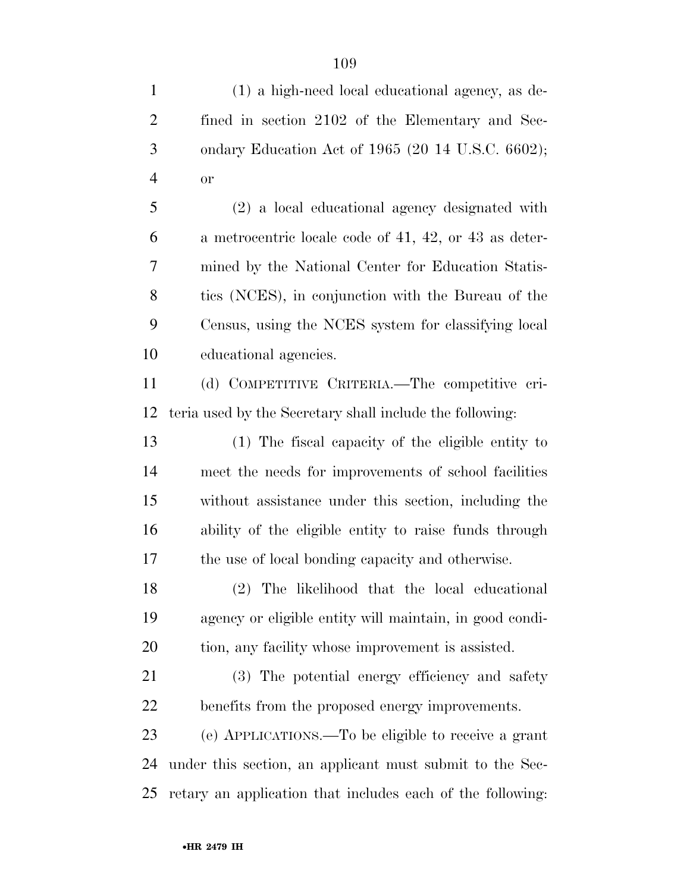(1) a high-need local educational agency, as de- fined in section 2102 of the Elementary and Sec- ondary Education Act of 1965 (20 14 U.S.C. 6602); or (2) a local educational agency designated with a metrocentric locale code of 41, 42, or 43 as deter- mined by the National Center for Education Statis- tics (NCES), in conjunction with the Bureau of the Census, using the NCES system for classifying local educational agencies. (d) COMPETITIVE CRITERIA.—The competitive cri- teria used by the Secretary shall include the following: (1) The fiscal capacity of the eligible entity to meet the needs for improvements of school facilities without assistance under this section, including the ability of the eligible entity to raise funds through the use of local bonding capacity and otherwise.

 (2) The likelihood that the local educational agency or eligible entity will maintain, in good condi-tion, any facility whose improvement is assisted.

 (3) The potential energy efficiency and safety benefits from the proposed energy improvements.

 (e) APPLICATIONS.—To be eligible to receive a grant under this section, an applicant must submit to the Sec-retary an application that includes each of the following: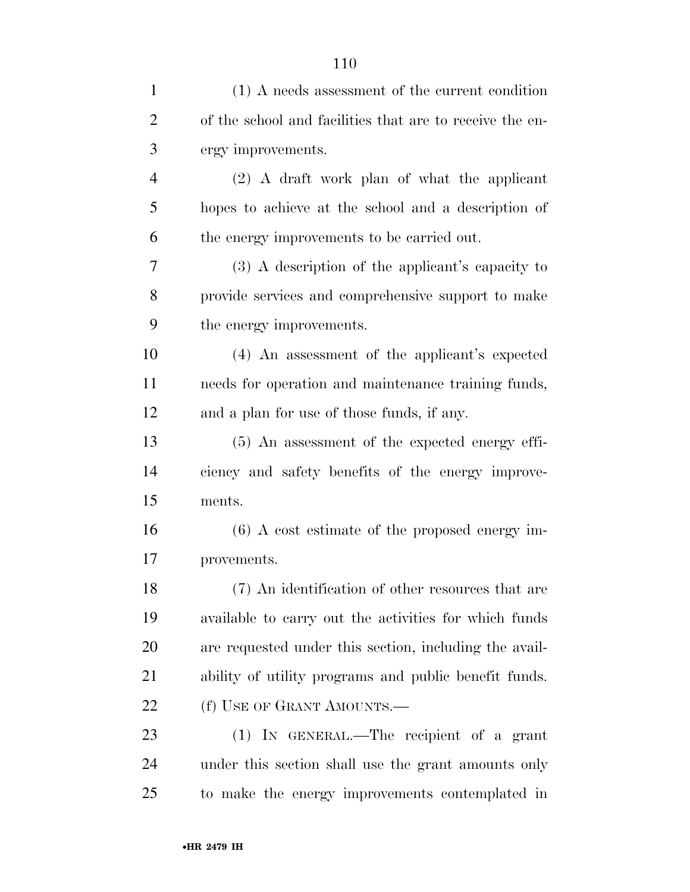| $\mathbf{1}$   | (1) A needs assessment of the current condition          |
|----------------|----------------------------------------------------------|
| $\overline{2}$ | of the school and facilities that are to receive the en- |
| 3              | ergy improvements.                                       |
| $\overline{4}$ | (2) A draft work plan of what the applicant              |
| 5              | hopes to achieve at the school and a description of      |
| 6              | the energy improvements to be carried out.               |
| 7              | (3) A description of the applicant's capacity to         |
| 8              | provide services and comprehensive support to make       |
| 9              | the energy improvements.                                 |
| 10             | (4) An assessment of the applicant's expected            |
| 11             | needs for operation and maintenance training funds,      |
| 12             | and a plan for use of those funds, if any.               |
| 13             | $(5)$ An assessment of the expected energy effi-         |
| 14             | ciency and safety benefits of the energy improve-        |
| 15             | ments.                                                   |
| 16             | $(6)$ A cost estimate of the proposed energy im-         |
| 17             | provements.                                              |
| 18             | (7) An identification of other resources that are        |
| 19             | available to carry out the activities for which funds    |
| 20             | are requested under this section, including the avail-   |
| 21             | ability of utility programs and public benefit funds.    |
| 22             | (f) USE OF GRANT AMOUNTS.—                               |
| 23             | (1) IN GENERAL.—The recipient of a grant                 |
| 24             | under this section shall use the grant amounts only      |
| 25             | to make the energy improvements contemplated in          |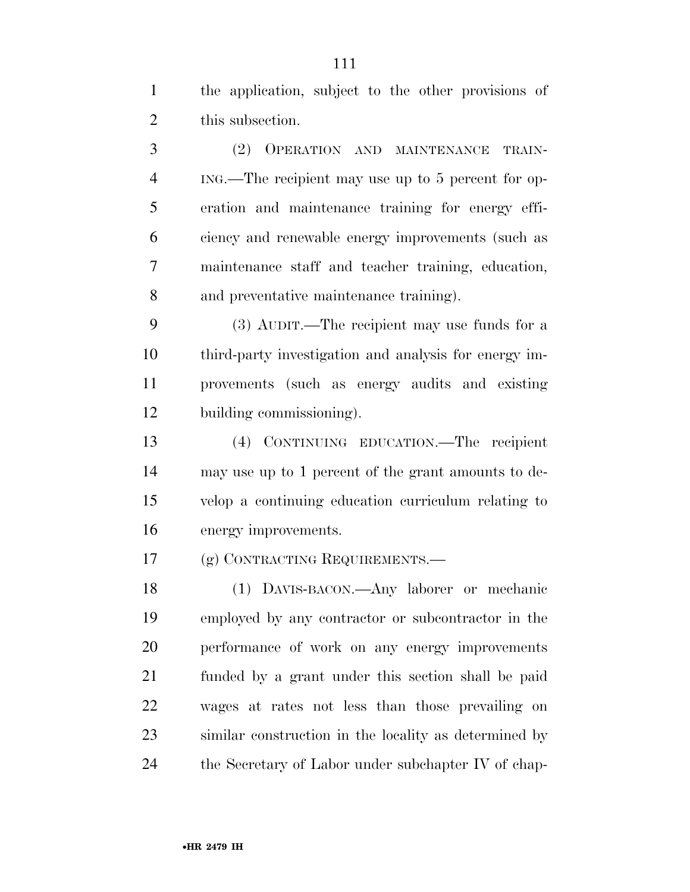the application, subject to the other provisions of 2 this subsection.

 (2) OPERATION AND MAINTENANCE TRAIN- ING.—The recipient may use up to 5 percent for op- eration and maintenance training for energy effi- ciency and renewable energy improvements (such as maintenance staff and teacher training, education, and preventative maintenance training).

 (3) AUDIT.—The recipient may use funds for a third-party investigation and analysis for energy im- provements (such as energy audits and existing building commissioning).

 (4) CONTINUING EDUCATION.—The recipient may use up to 1 percent of the grant amounts to de- velop a continuing education curriculum relating to energy improvements.

(g) CONTRACTING REQUIREMENTS.—

 (1) DAVIS-BACON.—Any laborer or mechanic employed by any contractor or subcontractor in the performance of work on any energy improvements funded by a grant under this section shall be paid wages at rates not less than those prevailing on similar construction in the locality as determined by the Secretary of Labor under subchapter IV of chap-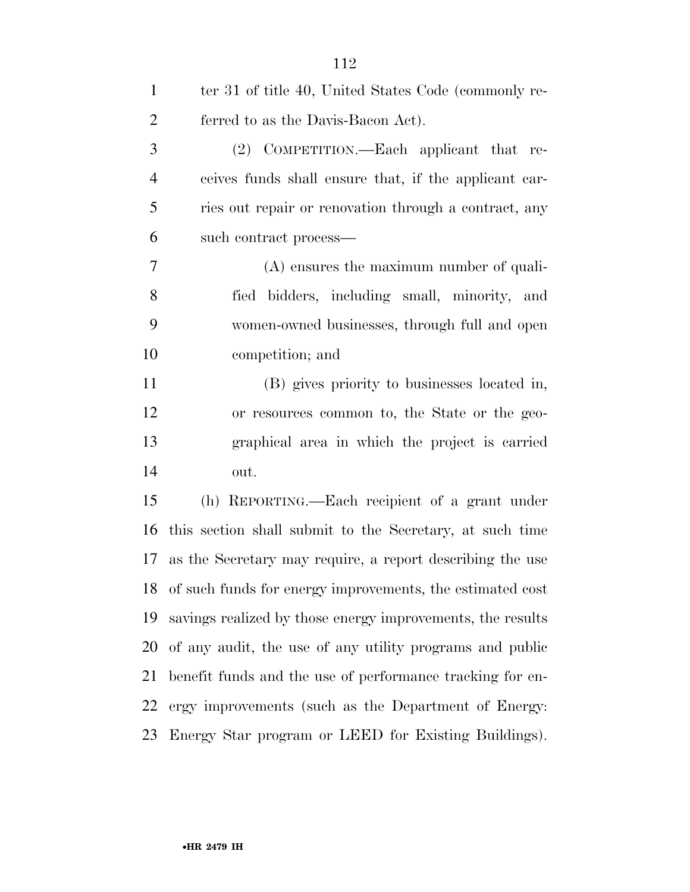| $\mathbf{1}$   | ter 31 of title 40, United States Code (commonly re-       |
|----------------|------------------------------------------------------------|
| $\overline{2}$ | ferred to as the Davis-Bacon Act).                         |
| $\mathfrak{Z}$ | (2) COMPETITION.—Each applicant that re-                   |
| $\overline{4}$ | ceives funds shall ensure that, if the applicant car-      |
| 5              | ries out repair or renovation through a contract, any      |
| 6              | such contract process—                                     |
| $\overline{7}$ | $(A)$ ensures the maximum number of quali-                 |
| 8              | fied bidders, including small, minority, and               |
| 9              | women-owned businesses, through full and open              |
| 10             | competition; and                                           |
| 11             | (B) gives priority to businesses located in,               |
| 12             | or resources common to, the State or the geo-              |
| 13             | graphical area in which the project is carried             |
| 14             | out.                                                       |
| 15             | (h) REPORTING.—Each recipient of a grant under             |
| 16             | this section shall submit to the Secretary, at such time   |
| 17             | as the Secretary may require, a report describing the use  |
| 18             | of such funds for energy improvements, the estimated cost  |
| 19             | savings realized by those energy improvements, the results |
| 20             | of any audit, the use of any utility programs and public   |
| 21             | benefit funds and the use of performance tracking for en-  |
| 22             | ergy improvements (such as the Department of Energy:       |
| 23             | Energy Star program or LEED for Existing Buildings).       |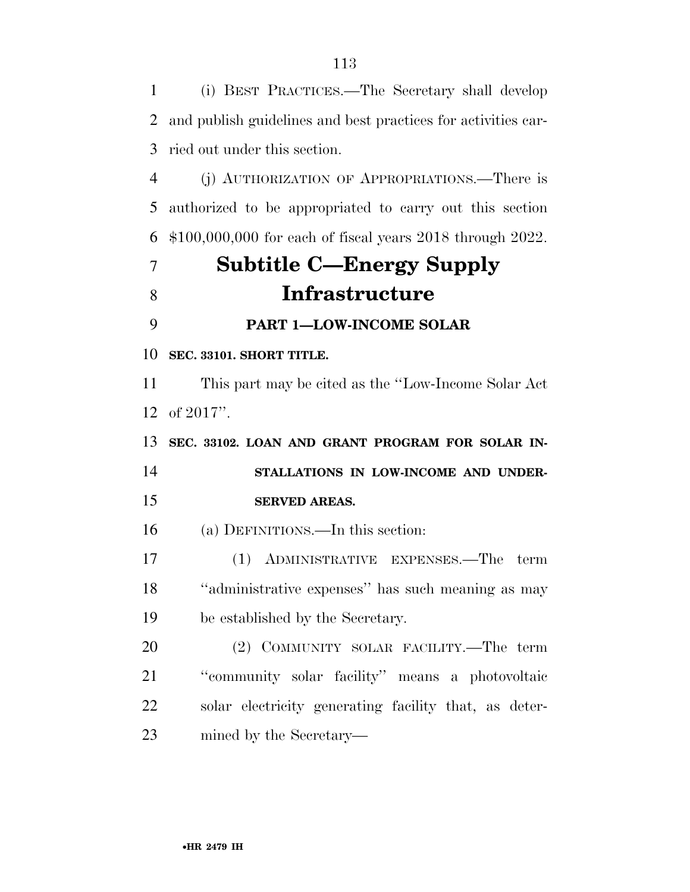(i) BEST PRACTICES.—The Secretary shall develop and publish guidelines and best practices for activities car- ried out under this section. (j) AUTHORIZATION OF APPROPRIATIONS.—There is authorized to be appropriated to carry out this section \$100,000,000 for each of fiscal years 2018 through 2022. **Subtitle C—Energy Supply Infrastructure PART 1—LOW-INCOME SOLAR SEC. 33101. SHORT TITLE.**  This part may be cited as the ''Low-Income Solar Act of 2017''. **SEC. 33102. LOAN AND GRANT PROGRAM FOR SOLAR IN- STALLATIONS IN LOW-INCOME AND UNDER- SERVED AREAS.**  (a) DEFINITIONS.—In this section: (1) ADMINISTRATIVE EXPENSES.—The term ''administrative expenses'' has such meaning as may be established by the Secretary. (2) COMMUNITY SOLAR FACILITY.—The term ''community solar facility'' means a photovoltaic solar electricity generating facility that, as deter-mined by the Secretary—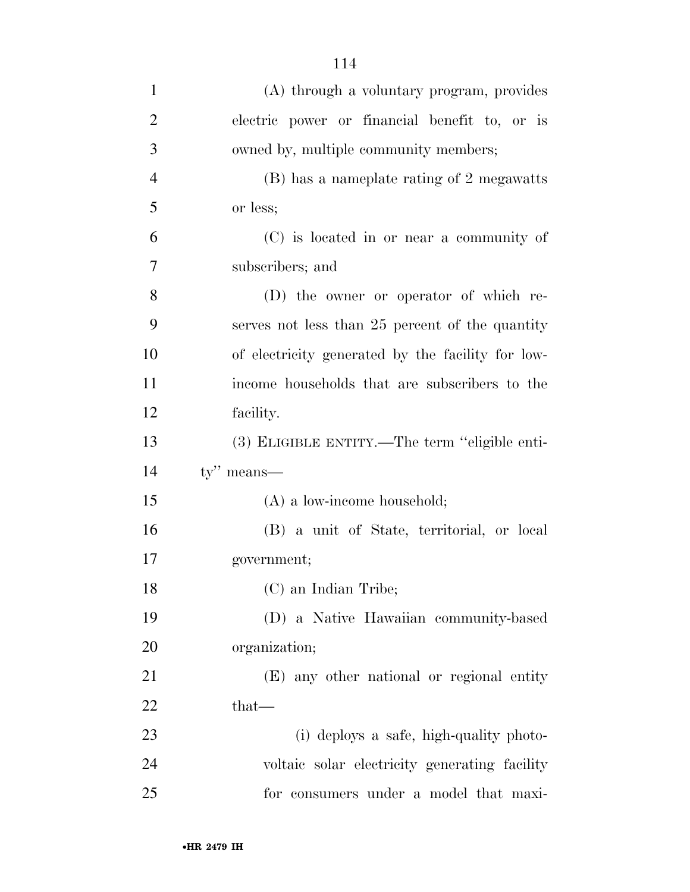| $\mathbf{1}$   | (A) through a voluntary program, provides         |
|----------------|---------------------------------------------------|
| $\overline{2}$ | electric power or financial benefit to, or is     |
| 3              | owned by, multiple community members;             |
| $\overline{4}$ | (B) has a nameplate rating of 2 megawatts         |
| 5              | or less;                                          |
| 6              | (C) is located in or near a community of          |
| $\overline{7}$ | subscribers; and                                  |
| 8              | (D) the owner or operator of which re-            |
| 9              | serves not less than 25 percent of the quantity   |
| 10             | of electricity generated by the facility for low- |
| 11             | income households that are subscribers to the     |
| 12             | facility.                                         |
| 13             | (3) ELIGIBLE ENTITY.—The term "eligible enti-     |
| 14             | $ty''$ means—                                     |
| 15             | $(A)$ a low-income household;                     |
| 16             | (B) a unit of State, territorial, or local        |
| 17             | government;                                       |
| 18             | (C) an Indian Tribe;                              |
| 19             | (D) a Native Hawaiian community-based             |
| 20             | organization;                                     |
| 21             | (E) any other national or regional entity         |
| 22             | $that-$                                           |
| 23             | (i) deploys a safe, high-quality photo-           |
| 24             | voltaic solar electricity generating facility     |
| 25             | for consumers under a model that maxi-            |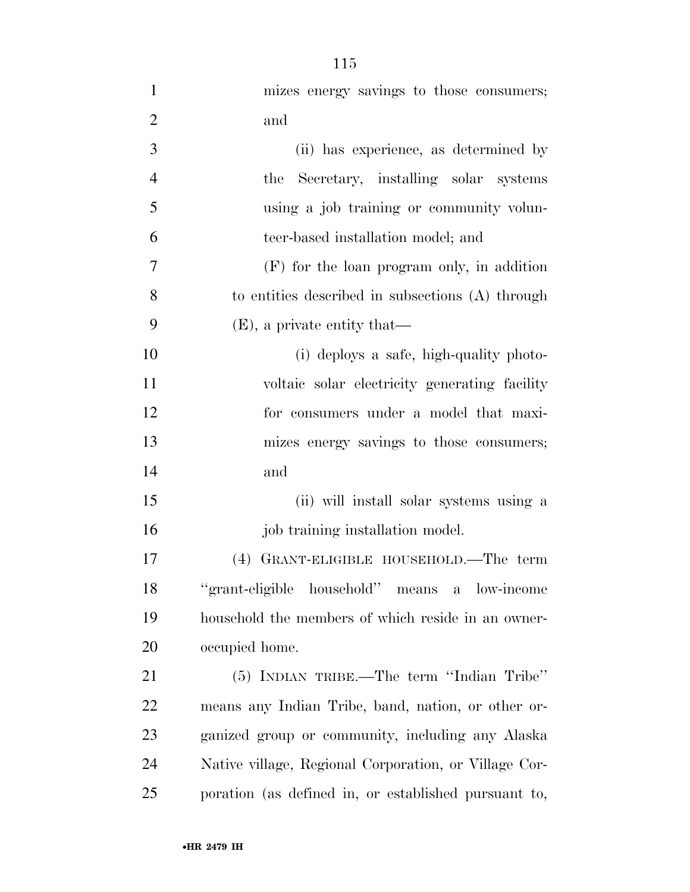| $\mathbf{1}$   | mizes energy savings to those consumers;              |
|----------------|-------------------------------------------------------|
| $\overline{2}$ | and                                                   |
| 3              | (ii) has experience, as determined by                 |
| $\overline{4}$ | the Secretary, installing solar systems               |
| 5              | using a job training or community volun-              |
| 6              | teer-based installation model; and                    |
| 7              | $(F)$ for the loan program only, in addition          |
| 8              | to entities described in subsections (A) through      |
| 9              | $(E)$ , a private entity that—                        |
| 10             | (i) deploys a safe, high-quality photo-               |
| 11             | voltaic solar electricity generating facility         |
| 12             | for consumers under a model that maxi-                |
| 13             | mizes energy savings to those consumers;              |
| 14             | and                                                   |
| 15             | (ii) will install solar systems using a               |
| 16             | job training installation model.                      |
| 17             | GRANT-ELIGIBLE HOUSEHOLD.—The term<br>(4)             |
| 18             | "grant-eligible household" means<br>a low-income      |
| 19             | household the members of which reside in an owner-    |
| 20             | occupied home.                                        |
| 21             | (5) INDIAN TRIBE.—The term "Indian Tribe"             |
| 22             | means any Indian Tribe, band, nation, or other or-    |
| 23             | ganized group or community, including any Alaska      |
| 24             | Native village, Regional Corporation, or Village Cor- |
| 25             | poration (as defined in, or established pursuant to,  |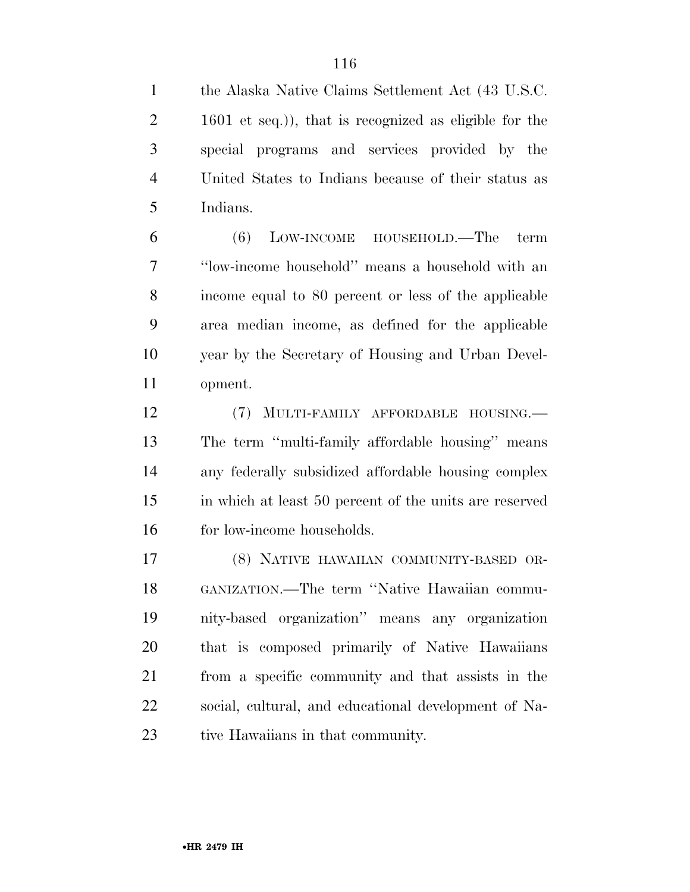the Alaska Native Claims Settlement Act (43 U.S.C. 2 1601 et seq.), that is recognized as eligible for the special programs and services provided by the United States to Indians because of their status as Indians.

 (6) LOW-INCOME HOUSEHOLD.—The term ''low-income household'' means a household with an income equal to 80 percent or less of the applicable area median income, as defined for the applicable year by the Secretary of Housing and Urban Devel-opment.

 (7) MULTI-FAMILY AFFORDABLE HOUSING.— The term ''multi-family affordable housing'' means any federally subsidized affordable housing complex in which at least 50 percent of the units are reserved 16 for low-income households.

 (8) NATIVE HAWAIIAN COMMUNITY-BASED OR- GANIZATION.—The term ''Native Hawaiian commu- nity-based organization'' means any organization that is composed primarily of Native Hawaiians from a specific community and that assists in the social, cultural, and educational development of Na-23 tive Hawaiians in that community.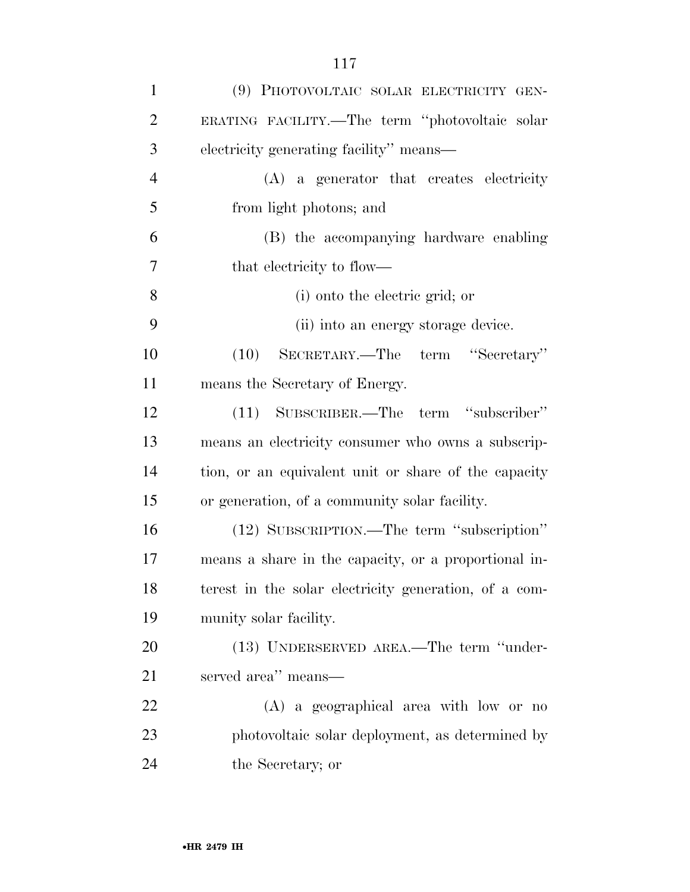| $\mathbf{1}$   | (9) PHOTOVOLTAIC SOLAR ELECTRICITY GEN-               |
|----------------|-------------------------------------------------------|
| $\overline{2}$ | ERATING FACILITY.—The term "photovoltaic solar        |
| 3              | electricity generating facility" means—               |
| $\overline{4}$ | (A) a generator that creates electricity              |
| 5              | from light photons; and                               |
| 6              | (B) the accompanying hardware enabling                |
| 7              | that electricity to flow—                             |
| 8              | (i) onto the electric grid; or                        |
| 9              | (ii) into an energy storage device.                   |
| 10             | (10) SECRETARY.—The term "Secretary"                  |
| 11             | means the Secretary of Energy.                        |
| 12             | (11) SUBSCRIBER.—The term "subscriber"                |
| 13             | means an electricity consumer who owns a subscrip-    |
| 14             | tion, or an equivalent unit or share of the capacity  |
| 15             | or generation, of a community solar facility.         |
| 16             | (12) SUBSCRIPTION.—The term "subscription"            |
| 17             | means a share in the capacity, or a proportional in-  |
| 18             | terest in the solar electricity generation, of a com- |
| 19             | munity solar facility.                                |
| 20             | (13) UNDERSERVED AREA.—The term "under-               |
| 21             | served area" means-                                   |
| 22             | $(A)$ a geographical area with low or no              |
| 23             | photovoltaic solar deployment, as determined by       |
| 24             | the Secretary; or                                     |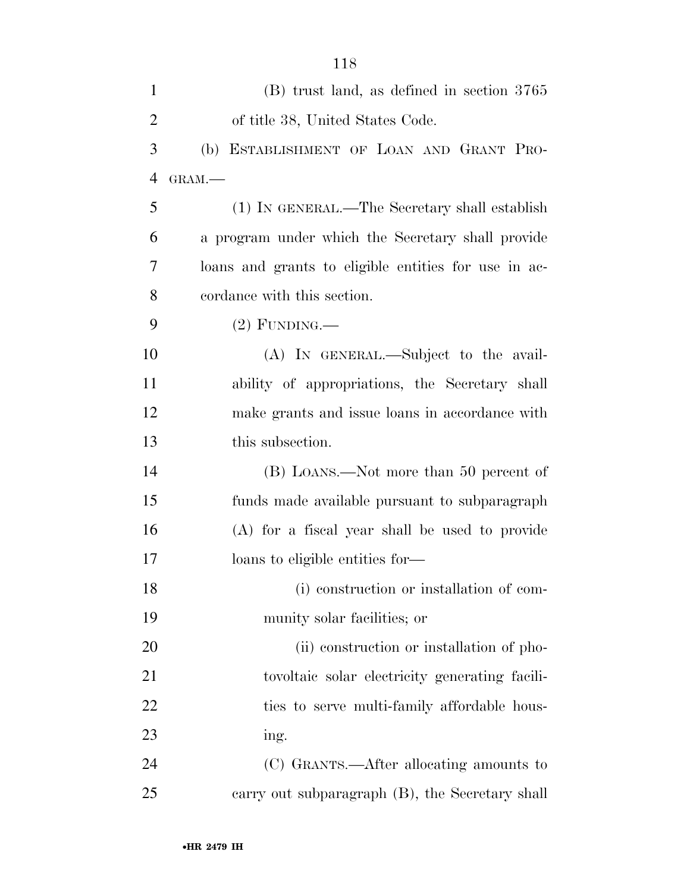| $\mathbf{1}$   | $(B)$ trust land, as defined in section 3765         |
|----------------|------------------------------------------------------|
| $\overline{2}$ | of title 38, United States Code.                     |
| 3              | (b) ESTABLISHMENT OF LOAN AND GRANT PRO-             |
| $\overline{4}$ | GRAM.-                                               |
| 5              | (1) IN GENERAL.—The Secretary shall establish        |
| 6              | a program under which the Secretary shall provide    |
| 7              | loans and grants to eligible entities for use in ac- |
| 8              | cordance with this section.                          |
| 9              | $(2)$ FUNDING.—                                      |
| 10             | (A) IN GENERAL.—Subject to the avail-                |
| 11             | ability of appropriations, the Secretary shall       |
| 12             | make grants and issue loans in accordance with       |
| 13             | this subsection.                                     |
| 14             | (B) LOANS.—Not more than 50 percent of               |
| 15             | funds made available pursuant to subparagraph        |
| 16             | (A) for a fiscal year shall be used to provide       |
| 17             | loans to eligible entities for-                      |
| 18             | (i) construction or installation of com-             |
| 19             | munity solar facilities; or                          |
| 20             | (ii) construction or installation of pho-            |
| 21             | tovoltaic solar electricity generating facili-       |
| 22             | ties to serve multi-family affordable hous-          |
| 23             | ing.                                                 |
| 24             | (C) GRANTS.—After allocating amounts to              |
| 25             | carry out subparagraph (B), the Secretary shall      |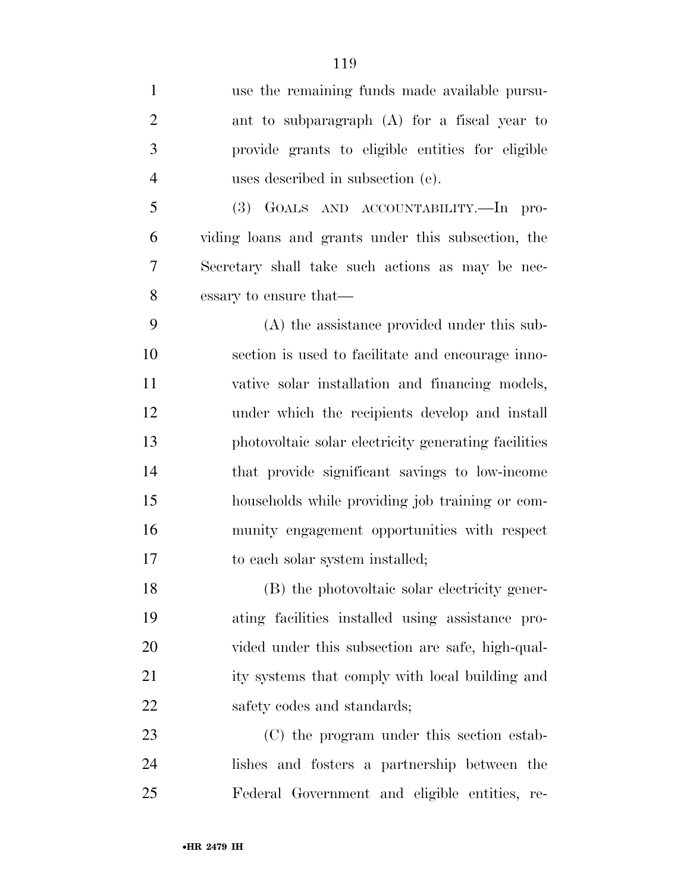| $\mathbf{1}$   | use the remaining funds made available pursu-        |
|----------------|------------------------------------------------------|
| $\overline{2}$ | ant to subparagraph (A) for a fiscal year to         |
| 3              | provide grants to eligible entities for eligible     |
| $\overline{4}$ | uses described in subsection (e).                    |
| 5              | (3) GOALS AND ACCOUNTABILITY.—In pro-                |
| 6              | viding loans and grants under this subsection, the   |
| 7              | Secretary shall take such actions as may be nec-     |
| 8              | essary to ensure that—                               |
| 9              | (A) the assistance provided under this sub-          |
| 10             | section is used to facilitate and encourage inno-    |
| 11             | vative solar installation and financing models,      |
| 12             | under which the recipients develop and install       |
| 13             | photovoltaic solar electricity generating facilities |
| 14             | that provide significant savings to low-income       |
| 15             | households while providing job training or com-      |
| 16             | munity engagement opportunities with respect         |
| 17             | to each solar system installed;                      |
| 18             | (B) the photovoltaic solar electricity gener-        |
| 19             | ating facilities installed using assistance pro-     |
| 20             | vided under this subsection are safe, high-qual-     |
| 21             | ity systems that comply with local building and      |
| 22             | safety codes and standards;                          |
| 23             | (C) the program under this section estab-            |
|                |                                                      |

 lishes and fosters a partnership between the Federal Government and eligible entities, re-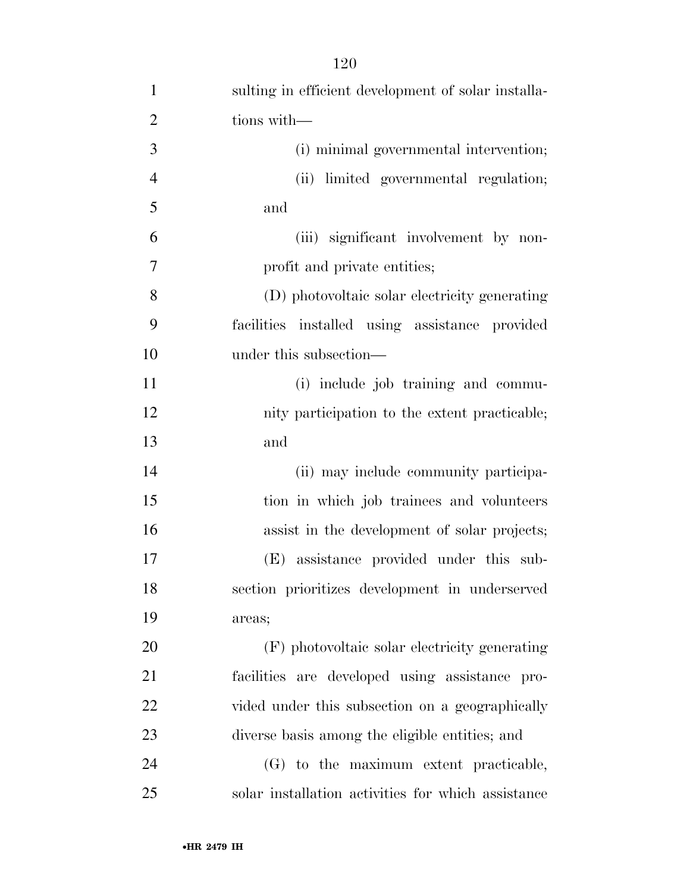| $\mathbf{1}$   | sulting in efficient development of solar installa- |
|----------------|-----------------------------------------------------|
| $\overline{2}$ | tions with-                                         |
| 3              | (i) minimal governmental intervention;              |
| $\overline{4}$ | (ii) limited governmental regulation;               |
| 5              | and                                                 |
| 6              | (iii) significant involvement by non-               |
| $\overline{7}$ | profit and private entities;                        |
| 8              | (D) photovoltaic solar electricity generating       |
| 9              | facilities installed using assistance provided      |
| 10             | under this subsection—                              |
| 11             | (i) include job training and commu-                 |
| 12             | nity participation to the extent practicable;       |
| 13             | and                                                 |
| 14             | (ii) may include community participa-               |
| 15             | tion in which job trainees and volunteers           |
| 16             | assist in the development of solar projects;        |
| 17             | (E) assistance provided under this sub-             |
| 18             | section prioritizes development in underserved      |
| 19             | areas;                                              |
| 20             | (F) photovoltaic solar electricity generating       |
| 21             | facilities are developed using assistance pro-      |
| 22             | vided under this subsection on a geographically     |
| 23             | diverse basis among the eligible entities; and      |
| 24             | (G) to the maximum extent practicable,              |
| 25             | solar installation activities for which assistance  |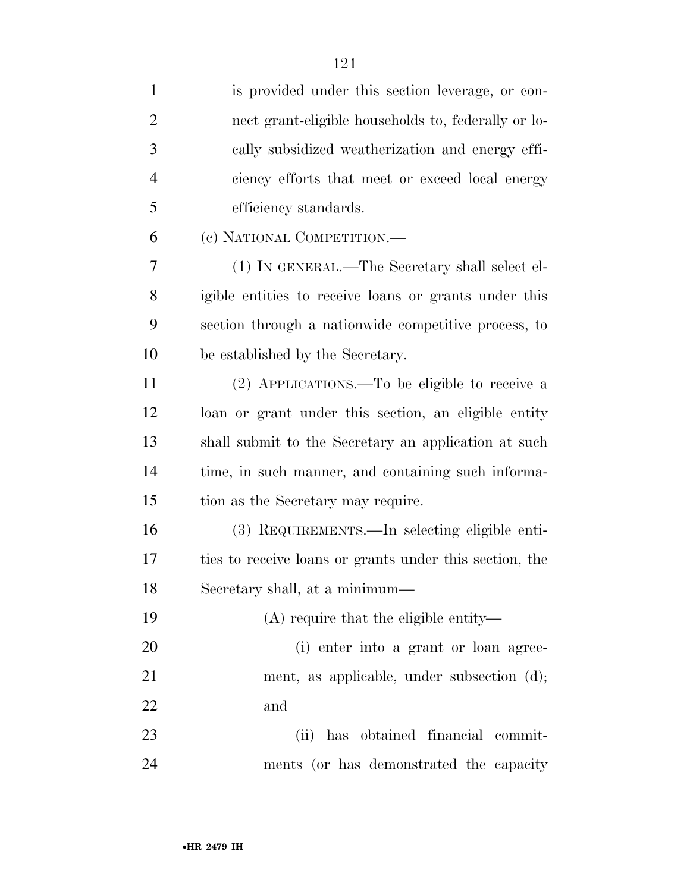| $\mathbf{1}$   | is provided under this section leverage, or con-        |
|----------------|---------------------------------------------------------|
| $\overline{2}$ | nect grant-eligible households to, federally or lo-     |
| 3              | cally subsidized weatherization and energy effi-        |
| $\overline{4}$ | ciency efforts that meet or exceed local energy         |
| 5              | efficiency standards.                                   |
| 6              | (c) NATIONAL COMPETITION.—                              |
| 7              | (1) IN GENERAL.—The Secretary shall select el-          |
| 8              | igible entities to receive loans or grants under this   |
| 9              | section through a nationwide competitive process, to    |
| 10             | be established by the Secretary.                        |
| 11             | (2) APPLICATIONS.—To be eligible to receive a           |
| 12             | loan or grant under this section, an eligible entity    |
| 13             | shall submit to the Secretary an application at such    |
| 14             | time, in such manner, and containing such informa-      |
| 15             | tion as the Secretary may require.                      |
| 16             | (3) REQUIREMENTS.—In selecting eligible enti-           |
| 17             | ties to receive loans or grants under this section, the |
| 18             | Secretary shall, at a minimum—                          |
| 19             | $(A)$ require that the eligible entity—                 |
| 20             | (i) enter into a grant or loan agree-                   |
| 21             | ment, as applicable, under subsection (d);              |
| 22             | and                                                     |
| 23             | (ii) has obtained financial commit-                     |
| 24             | ments (or has demonstrated the capacity                 |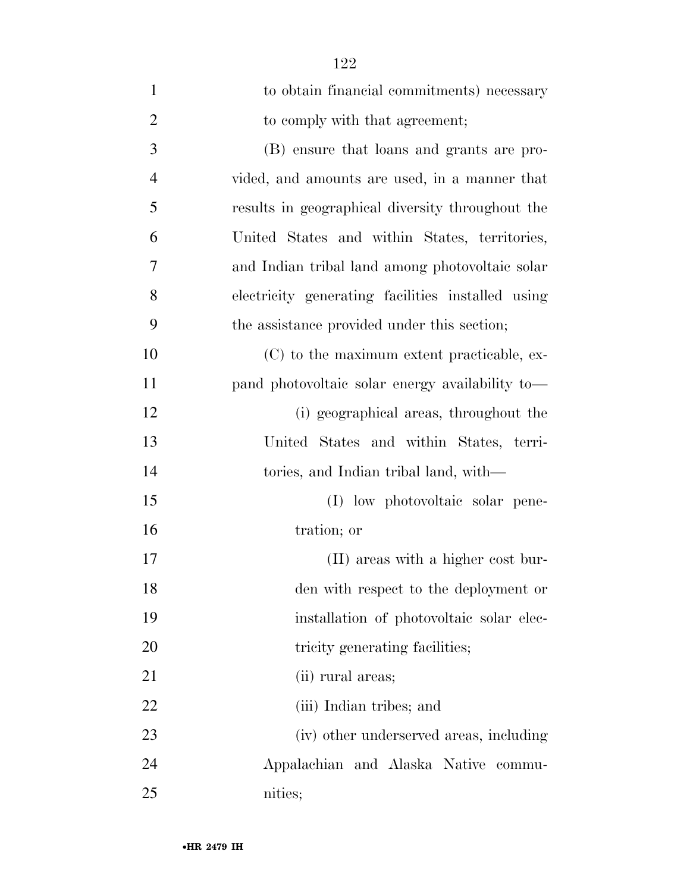| $\mathbf{1}$   | to obtain financial commitments) necessary        |
|----------------|---------------------------------------------------|
| $\overline{2}$ | to comply with that agreement;                    |
| 3              | (B) ensure that loans and grants are pro-         |
| $\overline{4}$ | vided, and amounts are used, in a manner that     |
| 5              | results in geographical diversity throughout the  |
| 6              | United States and within States, territories,     |
| 7              | and Indian tribal land among photovoltaic solar   |
| 8              | electricity generating facilities installed using |
| 9              | the assistance provided under this section;       |
| 10             | (C) to the maximum extent practicable, ex-        |
| 11             | pand photovoltaic solar energy availability to-   |
| 12             | (i) geographical areas, throughout the            |
| 13             | United States and within States, terri-           |
| 14             | tories, and Indian tribal land, with—             |
| 15             | (I) low photovoltaic solar pene-                  |
| 16             | tration; or                                       |
| 17             | (II) areas with a higher cost bur-                |
| 18             | den with respect to the deployment or             |
| 19             | installation of photovoltaic solar elec-          |
| 20             | tricity generating facilities;                    |
| 21             | (ii) rural areas;                                 |
| 22             | (iii) Indian tribes; and                          |
| 23             | (iv) other underserved areas, including           |
| 24             | Appalachian and Alaska Native commu-              |
| 25             | nities;                                           |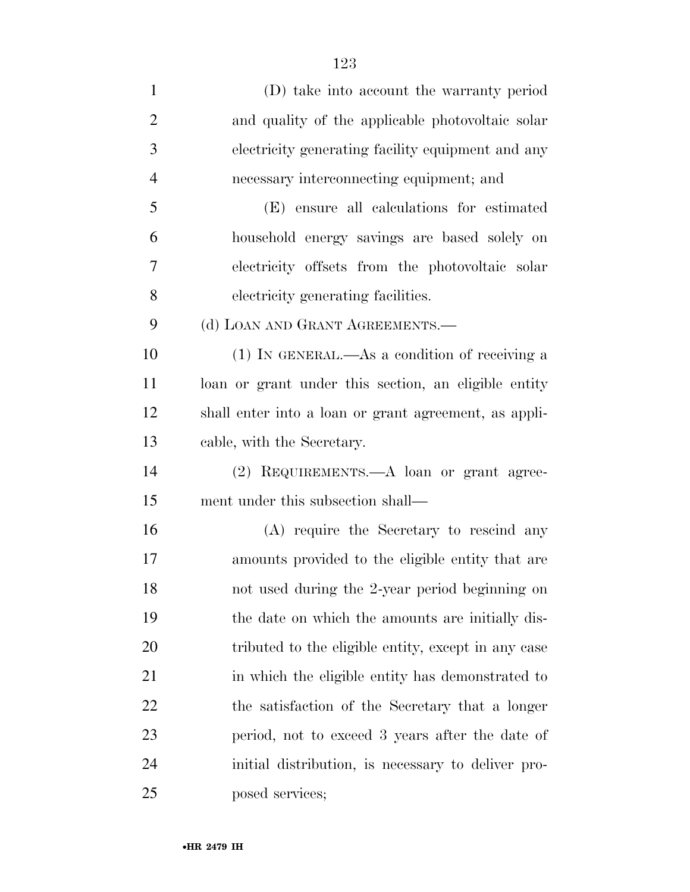| $\mathbf{1}$   | (D) take into account the warranty period             |
|----------------|-------------------------------------------------------|
| $\overline{2}$ | and quality of the applicable photovoltaic solar      |
| 3              | electricity generating facility equipment and any     |
| $\overline{4}$ | necessary interconnecting equipment; and              |
| 5              | (E) ensure all calculations for estimated             |
| 6              | household energy savings are based solely on          |
| 7              | electricity offsets from the photovoltaic solar       |
| 8              | electricity generating facilities.                    |
| 9              | (d) LOAN AND GRANT AGREEMENTS.—                       |
| 10             | $(1)$ In GENERAL.—As a condition of receiving a       |
| 11             | loan or grant under this section, an eligible entity  |
| 12             | shall enter into a loan or grant agreement, as appli- |
| 13             | cable, with the Secretary.                            |
| 14             | (2) REQUIREMENTS.—A loan or grant agree-              |
| 15             | ment under this subsection shall—                     |
| 16             | (A) require the Secretary to rescind any              |
| 17             | amounts provided to the eligible entity that are      |
| 18             | not used during the 2-year period beginning on        |
| 19             | the date on which the amounts are initially dis-      |
| 20             | tributed to the eligible entity, except in any case   |
| 21             | in which the eligible entity has demonstrated to      |
| 22             | the satisfaction of the Secretary that a longer       |
| 23             | period, not to exceed 3 years after the date of       |
| 24             | initial distribution, is necessary to deliver pro-    |
| 25             | posed services;                                       |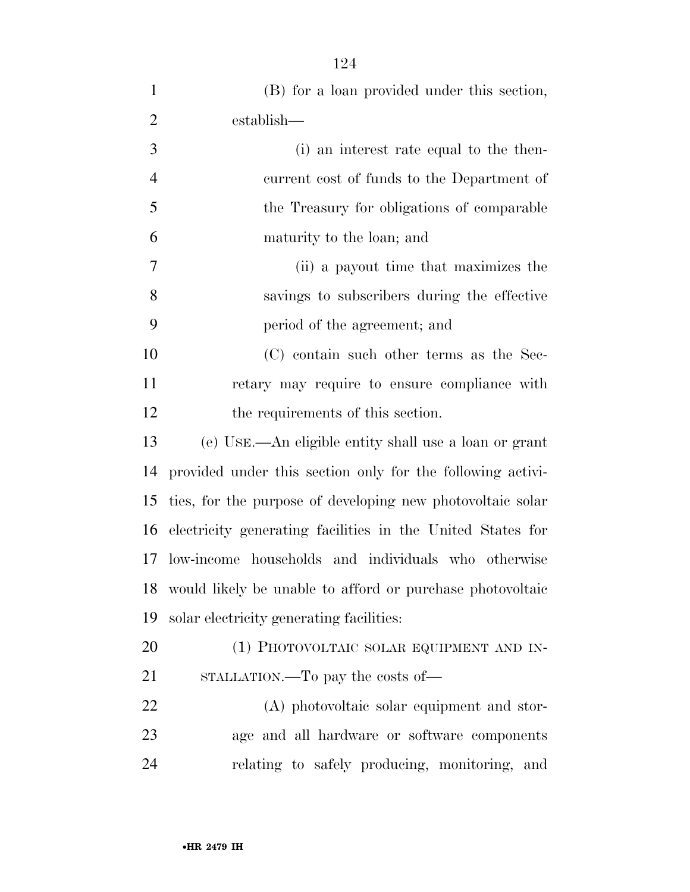| $\mathbf{1}$   | (B) for a loan provided under this section,                |
|----------------|------------------------------------------------------------|
| $\overline{2}$ | establish—                                                 |
| 3              | (i) an interest rate equal to the then-                    |
| $\overline{4}$ | current cost of funds to the Department of                 |
| 5              | the Treasury for obligations of comparable                 |
| 6              | maturity to the loan; and                                  |
| 7              | (ii) a payout time that maximizes the                      |
| 8              | savings to subscribers during the effective                |
| 9              | period of the agreement; and                               |
| 10             | (C) contain such other terms as the Sec-                   |
| 11             | retary may require to ensure compliance with               |
| 12             | the requirements of this section.                          |
| 13             | (e) USE.—An eligible entity shall use a loan or grant      |
| 14             | provided under this section only for the following activi- |
| 15             | ties, for the purpose of developing new photovoltaic solar |
| 16             | electricity generating facilities in the United States for |
| 17             | low-income households and individuals who otherwise        |
| 18             | would likely be unable to afford or purchase photovoltaic  |
| 19             | solar electricity generating facilities:                   |
| 20             | (1) PHOTOVOLTAIC SOLAR EQUIPMENT AND IN-                   |
| 21             | STALLATION.—To pay the costs of—                           |
| 22             | (A) photovoltaic solar equipment and stor-                 |
| 23             | age and all hardware or software components                |
| 24             | relating to safely producing, monitoring, and              |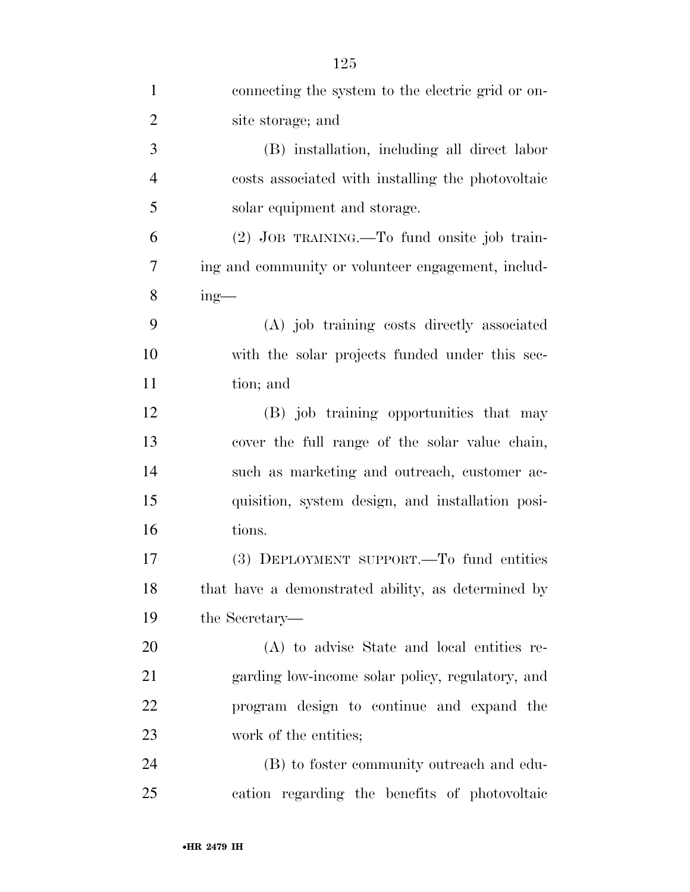| $\mathbf{1}$   | connecting the system to the electric grid or on-  |
|----------------|----------------------------------------------------|
| $\overline{c}$ | site storage; and                                  |
| 3              | (B) installation, including all direct labor       |
| $\overline{4}$ | costs associated with installing the photovoltaic  |
| 5              | solar equipment and storage.                       |
| 6              | (2) JOB TRAINING.—To fund onsite job train-        |
| 7              | ing and community or volunteer engagement, includ- |
| $8\,$          | $ing$ —                                            |
| 9              | (A) job training costs directly associated         |
| 10             | with the solar projects funded under this sec-     |
| 11             | tion; and                                          |
| 12             | (B) job training opportunities that may            |
| 13             | cover the full range of the solar value chain,     |
| 14             | such as marketing and outreach, customer ac-       |
| 15             | quisition, system design, and installation posi-   |
| 16             | tions.                                             |
| 17             | (3) DEPLOYMENT SUPPORT.—To fund entities           |
| 18             | that have a demonstrated ability, as determined by |
| 19             | the Secretary—                                     |
| 20             | (A) to advise State and local entities re-         |
| 21             | garding low-income solar policy, regulatory, and   |
| 22             | program design to continue and expand the          |
| 23             | work of the entities;                              |
| 24             | (B) to foster community outreach and edu-          |
| 25             | cation regarding the benefits of photovoltaic      |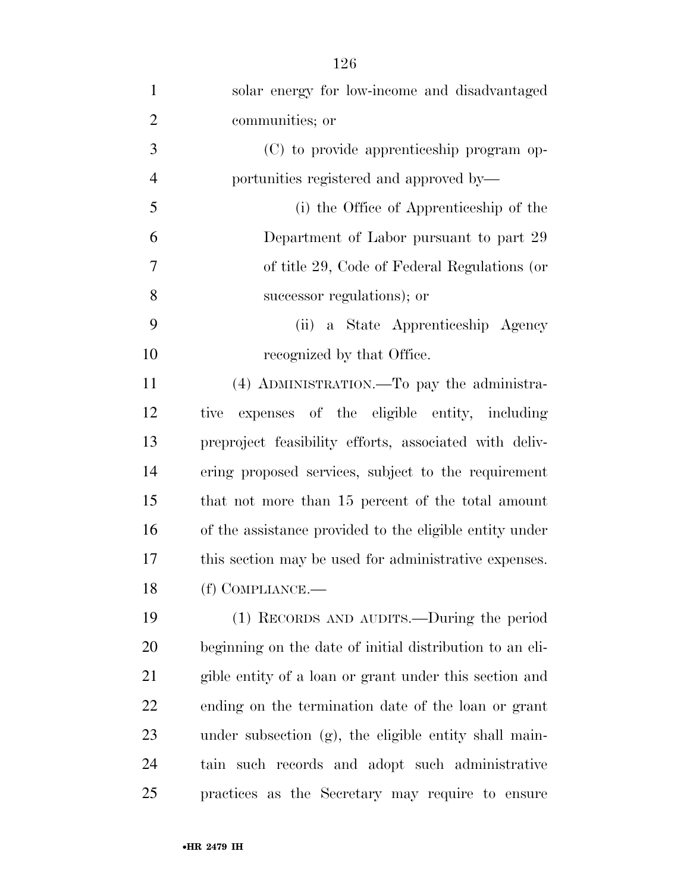| $\mathbf{1}$   | solar energy for low-income and disadvantaged            |
|----------------|----------------------------------------------------------|
| $\overline{2}$ | communities; or                                          |
| 3              | (C) to provide apprenticeship program op-                |
| $\overline{4}$ | portunities registered and approved by—                  |
| 5              | (i) the Office of Apprenticeship of the                  |
| 6              | Department of Labor pursuant to part 29                  |
| $\overline{7}$ | of title 29, Code of Federal Regulations (or             |
| 8              | successor regulations); or                               |
| 9              | (ii) a State Apprenticeship Agency                       |
| 10             | recognized by that Office.                               |
| 11             | (4) ADMINISTRATION.—To pay the administra-               |
| 12             | expenses of the eligible entity, including<br>tive       |
| 13             | preproject feasibility efforts, associated with deliv-   |
| 14             | ering proposed services, subject to the requirement      |
| 15             | that not more than 15 percent of the total amount        |
| 16             | of the assistance provided to the eligible entity under  |
| 17             | this section may be used for administrative expenses.    |
| 18             | (f) COMPLIANCE.—                                         |
| 19             | (1) RECORDS AND AUDITS.—During the period                |
| <b>20</b>      | beginning on the date of initial distribution to an eli- |
| 21             | gible entity of a loan or grant under this section and   |
| 22             | ending on the termination date of the loan or grant      |
| 23             | under subsection (g), the eligible entity shall main-    |
| 24             | tain such records and adopt such administrative          |
| 25             | practices as the Secretary may require to ensure         |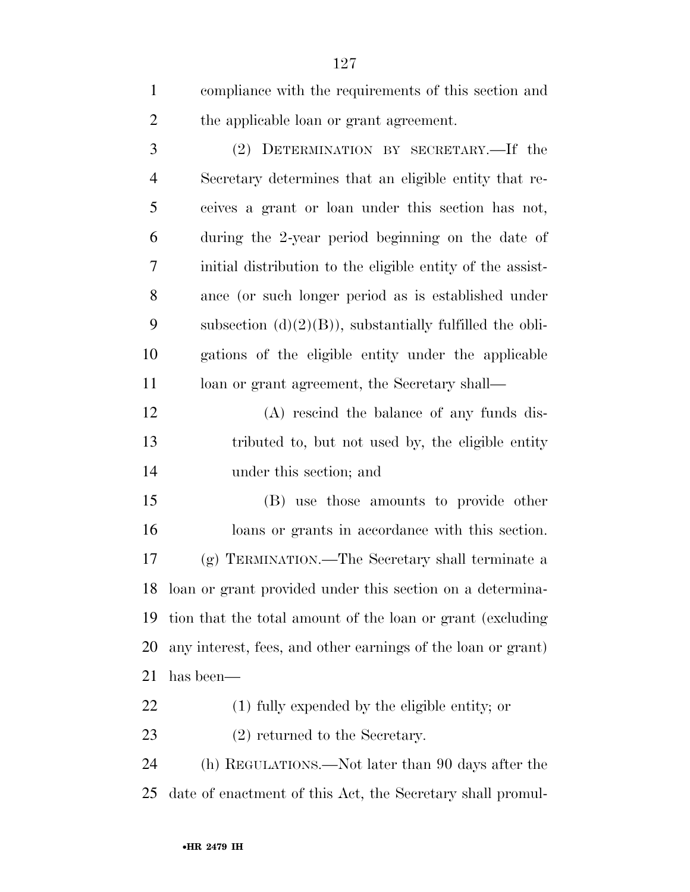compliance with the requirements of this section and the applicable loan or grant agreement.

 (2) DETERMINATION BY SECRETARY.—If the Secretary determines that an eligible entity that re- ceives a grant or loan under this section has not, during the 2-year period beginning on the date of initial distribution to the eligible entity of the assist- ance (or such longer period as is established under 9 subsection  $(d)(2)(B)$ , substantially fulfilled the obli- gations of the eligible entity under the applicable 11 loan or grant agreement, the Secretary shall—

 (A) rescind the balance of any funds dis- tributed to, but not used by, the eligible entity under this section; and

 (B) use those amounts to provide other loans or grants in accordance with this section. (g) TERMINATION.—The Secretary shall terminate a loan or grant provided under this section on a determina- tion that the total amount of the loan or grant (excluding any interest, fees, and other earnings of the loan or grant) has been—

(1) fully expended by the eligible entity; or

23 (2) returned to the Secretary.

 (h) REGULATIONS.—Not later than 90 days after the date of enactment of this Act, the Secretary shall promul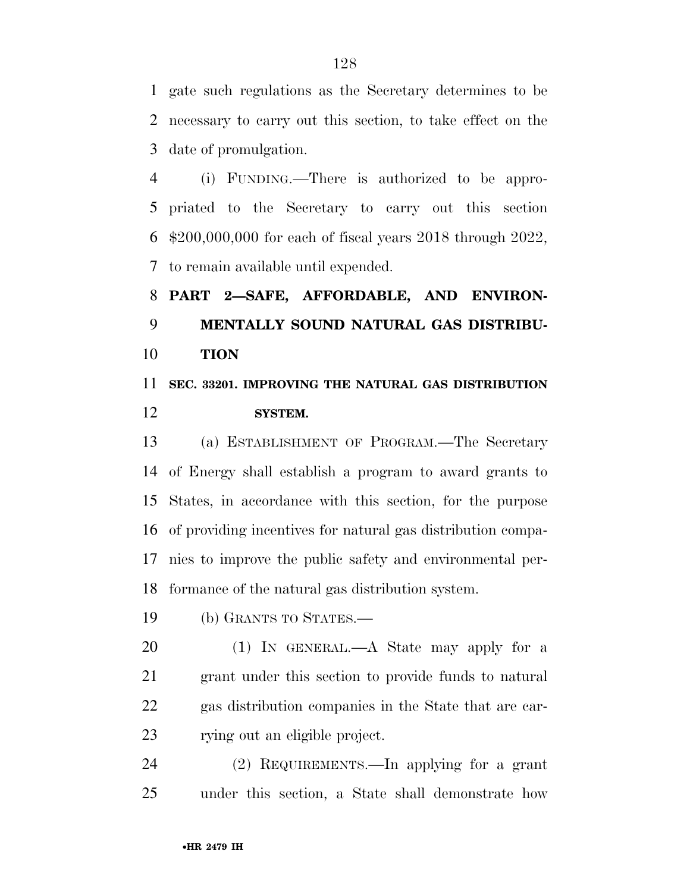gate such regulations as the Secretary determines to be necessary to carry out this section, to take effect on the date of promulgation.

 (i) FUNDING.—There is authorized to be appro- priated to the Secretary to carry out this section \$200,000,000 for each of fiscal years 2018 through 2022, to remain available until expended.

 **PART 2—SAFE, AFFORDABLE, AND ENVIRON- MENTALLY SOUND NATURAL GAS DISTRIBU-TION** 

# **SEC. 33201. IMPROVING THE NATURAL GAS DISTRIBUTION SYSTEM.**

 (a) ESTABLISHMENT OF PROGRAM.—The Secretary of Energy shall establish a program to award grants to States, in accordance with this section, for the purpose of providing incentives for natural gas distribution compa- nies to improve the public safety and environmental per-formance of the natural gas distribution system.

(b) GRANTS TO STATES.—

20 (1) IN GENERAL.—A State may apply for a grant under this section to provide funds to natural gas distribution companies in the State that are car-rying out an eligible project.

 (2) REQUIREMENTS.—In applying for a grant under this section, a State shall demonstrate how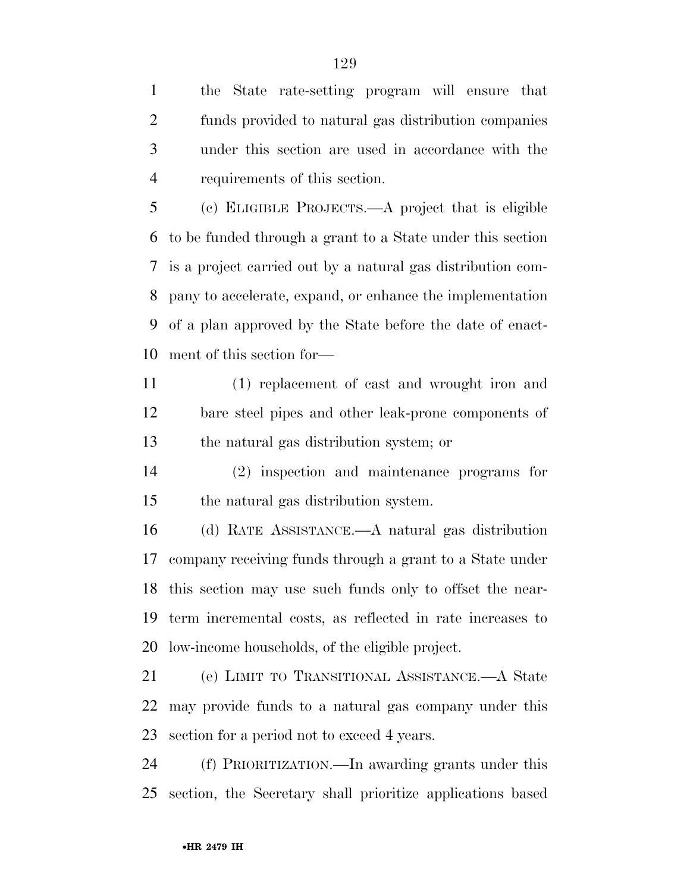the State rate-setting program will ensure that funds provided to natural gas distribution companies under this section are used in accordance with the requirements of this section.

 (c) ELIGIBLE PROJECTS.—A project that is eligible to be funded through a grant to a State under this section is a project carried out by a natural gas distribution com- pany to accelerate, expand, or enhance the implementation of a plan approved by the State before the date of enact-ment of this section for—

 (1) replacement of cast and wrought iron and bare steel pipes and other leak-prone components of the natural gas distribution system; or

 (2) inspection and maintenance programs for the natural gas distribution system.

 (d) RATE ASSISTANCE.—A natural gas distribution company receiving funds through a grant to a State under this section may use such funds only to offset the near- term incremental costs, as reflected in rate increases to low-income households, of the eligible project.

 (e) LIMIT TO TRANSITIONAL ASSISTANCE.—A State may provide funds to a natural gas company under this section for a period not to exceed 4 years.

 (f) PRIORITIZATION.—In awarding grants under this section, the Secretary shall prioritize applications based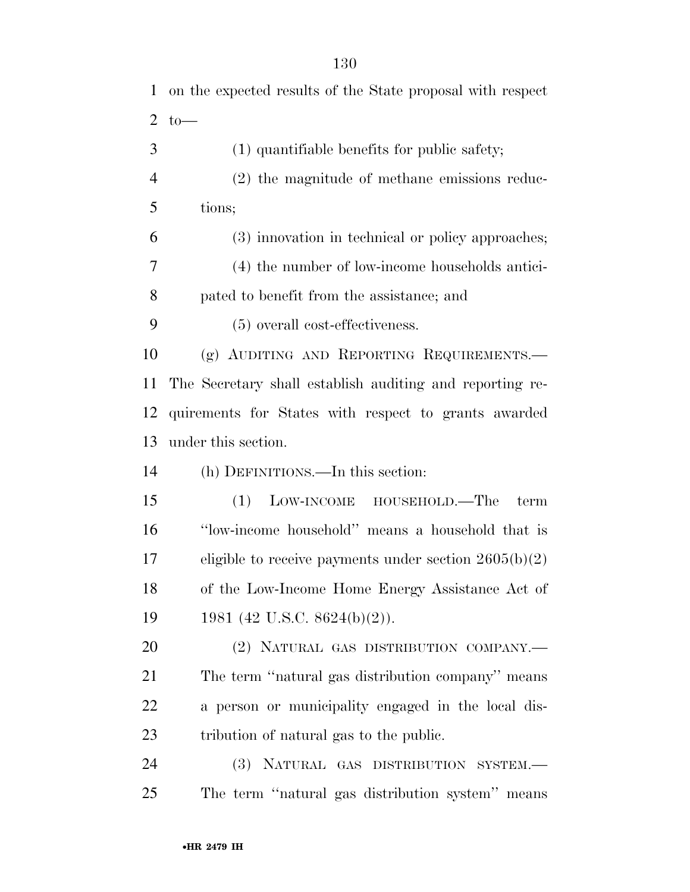| $\mathbf 1$    | on the expected results of the State proposal with respect |
|----------------|------------------------------------------------------------|
| $\overline{2}$ | $to-$                                                      |
| 3              | $(1)$ quantifiable benefits for public safety;             |
| $\overline{4}$ | (2) the magnitude of methane emissions reduc-              |
| 5              | tions;                                                     |
| 6              | (3) innovation in technical or policy approaches;          |
| $\overline{7}$ | (4) the number of low-income households antici-            |
| 8              | pated to benefit from the assistance; and                  |
| 9              | (5) overall cost-effectiveness.                            |
| 10             | (g) AUDITING AND REPORTING REQUIREMENTS.                   |
| <sup>11</sup>  | The Secretary shall establish auditing and reporting re-   |
| 12             | quirements for States with respect to grants awarded       |
| 13             | under this section.                                        |
| 14             | (h) DEFINITIONS.—In this section:                          |
| 15             | LOW-INCOME<br>HOUSEHOLD.—The<br>(1)<br>term                |
| 16             | "low-income household" means a household that is           |
| 17             | eligible to receive payments under section $2605(b)(2)$    |
| 18             | of the Low-Income Home Energy Assistance Act of            |
| 19             | 1981 (42 U.S.C. 8624(b)(2)).                               |
| 20             | (2) NATURAL GAS DISTRIBUTION COMPANY.-                     |
| 21             | The term "natural gas distribution company" means          |
| 22             | a person or municipality engaged in the local dis-         |
| 23             | tribution of natural gas to the public.                    |
| 24             | (3) NATURAL GAS DISTRIBUTION SYSTEM.-                      |
| 25             | The term "natural gas distribution system" means           |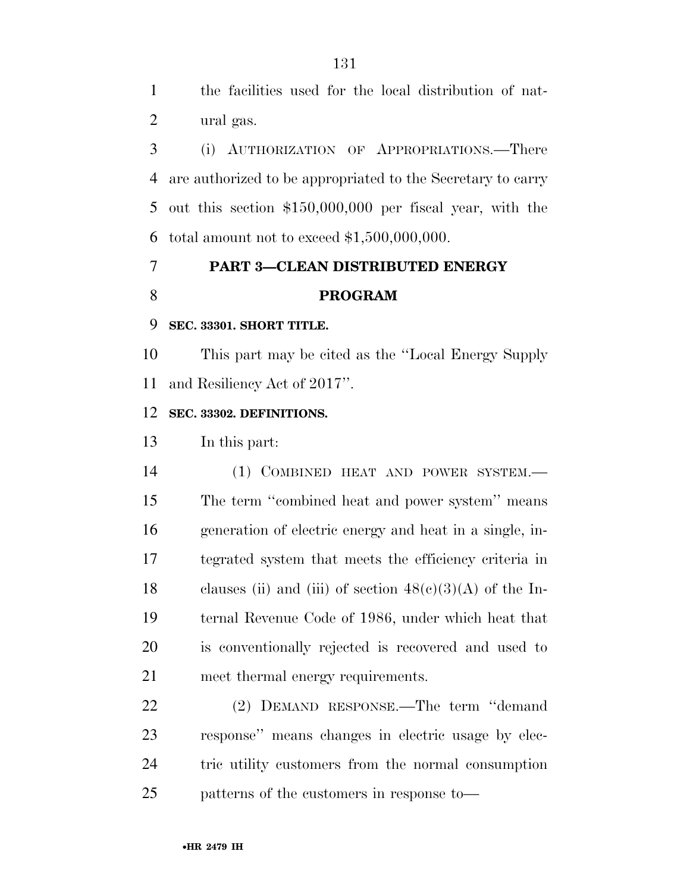the facilities used for the local distribution of nat-ural gas.

 (i) AUTHORIZATION OF APPROPRIATIONS.—There are authorized to be appropriated to the Secretary to carry out this section \$150,000,000 per fiscal year, with the 6 total amount not to exceed  $$1,500,000,000$ .

## **PART 3—CLEAN DISTRIBUTED ENERGY PROGRAM**

#### **SEC. 33301. SHORT TITLE.**

 This part may be cited as the ''Local Energy Supply and Resiliency Act of 2017''.

### **SEC. 33302. DEFINITIONS.**

In this part:

 (1) COMBINED HEAT AND POWER SYSTEM.— The term ''combined heat and power system'' means generation of electric energy and heat in a single, in- tegrated system that meets the efficiency criteria in 18 clauses (ii) and (iii) of section  $48(c)(3)(A)$  of the In- ternal Revenue Code of 1986, under which heat that is conventionally rejected is recovered and used to meet thermal energy requirements.

 (2) DEMAND RESPONSE.—The term ''demand response'' means changes in electric usage by elec- tric utility customers from the normal consumption patterns of the customers in response to—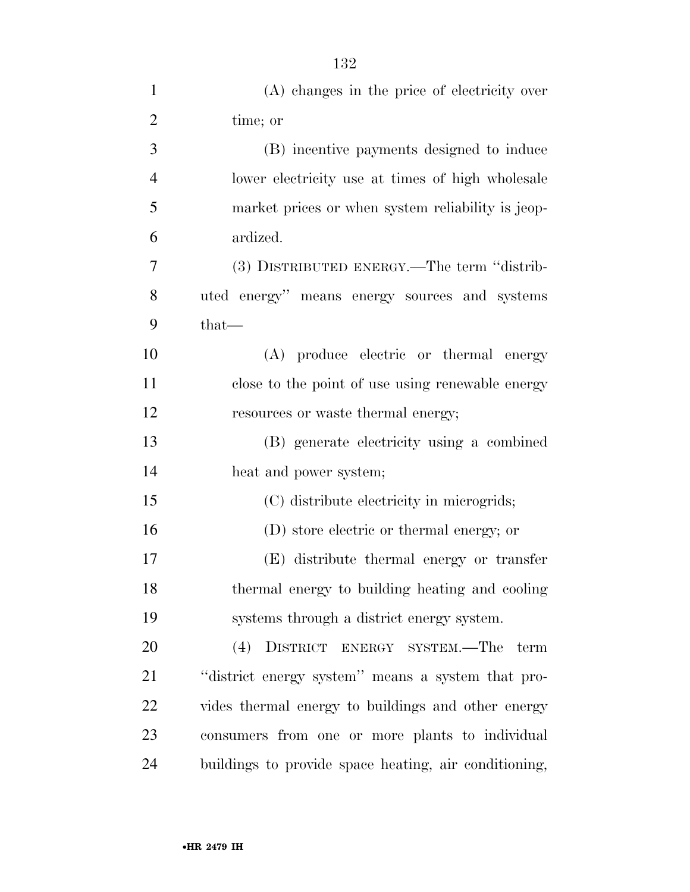| $\mathbf{1}$   | (A) changes in the price of electricity over          |
|----------------|-------------------------------------------------------|
| $\overline{2}$ | time; or                                              |
| 3              | (B) incentive payments designed to induce             |
| $\overline{4}$ | lower electricity use at times of high wholesale      |
| 5              | market prices or when system reliability is jeop-     |
| 6              | ardized.                                              |
| 7              | (3) DISTRIBUTED ENERGY.—The term "distrib-            |
| 8              | uted energy" means energy sources and systems         |
| 9              | $that$ —                                              |
| 10             | (A) produce electric or thermal energy                |
| 11             | close to the point of use using renewable energy      |
| 12             | resources or waste thermal energy;                    |
| 13             | (B) generate electricity using a combined             |
| 14             | heat and power system;                                |
| 15             | (C) distribute electricity in microgrids;             |
| 16             | (D) store electric or thermal energy; or              |
| 17             | (E) distribute thermal energy or transfer             |
| 18             | thermal energy to building heating and cooling        |
| 19             | systems through a district energy system.             |
| 20             | (4) DISTRICT ENERGY SYSTEM.—The term                  |
| 21             | "district energy system" means a system that pro-     |
| 22             | vides thermal energy to buildings and other energy    |
| 23             | consumers from one or more plants to individual       |
| 24             | buildings to provide space heating, air conditioning, |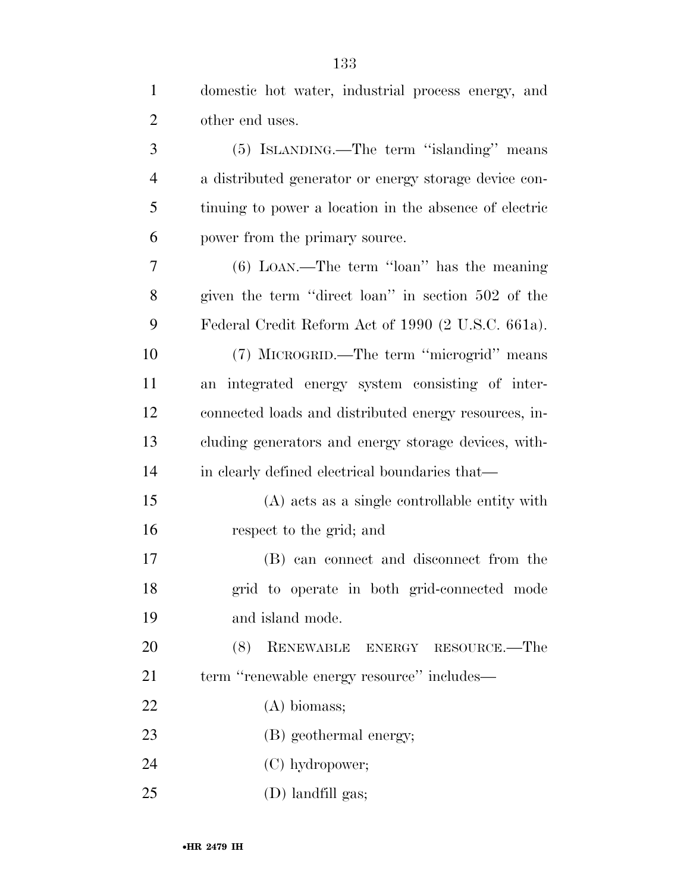| $\mathbf{1}$   | domestic hot water, industrial process energy, and     |
|----------------|--------------------------------------------------------|
| $\overline{2}$ | other end uses.                                        |
| 3              | (5) ISLANDING.—The term "islanding" means              |
| $\overline{4}$ | a distributed generator or energy storage device con-  |
| 5              | tinuing to power a location in the absence of electric |
| 6              | power from the primary source.                         |
| 7              | $(6)$ LOAN.—The term "loan" has the meaning            |
| 8              | given the term "direct loan" in section 502 of the     |
| 9              | Federal Credit Reform Act of 1990 (2 U.S.C. 661a).     |
| 10             | (7) MICROGRID.—The term "microgrid" means              |
| 11             | an integrated energy system consisting of inter-       |
| 12             | connected loads and distributed energy resources, in-  |
| 13             | cluding generators and energy storage devices, with-   |
| 14             | in clearly defined electrical boundaries that—         |
| 15             | (A) acts as a single controllable entity with          |
| 16             | respect to the grid; and                               |
| 17             | (B) can connect and disconnect from the                |
| 18             | grid to operate in both grid-connected mode            |
| 19             | and island mode.                                       |
| 20             | (8)<br>RENEWABLE ENERGY RESOURCE.—The                  |
| 21             | term "renewable energy resource" includes-             |
| 22             | $(A)$ biomass;                                         |
| 23             | (B) geothermal energy;                                 |
| 24             | (C) hydropower;                                        |
| 25             | (D) landfill gas;                                      |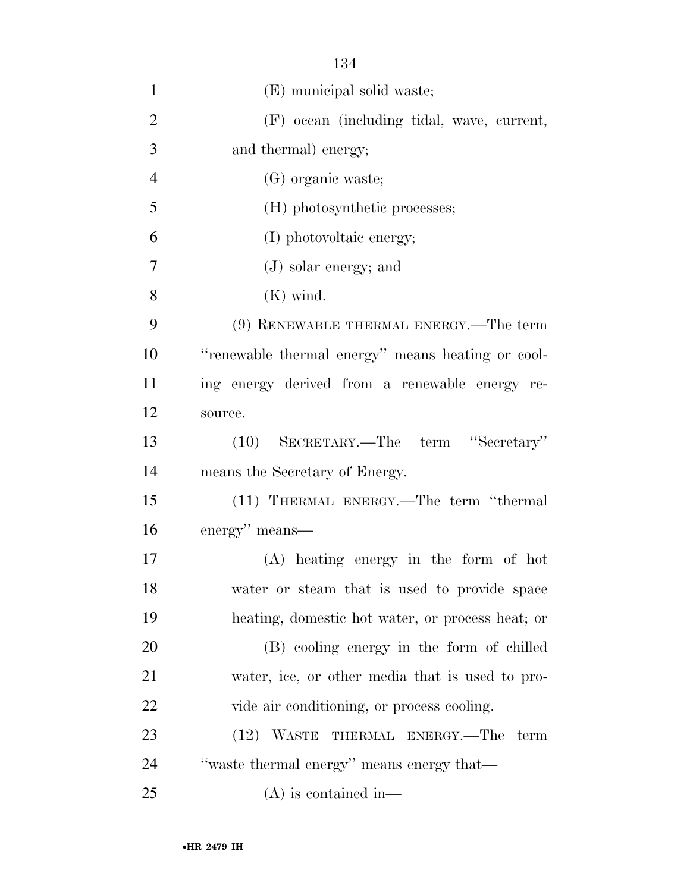| $\mathbf{1}$   | (E) municipal solid waste;                        |
|----------------|---------------------------------------------------|
| $\overline{2}$ | (F) ocean (including tidal, wave, current,        |
| 3              | and thermal) energy;                              |
| $\overline{4}$ | (G) organic waste;                                |
| 5              | (H) photosynthetic processes;                     |
| 6              | (I) photovoltaic energy;                          |
| 7              | $(J)$ solar energy; and                           |
| 8              | $(K)$ wind.                                       |
| 9              | (9) RENEWABLE THERMAL ENERGY.—The term            |
| 10             | "renewable thermal energy" means heating or cool- |
| 11             | ing energy derived from a renewable energy re-    |
| 12             | source.                                           |
| 13             | (10) SECRETARY.—The term "Secretary"              |
| 14             | means the Secretary of Energy.                    |
| 15             | (11) THERMAL ENERGY.—The term "thermal            |
| 16             | energy" means—                                    |
| 17             | $(A)$ heating energy in the form of hot           |
| 18             | water or steam that is used to provide space      |
| 19             | heating, domestic hot water, or process heat; or  |
| 20             | (B) cooling energy in the form of chilled         |
| 21             | water, ice, or other media that is used to pro-   |
| 22             | vide air conditioning, or process cooling.        |
| 23             | (12) WASTE THERMAL ENERGY.—The<br>term            |
| 24             | "waste thermal energy" means energy that—         |
| 25             | $(A)$ is contained in—                            |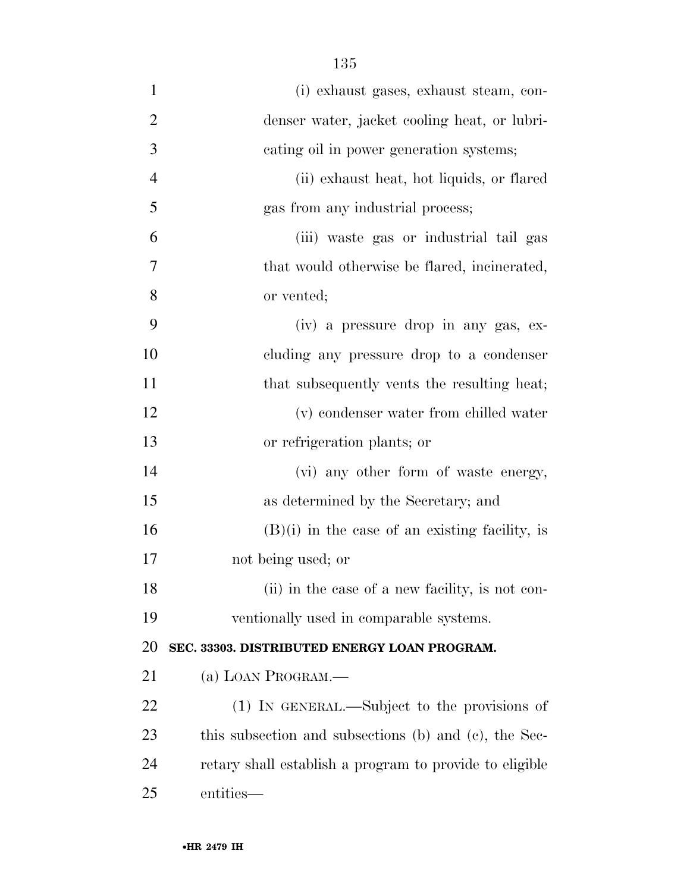| $\mathbf{1}$   | (i) exhaust gases, exhaust steam, con-                  |
|----------------|---------------------------------------------------------|
| $\overline{2}$ | denser water, jacket cooling heat, or lubri-            |
| 3              | cating oil in power generation systems;                 |
| $\overline{4}$ | (ii) exhaust heat, hot liquids, or flared               |
| 5              | gas from any industrial process;                        |
| 6              | (iii) waste gas or industrial tail gas                  |
| 7              | that would otherwise be flared, incinerated,            |
| 8              | or vented;                                              |
| 9              | (iv) a pressure drop in any gas, ex-                    |
| 10             | cluding any pressure drop to a condenser                |
| 11             | that subsequently vents the resulting heat;             |
| 12             | (v) condenser water from chilled water                  |
| 13             | or refrigeration plants; or                             |
| 14             | (vi) any other form of waste energy,                    |
| 15             | as determined by the Secretary; and                     |
| 16             | $(B)(i)$ in the case of an existing facility, is        |
| 17             | not being used; or                                      |
| 18             | (ii) in the case of a new facility, is not con-         |
| 19             | ventionally used in comparable systems.                 |
| 20             | SEC. 33303. DISTRIBUTED ENERGY LOAN PROGRAM.            |
| 21             | (a) LOAN PROGRAM.                                       |
| 22             | (1) IN GENERAL.—Subject to the provisions of            |
| 23             | this subsection and subsections (b) and (c), the Sec-   |
| 24             | retary shall establish a program to provide to eligible |
| 25             | entities—                                               |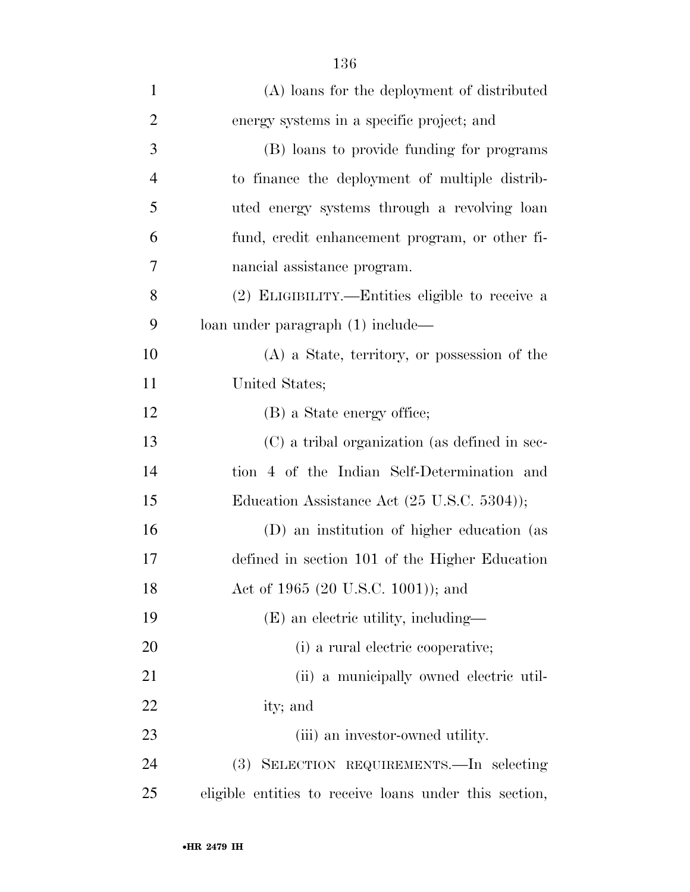| $\mathbf{1}$   | (A) loans for the deployment of distributed            |
|----------------|--------------------------------------------------------|
| $\overline{2}$ | energy systems in a specific project; and              |
| 3              | (B) loans to provide funding for programs              |
| $\overline{4}$ | to finance the deployment of multiple distrib-         |
| 5              | uted energy systems through a revolving loan           |
| 6              | fund, credit enhancement program, or other fi-         |
| 7              | nancial assistance program.                            |
| 8              | (2) ELIGIBILITY.—Entities eligible to receive a        |
| 9              | loan under paragraph (1) include—                      |
| 10             | (A) a State, territory, or possession of the           |
| 11             | United States;                                         |
| 12             | (B) a State energy office;                             |
| 13             | (C) a tribal organization (as defined in sec-          |
| 14             | tion 4 of the Indian Self-Determination and            |
| 15             | Education Assistance Act (25 U.S.C. 5304));            |
| 16             | (D) an institution of higher education (as             |
| 17             | defined in section 101 of the Higher Education         |
| 18             | Act of 1965 (20 U.S.C. 1001)); and                     |
| 19             | (E) an electric utility, including—                    |
| 20             | (i) a rural electric cooperative;                      |
| 21             | (ii) a municipally owned electric util-                |
| 22             | ity; and                                               |
| 23             | (iii) an investor-owned utility.                       |
| 24             | SELECTION REQUIREMENTS. - In selecting<br>(3)          |
| 25             | eligible entities to receive loans under this section, |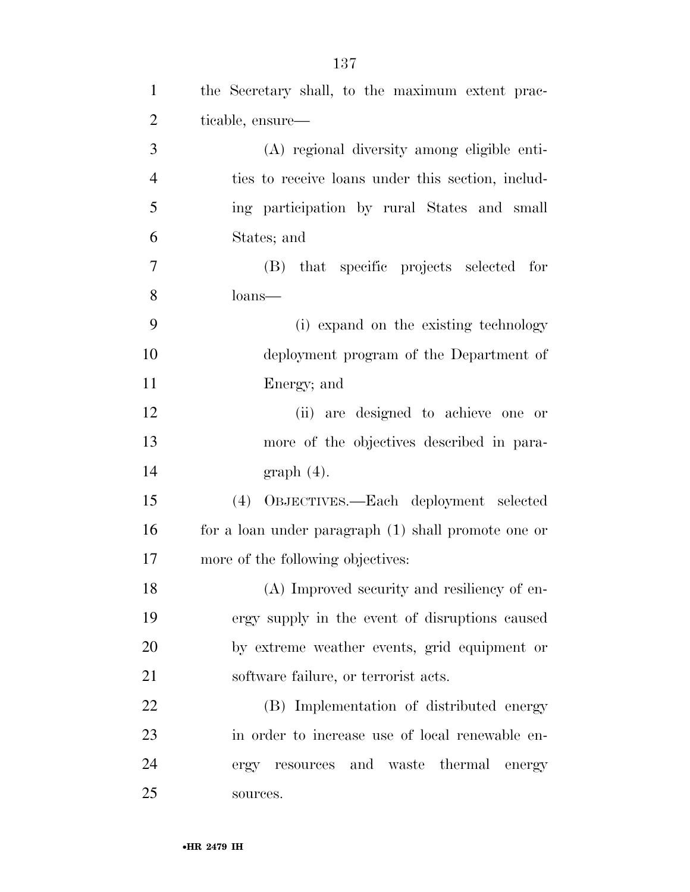| $\mathbf{1}$   | the Secretary shall, to the maximum extent prac-    |
|----------------|-----------------------------------------------------|
| $\overline{2}$ | ticable, ensure—                                    |
| 3              | (A) regional diversity among eligible enti-         |
| $\overline{4}$ | ties to receive loans under this section, includ-   |
| 5              | ing participation by rural States and small         |
| 6              | States; and                                         |
| 7              | (B) that specific projects selected for             |
| 8              | loans—                                              |
| 9              | (i) expand on the existing technology               |
| 10             | deployment program of the Department of             |
| 11             | Energy; and                                         |
| 12             | (ii) are designed to achieve one or                 |
| 13             | more of the objectives described in para-           |
| 14             | graph(4).                                           |
| 15             | (4) OBJECTIVES.—Each deployment selected            |
| 16             | for a loan under paragraph (1) shall promote one or |
| 17             | more of the following objectives:                   |
| 18             | (A) Improved security and resiliency of en-         |
| 19             | ergy supply in the event of disruptions caused      |
| 20             | by extreme weather events, grid equipment or        |
| 21             | software failure, or terrorist acts.                |
| 22             | (B) Implementation of distributed energy            |
| 23             | in order to increase use of local renewable en-     |
| 24             | resources and waste thermal energy<br>ergy          |
| 25             | sources.                                            |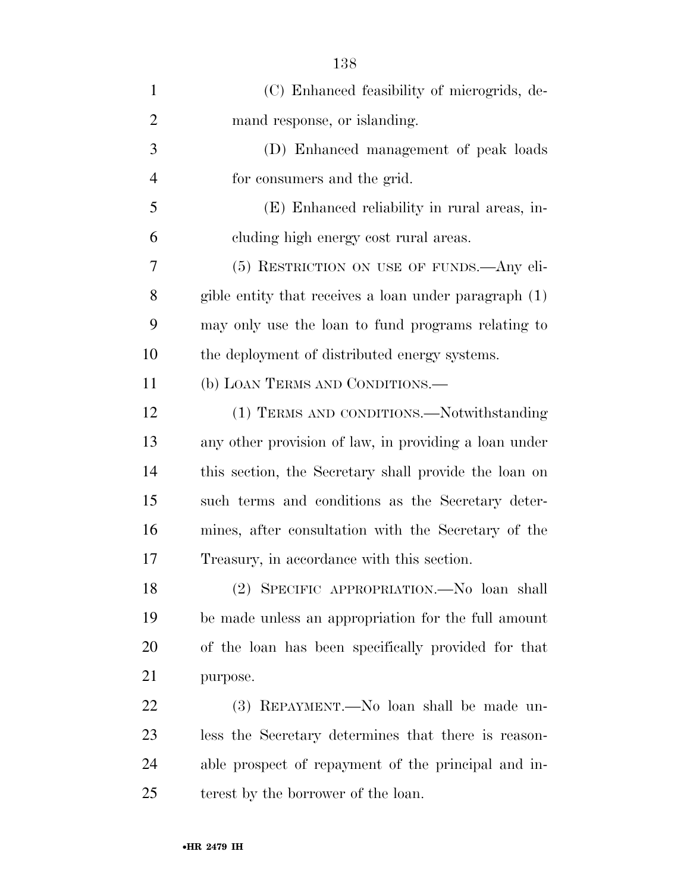| (C) Enhanced feasibility of microgrids, de-           |
|-------------------------------------------------------|
| mand response, or islanding.                          |
| (D) Enhanced management of peak loads                 |
| for consumers and the grid.                           |
| (E) Enhanced reliability in rural areas, in-          |
| cluding high energy cost rural areas.                 |
| (5) RESTRICTION ON USE OF FUNDS.—Any eli-             |
| gible entity that receives a loan under paragraph (1) |
| may only use the loan to fund programs relating to    |
| the deployment of distributed energy systems.         |
| (b) LOAN TERMS AND CONDITIONS.—                       |
| (1) TERMS AND CONDITIONS.—Notwithstanding             |
| any other provision of law, in providing a loan under |
| this section, the Secretary shall provide the loan on |
| such terms and conditions as the Secretary deter-     |
| mines, after consultation with the Secretary of the   |
| Treasury, in accordance with this section.            |
| (2) SPECIFIC APPROPRIATION. No loan shall             |
| be made unless an appropriation for the full amount   |
| of the loan has been specifically provided for that   |
| purpose.                                              |
| (3) REPAYMENT.—No loan shall be made un-              |
| less the Secretary determines that there is reason-   |
| able prospect of repayment of the principal and in-   |
| terest by the borrower of the loan.                   |
|                                                       |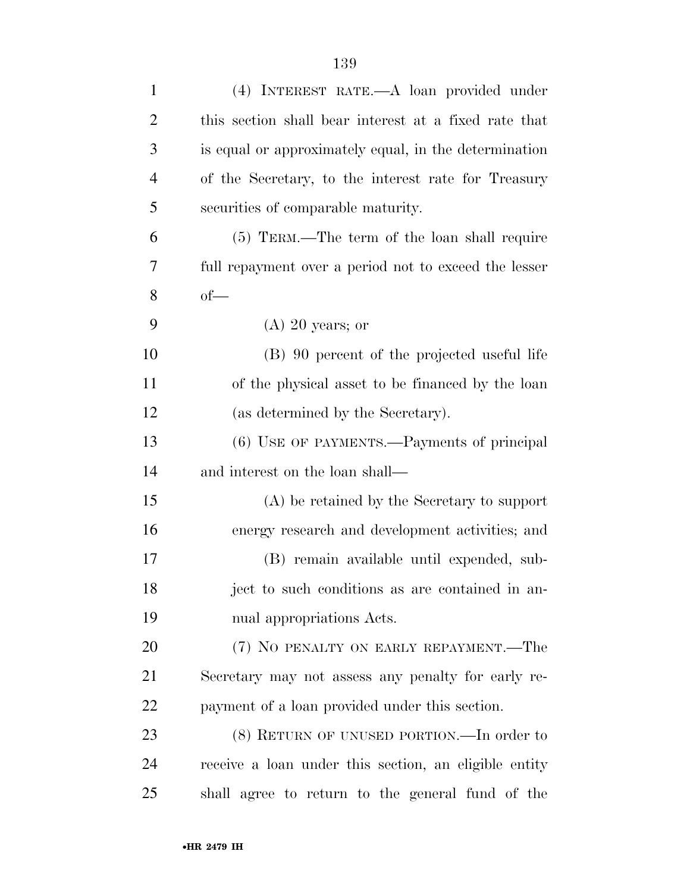| $\mathbf{1}$   | (4) INTEREST RATE.—A loan provided under              |
|----------------|-------------------------------------------------------|
| $\overline{2}$ | this section shall bear interest at a fixed rate that |
| 3              | is equal or approximately equal, in the determination |
| $\overline{4}$ | of the Secretary, to the interest rate for Treasury   |
| 5              | securities of comparable maturity.                    |
| 6              | (5) TERM.—The term of the loan shall require          |
| 7              | full repayment over a period not to exceed the lesser |
| 8              | $of-$                                                 |
| 9              | $(A)$ 20 years; or                                    |
| 10             | (B) 90 percent of the projected useful life           |
| 11             | of the physical asset to be financed by the loan      |
| 12             | (as determined by the Secretary).                     |
| 13             | (6) USE OF PAYMENTS.—Payments of principal            |
| 14             | and interest on the loan shall—                       |
| 15             | (A) be retained by the Secretary to support           |
| 16             | energy research and development activities; and       |
| 17             | (B) remain available until expended, sub-             |
| 18             | ject to such conditions as are contained in an-       |
| 19             | nual appropriations Acts.                             |
| 20             | (7) NO PENALTY ON EARLY REPAYMENT.—The                |
| 21             | Secretary may not assess any penalty for early re-    |
| 22             | payment of a loan provided under this section.        |
| 23             | (8) RETURN OF UNUSED PORTION.—In order to             |
| 24             | receive a loan under this section, an eligible entity |
| 25             | shall agree to return to the general fund of the      |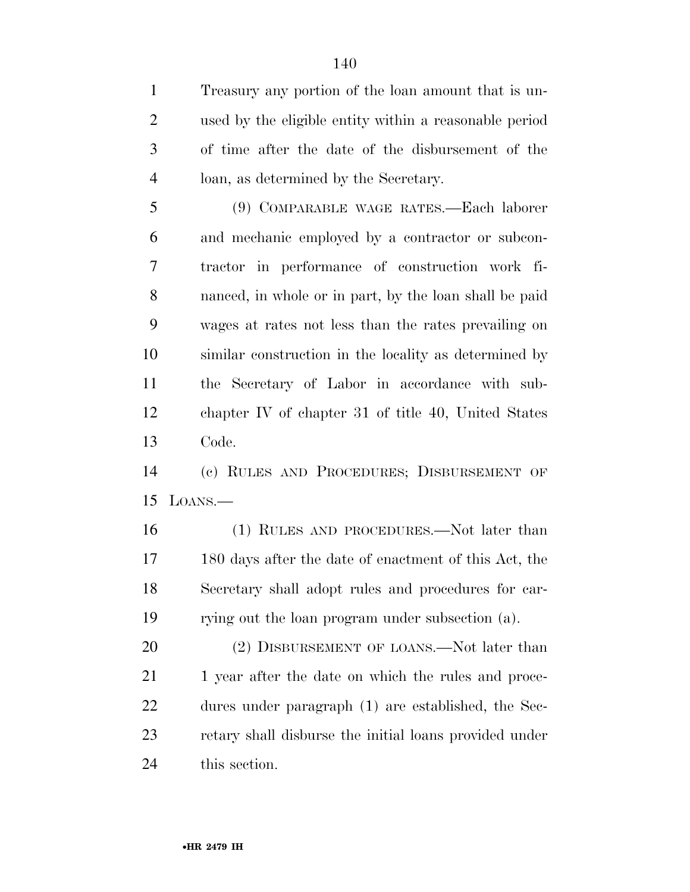Treasury any portion of the loan amount that is un- used by the eligible entity within a reasonable period of time after the date of the disbursement of the loan, as determined by the Secretary.

 (9) COMPARABLE WAGE RATES.—Each laborer and mechanic employed by a contractor or subcon- tractor in performance of construction work fi- nanced, in whole or in part, by the loan shall be paid wages at rates not less than the rates prevailing on similar construction in the locality as determined by the Secretary of Labor in accordance with sub- chapter IV of chapter 31 of title 40, United States Code.

 (c) RULES AND PROCEDURES; DISBURSEMENT OF LOANS.—

 (1) RULES AND PROCEDURES.—Not later than 180 days after the date of enactment of this Act, the Secretary shall adopt rules and procedures for car-rying out the loan program under subsection (a).

20 (2) DISBURSEMENT OF LOANS.—Not later than 21 1 year after the date on which the rules and proce- dures under paragraph (1) are established, the Sec- retary shall disburse the initial loans provided under this section.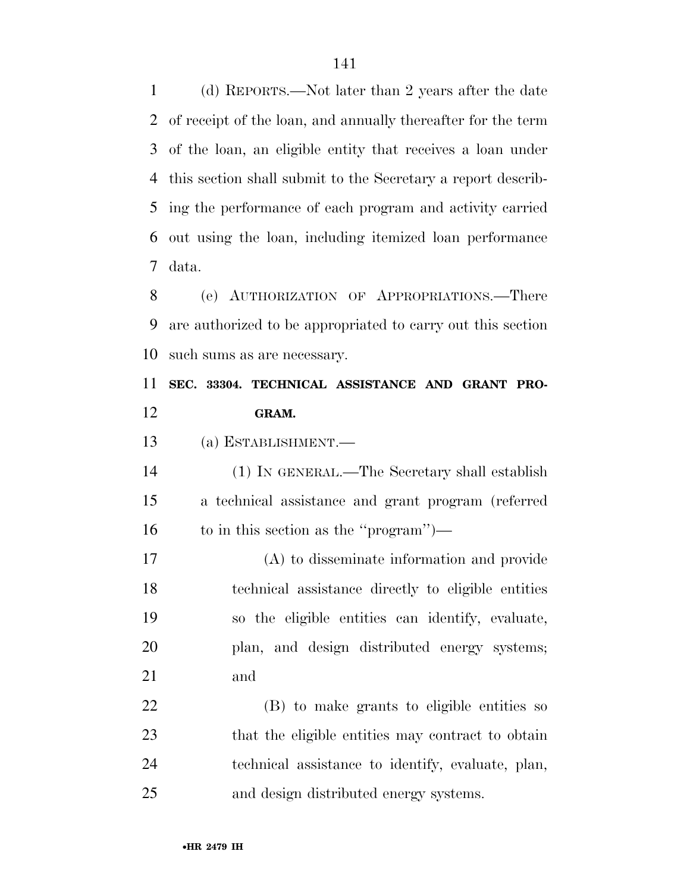(d) REPORTS.—Not later than 2 years after the date of receipt of the loan, and annually thereafter for the term of the loan, an eligible entity that receives a loan under this section shall submit to the Secretary a report describ- ing the performance of each program and activity carried out using the loan, including itemized loan performance data.

 (e) AUTHORIZATION OF APPROPRIATIONS.—There are authorized to be appropriated to carry out this section such sums as are necessary.

### **SEC. 33304. TECHNICAL ASSISTANCE AND GRANT PRO-GRAM.**

(a) ESTABLISHMENT.—

 (1) IN GENERAL.—The Secretary shall establish a technical assistance and grant program (referred to in this section as the ''program'')—

 (A) to disseminate information and provide technical assistance directly to eligible entities so the eligible entities can identify, evaluate, plan, and design distributed energy systems; and

 (B) to make grants to eligible entities so that the eligible entities may contract to obtain technical assistance to identify, evaluate, plan, and design distributed energy systems.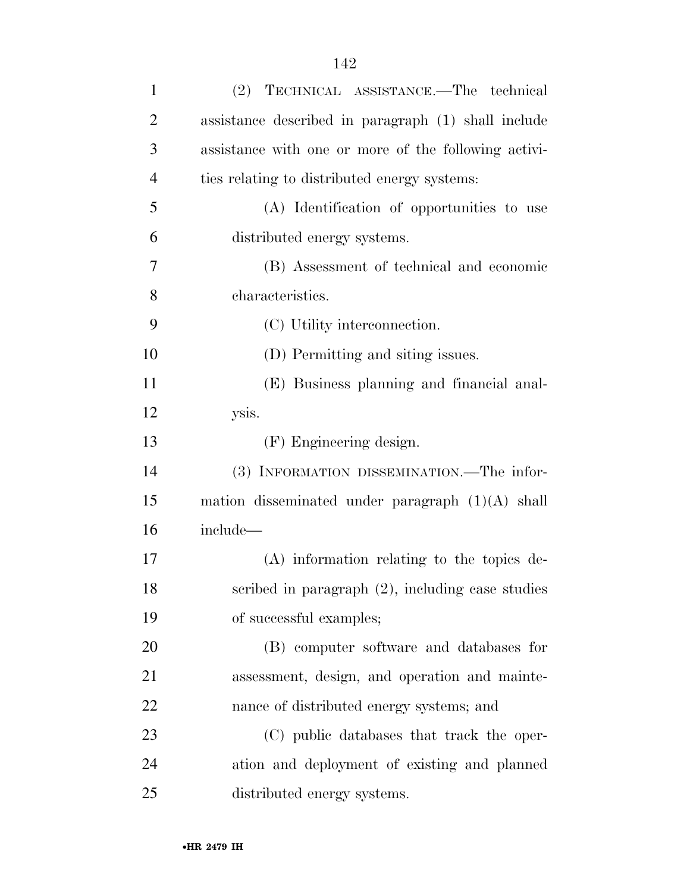| $\mathbf{1}$   | (2) TECHNICAL ASSISTANCE.—The technical              |
|----------------|------------------------------------------------------|
| $\overline{2}$ | assistance described in paragraph (1) shall include  |
| 3              | assistance with one or more of the following activi- |
| $\overline{4}$ | ties relating to distributed energy systems:         |
| 5              | (A) Identification of opportunities to use           |
| 6              | distributed energy systems.                          |
| 7              | (B) Assessment of technical and economic             |
| 8              | characteristics.                                     |
| 9              | (C) Utility interconnection.                         |
| 10             | (D) Permitting and siting issues.                    |
| 11             | (E) Business planning and financial anal-            |
| 12             | ysis.                                                |
| 13             | (F) Engineering design.                              |
| 14             | (3) INFORMATION DISSEMINATION.—The infor-            |
| 15             | mation disseminated under paragraph $(1)(A)$ shall   |
| 16             | include-                                             |
| 17             | (A) information relating to the topics de-           |
| 18             | scribed in paragraph $(2)$ , including case studies  |
| 19             | of successful examples;                              |
| 20             | (B) computer software and databases for              |
| 21             | assessment, design, and operation and mainte-        |
| 22             | nance of distributed energy systems; and             |
| 23             | (C) public databases that track the oper-            |
| 24             | ation and deployment of existing and planned         |
| 25             | distributed energy systems.                          |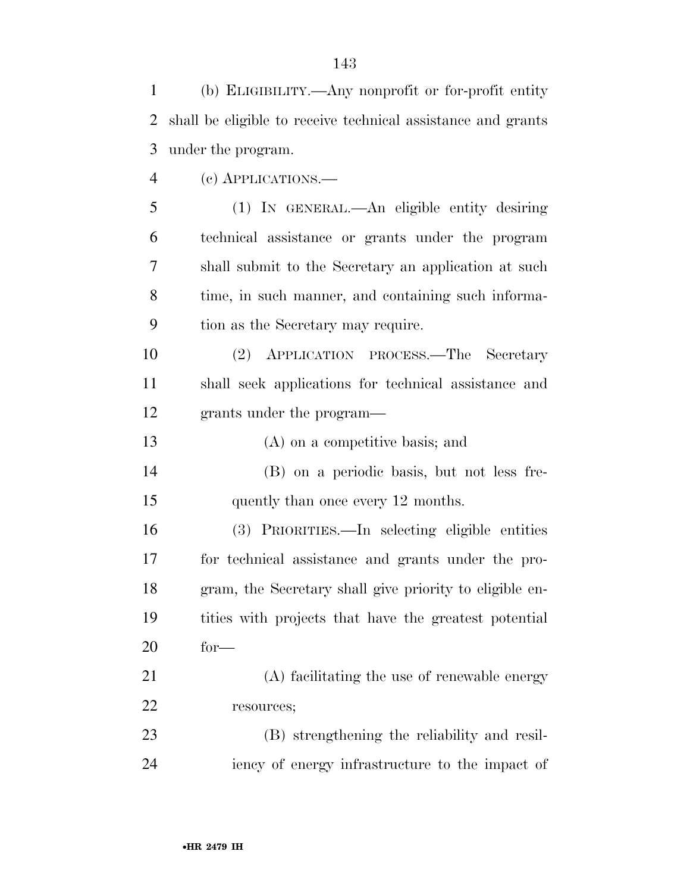(b) ELIGIBILITY.—Any nonprofit or for-profit entity shall be eligible to receive technical assistance and grants under the program. (c) APPLICATIONS.— (1) IN GENERAL.—An eligible entity desiring technical assistance or grants under the program shall submit to the Secretary an application at such time, in such manner, and containing such informa- tion as the Secretary may require. (2) APPLICATION PROCESS.—The Secretary shall seek applications for technical assistance and grants under the program— (A) on a competitive basis; and (B) on a periodic basis, but not less fre-15 quently than once every 12 months. (3) PRIORITIES.—In selecting eligible entities for technical assistance and grants under the pro- gram, the Secretary shall give priority to eligible en- tities with projects that have the greatest potential for— (A) facilitating the use of renewable energy resources; (B) strengthening the reliability and resil-iency of energy infrastructure to the impact of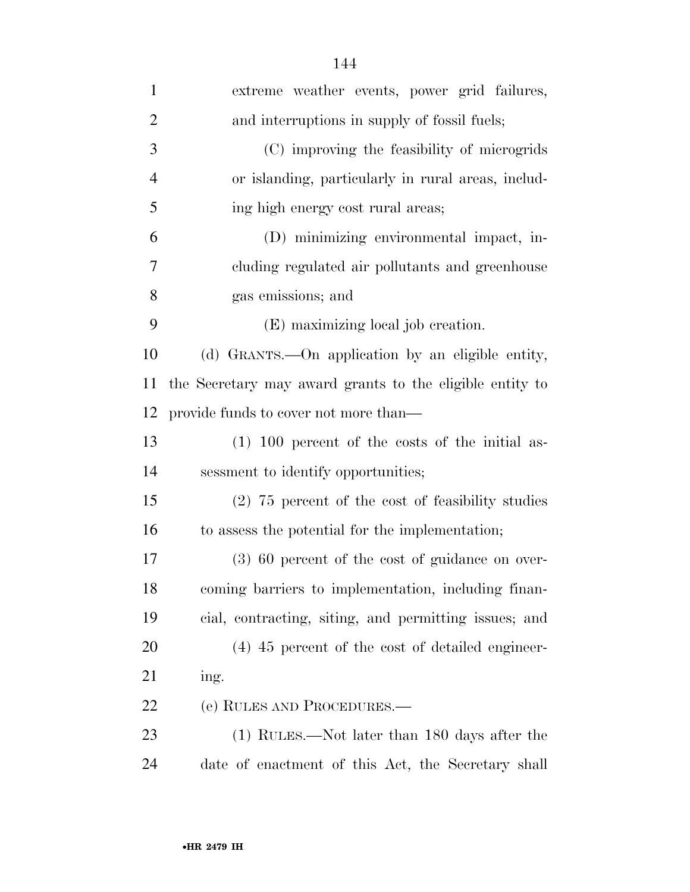| $\mathbf{1}$   | extreme weather events, power grid failures,             |
|----------------|----------------------------------------------------------|
| $\overline{2}$ | and interruptions in supply of fossil fuels;             |
| 3              | (C) improving the feasibility of microgrids              |
| 4              | or islanding, particularly in rural areas, includ-       |
| 5              | ing high energy cost rural areas;                        |
| 6              | (D) minimizing environmental impact, in-                 |
| 7              | cluding regulated air pollutants and greenhouse          |
| 8              | gas emissions; and                                       |
| 9              | (E) maximizing local job creation.                       |
| 10             | (d) GRANTS.—On application by an eligible entity,        |
| 11             | the Secretary may award grants to the eligible entity to |
| 12             | provide funds to cover not more than—                    |
| 13             | $(1)$ 100 percent of the costs of the initial as-        |
| 14             | sessment to identify opportunities;                      |
| 15             | $(2)$ 75 percent of the cost of feasibility studies      |
| 16             | to assess the potential for the implementation;          |
| 17             | $(3)$ 60 percent of the cost of guidance on over-        |
| 18             | coming barriers to implementation, including finan-      |
| 19             | cial, contracting, siting, and permitting issues; and    |
| 20             | $(4)$ 45 percent of the cost of detailed engineer-       |
| 21             | ing.                                                     |
| <u>22</u>      | (e) RULES AND PROCEDURES.—                               |
| 23             | (1) RULES.—Not later than 180 days after the             |
| 24             | date of enactment of this Act, the Secretary shall       |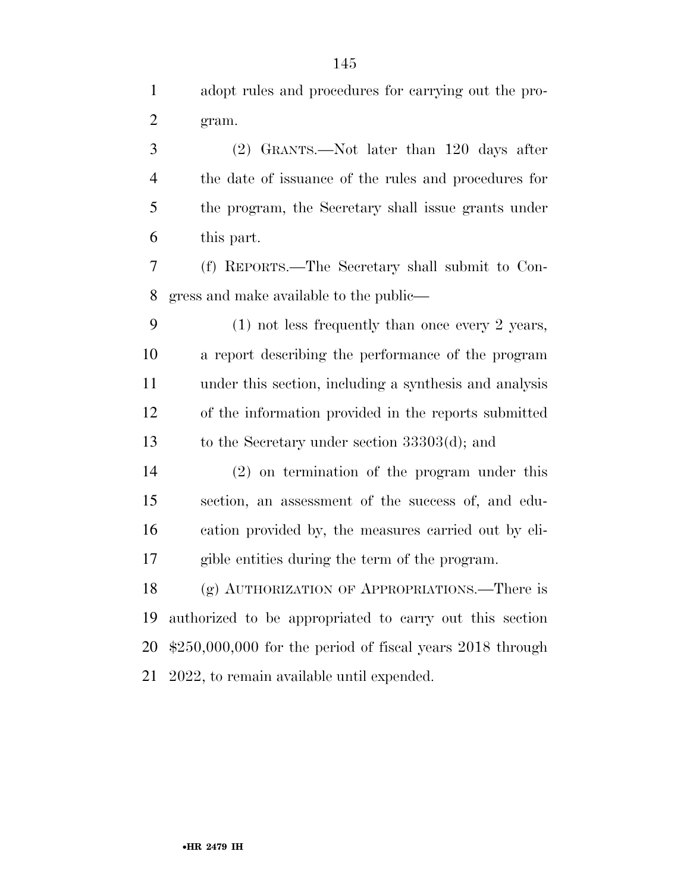adopt rules and procedures for carrying out the pro-gram.

 (2) GRANTS.—Not later than 120 days after the date of issuance of the rules and procedures for the program, the Secretary shall issue grants under this part.

 (f) REPORTS.—The Secretary shall submit to Con-gress and make available to the public—

 (1) not less frequently than once every 2 years, a report describing the performance of the program under this section, including a synthesis and analysis of the information provided in the reports submitted to the Secretary under section 33303(d); and

 (2) on termination of the program under this section, an assessment of the success of, and edu- cation provided by, the measures carried out by eli-gible entities during the term of the program.

 (g) AUTHORIZATION OF APPROPRIATIONS.—There is authorized to be appropriated to carry out this section \$250,000,000 for the period of fiscal years 2018 through 2022, to remain available until expended.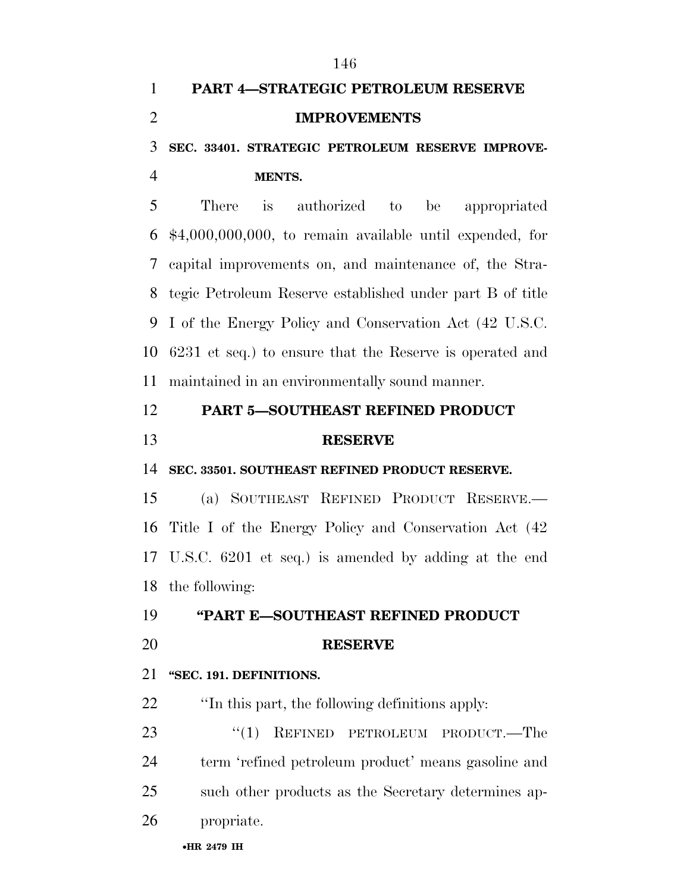| $\mathbf{1}$   | <b>PART 4-STRATEGIC PETROLEUM RESERVE</b>                  |
|----------------|------------------------------------------------------------|
| $\overline{2}$ | <b>IMPROVEMENTS</b>                                        |
| 3              | SEC. 33401. STRATEGIC PETROLEUM RESERVE IMPROVE-           |
| $\overline{4}$ | MENTS.                                                     |
| 5              | There<br>$\frac{1}{1}$<br>authorized to be<br>appropriated |
| 6              | $$4,000,000,000$ , to remain available until expended, for |
| 7              | capital improvements on, and maintenance of, the Stra-     |
| 8              | tegic Petroleum Reserve established under part B of title  |
| 9              | I of the Energy Policy and Conservation Act (42 U.S.C.     |
| 10             | 6231 et seq.) to ensure that the Reserve is operated and   |
| 11             | maintained in an environmentally sound manner.             |
| 12             | PART 5-SOUTHEAST REFINED PRODUCT                           |
| 13             | <b>RESERVE</b>                                             |
| 14             | SEC. 33501. SOUTHEAST REFINED PRODUCT RESERVE.             |
| 15             | (a) SOUTHEAST REFINED PRODUCT RESERVE.                     |
| 16             | Title I of the Energy Policy and Conservation Act (42)     |
|                | 17 U.S.C. 6201 et seq.) is amended by adding at the end    |
|                | 18 the following:                                          |
| 19             | "PART E-SOUTHEAST REFINED PRODUCT                          |
| 20             | <b>RESERVE</b>                                             |
| 21             | "SEC. 191. DEFINITIONS.                                    |
| 22             | "In this part, the following definitions apply:            |
| 23             | ``(1)<br>REFINED PETROLEUM PRODUCT.-The                    |
| 24             | term 'refined petroleum product' means gasoline and        |
| 25             | such other products as the Secretary determines ap-        |
| 26             | propriate.                                                 |
|                |                                                            |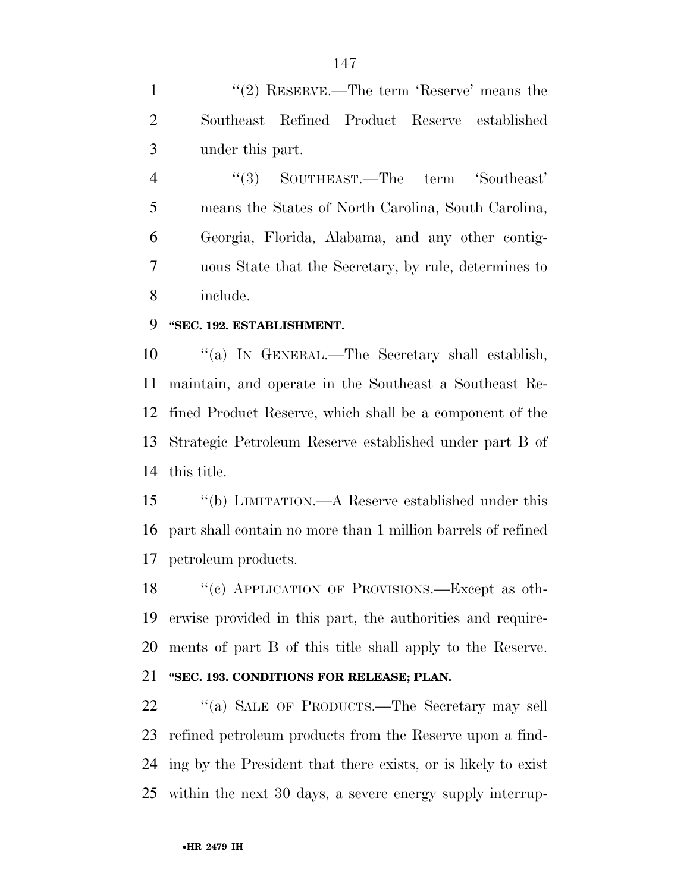1 ''(2) RESERVE.—The term 'Reserve' means the Southeast Refined Product Reserve established under this part.

4 "(3) SOUTHEAST.—The term 'Southeast' means the States of North Carolina, South Carolina, Georgia, Florida, Alabama, and any other contig- uous State that the Secretary, by rule, determines to include.

#### **''SEC. 192. ESTABLISHMENT.**

 ''(a) IN GENERAL.—The Secretary shall establish, maintain, and operate in the Southeast a Southeast Re- fined Product Reserve, which shall be a component of the Strategic Petroleum Reserve established under part B of this title.

 ''(b) LIMITATION.—A Reserve established under this part shall contain no more than 1 million barrels of refined petroleum products.

18 "(c) APPLICATION OF PROVISIONS.—Except as oth- erwise provided in this part, the authorities and require-ments of part B of this title shall apply to the Reserve.

#### **''SEC. 193. CONDITIONS FOR RELEASE; PLAN.**

22 "(a) SALE OF PRODUCTS.—The Secretary may sell refined petroleum products from the Reserve upon a find- ing by the President that there exists, or is likely to exist within the next 30 days, a severe energy supply interrup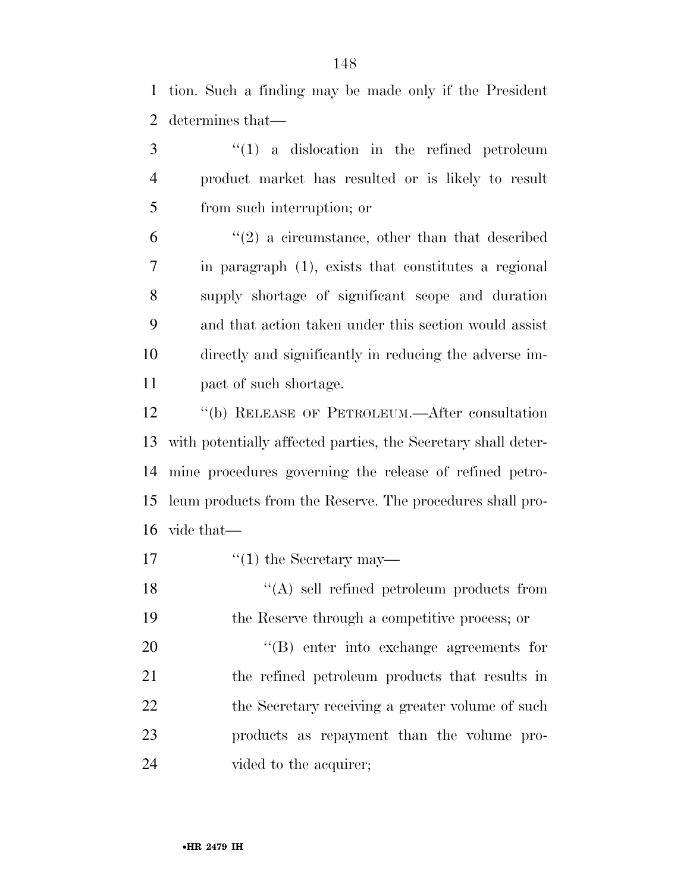tion. Such a finding may be made only if the President determines that—

 ''(1) a dislocation in the refined petroleum product market has resulted or is likely to result from such interruption; or

 $(2)$  a circumstance, other than that described in paragraph (1), exists that constitutes a regional supply shortage of significant scope and duration and that action taken under this section would assist directly and significantly in reducing the adverse im-pact of such shortage.

 ''(b) RELEASE OF PETROLEUM.—After consultation with potentially affected parties, the Secretary shall deter- mine procedures governing the release of refined petro- leum products from the Reserve. The procedures shall pro-vide that—

17  $\frac{1}{2}$  the Secretary may—

18 ''(A) sell refined petroleum products from the Reserve through a competitive process; or

20  $\text{``(B)}$  enter into exchange agreements for the refined petroleum products that results in 22 the Secretary receiving a greater volume of such products as repayment than the volume pro-24 vided to the acquirer;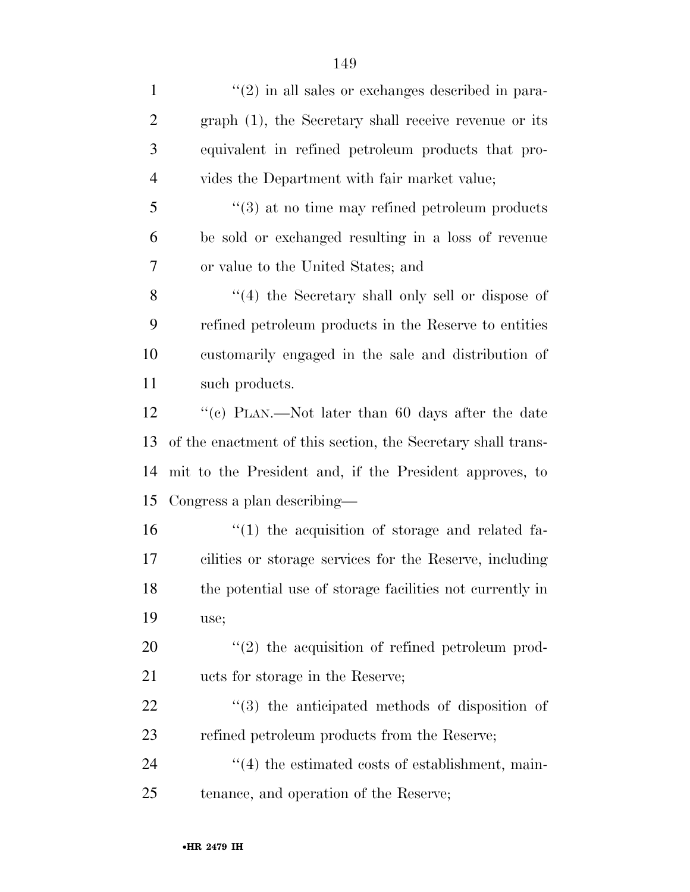| $\mathbf{1}$   | $\lq(2)$ in all sales or exchanges described in para-        |
|----------------|--------------------------------------------------------------|
| $\overline{2}$ | graph (1), the Secretary shall receive revenue or its        |
| 3              | equivalent in refined petroleum products that pro-           |
| $\overline{4}$ | vides the Department with fair market value;                 |
| 5              | $\cdot\cdot$ (3) at no time may refined petroleum products   |
| 6              | be sold or exchanged resulting in a loss of revenue          |
| 7              | or value to the United States; and                           |
| 8              | "(4) the Secretary shall only sell or dispose of             |
| 9              | refined petroleum products in the Reserve to entities        |
| 10             | customarily engaged in the sale and distribution of          |
| 11             | such products.                                               |
| 12             | "(c) PLAN.—Not later than 60 days after the date             |
| 13             | of the enactment of this section, the Secretary shall trans- |
| 14             | mit to the President and, if the President approves, to      |
| 15             | Congress a plan describing—                                  |
| 16             | $\cdot$ (1) the acquisition of storage and related fa-       |
| 17             | cilities or storage services for the Reserve, including      |
| 18             | the potential use of storage facilities not currently in     |
| 19             | use;                                                         |
| 20             | $\lq(2)$ the acquisition of refined petroleum prod-          |
| 21             | ucts for storage in the Reserve;                             |
| 22             | $(3)$ the anticipated methods of disposition of              |
| 23             | refined petroleum products from the Reserve;                 |
| 24             | $\lq(4)$ the estimated costs of establishment, main-         |
| 25             | tenance, and operation of the Reserve;                       |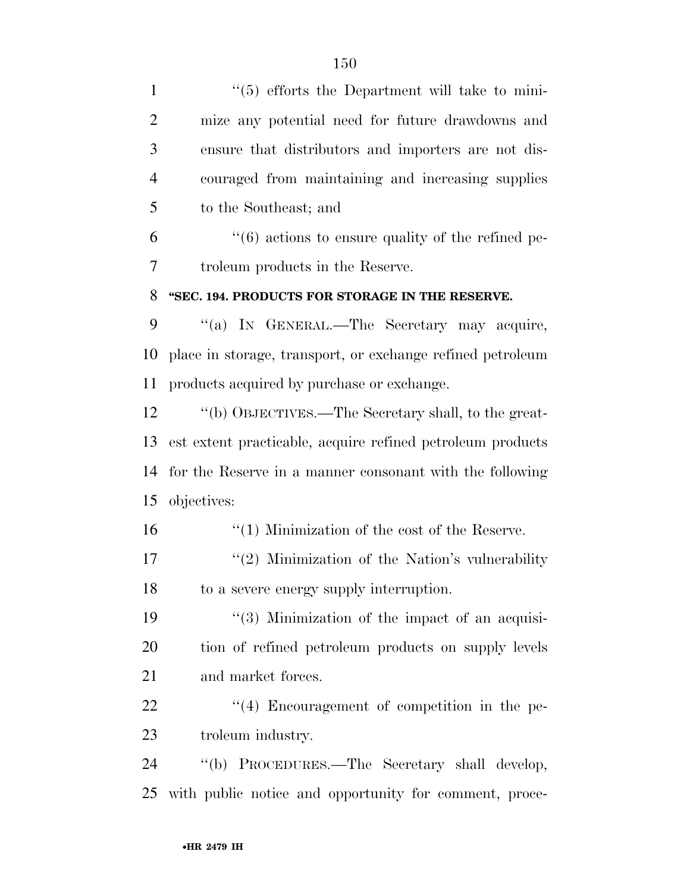1 ''(5) efforts the Department will take to mini- mize any potential need for future drawdowns and ensure that distributors and importers are not dis- couraged from maintaining and increasing supplies to the Southeast; and  $(6)$  actions to ensure quality of the refined pe- troleum products in the Reserve. **''SEC. 194. PRODUCTS FOR STORAGE IN THE RESERVE.**  ''(a) IN GENERAL.—The Secretary may acquire, place in storage, transport, or exchange refined petroleum products acquired by purchase or exchange. ''(b) OBJECTIVES.—The Secretary shall, to the great- est extent practicable, acquire refined petroleum products for the Reserve in a manner consonant with the following objectives: 16 ''(1) Minimization of the cost of the Reserve.  $\frac{17}{2}$  ''(2) Minimization of the Nation's vulnerability to a severe energy supply interruption. 19 ''(3) Minimization of the impact of an acquisi- tion of refined petroleum products on supply levels and market forces. 22 ''(4) Encouragement of competition in the pe- troleum industry. ''(b) PROCEDURES.—The Secretary shall develop, with public notice and opportunity for comment, proce-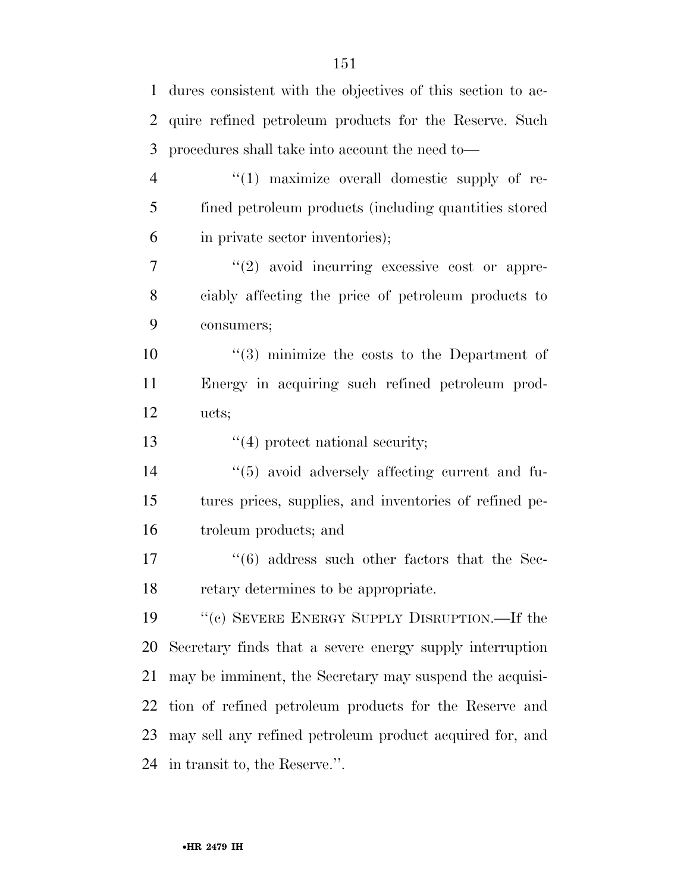dures consistent with the objectives of this section to ac- quire refined petroleum products for the Reserve. Such procedures shall take into account the need to—  $\frac{4}{1}$  maximize overall domestic supply of re- fined petroleum products (including quantities stored in private sector inventories);  $\frac{1}{2}$  avoid incurring excessive cost or appre- ciably affecting the price of petroleum products to consumers; ''(3) minimize the costs to the Department of Energy in acquiring such refined petroleum prod- ucts; 13 ''(4) protect national security; ''(5) avoid adversely affecting current and fu- tures prices, supplies, and inventories of refined pe- troleum products; and 17 ''(6) address such other factors that the Sec- retary determines to be appropriate. ''(c) SEVERE ENERGY SUPPLY DISRUPTION.—If the Secretary finds that a severe energy supply interruption may be imminent, the Secretary may suspend the acquisi- tion of refined petroleum products for the Reserve and may sell any refined petroleum product acquired for, and in transit to, the Reserve.''.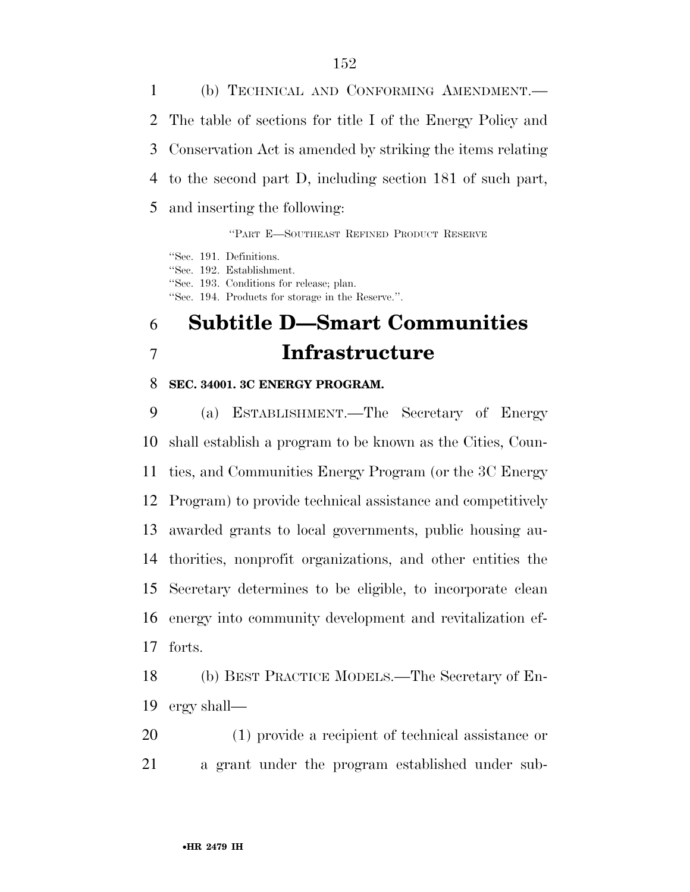(b) TECHNICAL AND CONFORMING AMENDMENT.— The table of sections for title I of the Energy Policy and Conservation Act is amended by striking the items relating to the second part D, including section 181 of such part, and inserting the following:

''PART E—SOUTHEAST REFINED PRODUCT RESERVE

''Sec. 191. Definitions. ''Sec. 192. Establishment. ''Sec. 193. Conditions for release; plan. ''Sec. 194. Products for storage in the Reserve.''.

## **Subtitle D—Smart Communities Infrastructure**

#### **SEC. 34001. 3C ENERGY PROGRAM.**

 (a) ESTABLISHMENT.—The Secretary of Energy shall establish a program to be known as the Cities, Coun- ties, and Communities Energy Program (or the 3C Energy Program) to provide technical assistance and competitively awarded grants to local governments, public housing au- thorities, nonprofit organizations, and other entities the Secretary determines to be eligible, to incorporate clean energy into community development and revitalization ef-forts.

 (b) BEST PRACTICE MODELS.—The Secretary of En-ergy shall—

 (1) provide a recipient of technical assistance or a grant under the program established under sub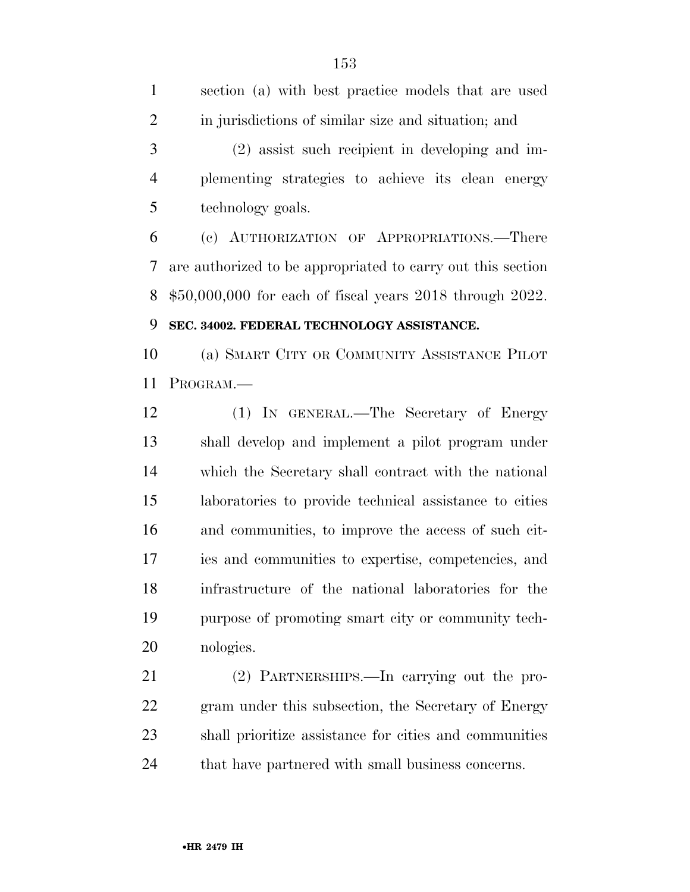section (a) with best practice models that are used in jurisdictions of similar size and situation; and (2) assist such recipient in developing and im- plementing strategies to achieve its clean energy technology goals. (c) AUTHORIZATION OF APPROPRIATIONS.—There are authorized to be appropriated to carry out this section

\$50,000,000 for each of fiscal years 2018 through 2022.

#### **SEC. 34002. FEDERAL TECHNOLOGY ASSISTANCE.**

 (a) SMART CITY OR COMMUNITY ASSISTANCE PILOT PROGRAM.—

 (1) IN GENERAL.—The Secretary of Energy shall develop and implement a pilot program under which the Secretary shall contract with the national laboratories to provide technical assistance to cities and communities, to improve the access of such cit- ies and communities to expertise, competencies, and infrastructure of the national laboratories for the purpose of promoting smart city or community tech-nologies.

 (2) PARTNERSHIPS.—In carrying out the pro- gram under this subsection, the Secretary of Energy shall prioritize assistance for cities and communities 24 that have partnered with small business concerns.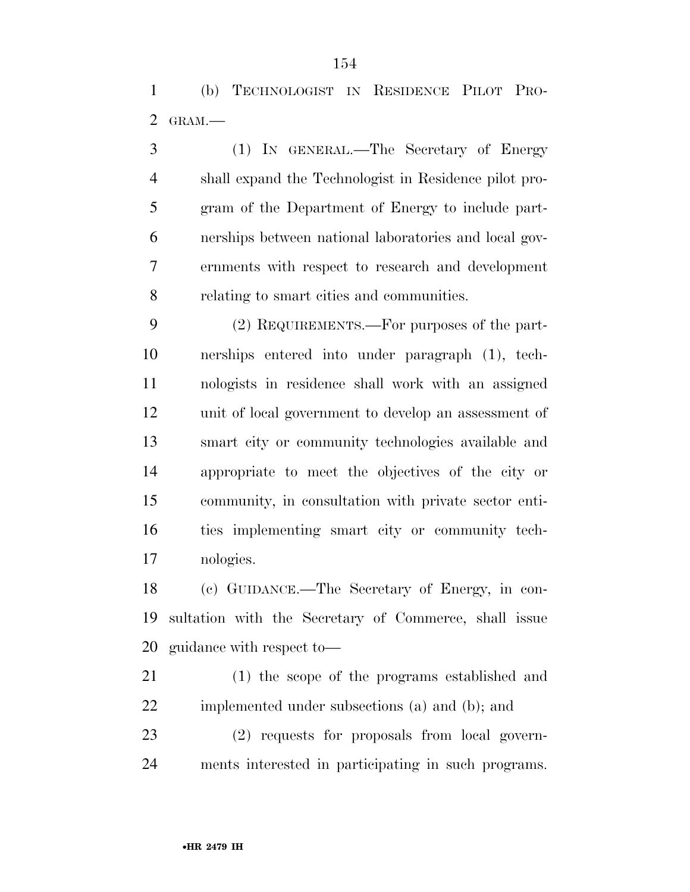(b) TECHNOLOGIST IN RESIDENCE PILOT PRO-GRAM.—

 (1) IN GENERAL.—The Secretary of Energy shall expand the Technologist in Residence pilot pro- gram of the Department of Energy to include part- nerships between national laboratories and local gov- ernments with respect to research and development relating to smart cities and communities.

 (2) REQUIREMENTS.—For purposes of the part- nerships entered into under paragraph (1), tech- nologists in residence shall work with an assigned unit of local government to develop an assessment of smart city or community technologies available and appropriate to meet the objectives of the city or community, in consultation with private sector enti- ties implementing smart city or community tech-nologies.

 (c) GUIDANCE.—The Secretary of Energy, in con- sultation with the Secretary of Commerce, shall issue guidance with respect to—

 (1) the scope of the programs established and implemented under subsections (a) and (b); and

 (2) requests for proposals from local govern-ments interested in participating in such programs.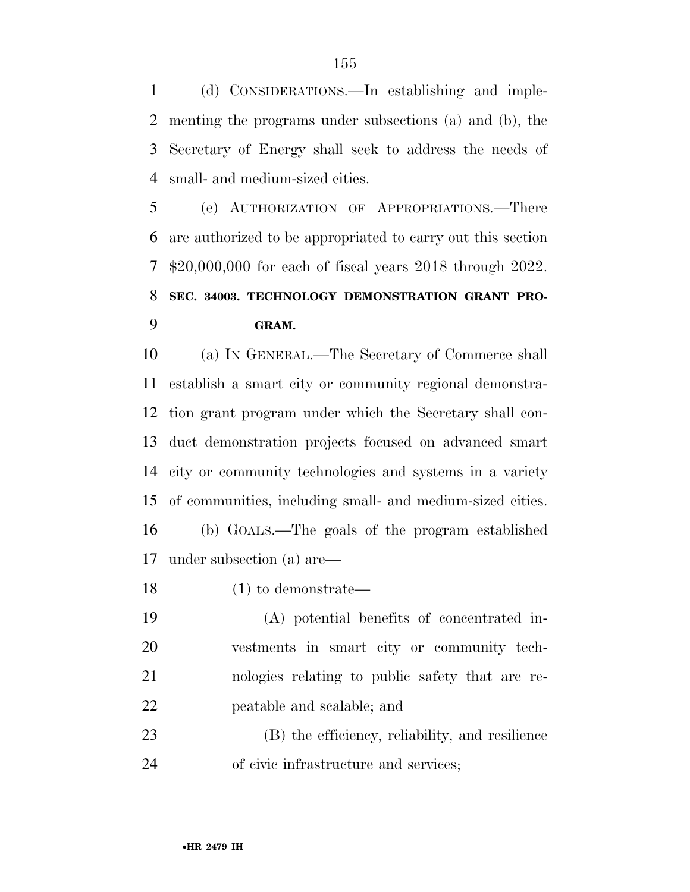(d) CONSIDERATIONS.—In establishing and imple- menting the programs under subsections (a) and (b), the Secretary of Energy shall seek to address the needs of small- and medium-sized cities.

 (e) AUTHORIZATION OF APPROPRIATIONS.—There are authorized to be appropriated to carry out this section \$20,000,000 for each of fiscal years 2018 through 2022. **SEC. 34003. TECHNOLOGY DEMONSTRATION GRANT PRO-GRAM.** 

 (a) IN GENERAL.—The Secretary of Commerce shall establish a smart city or community regional demonstra- tion grant program under which the Secretary shall con- duct demonstration projects focused on advanced smart city or community technologies and systems in a variety of communities, including small- and medium-sized cities. (b) GOALS.—The goals of the program established under subsection (a) are—

(1) to demonstrate—

 (A) potential benefits of concentrated in- vestments in smart city or community tech- nologies relating to public safety that are re-peatable and scalable; and

 (B) the efficiency, reliability, and resilience of civic infrastructure and services;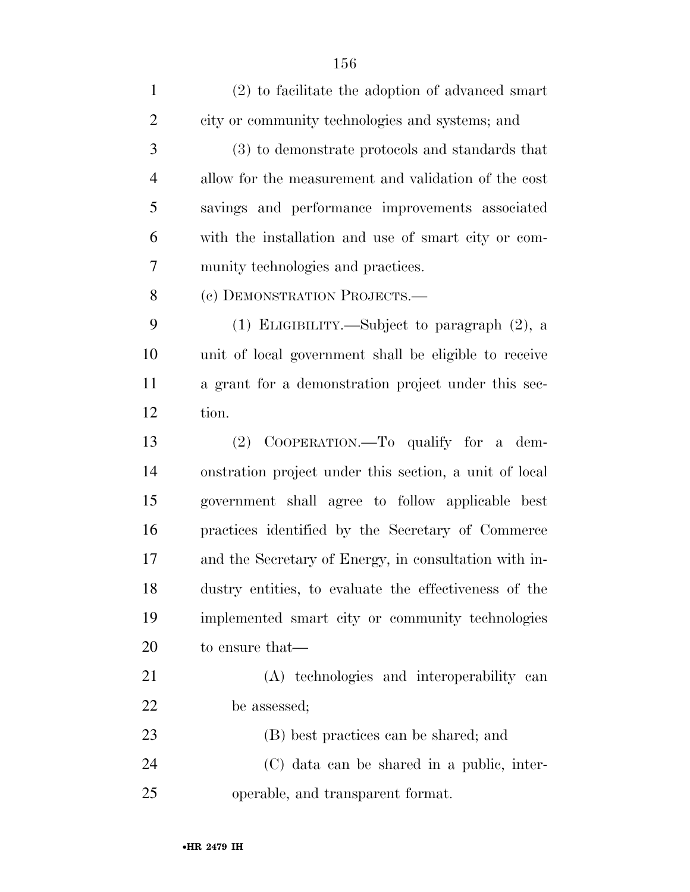| $\mathbf{1}$   | $(2)$ to facilitate the adoption of advanced smart     |
|----------------|--------------------------------------------------------|
| $\overline{2}$ | city or community technologies and systems; and        |
| 3              | (3) to demonstrate protocols and standards that        |
| $\overline{4}$ | allow for the measurement and validation of the cost   |
| 5              | savings and performance improvements associated        |
| 6              | with the installation and use of smart city or com-    |
| 7              | munity technologies and practices.                     |
| 8              | (c) DEMONSTRATION PROJECTS.—                           |
| 9              | (1) ELIGIBILITY.—Subject to paragraph (2), a           |
| 10             | unit of local government shall be eligible to receive  |
| 11             | a grant for a demonstration project under this sec-    |
| 12             | tion.                                                  |
| 13             | (2) COOPERATION.—To qualify for a dem-                 |
| 14             | onstration project under this section, a unit of local |
| 15             | government shall agree to follow applicable best       |
| 16             | practices identified by the Secretary of Commerce      |
| 17             | and the Secretary of Energy, in consultation with in-  |
| 18             | dustry entities, to evaluate the effectiveness of the  |
| 19             | implemented smart city or community technologies       |
| 20             | to ensure that—                                        |
| 21             | (A) technologies and interoperability can              |
| 22             | be assessed;                                           |
| 23             | (B) best practices can be shared; and                  |
| 24             | (C) data can be shared in a public, inter-             |
| 25             | operable, and transparent format.                      |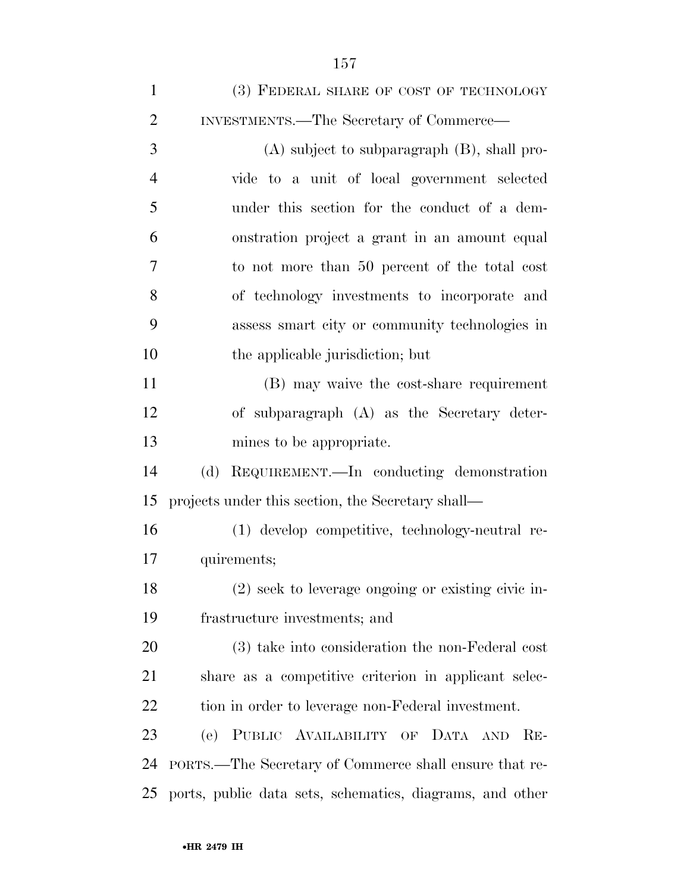| $\mathbf{1}$   | (3) FEDERAL SHARE OF COST OF TECHNOLOGY                  |
|----------------|----------------------------------------------------------|
| $\overline{2}$ | INVESTMENTS.—The Secretary of Commerce—                  |
| 3              | $(A)$ subject to subparagraph $(B)$ , shall pro-         |
| $\overline{4}$ | vide to a unit of local government selected              |
| 5              | under this section for the conduct of a dem-             |
| 6              | onstration project a grant in an amount equal            |
| 7              | to not more than 50 percent of the total cost            |
| 8              | of technology investments to incorporate and             |
| 9              | assess smart city or community technologies in           |
| 10             | the applicable jurisdiction; but                         |
| 11             | (B) may waive the cost-share requirement                 |
| 12             | of subparagraph (A) as the Secretary deter-              |
| 13             | mines to be appropriate.                                 |
| 14             | REQUIREMENT.—In conducting demonstration<br>(d)          |
| 15             | projects under this section, the Secretary shall—        |
| 16             | (1) develop competitive, technology-neutral re-          |
| 17             | quirements;                                              |
| 18             | (2) seek to leverage ongoing or existing civic in-       |
| 19             | frastructure investments; and                            |
| 20             | (3) take into consideration the non-Federal cost         |
| 21             | share as a competitive criterion in applicant selec-     |
| <u>22</u>      | tion in order to leverage non-Federal investment.        |
| 23             | PUBLIC AVAILABILITY OF<br>(e)<br>DATA AND<br>$RE-$       |
| 24             | PORTS.—The Secretary of Commerce shall ensure that re-   |
| 25             | ports, public data sets, schematics, diagrams, and other |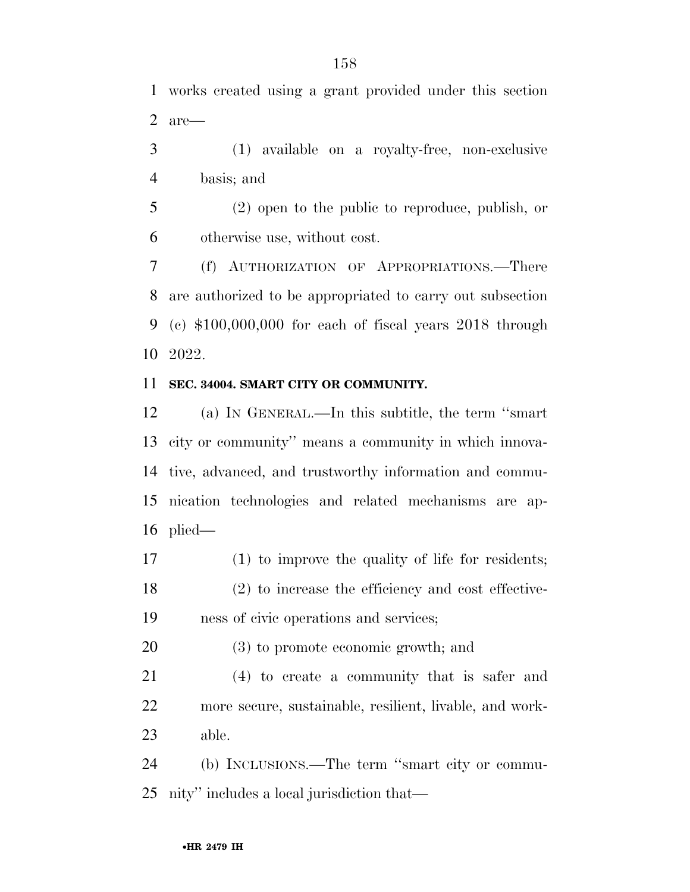works created using a grant provided under this section are—

 (1) available on a royalty-free, non-exclusive basis; and

 (2) open to the public to reproduce, publish, or otherwise use, without cost.

 (f) AUTHORIZATION OF APPROPRIATIONS.—There are authorized to be appropriated to carry out subsection (c) \$100,000,000 for each of fiscal years 2018 through 2022.

#### **SEC. 34004. SMART CITY OR COMMUNITY.**

 (a) IN GENERAL.—In this subtitle, the term ''smart city or community'' means a community in which innova- tive, advanced, and trustworthy information and commu- nication technologies and related mechanisms are ap-plied—

 (1) to improve the quality of life for residents; (2) to increase the efficiency and cost effective-ness of civic operations and services;

(3) to promote economic growth; and

 (4) to create a community that is safer and more secure, sustainable, resilient, livable, and work-able.

 (b) INCLUSIONS.—The term ''smart city or commu-nity'' includes a local jurisdiction that—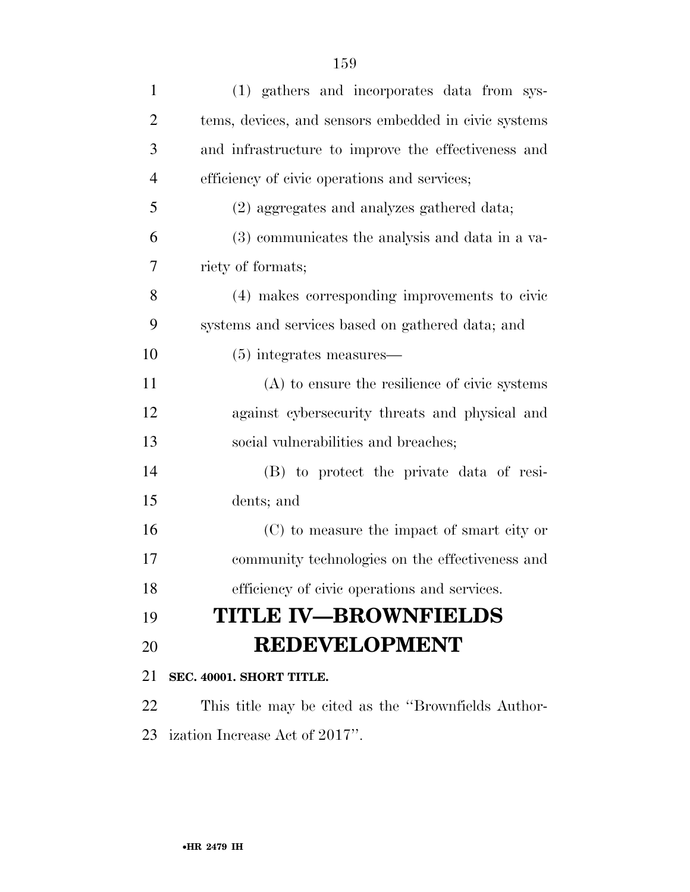| $\mathbf{1}$   | (1) gathers and incorporates data from sys-          |
|----------------|------------------------------------------------------|
| $\overline{2}$ | tems, devices, and sensors embedded in civic systems |
| 3              | and infrastructure to improve the effectiveness and  |
| $\overline{4}$ | efficiency of civic operations and services;         |
| 5              | (2) aggregates and analyzes gathered data;           |
| 6              | (3) communicates the analysis and data in a va-      |
| 7              | riety of formats;                                    |
| 8              | (4) makes corresponding improvements to civic        |
| 9              | systems and services based on gathered data; and     |
| 10             | $(5)$ integrates measures—                           |
| 11             | $(A)$ to ensure the resilience of civic systems      |
| 12             | against cybers ecurity threats and physical and      |
| 13             | social vulnerabilities and breaches;                 |
| 14             | (B) to protect the private data of resi-             |
| 15             | dents; and                                           |
| 16             | (C) to measure the impact of smart city or           |
| 17             | community technologies on the effectiveness and      |
| 18             | efficiency of civic operations and services.         |
| 19             | <b>TITLE IV-BROWNFIELDS</b>                          |
| 20             | <b>REDEVELOPMENT</b>                                 |
| 21             | SEC. 40001. SHORT TITLE.                             |
| 22             | This title may be cited as the "Brownfields Author-  |
| 23             | ization Increase Act of 2017".                       |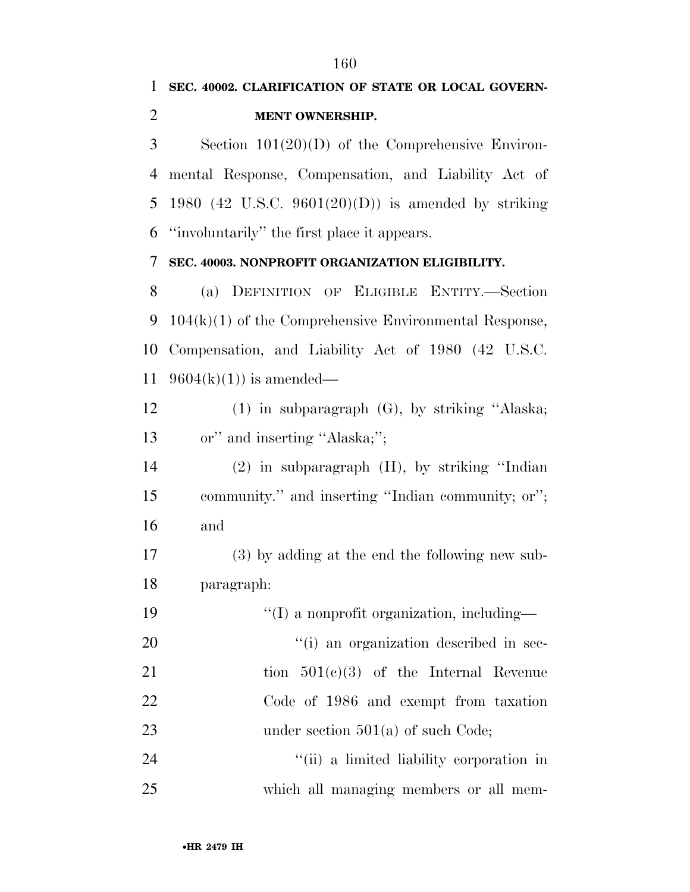•**HR 2479 IH** Section 101(20)(D) of the Comprehensive Environ- mental Response, Compensation, and Liability Act of 1980 (42 U.S.C. 9601(20)(D)) is amended by striking ''involuntarily'' the first place it appears. **SEC. 40003. NONPROFIT ORGANIZATION ELIGIBILITY.**  (a) DEFINITION OF ELIGIBLE ENTITY.—Section 104(k)(1) of the Comprehensive Environmental Response, Compensation, and Liability Act of 1980 (42 U.S.C. 11 9604(k)(1)) is amended— (1) in subparagraph (G), by striking ''Alaska; 13 or" and inserting "Alaska;"; (2) in subparagraph (H), by striking ''Indian community.'' and inserting ''Indian community; or''; and (3) by adding at the end the following new sub- paragraph:  $\frac{1}{2}$  (I) a nonprofit organization, including—  $"(i)$  an organization described in sec-21 tion  $501(c)(3)$  of the Internal Revenue Code of 1986 and exempt from taxation 23 under section 501(a) of such Code; 24 ''(ii) a limited liability corporation in which all managing members or all mem-

**SEC. 40002. CLARIFICATION OF STATE OR LOCAL GOVERN-**

**MENT OWNERSHIP.**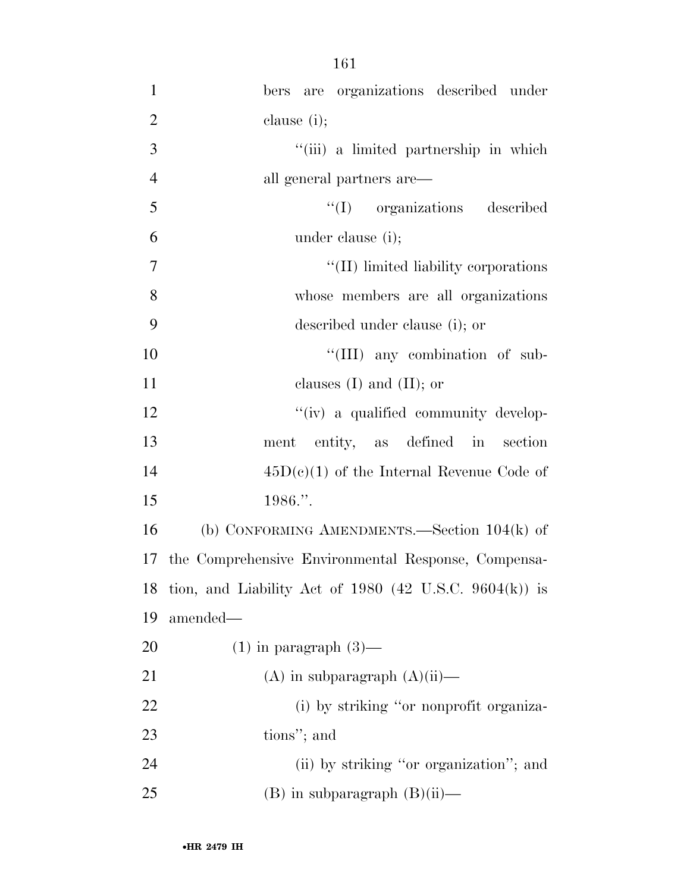| $\mathbf{1}$   | bers are organizations described under                    |
|----------------|-----------------------------------------------------------|
| $\overline{2}$ | clause $(i)$ ;                                            |
| 3              | "(iii) a limited partnership in which                     |
| $\overline{4}$ | all general partners are—                                 |
| 5              | "(I) organizations described                              |
| 6              | under clause (i);                                         |
| $\overline{7}$ | "(II) limited liability corporations                      |
| 8              | whose members are all organizations                       |
| 9              | described under clause (i); or                            |
| 10             | "(III) any combination of sub-                            |
| 11             | clauses $(I)$ and $(II)$ ; or                             |
| 12             | "(iv) a qualified community develop-                      |
| 13             | ment entity, as defined in section                        |
| 14             | $45D(c)(1)$ of the Internal Revenue Code of               |
| 15             | 1986.".                                                   |
| 16             | (b) CONFORMING AMENDMENTS.—Section $104(k)$ of            |
|                | 17 the Comprehensive Environmental Response, Compensa-    |
|                | 18 tion, and Liability Act of 1980 (42 U.S.C. 9604(k)) is |
| 19             | amended-                                                  |
| 20             | $(1)$ in paragraph $(3)$ —                                |
| 21             | $(A)$ in subparagraph $(A)(ii)$ —                         |
| 22             | (i) by striking "or nonprofit organiza-                   |
| 23             | tions"; and                                               |
| 24             | (ii) by striking "or organization"; and                   |
| 25             | $(B)$ in subparagraph $(B)(ii)$ —                         |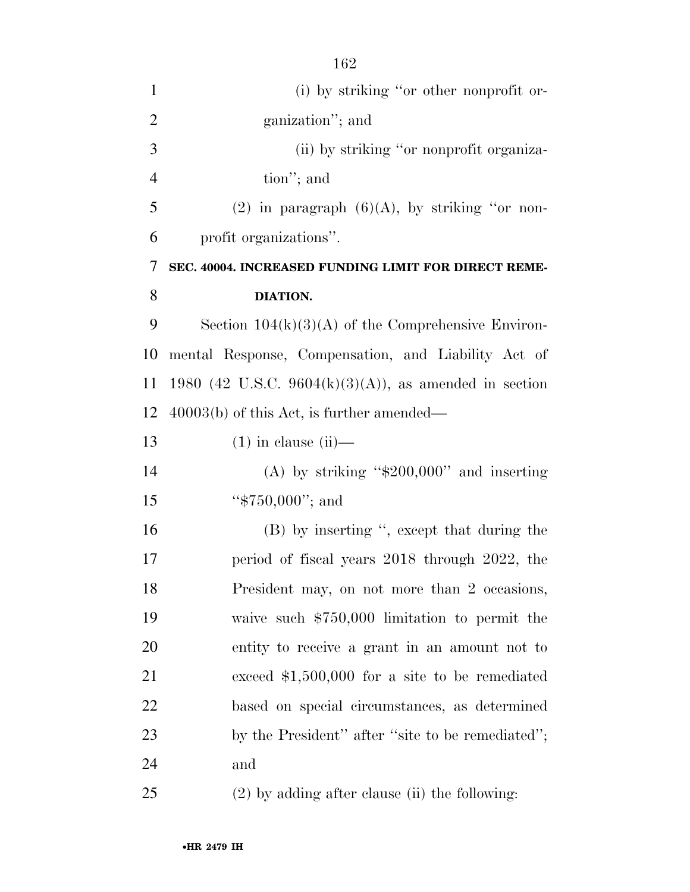| $\mathbf{1}$   | (i) by striking "or other nonprofit or-               |
|----------------|-------------------------------------------------------|
| $\overline{2}$ | ganization"; and                                      |
| 3              | (ii) by striking "or nonprofit organiza-              |
| $\overline{4}$ | tion"; and                                            |
| 5              | (2) in paragraph $(6)(A)$ , by striking "or non-      |
| 6              | profit organizations".                                |
| 7              | SEC. 40004. INCREASED FUNDING LIMIT FOR DIRECT REME-  |
| 8              | DIATION.                                              |
| 9              | Section $104(k)(3)(A)$ of the Comprehensive Environ-  |
| 10             | mental Response, Compensation, and Liability Act of   |
| 11             | 1980 (42 U.S.C. 9604(k)(3)(A)), as amended in section |
| 12             | $40003(b)$ of this Act, is further amended—           |
| 13             | $(1)$ in clause $(ii)$ —                              |
| 14             | (A) by striking " $$200,000"$ and inserting           |
| 15             | " $$750,000"$ ; and                                   |
| 16             | (B) by inserting ", except that during the            |
| 17             | period of fiscal years 2018 through 2022, the         |
| 18             | President may, on not more than 2 occasions,          |
| 19             | waive such $$750,000$ limitation to permit the        |
| 20             | entity to receive a grant in an amount not to         |
| 21             | exceed $$1,500,000$ for a site to be remediated       |
| 22             | based on special circumstances, as determined         |
| 23             | by the President" after "site to be remediated";      |
| 24             | and                                                   |
| 25             | $(2)$ by adding after clause (ii) the following:      |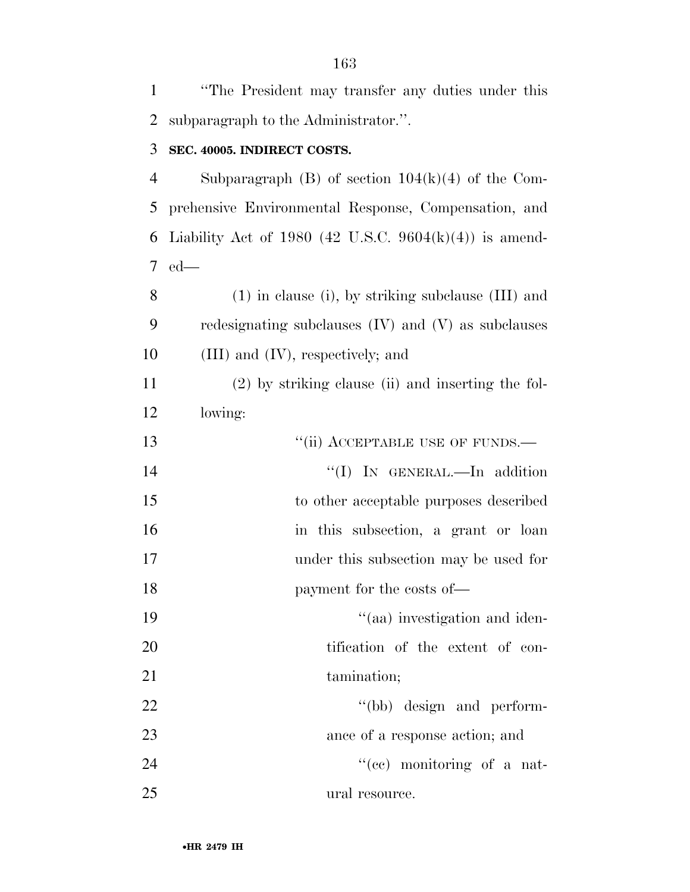| $\mathbf{1}$   | "The President may transfer any duties under this       |
|----------------|---------------------------------------------------------|
| $\overline{2}$ | subparagraph to the Administrator.".                    |
| 3              | SEC. 40005. INDIRECT COSTS.                             |
| $\overline{4}$ | Subparagraph $(B)$ of section $104(k)(4)$ of the Com-   |
| 5              | prehensive Environmental Response, Compensation, and    |
| 6              | Liability Act of 1980 (42 U.S.C. 9604(k)(4)) is amend-  |
| $\tau$         | $ed$ —                                                  |
| 8              | $(1)$ in clause (i), by striking subclause $(III)$ and  |
| 9              | redesignating subclauses $(IV)$ and $(V)$ as subclauses |
| 10             | $(III)$ and $(IV)$ , respectively; and                  |
| 11             | $(2)$ by striking clause (ii) and inserting the fol-    |
| 12             | lowing:                                                 |
| 13             | "(ii) ACCEPTABLE USE OF FUNDS.—                         |
| 14             | "(I) IN GENERAL.—In addition                            |
| 15             | to other acceptable purposes described                  |
| 16             | in this subsection, a grant or loan                     |
| 17             | under this subsection may be used for                   |
| 18             | payment for the costs of—                               |
| 19             | "(aa) investigation and iden-                           |
| 20             | tification of the extent of con-                        |
| 21             | tamination;                                             |
| 22             | "(bb) design and perform-                               |
| 23             | ance of a response action; and                          |
| 24             | "(ce) monitoring of a nat-                              |
| 25             | ural resource.                                          |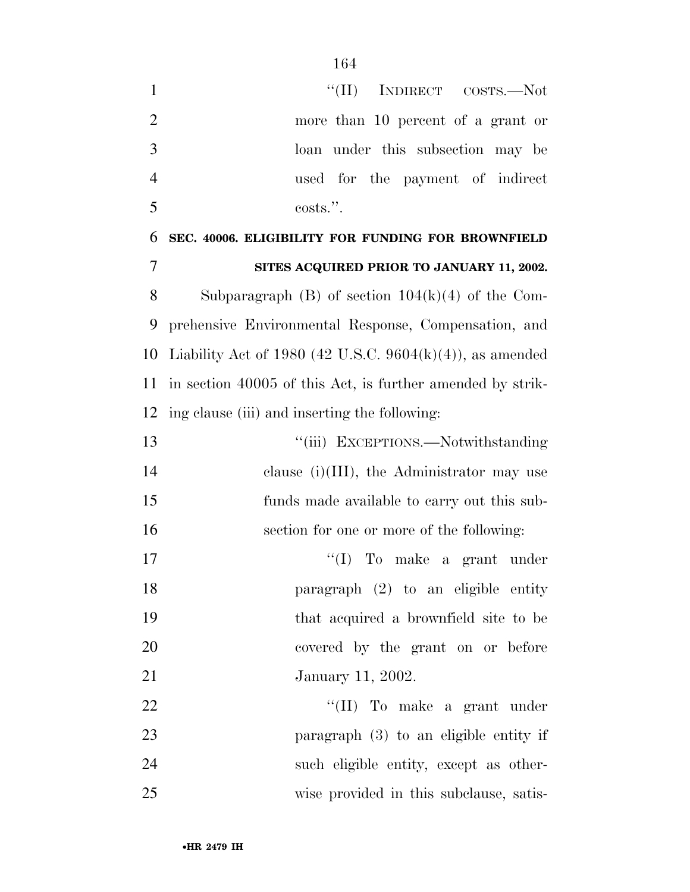| $\mathbf{1}$   | "(II) INDIRECT COSTS.—Not                                  |
|----------------|------------------------------------------------------------|
| $\overline{2}$ | more than 10 percent of a grant or                         |
| 3              | loan under this subsection may be                          |
| $\overline{4}$ | used for the payment of indirect                           |
| 5              | costs.".                                                   |
| 6              | SEC. 40006. ELIGIBILITY FOR FUNDING FOR BROWNFIELD         |
| 7              | SITES ACQUIRED PRIOR TO JANUARY 11, 2002.                  |
| 8              | Subparagraph $(B)$ of section $104(k)(4)$ of the Com-      |
| 9              | prehensive Environmental Response, Compensation, and       |
| 10             | Liability Act of 1980 (42 U.S.C. 9604(k)(4)), as amended   |
| 11             | in section 40005 of this Act, is further amended by strik- |
| 12             | ing clause (iii) and inserting the following:              |
| 13             | "(iii) EXCEPTIONS.—Notwithstanding                         |
| 14             | clause $(i)(III)$ , the Administrator may use              |
| 15             | funds made available to carry out this sub-                |
| 16             | section for one or more of the following:                  |
| 17             | $\lq\lq$ (I) To make a grant under                         |
| 18             | paragraph $(2)$ to an eligible entity                      |
| 19             | that acquired a brownfield site to be                      |
| 20             | covered by the grant on or before                          |
| 21             | January 11, 2002.                                          |
| 22             | "(II) To make a grant under                                |
| 23             | paragraph (3) to an eligible entity if                     |
| 24             | such eligible entity, except as other-                     |
| 25             | wise provided in this subclause, satis-                    |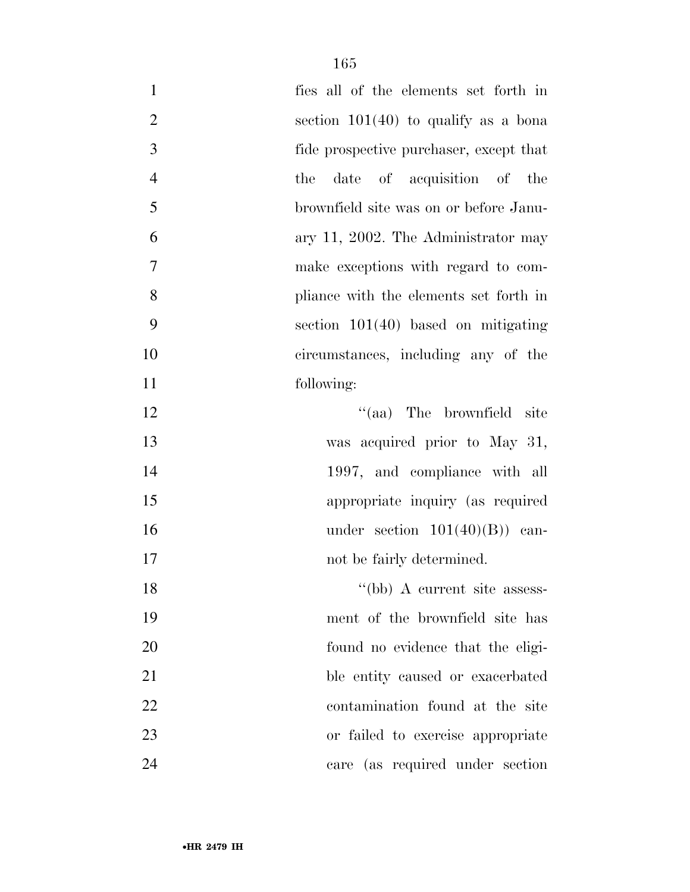| $\mathbf{1}$     | fies all of the elements set forth in   |
|------------------|-----------------------------------------|
| $\overline{2}$   | section $101(40)$ to qualify as a bona  |
| 3                | fide prospective purchaser, except that |
| $\overline{4}$   | date of acquisition of the<br>the       |
| 5                | brownfield site was on or before Janu-  |
| 6                | ary 11, 2002. The Administrator may     |
| $\boldsymbol{7}$ | make exceptions with regard to com-     |
| 8                | pliance with the elements set forth in  |
| 9                | section $101(40)$ based on mitigating   |
| 10               | circumstances, including any of the     |
| 11               | following:                              |
| 12               | "(aa) The brownfield site               |
| 13               | was acquired prior to May 31,           |
| 14               | 1997, and compliance with all           |
| 15               | appropriate inquiry (as required        |
| 16               | under section $101(40)(B)$ can-         |
| 17               | not be fairly determined.               |
| 18               | "(bb) A current site assess-            |
| 19               | ment of the brownfield site has         |
| 20               | found no evidence that the eligi-       |
| 21               | ble entity caused or exacerbated        |
| 22               | contamination found at the site         |
| 23               | or failed to exercise appropriate       |
| 24               | care (as required under section         |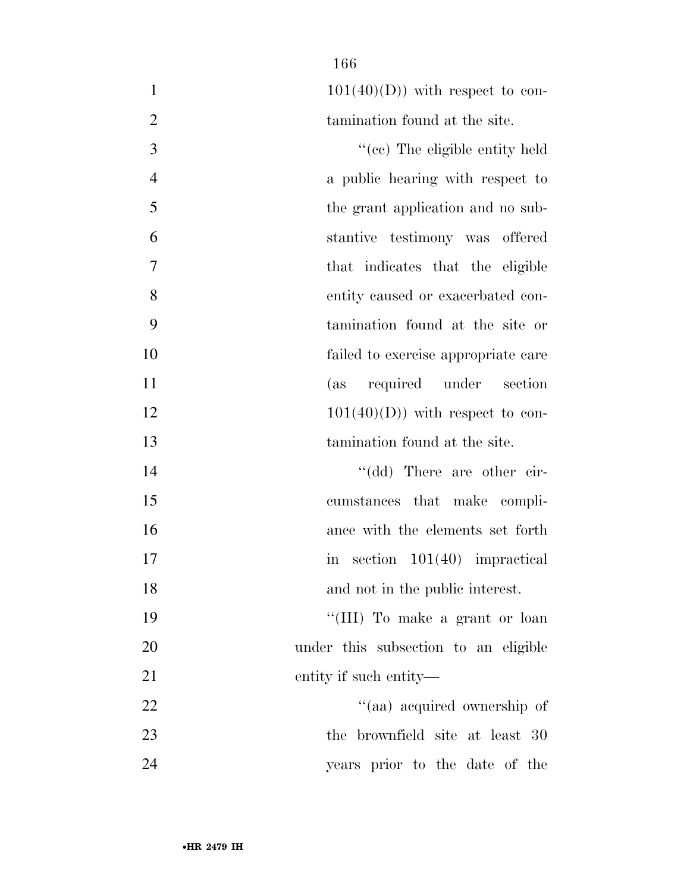| $101(40)(D)$ with respect to con- |
|-----------------------------------|
| tamination found at the site.     |

 $\text{``(ec)}$  The eligible entity held a public hearing with respect to the grant application and no sub- stantive testimony was offered that indicates that the eligible entity caused or exacerbated con- tamination found at the site or failed to exercise appropriate care (as required under section  $12 \t\t 101(40)(D)$  with respect to con-tamination found at the site.

14 ''(dd) There are other cir- cumstances that make compli- ance with the elements set forth 17 in section  $101(40)$  impractical and not in the public interest. 19 ''(III) To make a grant or loan under this subsection to an eligible

entity if such entity—

22 ''(aa) acquired ownership of 23 the brownfield site at least 30 years prior to the date of the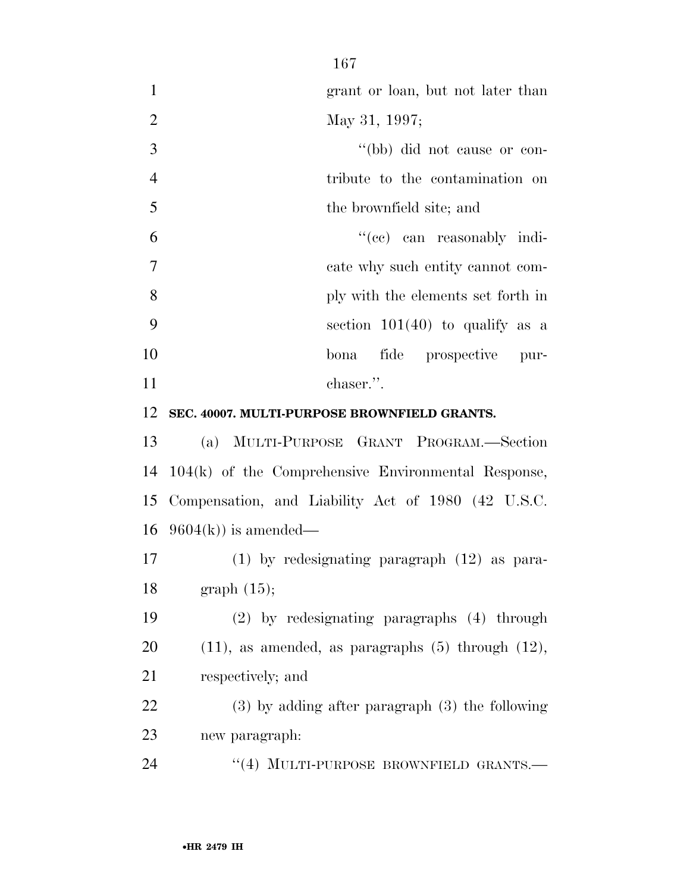grant or loan, but not later than May 31, 1997; ''(bb) did not cause or con- tribute to the contamination on the brownfield site; and ''(cc) can reasonably indi- cate why such entity cannot com- ply with the elements set forth in section 101(40) to qualify as a bona fide prospective pur-11 chaser.". **SEC. 40007. MULTI-PURPOSE BROWNFIELD GRANTS.**  (a) MULTI-PURPOSE GRANT PROGRAM.—Section

 104(k) of the Comprehensive Environmental Response, Compensation, and Liability Act of 1980 (42 U.S.C. 16  $9604(k)$  is amended—

 (1) by redesignating paragraph (12) as para-graph (15);

 (2) by redesignating paragraphs (4) through 20  $(11)$ , as amended, as paragraphs  $(5)$  through  $(12)$ , respectively; and

 (3) by adding after paragraph (3) the following new paragraph:

24 "(4) MULTI-PURPOSE BROWNFIELD GRANTS.—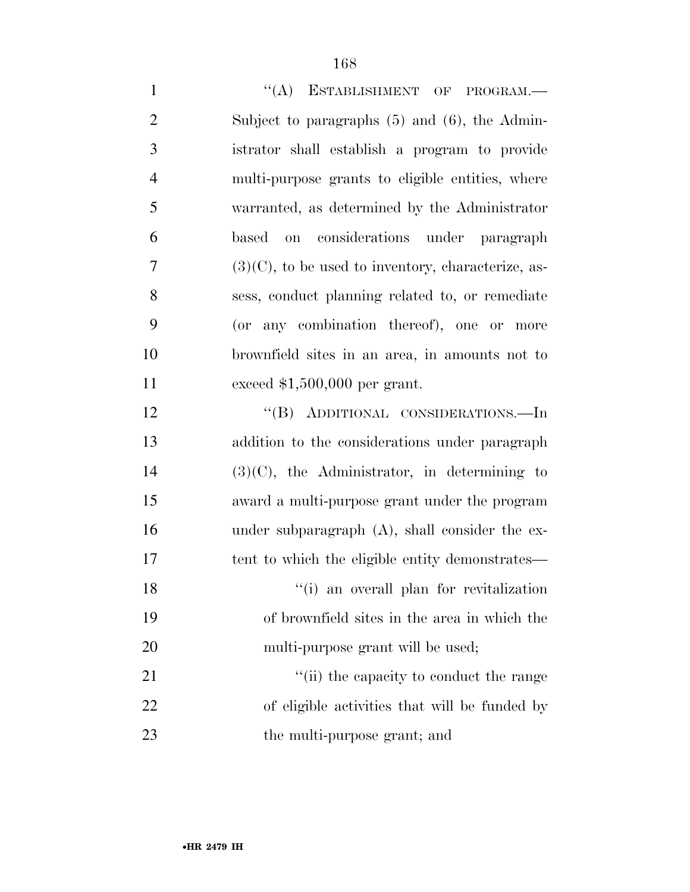| $\mathbf{1}$   | "(A) ESTABLISHMENT OF PROGRAM.-                       |
|----------------|-------------------------------------------------------|
| $\overline{2}$ | Subject to paragraphs $(5)$ and $(6)$ , the Admin-    |
| 3              | istrator shall establish a program to provide         |
| $\overline{4}$ | multi-purpose grants to eligible entities, where      |
| 5              | warranted, as determined by the Administrator         |
| 6              | considerations under paragraph<br>based<br>on         |
| 7              | $(3)(C)$ , to be used to inventory, characterize, as- |
| 8              | sess, conduct planning related to, or remediate       |
| 9              | (or any combination thereof), one or more             |
| 10             | brownfield sites in an area, in amounts not to        |
| 11             | exceed $$1,500,000$ per grant.                        |
| 12             | "(B) ADDITIONAL CONSIDERATIONS.—In                    |
| 13             | addition to the considerations under paragraph        |
| 14             | $(3)(C)$ , the Administrator, in determining to       |
| 15             | award a multi-purpose grant under the program         |
| 16             | under subparagraph (A), shall consider the ex-        |
| 17             | tent to which the eligible entity demonstrates—       |
| 18             | "(i) an overall plan for revitalization               |
| 19             | of brownfield sites in the area in which the          |
| 20             | multi-purpose grant will be used;                     |
| 21             | "(ii) the capacity to conduct the range               |
| 22             | of eligible activities that will be funded by         |
| 23             | the multi-purpose grant; and                          |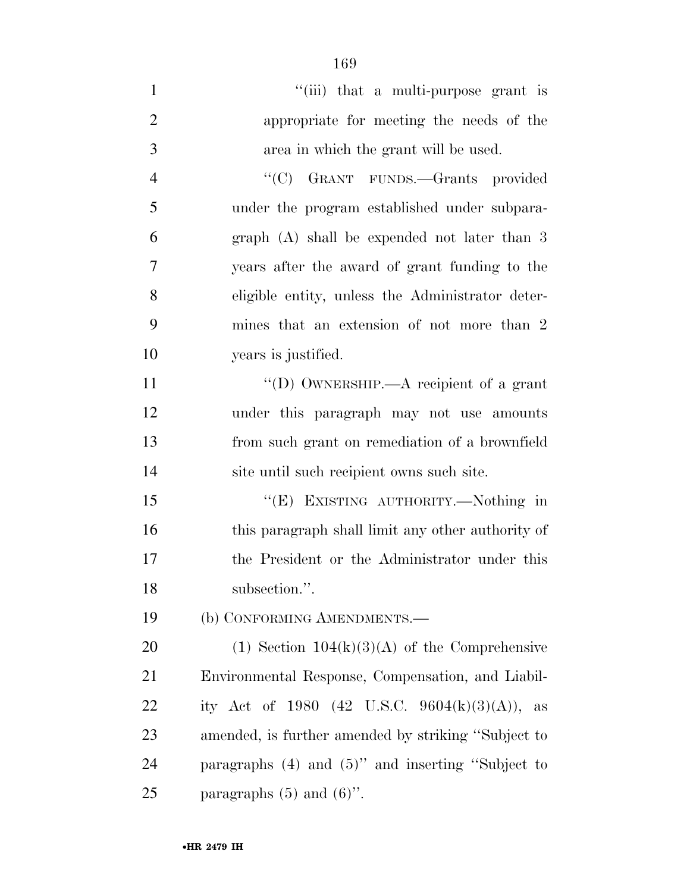| $\mathbf{1}$   | "(iii) that a multi-purpose grant is              |
|----------------|---------------------------------------------------|
| $\overline{2}$ | appropriate for meeting the needs of the          |
| 3              | area in which the grant will be used.             |
| $\overline{4}$ | "(C) GRANT FUNDS.—Grants provided                 |
| 5              | under the program established under subpara-      |
| 6              | graph $(A)$ shall be expended not later than 3    |
| 7              | years after the award of grant funding to the     |
| 8              | eligible entity, unless the Administrator deter-  |
| 9              | mines that an extension of not more than 2        |
| 10             | years is justified.                               |
| 11             | "(D) OWNERSHIP.—A recipient of a grant            |
| 12             | under this paragraph may not use amounts          |
| 13             | from such grant on remediation of a brownfield    |
| 14             | site until such recipient owns such site.         |
| 15             | "(E) EXISTING AUTHORITY.-Nothing in               |
| 16             | this paragraph shall limit any other authority of |
| 17             | the President or the Administrator under this     |

18 subsection.".

(b) CONFORMING AMENDMENTS.—

20 (1) Section  $104(k)(3)(A)$  of the Comprehensive Environmental Response, Compensation, and Liabil-22 ity Act of 1980  $(42 \text{ U.S.C. } 9604(\text{k})(3)(\text{A}))$ , as amended, is further amended by striking ''Subject to paragraphs (4) and (5)'' and inserting ''Subject to 25 paragraphs  $(5)$  and  $(6)$ ".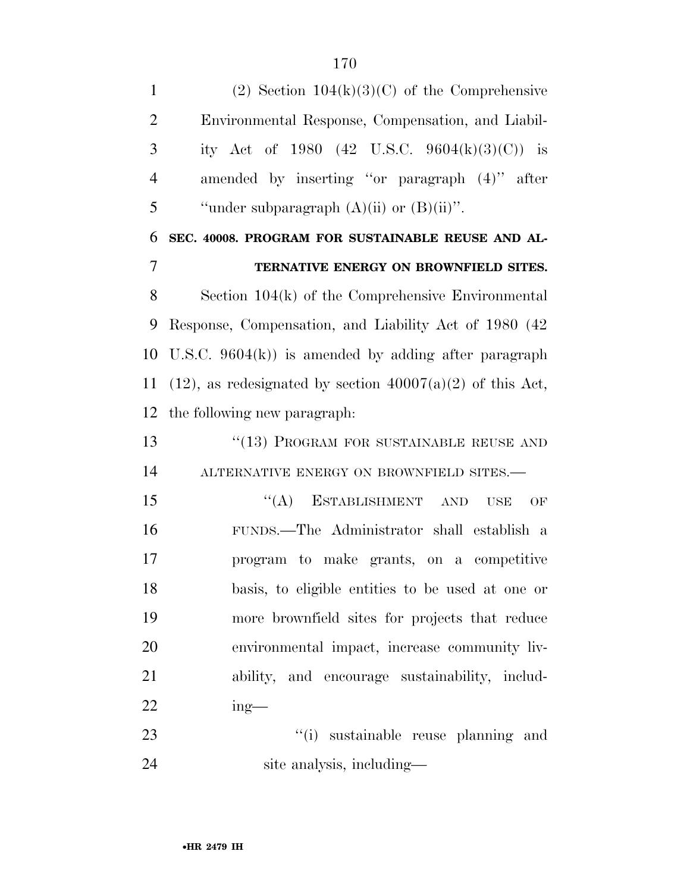1 (2) Section  $104(k)(3)(C)$  of the Comprehensive Environmental Response, Compensation, and Liabil- ity Act of 1980 (42 U.S.C. 9604(k)(3)(C)) is amended by inserting ''or paragraph (4)'' after 5 "under subparagraph  $(A)(ii)$  or  $(B)(ii)$ ". **SEC. 40008. PROGRAM FOR SUSTAINABLE REUSE AND AL- TERNATIVE ENERGY ON BROWNFIELD SITES.**  Section 104(k) of the Comprehensive Environmental Response, Compensation, and Liability Act of 1980 (42 U.S.C. 9604(k)) is amended by adding after paragraph 11 (12), as redesignated by section  $40007(a)(2)$  of this Act, the following new paragraph: 13 <sup>"</sup>(13) PROGRAM FOR SUSTAINABLE REUSE AND 14 ALTERNATIVE ENERGY ON BROWNFIELD SITES.— 15 "(A) ESTABLISHMENT AND USE OF FUNDS.—The Administrator shall establish a program to make grants, on a competitive basis, to eligible entities to be used at one or more brownfield sites for projects that reduce environmental impact, increase community liv- ability, and encourage sustainability, includ- ing— 23 ''(i) sustainable reuse planning and

site analysis, including—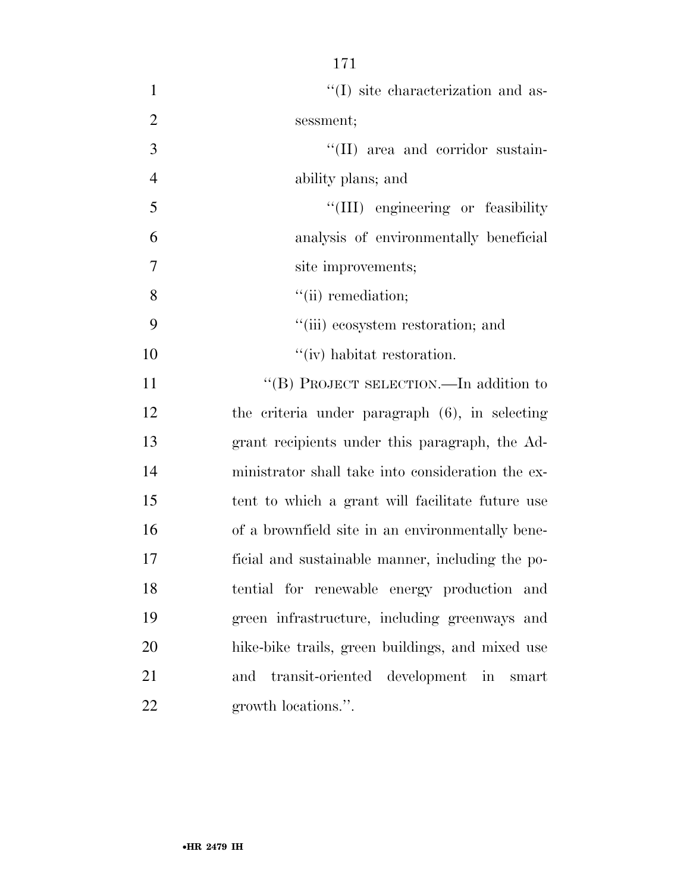- 1  $\lq(1)$  site characterization and as- sessment; 3  $\frac{1}{(II)}$  area and corridor sustain- ability plans; and 5 ''(III) engineering or feasibility analysis of environmentally beneficial site improvements; 8 ''(ii) remediation; ''(iii) ecosystem restoration; and
- 11 "(B) PROJECT SELECTION.—In addition to the criteria under paragraph (6), in selecting grant recipients under this paragraph, the Ad- ministrator shall take into consideration the ex- tent to which a grant will facilitate future use of a brownfield site in an environmentally bene- ficial and sustainable manner, including the po- tential for renewable energy production and green infrastructure, including greenways and hike-bike trails, green buildings, and mixed use and transit-oriented development in smart growth locations.''.

10  $''(iv)$  habitat restoration.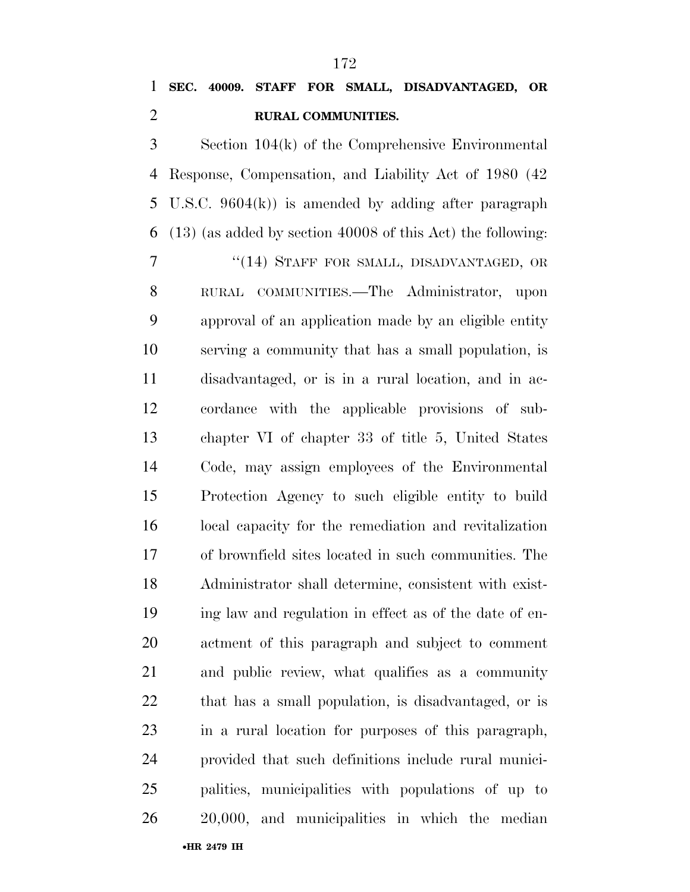### **SEC. 40009. STAFF FOR SMALL, DISADVANTAGED, OR RURAL COMMUNITIES.**

 Section 104(k) of the Comprehensive Environmental Response, Compensation, and Liability Act of 1980 (42 U.S.C. 9604(k)) is amended by adding after paragraph (13) (as added by section 40008 of this Act) the following:

7 "(14) STAFF FOR SMALL, DISADVANTAGED, OR RURAL COMMUNITIES.—The Administrator, upon approval of an application made by an eligible entity serving a community that has a small population, is disadvantaged, or is in a rural location, and in ac- cordance with the applicable provisions of sub- chapter VI of chapter 33 of title 5, United States Code, may assign employees of the Environmental Protection Agency to such eligible entity to build local capacity for the remediation and revitalization of brownfield sites located in such communities. The Administrator shall determine, consistent with exist- ing law and regulation in effect as of the date of en- actment of this paragraph and subject to comment and public review, what qualifies as a community that has a small population, is disadvantaged, or is in a rural location for purposes of this paragraph, provided that such definitions include rural munici- palities, municipalities with populations of up to 20,000, and municipalities in which the median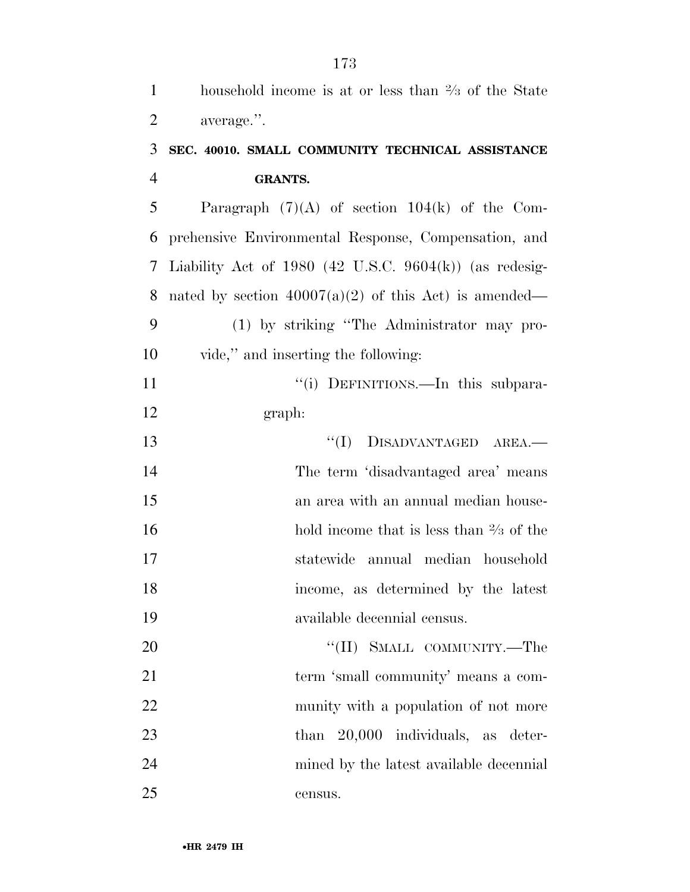| $\mathbf{1}$   | household income is at or less than $\frac{2}{3}$ of the State |
|----------------|----------------------------------------------------------------|
| $\overline{2}$ | average.".                                                     |
| 3              | SEC. 40010. SMALL COMMUNITY TECHNICAL ASSISTANCE               |
| $\overline{4}$ | <b>GRANTS.</b>                                                 |
| 5              | Paragraph $(7)(A)$ of section 104(k) of the Com-               |
| 6              | prehensive Environmental Response, Compensation, and           |
| 7              | Liability Act of 1980 (42 U.S.C. 9604 $(k)$ ) (as redesig-     |
| 8              | nated by section $40007(a)(2)$ of this Act) is amended—        |
| 9              | (1) by striking "The Administrator may pro-                    |
| 10             | vide," and inserting the following:                            |
| 11             | "(i) DEFINITIONS.—In this subpara-                             |
| 12             | graph:                                                         |
| 13             | $``(I)$ DISADVANTAGED AREA.—                                   |
| 14             | The term 'disadvantaged area' means                            |
| 15             | an area with an annual median house-                           |
| 16             | hold income that is less than $\frac{2}{3}$ of the             |
| 17             | statewide annual median household                              |
| 18             | income, as determined by the latest                            |
| 19             | available decennial census.                                    |
| 20             | "(II) SMALL COMMUNITY.—The                                     |
| 21             | term 'small community' means a com-                            |
| 22             | munity with a population of not more                           |
| 23             | 20,000 individuals, as deter-<br>than                          |
| 24             | mined by the latest available decennial                        |
| 25             | census.                                                        |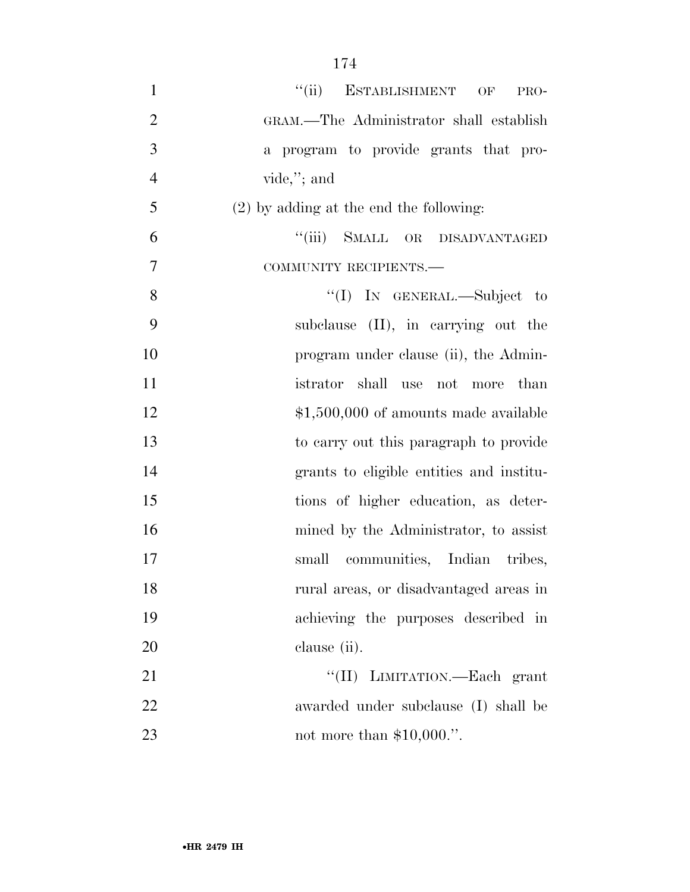- 1 "(ii) ESTABLISHMENT OF PRO- GRAM.—The Administrator shall establish a program to provide grants that pro- vide,''; and (2) by adding at the end the following: ''(iii) SMALL OR DISADVANTAGED COMMUNITY RECIPIENTS.— 8 "(I) IN GENERAL.—Subject to subclause (II), in carrying out the 10 program under clause (ii), the Admin- istrator shall use not more than 12  $\text{$}1,500,000$  of amounts made available to carry out this paragraph to provide grants to eligible entities and institu- tions of higher education, as deter-16 mined by the Administrator, to assist small communities, Indian tribes, rural areas, or disadvantaged areas in achieving the purposes described in clause (ii).
- 21 ''(II) LIMITATION.—Each grant awarded under subclause (I) shall be not more than \$10,000.''.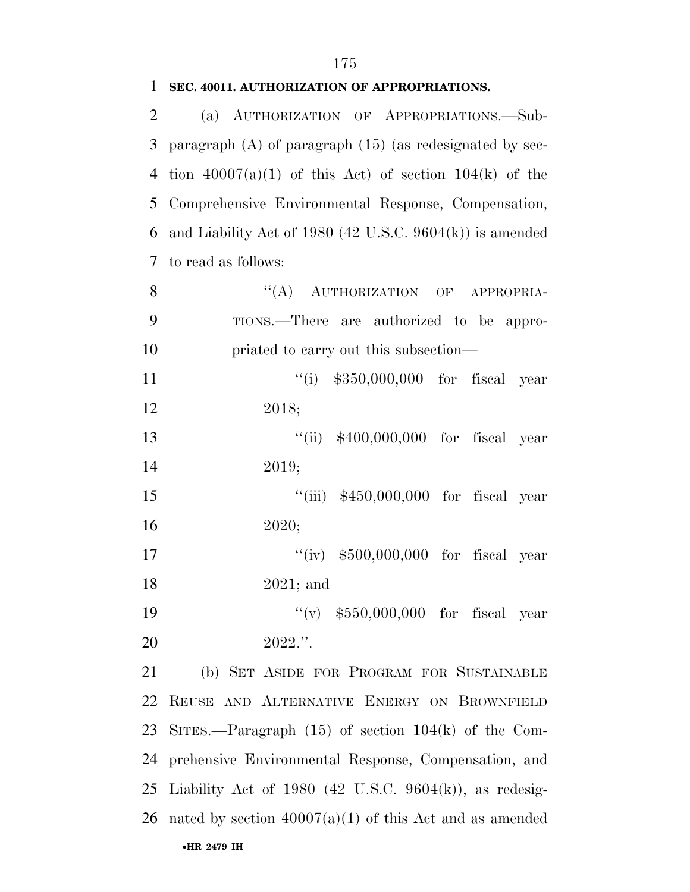| 2              | (a) AUTHORIZATION OF APPROPRIATIONS.-Sub-                    |
|----------------|--------------------------------------------------------------|
| 3              | paragraph $(A)$ of paragraph $(15)$ (as redesignated by sec- |
| $\overline{4}$ | tion $40007(a)(1)$ of this Act) of section $104(k)$ of the   |
| 5              | Comprehensive Environmental Response, Compensation,          |
| 6              | and Liability Act of 1980 (42 U.S.C. 9604(k)) is amended     |
| 7              | to read as follows:                                          |
| 8              | ``(A)<br>AUTHORIZATION OF APPROPRIA-                         |
| 9              | TIONS.—There are authorized to be appro-                     |
| 10             | priated to carry out this subsection—                        |
| 11             | "(i) $$350,000,000$ for fiscal year                          |
| 12             | 2018;                                                        |
| 13             | "(ii) $$400,000,000$ for fiscal year                         |
| 14             | 2019;                                                        |
| 15             | "(iii) $$450,000,000$ for fiscal year                        |
| 16             | 2020;                                                        |
| 17             | "(iv) $$500,000,000$ for fiscal year                         |
| 18             | $2021$ ; and                                                 |
| 19             | "(v) $$550,000,000$ for fiscal year                          |
| 20             | $2022$ .".                                                   |
| 21             | (b) SET ASIDE FOR PROGRAM FOR SUSTAINABLE                    |
| 22             | REUSE AND ALTERNATIVE ENERGY ON BROWNFIELD                   |
| 23             | SITES.—Paragraph $(15)$ of section $104(k)$ of the Com-      |
| 24             | prehensive Environmental Response, Compensation, and         |
| 25             | Liability Act of 1980 (42 U.S.C. 9604(k)), as redesig-       |
|                | 26 nated by section $40007(a)(1)$ of this Act and as amended |
|                | •HR 2479 IH                                                  |

#### **SEC. 40011. AUTHORIZATION OF APPROPRIATIONS.**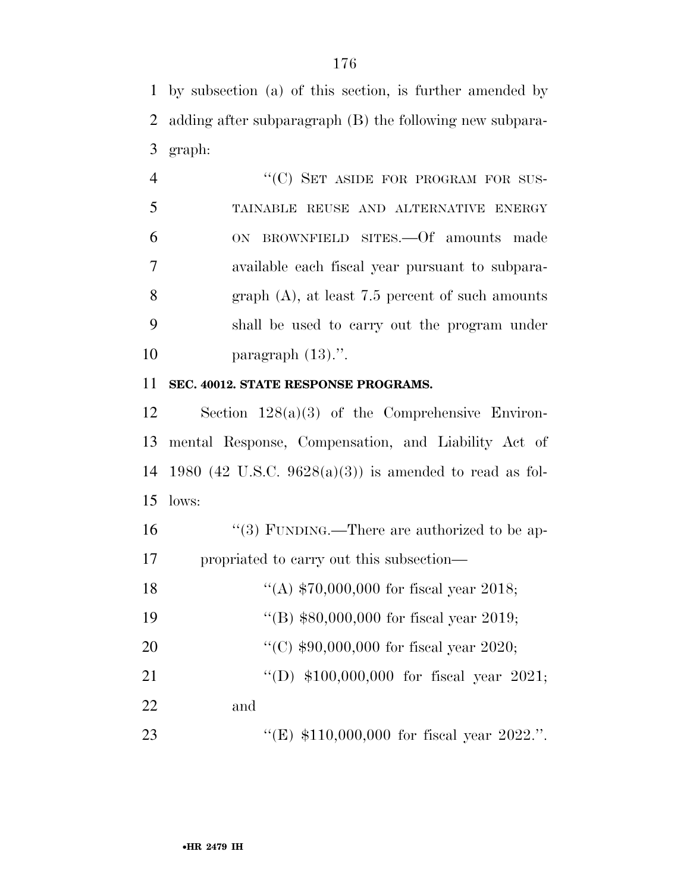by subsection (a) of this section, is further amended by adding after subparagraph (B) the following new subpara-graph:

|    | "(C) SET ASIDE FOR PROGRAM FOR SUS-                |
|----|----------------------------------------------------|
| 5  | TAINABLE REUSE AND ALTERNATIVE ENERGY              |
| 6  | ON BROWNFIELD SITES. Of amounts made               |
| 7  | available each fiscal year pursuant to subpara-    |
| 8  | graph $(A)$ , at least 7.5 percent of such amounts |
| 9  | shall be used to carry out the program under       |
| 10 | paragraph $(13)$ .".                               |

#### **SEC. 40012. STATE RESPONSE PROGRAMS.**

 Section 128(a)(3) of the Comprehensive Environ- mental Response, Compensation, and Liability Act of 1980 (42 U.S.C. 9628(a)(3)) is amended to read as fol-lows:

16  $\frac{16}{3}$  FUNDING.—There are authorized to be ap-propriated to carry out this subsection—

| 18        | "(A) $$70,000,000$ for fiscal year 2018;    |
|-----------|---------------------------------------------|
| 19        | "(B) $$80,000,000$ for fiscal year 2019;    |
| <b>20</b> | "(C) $$90,000,000$ for fiscal year 2020;    |
| 21        | "(D) $$100,000,000$ for fiscal year 2021;   |
| 22        | and                                         |
| 23        | "(E) $$110,000,000$ for fiscal year 2022.". |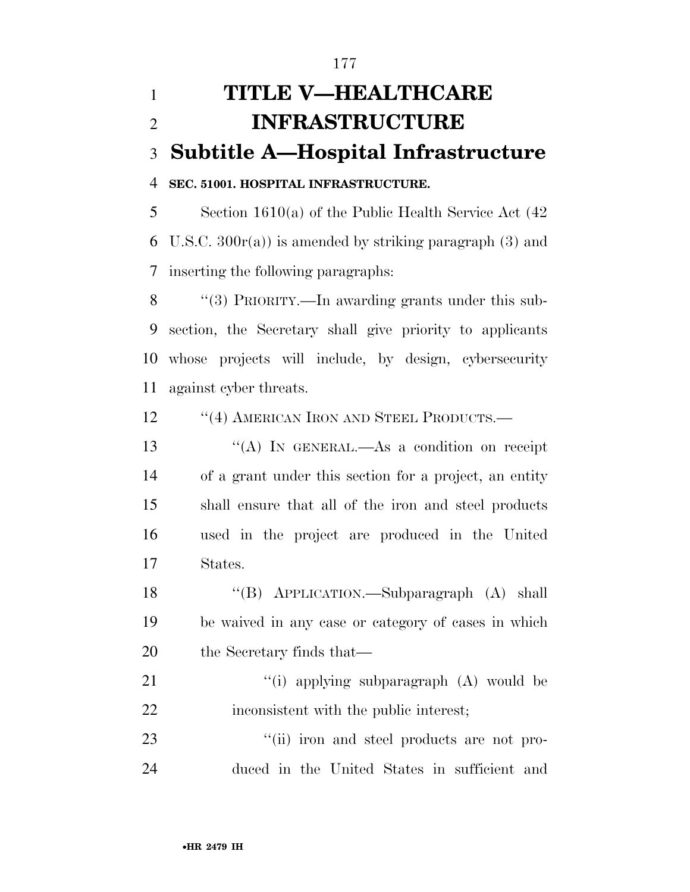# **TITLE V—HEALTHCARE INFRASTRUCTURE Subtitle A—Hospital Infrastructure SEC. 51001. HOSPITAL INFRASTRUCTURE.**  Section 1610(a) of the Public Health Service Act (42 6 U.S.C.  $300r(a)$  is amended by striking paragraph (3) and inserting the following paragraphs:

8 "(3) PRIORITY.—In awarding grants under this sub- section, the Secretary shall give priority to applicants whose projects will include, by design, cybersecurity against cyber threats.

12 "(4) AMERICAN IRON AND STEEL PRODUCTS.—

13 "(A) In GENERAL.—As a condition on receipt of a grant under this section for a project, an entity shall ensure that all of the iron and steel products used in the project are produced in the United States.

 ''(B) APPLICATION.—Subparagraph (A) shall be waived in any case or category of cases in which the Secretary finds that—

21 ''(i) applying subparagraph (A) would be inconsistent with the public interest;

23  $\frac{1}{10}$  iron and steel products are not pro-duced in the United States in sufficient and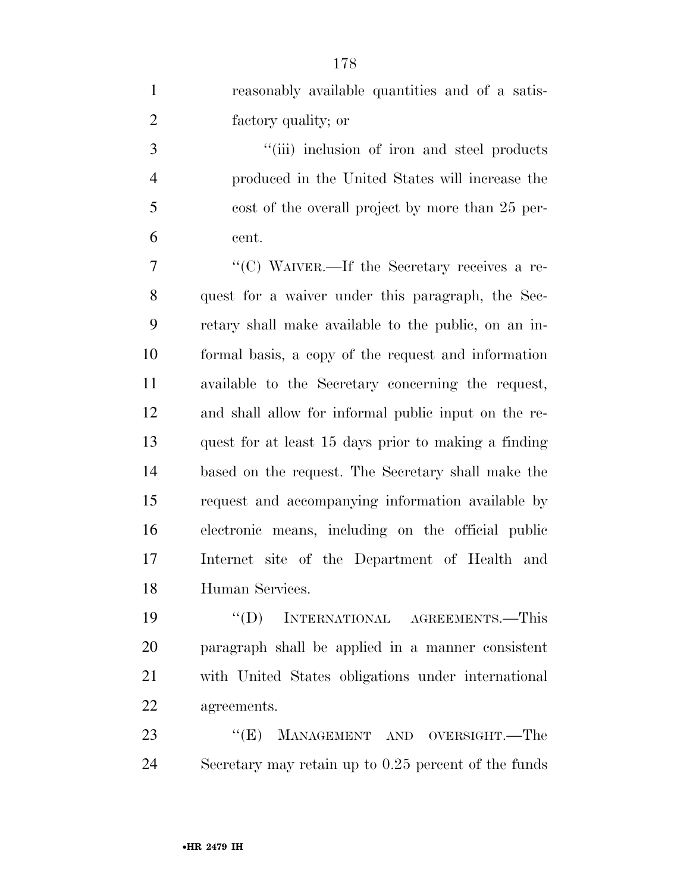reasonably available quantities and of a satis-factory quality; or

3 ''(iii) inclusion of iron and steel products produced in the United States will increase the cost of the overall project by more than 25 per-cent.

 ''(C) WAIVER.—If the Secretary receives a re- quest for a waiver under this paragraph, the Sec- retary shall make available to the public, on an in- formal basis, a copy of the request and information available to the Secretary concerning the request, and shall allow for informal public input on the re- quest for at least 15 days prior to making a finding based on the request. The Secretary shall make the request and accompanying information available by electronic means, including on the official public Internet site of the Department of Health and Human Services.

 ''(D) INTERNATIONAL AGREEMENTS.—This paragraph shall be applied in a manner consistent with United States obligations under international agreements.

23 "(E) MANAGEMENT AND OVERSIGHT.—The Secretary may retain up to 0.25 percent of the funds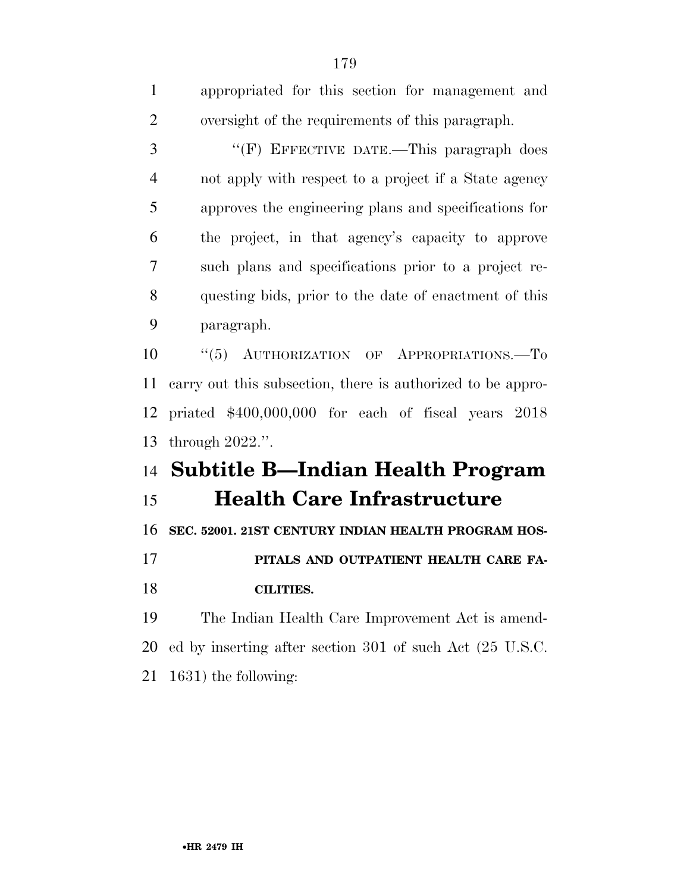| $\mathbf{1}$   | appropriated for this section for management and            |
|----------------|-------------------------------------------------------------|
| $\overline{2}$ | oversight of the requirements of this paragraph.            |
| 3              | "(F) EFFECTIVE DATE.-This paragraph does                    |
| $\overline{4}$ | not apply with respect to a project if a State agency       |
| 5              | approves the engineering plans and specifications for       |
| 6              | the project, in that agency's capacity to approve           |
| 7              | such plans and specifications prior to a project re-        |
| 8              | questing bids, prior to the date of enactment of this       |
| 9              | paragraph.                                                  |
| 10             | " $(5)$ AUTHORIZATION OF APPROPRIATIONS.—To                 |
| 11             | carry out this subsection, there is authorized to be appro- |
| 12             | priated \$400,000,000 for each of fiscal years 2018         |
| 13             | through $2022$ .".                                          |
| 14             | <b>Subtitle B-Indian Health Program</b>                     |
| 15             | <b>Health Care Infrastructure</b>                           |
| 16             | SEC. 52001. 21ST CENTURY INDIAN HEALTH PROGRAM HOS-         |
| 17             | PITALS AND OUTPATIENT HEALTH CARE FA-                       |
| 18             | <b>CILITIES.</b>                                            |
| 19             | The Indian Health Care Improvement Act is amend-            |
| 20             | ed by inserting after section 301 of such Act (25 U.S.C.    |
| 21             | 1631) the following:                                        |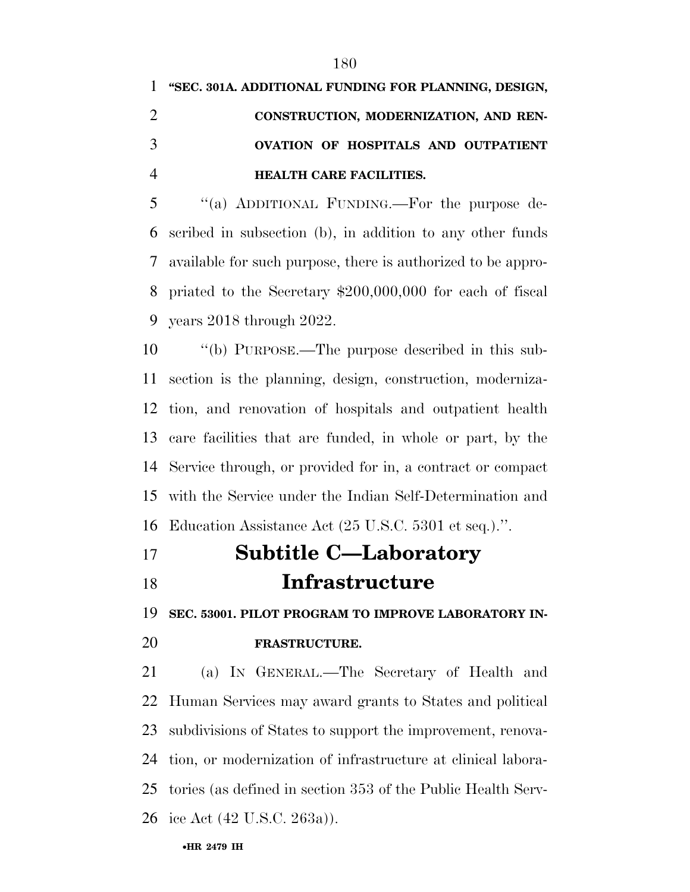|               | 1 "SEC. 301A. ADDITIONAL FUNDING FOR PLANNING, DESIGN, |
|---------------|--------------------------------------------------------|
|               | CONSTRUCTION, MODERNIZATION, AND REN-                  |
| $\mathcal{R}$ | OVATION OF HOSPITALS AND OUTPATIENT                    |
|               | <b>HEALTH CARE FACILITIES.</b>                         |

 ''(a) ADDITIONAL FUNDING.—For the purpose de- scribed in subsection (b), in addition to any other funds available for such purpose, there is authorized to be appro- priated to the Secretary \$200,000,000 for each of fiscal years 2018 through 2022.

 ''(b) PURPOSE.—The purpose described in this sub- section is the planning, design, construction, moderniza- tion, and renovation of hospitals and outpatient health care facilities that are funded, in whole or part, by the Service through, or provided for in, a contract or compact with the Service under the Indian Self-Determination and Education Assistance Act (25 U.S.C. 5301 et seq.).''.

 **Subtitle C—Laboratory Infrastructure** 

 **SEC. 53001. PILOT PROGRAM TO IMPROVE LABORATORY IN-FRASTRUCTURE.** 

 (a) IN GENERAL.—The Secretary of Health and Human Services may award grants to States and political subdivisions of States to support the improvement, renova- tion, or modernization of infrastructure at clinical labora- tories (as defined in section 353 of the Public Health Serv-ice Act (42 U.S.C. 263a)).